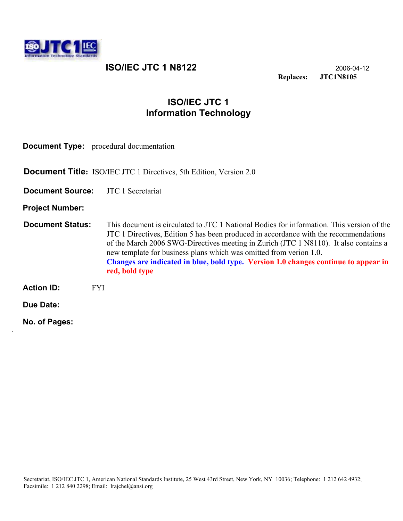

.

**ISO/IEC JTC 1 N8122** 2006-04-12<br>Replaces: JTC1N8105 **Replaces: JTC1N8105** 

# **ISO/IEC JTC 1 Information Technology**

| <b>Document Type:</b> procedural documentation |                                                                                                                                                                                                                                                                                                                                                                                                                                                          |  |  |
|------------------------------------------------|----------------------------------------------------------------------------------------------------------------------------------------------------------------------------------------------------------------------------------------------------------------------------------------------------------------------------------------------------------------------------------------------------------------------------------------------------------|--|--|
|                                                | <b>Document Title:</b> ISO/IEC JTC 1 Directives, 5th Edition, Version 2.0                                                                                                                                                                                                                                                                                                                                                                                |  |  |
| <b>Document Source:</b> JTC 1 Secretariat      |                                                                                                                                                                                                                                                                                                                                                                                                                                                          |  |  |
| <b>Project Number:</b>                         |                                                                                                                                                                                                                                                                                                                                                                                                                                                          |  |  |
| <b>Document Status:</b>                        | This document is circulated to JTC 1 National Bodies for information. This version of the<br>JTC 1 Directives, Edition 5 has been produced in accordance with the recommendations<br>of the March 2006 SWG-Directives meeting in Zurich (JTC 1 N8110). It also contains a<br>new template for business plans which was omitted from verion 1.0.<br>Changes are indicated in blue, bold type. Version 1.0 changes continue to appear in<br>red, bold type |  |  |
| <b>Action ID:</b>                              | <b>FYI</b>                                                                                                                                                                                                                                                                                                                                                                                                                                               |  |  |
| Due Date:                                      |                                                                                                                                                                                                                                                                                                                                                                                                                                                          |  |  |
| No. of Pages:                                  |                                                                                                                                                                                                                                                                                                                                                                                                                                                          |  |  |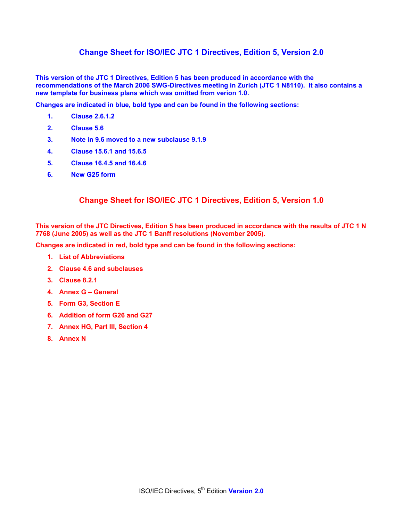#### **Change Sheet for ISO/IEC JTC 1 Directives, Edition 5, Version 2.0**

**This version of the JTC 1 Directives, Edition 5 has been produced in accordance with the recommendations of the March 2006 SWG-Directives meeting in Zurich (JTC 1 N8110). It also contains a new template for business plans which was omitted from verion 1.0.** 

**Changes are indicated in blue, bold type and can be found in the following sections:** 

- **1. Clause 2.6.1.2**
- **2. Clause 5.6**
- **3. Note in 9.6 moved to a new subclause 9.1.9**
- **4. Clause 15.6.1 and 15.6.5**
- **5. Clause 16.4.5 and 16.4.6**
- **6. New G25 form**

#### **Change Sheet for ISO/IEC JTC 1 Directives, Edition 5, Version 1.0**

**This version of the JTC Directives, Edition 5 has been produced in accordance with the results of JTC 1 N 7768 (June 2005) as well as the JTC 1 Banff resolutions (November 2005).** 

**Changes are indicated in red, bold type and can be found in the following sections:** 

- **1. List of Abbreviations**
- **2. Clause 4.6 and subclauses**
- **3. Clause 8.2.1**
- **4. Annex G General**
- **5. Form G3, Section E**
- **6. Addition of form G26 and G27**
- **7. Annex HG, Part III, Section 4**
- **8. Annex N**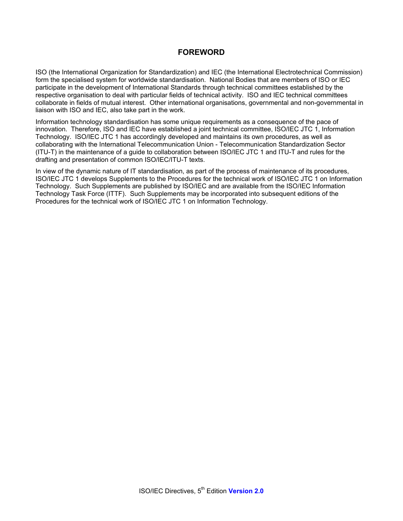#### **FOREWORD**

ISO (the International Organization for Standardization) and IEC (the International Electrotechnical Commission) form the specialised system for worldwide standardisation. National Bodies that are members of ISO or IEC participate in the development of International Standards through technical committees established by the respective organisation to deal with particular fields of technical activity. ISO and IEC technical committees collaborate in fields of mutual interest. Other international organisations, governmental and non-governmental in liaison with ISO and IEC, also take part in the work.

Information technology standardisation has some unique requirements as a consequence of the pace of innovation. Therefore, ISO and IEC have established a joint technical committee, ISO/IEC JTC 1, Information Technology. ISO/IEC JTC 1 has accordingly developed and maintains its own procedures, as well as collaborating with the International Telecommunication Union - Telecommunication Standardization Sector (ITU-T) in the maintenance of a guide to collaboration between ISO/IEC JTC 1 and ITU-T and rules for the drafting and presentation of common ISO/IEC/ITU-T texts.

In view of the dynamic nature of IT standardisation, as part of the process of maintenance of its procedures, ISO/IEC JTC 1 develops Supplements to the Procedures for the technical work of ISO/IEC JTC 1 on Information Technology. Such Supplements are published by ISO/IEC and are available from the ISO/IEC Information Technology Task Force (ITTF). Such Supplements may be incorporated into subsequent editions of the Procedures for the technical work of ISO/IEC JTC 1 on Information Technology.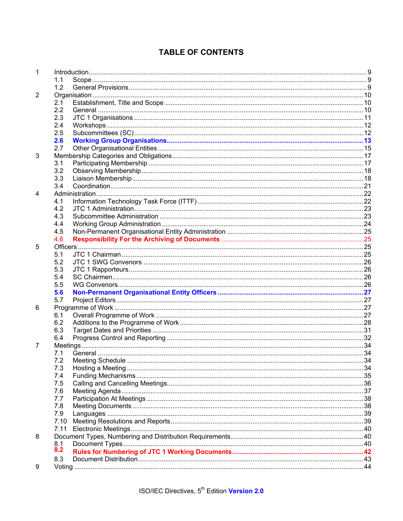# **TABLE OF CONTENTS**

| 1 |      |  |
|---|------|--|
|   | 1.1  |  |
|   | 1.2  |  |
| 2 |      |  |
|   | 2.1  |  |
|   | 2.2  |  |
|   | 2.3  |  |
|   | 2.4  |  |
|   | 2.5  |  |
|   | 2.6  |  |
|   | 2.7  |  |
| 3 |      |  |
|   | 3.1  |  |
|   | 3.2  |  |
|   | 3.3  |  |
|   | 3.4  |  |
| 4 |      |  |
|   | 4.1  |  |
|   | 4.2  |  |
|   | 4.3  |  |
|   | 4.4  |  |
|   | 4.5  |  |
|   | 4.6  |  |
| 5 |      |  |
|   | 5.1  |  |
|   | 5.2  |  |
|   | 5.3  |  |
|   | 5.4  |  |
|   | 5.5  |  |
|   | 5.6  |  |
|   | 5.7  |  |
| 6 |      |  |
|   | 6.1  |  |
|   | 6.2  |  |
|   | 6.3  |  |
|   | 6.4  |  |
| 7 |      |  |
|   | 7.1  |  |
|   | 7.2  |  |
|   | 7.3  |  |
|   | 7.4  |  |
|   | 7.5  |  |
|   | 7.6  |  |
|   | 7.7  |  |
|   | 7.8  |  |
|   | 7.9  |  |
|   | 7.10 |  |
|   | 7.11 |  |
| 8 |      |  |
|   | 8.1  |  |
|   | 8.2  |  |
|   | 8.3  |  |
| 9 |      |  |
|   |      |  |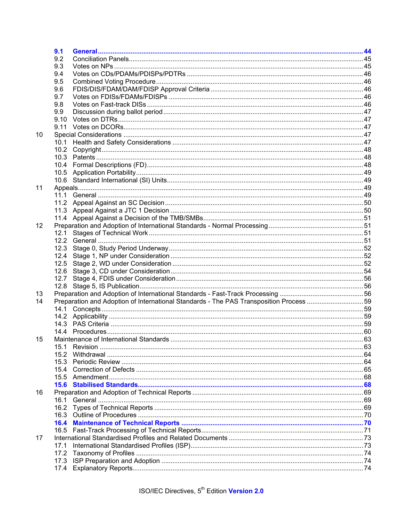|    | 9.1          |                                                                                         |  |
|----|--------------|-----------------------------------------------------------------------------------------|--|
|    | 9.2          |                                                                                         |  |
|    | 9.3          |                                                                                         |  |
|    | 9.4          |                                                                                         |  |
|    | 9.5          |                                                                                         |  |
|    | 9.6          |                                                                                         |  |
|    | 9.7          |                                                                                         |  |
|    | 9.8          |                                                                                         |  |
|    | 9.9          |                                                                                         |  |
|    | 9.10         |                                                                                         |  |
|    |              |                                                                                         |  |
| 10 |              |                                                                                         |  |
|    | 10.1         |                                                                                         |  |
|    | 10.2         |                                                                                         |  |
|    |              |                                                                                         |  |
|    |              |                                                                                         |  |
|    |              |                                                                                         |  |
|    |              |                                                                                         |  |
| 11 |              |                                                                                         |  |
|    |              |                                                                                         |  |
|    |              |                                                                                         |  |
|    |              |                                                                                         |  |
|    |              |                                                                                         |  |
|    |              |                                                                                         |  |
| 12 |              |                                                                                         |  |
|    |              |                                                                                         |  |
|    |              |                                                                                         |  |
|    |              |                                                                                         |  |
|    | 12.4<br>12.5 |                                                                                         |  |
|    |              |                                                                                         |  |
|    |              |                                                                                         |  |
|    |              |                                                                                         |  |
|    | 12.8         |                                                                                         |  |
| 13 |              | Preparation and Adoption of International Standards - The PAS Transposition Process  59 |  |
| 14 |              |                                                                                         |  |
|    |              |                                                                                         |  |
|    |              |                                                                                         |  |
|    |              |                                                                                         |  |
| 15 |              |                                                                                         |  |
|    | 15.1         |                                                                                         |  |
|    | 15.2         |                                                                                         |  |
|    | 15.3         |                                                                                         |  |
|    |              |                                                                                         |  |
|    | 15.5         |                                                                                         |  |
|    |              |                                                                                         |  |
|    |              |                                                                                         |  |
| 16 |              |                                                                                         |  |
|    | 16.1         |                                                                                         |  |
|    | 16.2         |                                                                                         |  |
|    |              |                                                                                         |  |
|    | 16.4         |                                                                                         |  |
|    |              |                                                                                         |  |
| 17 |              |                                                                                         |  |
|    | 17.1         |                                                                                         |  |
|    | 17.2         |                                                                                         |  |
|    | 17.3         |                                                                                         |  |
|    |              |                                                                                         |  |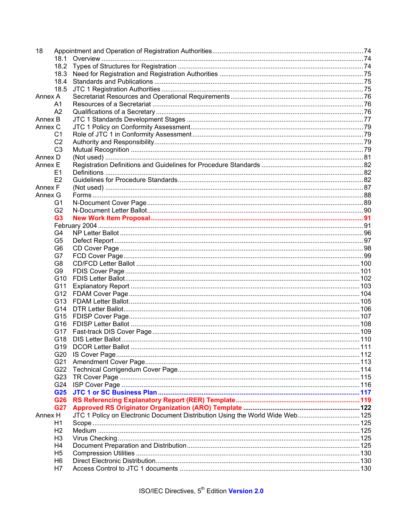| 18                    |                                                                               |  |  |  |
|-----------------------|-------------------------------------------------------------------------------|--|--|--|
| 18.1                  |                                                                               |  |  |  |
|                       |                                                                               |  |  |  |
|                       |                                                                               |  |  |  |
| 18.4                  |                                                                               |  |  |  |
| 18.5                  |                                                                               |  |  |  |
| Annex A               |                                                                               |  |  |  |
| A <sub>1</sub>        |                                                                               |  |  |  |
| A2                    |                                                                               |  |  |  |
| Annex B               |                                                                               |  |  |  |
| Annex C               |                                                                               |  |  |  |
| C1                    |                                                                               |  |  |  |
| C <sub>2</sub>        |                                                                               |  |  |  |
| C <sub>3</sub>        |                                                                               |  |  |  |
| Annex D               |                                                                               |  |  |  |
| Annex E               |                                                                               |  |  |  |
| E <sub>1</sub>        |                                                                               |  |  |  |
| E2                    |                                                                               |  |  |  |
| Annex F               |                                                                               |  |  |  |
| Annex G               |                                                                               |  |  |  |
| G1                    |                                                                               |  |  |  |
| G <sub>2</sub>        |                                                                               |  |  |  |
| G <sub>3</sub>        |                                                                               |  |  |  |
|                       |                                                                               |  |  |  |
| G4                    |                                                                               |  |  |  |
| G <sub>5</sub>        |                                                                               |  |  |  |
| G <sub>6</sub>        |                                                                               |  |  |  |
| G7                    |                                                                               |  |  |  |
| G8                    |                                                                               |  |  |  |
| G <sub>9</sub>        |                                                                               |  |  |  |
| G <sub>10</sub>       |                                                                               |  |  |  |
| G11                   |                                                                               |  |  |  |
|                       |                                                                               |  |  |  |
| G13                   |                                                                               |  |  |  |
| G14                   |                                                                               |  |  |  |
|                       |                                                                               |  |  |  |
|                       |                                                                               |  |  |  |
| G17                   |                                                                               |  |  |  |
|                       |                                                                               |  |  |  |
|                       |                                                                               |  |  |  |
|                       |                                                                               |  |  |  |
| G21                   |                                                                               |  |  |  |
|                       |                                                                               |  |  |  |
|                       |                                                                               |  |  |  |
| G24                   |                                                                               |  |  |  |
| G <sub>25</sub>       |                                                                               |  |  |  |
|                       |                                                                               |  |  |  |
| G26                   |                                                                               |  |  |  |
| <b>G27</b><br>Annex H |                                                                               |  |  |  |
|                       | JTC 1 Policy on Electronic Document Distribution Using the World Wide Web 125 |  |  |  |
| Н1                    |                                                                               |  |  |  |
| H <sub>2</sub>        |                                                                               |  |  |  |
| H <sub>3</sub>        |                                                                               |  |  |  |
| H4                    |                                                                               |  |  |  |
| H <sub>5</sub>        |                                                                               |  |  |  |
| H6                    |                                                                               |  |  |  |
| H7                    |                                                                               |  |  |  |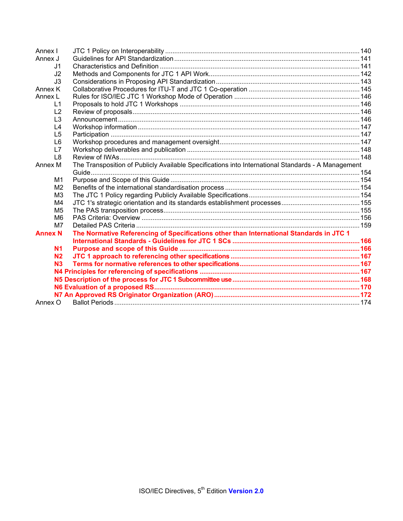| Annex I        |                                                                                                    |  |
|----------------|----------------------------------------------------------------------------------------------------|--|
| Annex J        |                                                                                                    |  |
| .J1            |                                                                                                    |  |
| J2             |                                                                                                    |  |
| J3             |                                                                                                    |  |
| Annex K        |                                                                                                    |  |
| Annex L        |                                                                                                    |  |
| $\mathsf{L}$ 1 |                                                                                                    |  |
| L2             |                                                                                                    |  |
| L <sub>3</sub> |                                                                                                    |  |
| L4             |                                                                                                    |  |
| L <sub>5</sub> |                                                                                                    |  |
| L <sub>6</sub> |                                                                                                    |  |
| L7             |                                                                                                    |  |
| L <sub>8</sub> |                                                                                                    |  |
| Annex M        | The Transposition of Publicly Available Specifications into International Standards - A Management |  |
|                |                                                                                                    |  |
| M1             |                                                                                                    |  |
| M <sub>2</sub> |                                                                                                    |  |
| M <sub>3</sub> |                                                                                                    |  |
| M4             |                                                                                                    |  |
| M <sub>5</sub> |                                                                                                    |  |
| M <sub>6</sub> |                                                                                                    |  |
| M7             |                                                                                                    |  |
| <b>Annex N</b> | The Normative Referencing of Specifications other than International Standards in JTC 1            |  |
|                |                                                                                                    |  |
| N <sub>1</sub> |                                                                                                    |  |
| N <sub>2</sub> |                                                                                                    |  |
| N <sub>3</sub> |                                                                                                    |  |
|                |                                                                                                    |  |
|                |                                                                                                    |  |
|                |                                                                                                    |  |
|                |                                                                                                    |  |
| Annex O        |                                                                                                    |  |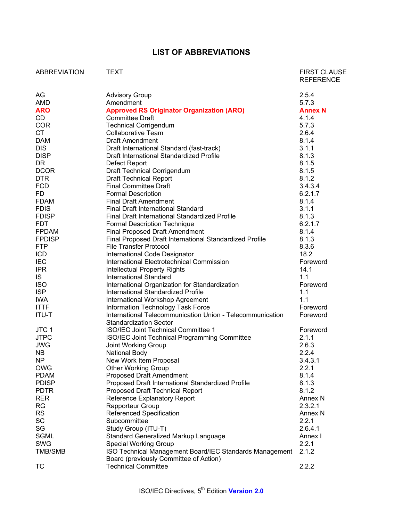## **LIST OF ABBREVIATIONS**

| <b>ABBREVIATION</b> | TEXT                                                                                       | <b>FIRST CLAUSE</b><br><b>REFERENCE</b> |
|---------------------|--------------------------------------------------------------------------------------------|-----------------------------------------|
| AG                  | <b>Advisory Group</b>                                                                      | 2.5.4                                   |
| AMD                 | Amendment                                                                                  | 5.7.3                                   |
| <b>ARO</b>          | <b>Approved RS Originator Organization (ARO)</b>                                           | <b>Annex N</b>                          |
| CD                  | <b>Committee Draft</b>                                                                     | 4.1.4                                   |
| <b>COR</b>          | <b>Technical Corrigendum</b>                                                               | 5.7.3                                   |
| <b>CT</b>           | <b>Collaborative Team</b>                                                                  | 2.6.4                                   |
| <b>DAM</b>          | <b>Draft Amendment</b>                                                                     | 8.1.4                                   |
| <b>DIS</b>          | Draft International Standard (fast-track)                                                  | 3.1.1                                   |
| <b>DISP</b>         | Draft International Standardized Profile                                                   | 8.1.3                                   |
| <b>DR</b>           | Defect Report                                                                              | 8.1.5                                   |
| <b>DCOR</b>         | <b>Draft Technical Corrigendum</b>                                                         | 8.1.5                                   |
| <b>DTR</b>          | <b>Draft Technical Report</b>                                                              | 8.1.2                                   |
| <b>FCD</b>          | <b>Final Committee Draft</b>                                                               | 3.4.3.4                                 |
| <b>FD</b>           | <b>Formal Description</b>                                                                  | 6.2.1.7                                 |
| <b>FDAM</b>         | <b>Final Draft Amendment</b>                                                               | 8.1.4                                   |
| <b>FDIS</b>         | <b>Final Draft International Standard</b>                                                  |                                         |
|                     |                                                                                            | 3.1.1                                   |
| <b>FDISP</b>        | Final Draft International Standardized Profile                                             | 8.1.3                                   |
| <b>FDT</b>          | <b>Formal Description Technique</b>                                                        | 6.2.1.7                                 |
| <b>FPDAM</b>        | <b>Final Proposed Draft Amendment</b>                                                      | 8.1.4                                   |
| <b>FPDISP</b>       | Final Proposed Draft International Standardized Profile                                    | 8.1.3                                   |
| <b>FTP</b>          | <b>File Transfer Protocol</b>                                                              | 8.3.6                                   |
| <b>ICD</b>          | International Code Designator                                                              | 18.2                                    |
| <b>IEC</b>          | International Electrotechnical Commission                                                  | Foreword                                |
| <b>IPR</b>          | <b>Intellectual Property Rights</b>                                                        | 14.1                                    |
| IS.                 | <b>International Standard</b>                                                              | 1.1                                     |
| <b>ISO</b>          | International Organization for Standardization                                             | Foreword                                |
| <b>ISP</b>          | International Standardized Profile                                                         | 1.1                                     |
| <b>IWA</b>          | International Workshop Agreement                                                           | 1.1                                     |
| <b>ITTF</b>         | Information Technology Task Force                                                          | Foreword                                |
| <b>ITU-T</b>        | International Telecommunication Union - Telecommunication<br><b>Standardization Sector</b> | Foreword                                |
| JTC <sub>1</sub>    | ISO/IEC Joint Technical Committee 1                                                        | Foreword                                |
| <b>JTPC</b>         | ISO/IEC Joint Technical Programming Committee                                              | 2.1.1                                   |
| <b>JWG</b>          | Joint Working Group                                                                        | 2.6.3                                   |
| <b>NB</b>           | <b>National Body</b>                                                                       | 2.2.4                                   |
| <b>NP</b>           | New Work Item Proposal                                                                     | 3.4.3.1                                 |
| <b>OWG</b>          | <b>Other Working Group</b>                                                                 | 2.2.1                                   |
| <b>PDAM</b>         | <b>Proposed Draft Amendment</b>                                                            | 8.1.4                                   |
| <b>PDISP</b>        | Proposed Draft International Standardized Profile                                          | 8.1.3                                   |
| <b>PDTR</b>         | Proposed Draft Technical Report                                                            | 8.1.2                                   |
| <b>RER</b>          | Reference Explanatory Report                                                               | Annex N                                 |
| <b>RG</b>           | Rapporteur Group                                                                           | 2.3.2.1                                 |
| <b>RS</b>           | Referenced Specification                                                                   | Annex <sub>N</sub>                      |
| <b>SC</b>           | Subcommittee                                                                               | 2.2.1                                   |
| SG                  | Study Group (ITU-T)                                                                        | 2.6.4.1                                 |
| <b>SGML</b>         | Standard Generalized Markup Language                                                       | Annex I                                 |
| SWG                 | <b>Special Working Group</b>                                                               | 2.2.1                                   |
| <b>TMB/SMB</b>      | ISO Technical Management Board/IEC Standards Management                                    | 2.1.2                                   |
|                     | Board (previously Committee of Action)                                                     |                                         |
| TC                  | <b>Technical Committee</b>                                                                 | 2.2.2                                   |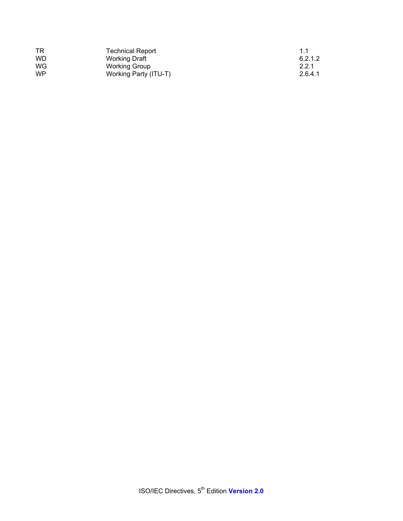| . TR      | <b>Technical Report</b> | 11      |
|-----------|-------------------------|---------|
| <b>WD</b> | <b>Working Draft</b>    | 6.2.1.2 |
| <b>WG</b> | Working Group           | 2.2.1   |
| WP        | Working Party (ITU-T)   | 2.6.4.1 |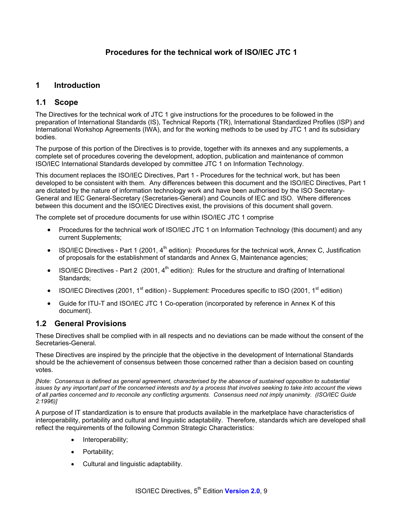## **Procedures for the technical work of ISO/IEC JTC 1**

### **1 Introduction**

### **1.1 Scope**

The Directives for the technical work of JTC 1 give instructions for the procedures to be followed in the preparation of International Standards (IS), Technical Reports (TR), International Standardized Profiles (ISP) and International Workshop Agreements (IWA), and for the working methods to be used by JTC 1 and its subsidiary bodies.

The purpose of this portion of the Directives is to provide, together with its annexes and any supplements, a complete set of procedures covering the development, adoption, publication and maintenance of common ISO/IEC International Standards developed by committee JTC 1 on Information Technology.

This document replaces the ISO/IEC Directives, Part 1 - Procedures for the technical work, but has been developed to be consistent with them. Any differences between this document and the ISO/IEC Directives, Part 1 are dictated by the nature of information technology work and have been authorised by the ISO Secretary-General and IEC General-Secretary (Secretaries-General) and Councils of IEC and ISO. Where differences between this document and the ISO/IEC Directives exist, the provisions of this document shall govern.

The complete set of procedure documents for use within ISO/IEC JTC 1 comprise

- Procedures for the technical work of ISO/IEC JTC 1 on Information Technology (this document) and any current Supplements;
- ISO/IEC Directives Part 1 (2001,  $4<sup>th</sup>$  edition): Procedures for the technical work, Annex C, Justification of proposals for the establishment of standards and Annex G, Maintenance agencies;
- ISO/IEC Directives Part 2 (2001,  $4<sup>th</sup>$  edition): Rules for the structure and drafting of International Standards;
- ISO/IEC Directives (2001, 1<sup>st</sup> edition) Supplement: Procedures specific to ISO (2001, 1<sup>st</sup> edition)
- Guide for ITU-T and ISO/IEC JTC 1 Co-operation (incorporated by reference in Annex K of this document).

#### **1.2 General Provisions**

These Directives shall be complied with in all respects and no deviations can be made without the consent of the Secretaries-General.

These Directives are inspired by the principle that the objective in the development of International Standards should be the achievement of consensus between those concerned rather than a decision based on counting votes.

*[Note: Consensus is defined as general agreement, characterised by the absence of sustained opposition to substantial issues by any important part of the concerned interests and by a process that involves seeking to take into account the views of all parties concerned and to reconcile any conflicting arguments. Consensus need not imply unanimity. (ISO/IEC Guide 2:1996)]* 

A purpose of IT standardization is to ensure that products available in the marketplace have characteristics of interoperability, portability and cultural and linguistic adaptability. Therefore, standards which are developed shall reflect the requirements of the following Common Strategic Characteristics:

- Interoperability;
- Portability;
- Cultural and linguistic adaptability.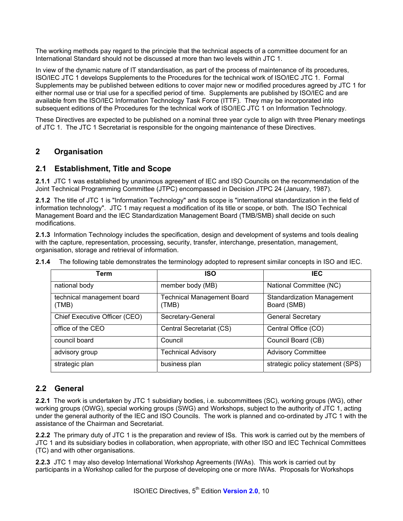The working methods pay regard to the principle that the technical aspects of a committee document for an International Standard should not be discussed at more than two levels within JTC 1.

In view of the dynamic nature of IT standardisation, as part of the process of maintenance of its procedures, ISO/IEC JTC 1 develops Supplements to the Procedures for the technical work of ISO/IEC JTC 1. Formal Supplements may be published between editions to cover major new or modified procedures agreed by JTC 1 for either normal use or trial use for a specified period of time. Supplements are published by ISO/IEC and are available from the ISO/IEC Information Technology Task Force (ITTF). They may be incorporated into subsequent editions of the Procedures for the technical work of ISO/IEC JTC 1 on Information Technology.

These Directives are expected to be published on a nominal three year cycle to align with three Plenary meetings of JTC 1. The JTC 1 Secretariat is responsible for the ongoing maintenance of these Directives.

### **2 Organisation**

#### **2.1 Establishment, Title and Scope**

**2.1.1** JTC 1 was established by unanimous agreement of IEC and ISO Councils on the recommendation of the Joint Technical Programming Committee (JTPC) encompassed in Decision JTPC 24 (January, 1987).

**2.1.2** The title of JTC 1 is "Information Technology" and its scope is "international standardization in the field of information technology". JTC 1 may request a modification of its title or scope, or both. The ISO Technical Management Board and the IEC Standardization Management Board (TMB/SMB) shall decide on such modifications.

**2.1.3** Information Technology includes the specification, design and development of systems and tools dealing with the capture, representation, processing, security, transfer, interchange, presentation, management, organisation, storage and retrieval of information.

| Term                                | <b>ISO</b>                                 | <b>IEC</b>                                       |
|-------------------------------------|--------------------------------------------|--------------------------------------------------|
| national body                       | member body (MB)                           | National Committee (NC)                          |
| technical management board<br>(TMB) | <b>Technical Management Board</b><br>(TMB) | <b>Standardization Management</b><br>Board (SMB) |
| Chief Executive Officer (CEO)       | Secretary-General                          | <b>General Secretary</b>                         |
| office of the CEO                   | Central Secretariat (CS)                   | Central Office (CO)                              |
| council board                       | Council                                    | Council Board (CB)                               |
| advisory group                      | <b>Fechnical Advisory</b>                  | <b>Advisory Committee</b>                        |
| strategic plan                      | business plan                              | strategic policy statement (SPS)                 |

**2.1.4** The following table demonstrates the terminology adopted to represent similar concepts in ISO and IEC.

### **2.2 General**

**2.2.1** The work is undertaken by JTC 1 subsidiary bodies, i.e. subcommittees (SC), working groups (WG), other working groups (OWG), special working groups (SWG) and Workshops, subject to the authority of JTC 1, acting under the general authority of the IEC and ISO Councils. The work is planned and co-ordinated by JTC 1 with the assistance of the Chairman and Secretariat.

**2.2.2** The primary duty of JTC 1 is the preparation and review of ISs. This work is carried out by the members of JTC 1 and its subsidiary bodies in collaboration, when appropriate, with other ISO and IEC Technical Committees (TC) and with other organisations.

**2.2.3** JTC 1 may also develop International Workshop Agreements (IWAs). This work is carried out by participants in a Workshop called for the purpose of developing one or more IWAs. Proposals for Workshops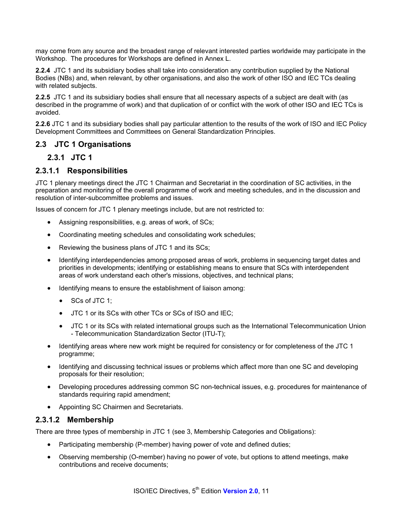may come from any source and the broadest range of relevant interested parties worldwide may participate in the Workshop. The procedures for Workshops are defined in Annex L.

**2.2.4** JTC 1 and its subsidiary bodies shall take into consideration any contribution supplied by the National Bodies (NBs) and, when relevant, by other organisations, and also the work of other ISO and IEC TCs dealing with related subjects.

**2.2.5** JTC 1 and its subsidiary bodies shall ensure that all necessary aspects of a subject are dealt with (as described in the programme of work) and that duplication of or conflict with the work of other ISO and IEC TCs is avoided.

**2.2.6** JTC 1 and its subsidiary bodies shall pay particular attention to the results of the work of ISO and IEC Policy Development Committees and Committees on General Standardization Principles.

### **2.3 JTC 1 Organisations**

#### **2.3.1 JTC 1**

### **2.3.1.1 Responsibilities**

JTC 1 plenary meetings direct the JTC 1 Chairman and Secretariat in the coordination of SC activities, in the preparation and monitoring of the overall programme of work and meeting schedules, and in the discussion and resolution of inter-subcommittee problems and issues.

Issues of concern for JTC 1 plenary meetings include, but are not restricted to:

- Assigning responsibilities, e.g. areas of work, of SCs;
- Coordinating meeting schedules and consolidating work schedules;
- Reviewing the business plans of JTC 1 and its SCs;
- Identifying interdependencies among proposed areas of work, problems in sequencing target dates and priorities in developments; identifying or establishing means to ensure that SCs with interdependent areas of work understand each other's missions, objectives, and technical plans;
- Identifying means to ensure the establishment of liaison among:
	- SCs of JTC 1;
	- JTC 1 or its SCs with other TCs or SCs of ISO and IEC;
	- JTC 1 or its SCs with related international groups such as the International Telecommunication Union - Telecommunication Standardization Sector (ITU-T);
- Identifying areas where new work might be required for consistency or for completeness of the JTC 1 programme;
- Identifying and discussing technical issues or problems which affect more than one SC and developing proposals for their resolution;
- Developing procedures addressing common SC non-technical issues, e.g. procedures for maintenance of standards requiring rapid amendment;
- Appointing SC Chairmen and Secretariats.

#### **2.3.1.2 Membership**

There are three types of membership in JTC 1 (see 3, Membership Categories and Obligations):

- Participating membership (P-member) having power of vote and defined duties;
- Observing membership (O-member) having no power of vote, but options to attend meetings, make contributions and receive documents;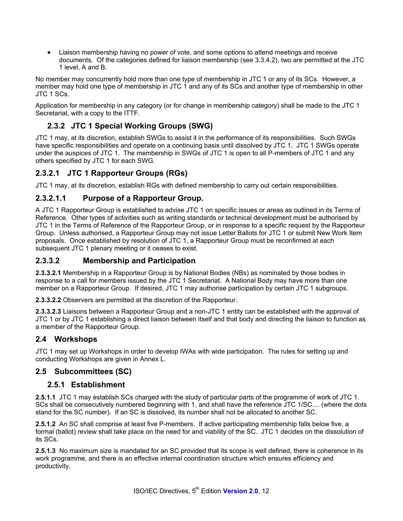• Liaison membership having no power of vote, and some options to attend meetings and receive documents. Of the categories defined for liaison membership (see 3.3.4.2), two are permitted at the JTC 1 level, A and B.

No member may concurrently hold more than one type of membership in JTC 1 or any of its SCs. However, a member may hold one type of membership in JTC 1 and any of its SCs and another type of membership in other JTC 1 SCs.

Application for membership in any category (or for change in membership category) shall be made to the JTC 1 Secretariat, with a copy to the ITTF.

## **2.3.2 JTC 1 Special Working Groups (SWG)**

JTC 1 may, at its discretion, establish SWGs to assist it in the performance of its responsibilities. Such SWGs have specific responsibilities and operate on a continuing basis until dissolved by JTC 1. JTC 1 SWGs operate under the auspices of JTC 1. The membership in SWGs of JTC 1 is open to all P-members of JTC 1 and any others specified by JTC 1 for each SWG.

## **2.3.2.1 JTC 1 Rapporteur Groups (RGs)**

JTC 1 may, at its discretion, establish RGs with defined membership to carry out certain responsibilities.

## **2.3.2.1.1 Purpose of a Rapporteur Group.**

A JTC 1 Rapporteur Group is established to advise JTC 1 on specific issues or areas as outlined in its Terms of Reference. Other types of activities such as writing standards or technical development must be authorised by JTC 1 in the Terms of Reference of the Rapporteur Group, or in response to a specific request by the Rapporteur Group. Unless authorised, a Rapporteur Group may not issue Letter Ballots for JTC 1 or submit New Work Item proposals. Once established by resolution of JTC 1, a Rapporteur Group must be reconfirmed at each subsequent JTC 1 plenary meeting or it ceases to exist.

#### **2.3.3.2 Membership and Participation**

**2.3.3.2.1** Membership in a Rapporteur Group is by National Bodies (NBs) as nominated by those bodies in response to a call for members issued by the JTC 1 Secretariat. A National Body may have more than one member on a Rapporteur Group. If desired, JTC 1 may authorise participation by certain JTC 1 subgroups.

**2.3.3.2.2** Observers are permitted at the discretion of the Rapporteur.

**2.3.3.2.3** Liaisons between a Rapporteur Group and a non-JTC 1 entity can be established with the approval of JTC 1 or by JTC 1 establishing a direct liaison between itself and that body and directing the liaison to function as a member of the Rapporteur Group.

### **2.4 Workshops**

JTC 1 may set up Workshops in order to develop IWAs with wide participation. The rules for setting up and conducting Workshops are given in Annex L.

### **2.5 Subcommittees (SC)**

### **2.5.1 Establishment**

**2.5.1.1** JTC 1 may establish SCs charged with the study of particular parts of the programme of work of JTC 1. SCs shall be consecutively numbered beginning with 1, and shall have the reference JTC 1/SC.... (where the dots stand for the SC number). If an SC is dissolved, its number shall not be allocated to another SC.

**2.5.1.2** An SC shall comprise at least five P-members. If active participating membership falls below five, a formal (ballot) review shall take place on the need for and viability of the SC. JTC 1 decides on the dissolution of its SCs.

**2.5.1.3** No maximum size is mandated for an SC provided that its scope is well defined, there is coherence in its work programme, and there is an effective internal coordination structure which ensures efficiency and productivity.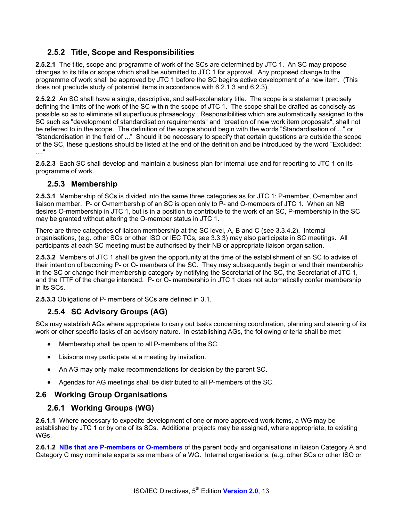## **2.5.2 Title, Scope and Responsibilities**

**2.5.2.1** The title, scope and programme of work of the SCs are determined by JTC 1. An SC may propose changes to its title or scope which shall be submitted to JTC 1 for approval. Any proposed change to the programme of work shall be approved by JTC 1 before the SC begins active development of a new item. (This does not preclude study of potential items in accordance with 6.2.1.3 and 6.2.3).

**2.5.2.2** An SC shall have a single, descriptive, and self-explanatory title. The scope is a statement precisely defining the limits of the work of the SC within the scope of JTC 1. The scope shall be drafted as concisely as possible so as to eliminate all superfluous phraseology. Responsibilities which are automatically assigned to the SC such as "development of standardisation requirements" and "creation of new work item proposals", shall not be referred to in the scope. The definition of the scope should begin with the words "Standardisation of ..." or "Standardisation in the field of ..." Should it be necessary to specify that certain questions are outside the scope of the SC, these questions should be listed at the end of the definition and be introduced by the word "Excluded: ...."

**2.5.2.3** Each SC shall develop and maintain a business plan for internal use and for reporting to JTC 1 on its programme of work.

### **2.5.3 Membership**

**2.5.3.1** Membership of SCs is divided into the same three categories as for JTC 1: P-member, O-member and liaison member. P- or O-membership of an SC is open only to P- and O-members of JTC 1. When an NB desires O-membership in JTC 1, but is in a position to contribute to the work of an SC, P-membership in the SC may be granted without altering the O-member status in JTC 1.

There are three categories of liaison membership at the SC level, A, B and C (see 3.3.4.2). Internal organisations, (e.g. other SCs or other ISO or IEC TCs, see 3.3.3) may also participate in SC meetings. All participants at each SC meeting must be authorised by their NB or appropriate liaison organisation.

**2.5.3.2** Members of JTC 1 shall be given the opportunity at the time of the establishment of an SC to advise of their intention of becoming P- or O- members of the SC. They may subsequently begin or end their membership in the SC or change their membership category by notifying the Secretariat of the SC, the Secretariat of JTC 1, and the ITTF of the change intended. P- or O- membership in JTC 1 does not automatically confer membership in its SCs.

**2.5.3.3** Obligations of P- members of SCs are defined in 3.1.

## **2.5.4 SC Advisory Groups (AG)**

SCs may establish AGs where appropriate to carry out tasks concerning coordination, planning and steering of its work or other specific tasks of an advisory nature. In establishing AGs, the following criteria shall be met:

- Membership shall be open to all P-members of the SC.
- Liaisons may participate at a meeting by invitation.
- An AG may only make recommendations for decision by the parent SC.
- Agendas for AG meetings shall be distributed to all P-members of the SC.

### **2.6 Working Group Organisations**

### **2.6.1 Working Groups (WG)**

**2.6.1.1** Where necessary to expedite development of one or more approved work items, a WG may be established by JTC 1 or by one of its SCs. Additional projects may be assigned, where appropriate, to existing WGs.

**2.6.1.2 NBs that are P-members or O-members** of the parent body and organisations in liaison Category A and Category C may nominate experts as members of a WG. Internal organisations, (e.g. other SCs or other ISO or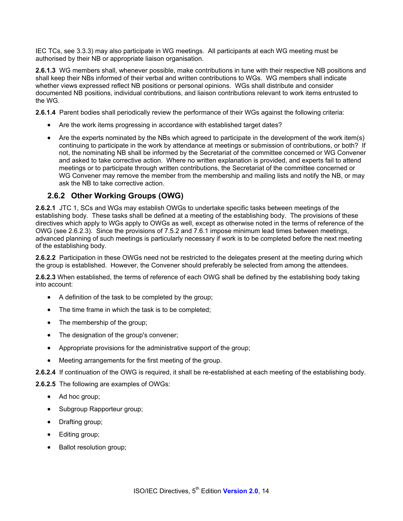IEC TCs, see 3.3.3) may also participate in WG meetings. All participants at each WG meeting must be authorised by their NB or appropriate liaison organisation.

**2.6.1.3** WG members shall, whenever possible, make contributions in tune with their respective NB positions and shall keep their NBs informed of their verbal and written contributions to WGs. WG members shall indicate whether views expressed reflect NB positions or personal opinions. WGs shall distribute and consider documented NB positions, individual contributions, and liaison contributions relevant to work items entrusted to the WG.

**2.6.1.4** Parent bodies shall periodically review the performance of their WGs against the following criteria:

- Are the work items progressing in accordance with established target dates?
- Are the experts nominated by the NBs which agreed to participate in the development of the work item(s) continuing to participate in the work by attendance at meetings or submission of contributions, or both? If not, the nominating NB shall be informed by the Secretariat of the committee concerned or WG Convener and asked to take corrective action. Where no written explanation is provided, and experts fail to attend meetings or to participate through written contributions, the Secretariat of the committee concerned or WG Convener may remove the member from the membership and mailing lists and notify the NB, or may ask the NB to take corrective action.

### **2.6.2 Other Working Groups (OWG)**

**2.6.2.1** JTC 1, SCs and WGs may establish OWGs to undertake specific tasks between meetings of the establishing body. These tasks shall be defined at a meeting of the establishing body. The provisions of these directives which apply to WGs apply to OWGs as well, except as otherwise noted in the terms of reference of the OWG (see 2.6.2.3). Since the provisions of 7.5.2 and 7.6.1 impose minimum lead times between meetings, advanced planning of such meetings is particularly necessary if work is to be completed before the next meeting of the establishing body.

**2.6.2.2** Participation in these OWGs need not be restricted to the delegates present at the meeting during which the group is established. However, the Convener should preferably be selected from among the attendees.

**2.6.2.3** When established, the terms of reference of each OWG shall be defined by the establishing body taking into account:

- A definition of the task to be completed by the group;
- The time frame in which the task is to be completed;
- The membership of the group;
- The designation of the group's convener;
- Appropriate provisions for the administrative support of the group;
- Meeting arrangements for the first meeting of the group.
- **2.6.2.4** If continuation of the OWG is required, it shall be re-established at each meeting of the establishing body.

**2.6.2.5** The following are examples of OWGs:

- Ad hoc group;
- Subgroup Rapporteur group;
- Drafting group;
- Editing group;
- Ballot resolution group;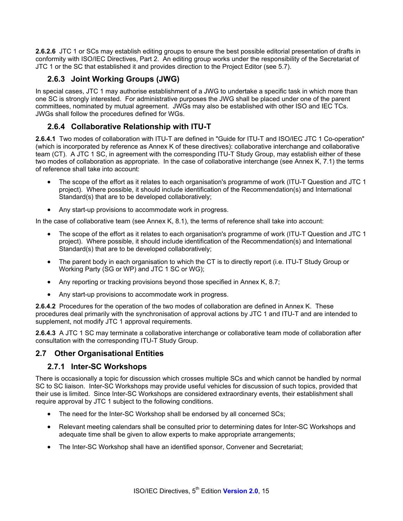**2.6.2.6** JTC 1 or SCs may establish editing groups to ensure the best possible editorial presentation of drafts in conformity with ISO/IEC Directives, Part 2. An editing group works under the responsibility of the Secretariat of JTC 1 or the SC that established it and provides direction to the Project Editor (see 5.7).

## **2.6.3 Joint Working Groups (JWG)**

In special cases, JTC 1 may authorise establishment of a JWG to undertake a specific task in which more than one SC is strongly interested. For administrative purposes the JWG shall be placed under one of the parent committees, nominated by mutual agreement. JWGs may also be established with other ISO and IEC TCs. JWGs shall follow the procedures defined for WGs.

## **2.6.4 Collaborative Relationship with ITU-T**

**2.6.4.1** Two modes of collaboration with ITU-T are defined in "Guide for ITU-T and ISO/IEC JTC 1 Co-operation" (which is incorporated by reference as Annex K of these directives): collaborative interchange and collaborative team (CT). A JTC 1 SC, in agreement with the corresponding ITU-T Study Group, may establish either of these two modes of collaboration as appropriate. In the case of collaborative interchange (see Annex K, 7.1) the terms of reference shall take into account:

- The scope of the effort as it relates to each organisation's programme of work (ITU-T Question and JTC 1 project). Where possible, it should include identification of the Recommendation(s) and International Standard(s) that are to be developed collaboratively;
- Any start-up provisions to accommodate work in progress.

In the case of collaborative team (see Annex K, 8.1), the terms of reference shall take into account:

- The scope of the effort as it relates to each organisation's programme of work (ITU-T Question and JTC 1 project). Where possible, it should include identification of the Recommendation(s) and International Standard(s) that are to be developed collaboratively;
- The parent body in each organisation to which the CT is to directly report (i.e. ITU-T Study Group or Working Party (SG or WP) and JTC 1 SC or WG);
- Any reporting or tracking provisions beyond those specified in Annex K, 8.7;
- Any start-up provisions to accommodate work in progress.

**2.6.4.2** Procedures for the operation of the two modes of collaboration are defined in Annex K. These procedures deal primarily with the synchronisation of approval actions by JTC 1 and ITU-T and are intended to supplement, not modify JTC 1 approval requirements.

**2.6.4.3** A JTC 1 SC may terminate a collaborative interchange or collaborative team mode of collaboration after consultation with the corresponding ITU-T Study Group.

### **2.7 Other Organisational Entities**

### **2.7.1 Inter-SC Workshops**

There is occasionally a topic for discussion which crosses multiple SCs and which cannot be handled by normal SC to SC liaison. Inter-SC Workshops may provide useful vehicles for discussion of such topics, provided that their use is limited. Since Inter-SC Workshops are considered extraordinary events, their establishment shall require approval by JTC 1 subject to the following conditions.

- The need for the Inter-SC Workshop shall be endorsed by all concerned SCs;
- Relevant meeting calendars shall be consulted prior to determining dates for Inter-SC Workshops and adequate time shall be given to allow experts to make appropriate arrangements;
- The Inter-SC Workshop shall have an identified sponsor, Convener and Secretariat;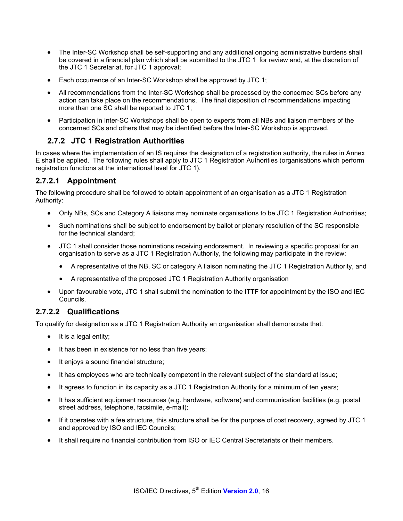- The Inter-SC Workshop shall be self-supporting and any additional ongoing administrative burdens shall be covered in a financial plan which shall be submitted to the JTC 1 for review and, at the discretion of the JTC 1 Secretariat, for JTC 1 approval;
- Each occurrence of an Inter-SC Workshop shall be approved by JTC 1;
- All recommendations from the Inter-SC Workshop shall be processed by the concerned SCs before any action can take place on the recommendations. The final disposition of recommendations impacting more than one SC shall be reported to JTC 1;
- Participation in Inter-SC Workshops shall be open to experts from all NBs and liaison members of the concerned SCs and others that may be identified before the Inter-SC Workshop is approved.

## **2.7.2 JTC 1 Registration Authorities**

In cases where the implementation of an IS requires the designation of a registration authority, the rules in Annex E shall be applied. The following rules shall apply to JTC 1 Registration Authorities (organisations which perform registration functions at the international level for JTC 1).

## **2.7.2.1 Appointment**

The following procedure shall be followed to obtain appointment of an organisation as a JTC 1 Registration Authority:

- Only NBs, SCs and Category A liaisons may nominate organisations to be JTC 1 Registration Authorities;
- Such nominations shall be subject to endorsement by ballot or plenary resolution of the SC responsible for the technical standard;
- JTC 1 shall consider those nominations receiving endorsement. In reviewing a specific proposal for an organisation to serve as a JTC 1 Registration Authority, the following may participate in the review:
	- A representative of the NB, SC or category A liaison nominating the JTC 1 Registration Authority, and
	- A representative of the proposed JTC 1 Registration Authority organisation
- Upon favourable vote, JTC 1 shall submit the nomination to the ITTF for appointment by the ISO and IEC Councils.

### **2.7.2.2 Qualifications**

To qualify for designation as a JTC 1 Registration Authority an organisation shall demonstrate that:

- It is a legal entity;
- It has been in existence for no less than five years;
- It enjoys a sound financial structure;
- It has employees who are technically competent in the relevant subject of the standard at issue;
- It agrees to function in its capacity as a JTC 1 Registration Authority for a minimum of ten years;
- It has sufficient equipment resources (e.g. hardware, software) and communication facilities (e.g. postal street address, telephone, facsimile, e-mail);
- If it operates with a fee structure, this structure shall be for the purpose of cost recovery, agreed by JTC 1 and approved by ISO and IEC Councils;
- It shall require no financial contribution from ISO or IEC Central Secretariats or their members.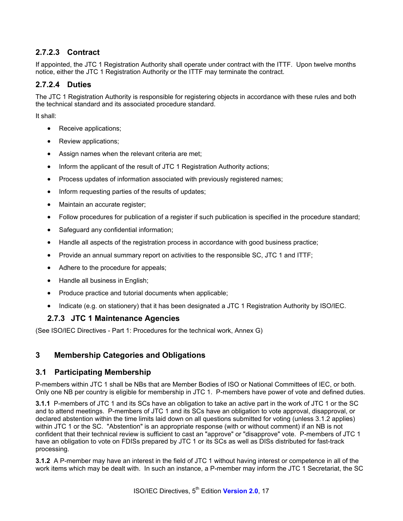## **2.7.2.3 Contract**

If appointed, the JTC 1 Registration Authority shall operate under contract with the ITTF. Upon twelve months notice, either the JTC 1 Registration Authority or the ITTF may terminate the contract.

#### **2.7.2.4 Duties**

The JTC 1 Registration Authority is responsible for registering objects in accordance with these rules and both the technical standard and its associated procedure standard.

It shall:

- Receive applications;
- Review applications;
- Assign names when the relevant criteria are met;
- Inform the applicant of the result of JTC 1 Registration Authority actions;
- Process updates of information associated with previously registered names;
- Inform requesting parties of the results of updates;
- Maintain an accurate register;
- Follow procedures for publication of a register if such publication is specified in the procedure standard;
- Safeguard any confidential information;
- Handle all aspects of the registration process in accordance with good business practice;
- Provide an annual summary report on activities to the responsible SC, JTC 1 and ITTF;
- Adhere to the procedure for appeals;
- Handle all business in English;
- Produce practice and tutorial documents when applicable;
- Indicate (e.g. on stationery) that it has been designated a JTC 1 Registration Authority by ISO/IEC.

### **2.7.3 JTC 1 Maintenance Agencies**

(See ISO/IEC Directives - Part 1: Procedures for the technical work, Annex G)

### **3 Membership Categories and Obligations**

#### **3.1 Participating Membership**

P-members within JTC 1 shall be NBs that are Member Bodies of ISO or National Committees of IEC, or both. Only one NB per country is eligible for membership in JTC 1. P-members have power of vote and defined duties.

**3.1.1** P-members of JTC 1 and its SCs have an obligation to take an active part in the work of JTC 1 or the SC and to attend meetings. P-members of JTC 1 and its SCs have an obligation to vote approval, disapproval, or declared abstention within the time limits laid down on all questions submitted for voting (unless 3.1.2 applies) within JTC 1 or the SC. "Abstention" is an appropriate response (with or without comment) if an NB is not confident that their technical review is sufficient to cast an "approve" or "disapprove" vote. P-members of JTC 1 have an obligation to vote on FDISs prepared by JTC 1 or its SCs as well as DISs distributed for fast-track processing.

**3.1.2** A P-member may have an interest in the field of JTC 1 without having interest or competence in all of the work items which may be dealt with. In such an instance, a P-member may inform the JTC 1 Secretariat, the SC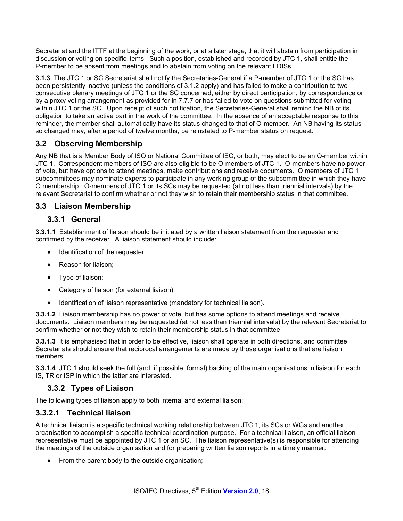Secretariat and the ITTF at the beginning of the work, or at a later stage, that it will abstain from participation in discussion or voting on specific items. Such a position, established and recorded by JTC 1, shall entitle the P-member to be absent from meetings and to abstain from voting on the relevant FDISs.

**3.1.3** The JTC 1 or SC Secretariat shall notify the Secretaries-General if a P-member of JTC 1 or the SC has been persistently inactive (unless the conditions of 3.1.2 apply) and has failed to make a contribution to two consecutive plenary meetings of JTC 1 or the SC concerned, either by direct participation, by correspondence or by a proxy voting arrangement as provided for in 7.7.7 or has failed to vote on questions submitted for voting within JTC 1 or the SC. Upon receipt of such notification, the Secretaries-General shall remind the NB of its obligation to take an active part in the work of the committee. In the absence of an acceptable response to this reminder, the member shall automatically have its status changed to that of O-member. An NB having its status so changed may, after a period of twelve months, be reinstated to P-member status on request.

## **3.2 Observing Membership**

Any NB that is a Member Body of ISO or National Committee of IEC, or both, may elect to be an O-member within JTC 1. Correspondent members of ISO are also eligible to be O-members of JTC 1. O-members have no power of vote, but have options to attend meetings, make contributions and receive documents. O members of JTC 1 subcommittees may nominate experts to participate in any working group of the subcommittee in which they have O membership. O-members of JTC 1 or its SCs may be requested (at not less than triennial intervals) by the relevant Secretariat to confirm whether or not they wish to retain their membership status in that committee.

#### **3.3 Liaison Membership**

#### **3.3.1 General**

**3.3.1.1** Establishment of liaison should be initiated by a written liaison statement from the requester and confirmed by the receiver. A liaison statement should include:

- Identification of the requester;
- Reason for liaison;
- Type of liaison;
- Category of liaison (for external liaison);
- Identification of liaison representative (mandatory for technical liaison).

**3.3.1.2** Liaison membership has no power of vote, but has some options to attend meetings and receive documents. Liaison members may be requested (at not less than triennial intervals) by the relevant Secretariat to confirm whether or not they wish to retain their membership status in that committee.

**3.3.1.3** It is emphasised that in order to be effective, liaison shall operate in both directions, and committee Secretariats should ensure that reciprocal arrangements are made by those organisations that are liaison members.

**3.3.1.4** JTC 1 should seek the full (and, if possible, formal) backing of the main organisations in liaison for each IS, TR or ISP in which the latter are interested.

### **3.3.2 Types of Liaison**

The following types of liaison apply to both internal and external liaison:

#### **3.3.2.1 Technical liaison**

A technical liaison is a specific technical working relationship between JTC 1, its SCs or WGs and another organisation to accomplish a specific technical coordination purpose. For a technical liaison, an official liaison representative must be appointed by JTC 1 or an SC. The liaison representative(s) is responsible for attending the meetings of the outside organisation and for preparing written liaison reports in a timely manner:

• From the parent body to the outside organisation;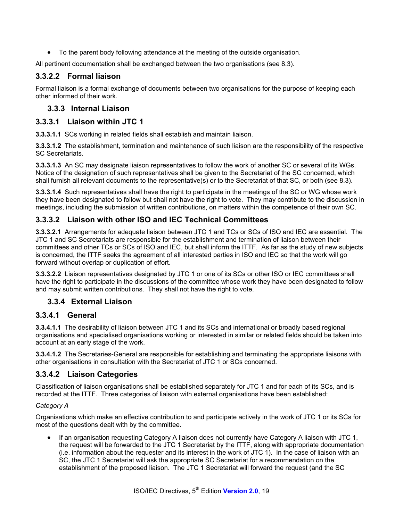• To the parent body following attendance at the meeting of the outside organisation.

All pertinent documentation shall be exchanged between the two organisations (see 8.3).

## **3.3.2.2 Formal liaison**

Formal liaison is a formal exchange of documents between two organisations for the purpose of keeping each other informed of their work.

### **3.3.3 Internal Liaison**

### **3.3.3.1 Liaison within JTC 1**

**3.3.3.1.1** SCs working in related fields shall establish and maintain liaison.

**3.3.3.1.2** The establishment, termination and maintenance of such liaison are the responsibility of the respective SC Secretariats.

**3.3.3.1.3** An SC may designate liaison representatives to follow the work of another SC or several of its WGs. Notice of the designation of such representatives shall be given to the Secretariat of the SC concerned, which shall furnish all relevant documents to the representative(s) or to the Secretariat of that SC, or both (see 8.3).

**3.3.3.1.4** Such representatives shall have the right to participate in the meetings of the SC or WG whose work they have been designated to follow but shall not have the right to vote. They may contribute to the discussion in meetings, including the submission of written contributions, on matters within the competence of their own SC.

## **3.3.3.2 Liaison with other ISO and IEC Technical Committees**

**3.3.3.2.1** Arrangements for adequate liaison between JTC 1 and TCs or SCs of ISO and IEC are essential. The JTC 1 and SC Secretariats are responsible for the establishment and termination of liaison between their committees and other TCs or SCs of ISO and IEC, but shall inform the ITTF. As far as the study of new subjects is concerned, the ITTF seeks the agreement of all interested parties in ISO and IEC so that the work will go forward without overlap or duplication of effort.

**3.3.3.2.2** Liaison representatives designated by JTC 1 or one of its SCs or other ISO or IEC committees shall have the right to participate in the discussions of the committee whose work they have been designated to follow and may submit written contributions. They shall not have the right to vote.

## **3.3.4 External Liaison**

### **3.3.4.1 General**

**3.3.4.1.1** The desirability of liaison between JTC 1 and its SCs and international or broadly based regional organisations and specialised organisations working or interested in similar or related fields should be taken into account at an early stage of the work.

**3.3.4.1.2** The Secretaries-General are responsible for establishing and terminating the appropriate liaisons with other organisations in consultation with the Secretariat of JTC 1 or SCs concerned.

### **3.3.4.2 Liaison Categories**

Classification of liaison organisations shall be established separately for JTC 1 and for each of its SCs, and is recorded at the ITTF. Three categories of liaison with external organisations have been established:

#### *Category A*

Organisations which make an effective contribution to and participate actively in the work of JTC 1 or its SCs for most of the questions dealt with by the committee.

• If an organisation requesting Category A liaison does not currently have Category A liaison with JTC 1, the request will be forwarded to the JTC 1 Secretariat by the ITTF, along with appropriate documentation (i.e. information about the requester and its interest in the work of JTC 1). In the case of liaison with an SC, the JTC 1 Secretariat will ask the appropriate SC Secretariat for a recommendation on the establishment of the proposed liaison. The JTC 1 Secretariat will forward the request (and the SC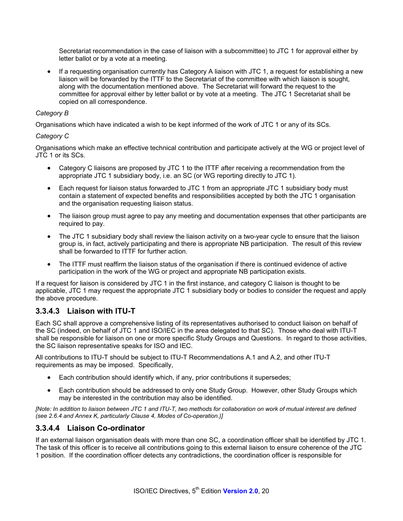Secretariat recommendation in the case of liaison with a subcommittee) to JTC 1 for approval either by letter ballot or by a vote at a meeting.

• If a requesting organisation currently has Category A liaison with JTC 1, a request for establishing a new liaison will be forwarded by the ITTF to the Secretariat of the committee with which liaison is sought, along with the documentation mentioned above. The Secretariat will forward the request to the committee for approval either by letter ballot or by vote at a meeting. The JTC 1 Secretariat shall be copied on all correspondence.

#### *Category B*

Organisations which have indicated a wish to be kept informed of the work of JTC 1 or any of its SCs.

#### *Category C*

Organisations which make an effective technical contribution and participate actively at the WG or project level of JTC 1 or its SCs.

- Category C liaisons are proposed by JTC 1 to the ITTF after receiving a recommendation from the appropriate JTC 1 subsidiary body, i.e. an SC (or WG reporting directly to JTC 1).
- Each request for liaison status forwarded to JTC 1 from an appropriate JTC 1 subsidiary body must contain a statement of expected benefits and responsibilities accepted by both the JTC 1 organisation and the organisation requesting liaison status.
- The liaison group must agree to pay any meeting and documentation expenses that other participants are required to pay.
- The JTC 1 subsidiary body shall review the liaison activity on a two-year cycle to ensure that the liaison group is, in fact, actively participating and there is appropriate NB participation. The result of this review shall be forwarded to ITTF for further action.
- The ITTF must reaffirm the liaison status of the organisation if there is continued evidence of active participation in the work of the WG or project and appropriate NB participation exists.

If a request for liaison is considered by JTC 1 in the first instance, and category C liaison is thought to be applicable, JTC 1 may request the appropriate JTC 1 subsidiary body or bodies to consider the request and apply the above procedure.

### **3.3.4.3 Liaison with ITU-T**

Each SC shall approve a comprehensive listing of its representatives authorised to conduct liaison on behalf of the SC (indeed, on behalf of JTC 1 and ISO/IEC in the area delegated to that SC). Those who deal with ITU-T shall be responsible for liaison on one or more specific Study Groups and Questions. In regard to those activities, the SC liaison representative speaks for ISO and IEC.

All contributions to ITU-T should be subject to ITU-T Recommendations A.1 and A.2, and other ITU-T requirements as may be imposed. Specifically,

- Each contribution should identify which, if any, prior contributions it supersedes;
- Each contribution should be addressed to only one Study Group. However, other Study Groups which may be interested in the contribution may also be identified.

*[Note: In addition to liaison between JTC 1 and ITU-T, two methods for collaboration on work of mutual interest are defined (see 2.6.4 and Annex K, particularly Clause 4, Modes of Co-operation.)]* 

### **3.3.4.4 Liaison Co-ordinator**

If an external liaison organisation deals with more than one SC, a coordination officer shall be identified by JTC 1. The task of this officer is to receive all contributions going to this external liaison to ensure coherence of the JTC 1 position. If the coordination officer detects any contradictions, the coordination officer is responsible for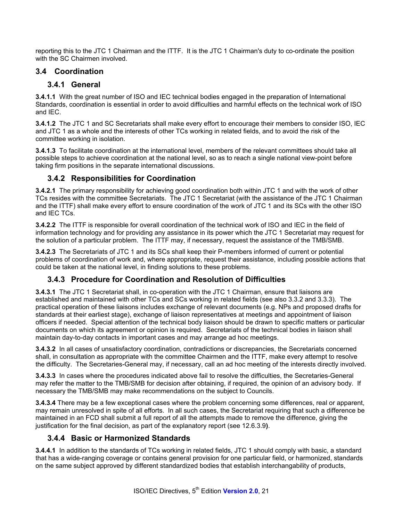reporting this to the JTC 1 Chairman and the ITTF. It is the JTC 1 Chairman's duty to co-ordinate the position with the SC Chairmen involved.

### **3.4 Coordination**

## **3.4.1 General**

**3.4.1.1** With the great number of ISO and IEC technical bodies engaged in the preparation of International Standards, coordination is essential in order to avoid difficulties and harmful effects on the technical work of ISO and IEC.

**3.4.1.2** The JTC 1 and SC Secretariats shall make every effort to encourage their members to consider ISO, IEC and JTC 1 as a whole and the interests of other TCs working in related fields, and to avoid the risk of the committee working in isolation.

**3.4.1.3** To facilitate coordination at the international level, members of the relevant committees should take all possible steps to achieve coordination at the national level, so as to reach a single national view-point before taking firm positions in the separate international discussions.

## **3.4.2 Responsibilities for Coordination**

**3.4.2.1** The primary responsibility for achieving good coordination both within JTC 1 and with the work of other TCs resides with the committee Secretariats. The JTC 1 Secretariat (with the assistance of the JTC 1 Chairman and the ITTF) shall make every effort to ensure coordination of the work of JTC 1 and its SCs with the other ISO and IEC TCs.

**3.4.2.2** The ITTF is responsible for overall coordination of the technical work of ISO and IEC in the field of information technology and for providing any assistance in its power which the JTC 1 Secretariat may request for the solution of a particular problem. The ITTF may, if necessary, request the assistance of the TMB/SMB.

**3.4.2.3** The Secretariats of JTC 1 and its SCs shall keep their P-members informed of current or potential problems of coordination of work and, where appropriate, request their assistance, including possible actions that could be taken at the national level, in finding solutions to these problems.

## **3.4.3 Procedure for Coordination and Resolution of Difficulties**

**3.4.3.1** The JTC 1 Secretariat shall, in co-operation with the JTC 1 Chairman, ensure that liaisons are established and maintained with other TCs and SCs working in related fields (see also 3.3.2 and 3.3.3). The practical operation of these liaisons includes exchange of relevant documents (e.g. NPs and proposed drafts for standards at their earliest stage), exchange of liaison representatives at meetings and appointment of liaison officers if needed. Special attention of the technical body liaison should be drawn to specific matters or particular documents on which its agreement or opinion is required. Secretariats of the technical bodies in liaison shall maintain day-to-day contacts in important cases and may arrange ad hoc meetings.

**3.4.3.2** In all cases of unsatisfactory coordination, contradictions or discrepancies, the Secretariats concerned shall, in consultation as appropriate with the committee Chairmen and the ITTF, make every attempt to resolve the difficulty. The Secretaries-General may, if necessary, call an ad hoc meeting of the interests directly involved.

**3.4.3.3** In cases where the procedures indicated above fail to resolve the difficulties, the Secretaries-General may refer the matter to the TMB/SMB for decision after obtaining, if required, the opinion of an advisory body. If necessary the TMB/SMB may make recommendations on the subject to Councils.

**3.4.3.4** There may be a few exceptional cases where the problem concerning some differences, real or apparent, may remain unresolved in spite of all efforts. In all such cases, the Secretariat requiring that such a difference be maintained in an FCD shall submit a full report of all the attempts made to remove the difference, giving the justification for the final decision, as part of the explanatory report (see 12.6.3.9**)**.

## **3.4.4 Basic or Harmonized Standards**

**3.4.4.1** In addition to the standards of TCs working in related fields, JTC 1 should comply with basic, a standard that has a wide-ranging coverage or contains general provision for one particular field, or harmonized, standards on the same subject approved by different standardized bodies that establish interchangability of products,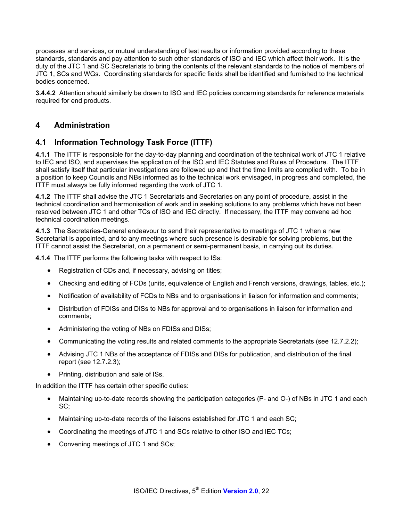processes and services, or mutual understanding of test results or information provided according to these standards, standards and pay attention to such other standards of ISO and IEC which affect their work. It is the duty of the JTC 1 and SC Secretariats to bring the contents of the relevant standards to the notice of members of JTC 1, SCs and WGs. Coordinating standards for specific fields shall be identified and furnished to the technical bodies concerned.

**3.4.4.2** Attention should similarly be drawn to ISO and IEC policies concerning standards for reference materials required for end products.

#### **4 Administration**

#### **4.1 Information Technology Task Force (ITTF)**

**4.1.1** The ITTF is responsible for the day-to-day planning and coordination of the technical work of JTC 1 relative to IEC and ISO, and supervises the application of the ISO and IEC Statutes and Rules of Procedure. The ITTF shall satisfy itself that particular investigations are followed up and that the time limits are complied with. To be in a position to keep Councils and NBs informed as to the technical work envisaged, in progress and completed, the ITTF must always be fully informed regarding the work of JTC 1.

**4.1.2** The ITTF shall advise the JTC 1 Secretariats and Secretaries on any point of procedure, assist in the technical coordination and harmonisation of work and in seeking solutions to any problems which have not been resolved between JTC 1 and other TCs of ISO and IEC directly. If necessary, the ITTF may convene ad hoc technical coordination meetings.

**4.1.3** The Secretaries-General endeavour to send their representative to meetings of JTC 1 when a new Secretariat is appointed, and to any meetings where such presence is desirable for solving problems, but the ITTF cannot assist the Secretariat, on a permanent or semi-permanent basis, in carrying out its duties.

**4.1.4** The ITTF performs the following tasks with respect to ISs:

- Registration of CDs and, if necessary, advising on titles;
- Checking and editing of FCDs (units, equivalence of English and French versions, drawings, tables, etc.);
- Notification of availability of FCDs to NBs and to organisations in liaison for information and comments;
- Distribution of FDISs and DISs to NBs for approval and to organisations in liaison for information and comments;
- Administering the voting of NBs on FDISs and DISs;
- Communicating the voting results and related comments to the appropriate Secretariats (see 12.7.2.2);
- Advising JTC 1 NBs of the acceptance of FDISs and DISs for publication, and distribution of the final report (see 12.7.2.3);
- Printing, distribution and sale of ISs.

In addition the ITTF has certain other specific duties:

- Maintaining up-to-date records showing the participation categories (P- and O-) of NBs in JTC 1 and each SC;
- Maintaining up-to-date records of the liaisons established for JTC 1 and each SC;
- Coordinating the meetings of JTC 1 and SCs relative to other ISO and IEC TCs;
- Convening meetings of JTC 1 and SCs;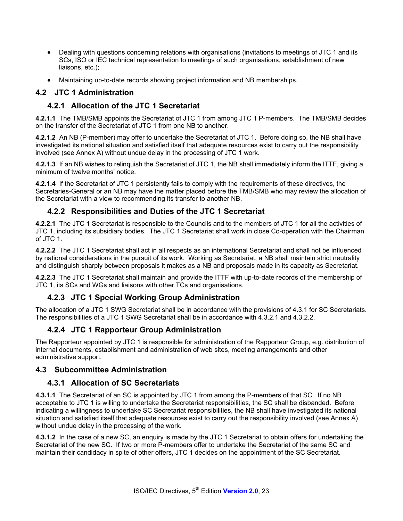- Dealing with questions concerning relations with organisations (invitations to meetings of JTC 1 and its SCs, ISO or IEC technical representation to meetings of such organisations, establishment of new liaisons, etc.);
- Maintaining up-to-date records showing project information and NB memberships.

### **4.2 JTC 1 Administration**

## **4.2.1 Allocation of the JTC 1 Secretariat**

**4.2.1.1** The TMB/SMB appoints the Secretariat of JTC 1 from among JTC 1 P-members. The TMB/SMB decides on the transfer of the Secretariat of JTC 1 from one NB to another.

**4.2.1.2** An NB (P-member) may offer to undertake the Secretariat of JTC 1. Before doing so, the NB shall have investigated its national situation and satisfied itself that adequate resources exist to carry out the responsibility involved (see Annex A) without undue delay in the processing of JTC 1 work.

**4.2.1.3** If an NB wishes to relinquish the Secretariat of JTC 1, the NB shall immediately inform the ITTF, giving a minimum of twelve months' notice.

**4.2.1.4** If the Secretariat of JTC 1 persistently fails to comply with the requirements of these directives, the Secretaries-General or an NB may have the matter placed before the TMB/SMB who may review the allocation of the Secretariat with a view to recommending its transfer to another NB.

## **4.2.2 Responsibilities and Duties of the JTC 1 Secretariat**

**4.2.2.1** The JTC 1 Secretariat is responsible to the Councils and to the members of JTC 1 for all the activities of JTC 1, including its subsidiary bodies. The JTC 1 Secretariat shall work in close Co-operation with the Chairman of JTC 1.

**4.2.2.2** The JTC 1 Secretariat shall act in all respects as an international Secretariat and shall not be influenced by national considerations in the pursuit of its work. Working as Secretariat, a NB shall maintain strict neutrality and distinguish sharply between proposals it makes as a NB and proposals made in its capacity as Secretariat.

**4.2.2.3** The JTC 1 Secretariat shall maintain and provide the ITTF with up-to-date records of the membership of JTC 1, its SCs and WGs and liaisons with other TCs and organisations.

## **4.2.3 JTC 1 Special Working Group Administration**

The allocation of a JTC 1 SWG Secretariat shall be in accordance with the provisions of 4.3.1 for SC Secretariats. The responsibilities of a JTC 1 SWG Secretariat shall be in accordance with 4.3.2.1 and 4.3.2.2.

## **4.2.4 JTC 1 Rapporteur Group Administration**

The Rapporteur appointed by JTC 1 is responsible for administration of the Rapporteur Group, e.g. distribution of internal documents, establishment and administration of web sites, meeting arrangements and other administrative support.

#### **4.3 Subcommittee Administration**

### **4.3.1 Allocation of SC Secretariats**

**4.3.1.1** The Secretariat of an SC is appointed by JTC 1 from among the P-members of that SC. If no NB acceptable to JTC 1 is willing to undertake the Secretariat responsibilities, the SC shall be disbanded. Before indicating a willingness to undertake SC Secretariat responsibilities, the NB shall have investigated its national situation and satisfied itself that adequate resources exist to carry out the responsibility involved (see Annex A) without undue delay in the processing of the work.

**4.3.1.2** In the case of a new SC, an enquiry is made by the JTC 1 Secretariat to obtain offers for undertaking the Secretariat of the new SC. If two or more P-members offer to undertake the Secretariat of the same SC and maintain their candidacy in spite of other offers, JTC 1 decides on the appointment of the SC Secretariat.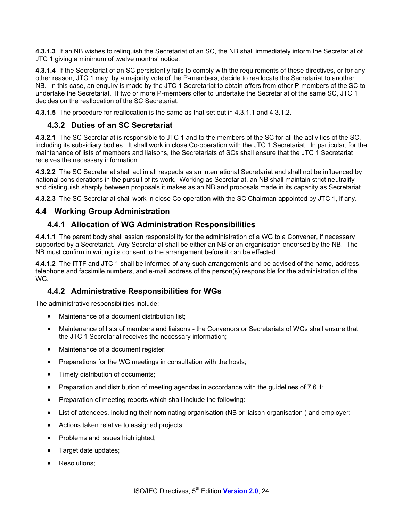**4.3.1.3** If an NB wishes to relinquish the Secretariat of an SC, the NB shall immediately inform the Secretariat of JTC 1 giving a minimum of twelve months' notice.

**4.3.1.4** If the Secretariat of an SC persistently fails to comply with the requirements of these directives, or for any other reason, JTC 1 may, by a majority vote of the P-members, decide to reallocate the Secretariat to another NB. In this case, an enquiry is made by the JTC 1 Secretariat to obtain offers from other P-members of the SC to undertake the Secretariat. If two or more P-members offer to undertake the Secretariat of the same SC, JTC 1 decides on the reallocation of the SC Secretariat.

**4.3.1.5** The procedure for reallocation is the same as that set out in 4.3.1.1 and 4.3.1.2.

## **4.3.2 Duties of an SC Secretariat**

**4.3.2.1** The SC Secretariat is responsible to JTC 1 and to the members of the SC for all the activities of the SC, including its subsidiary bodies. It shall work in close Co-operation with the JTC 1 Secretariat. In particular, for the maintenance of lists of members and liaisons, the Secretariats of SCs shall ensure that the JTC 1 Secretariat receives the necessary information.

**4.3.2.2** The SC Secretariat shall act in all respects as an international Secretariat and shall not be influenced by national considerations in the pursuit of its work. Working as Secretariat, an NB shall maintain strict neutrality and distinguish sharply between proposals it makes as an NB and proposals made in its capacity as Secretariat.

**4.3.2.3** The SC Secretariat shall work in close Co-operation with the SC Chairman appointed by JTC 1, if any.

### **4.4 Working Group Administration**

#### **4.4.1 Allocation of WG Administration Responsibilities**

**4.4.1.1** The parent body shall assign responsibility for the administration of a WG to a Convener, if necessary supported by a Secretariat. Any Secretariat shall be either an NB or an organisation endorsed by the NB. The NB must confirm in writing its consent to the arrangement before it can be effected.

**4.4.1.2** The ITTF and JTC 1 shall be informed of any such arrangements and be advised of the name, address, telephone and facsimile numbers, and e-mail address of the person(s) responsible for the administration of the WG.

### **4.4.2 Administrative Responsibilities for WGs**

The administrative responsibilities include:

- Maintenance of a document distribution list:
- Maintenance of lists of members and liaisons the Convenors or Secretariats of WGs shall ensure that the JTC 1 Secretariat receives the necessary information;
- Maintenance of a document register;
- Preparations for the WG meetings in consultation with the hosts;
- Timely distribution of documents;
- Preparation and distribution of meeting agendas in accordance with the guidelines of 7.6.1;
- Preparation of meeting reports which shall include the following:
- List of attendees, including their nominating organisation (NB or liaison organisation ) and employer;
- Actions taken relative to assigned projects;
- Problems and issues highlighted;
- Target date updates;
- Resolutions;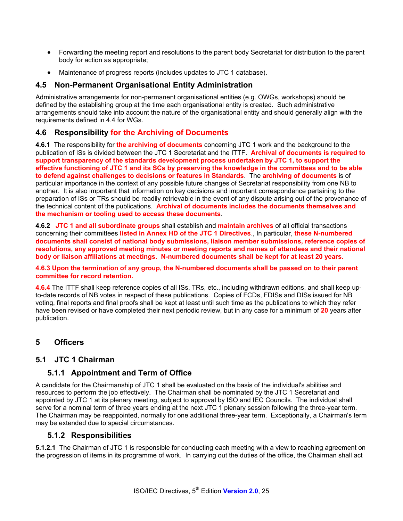- Forwarding the meeting report and resolutions to the parent body Secretariat for distribution to the parent body for action as appropriate;
- Maintenance of progress reports (includes updates to JTC 1 database).

#### **4.5 Non-Permanent Organisational Entity Administration**

Administrative arrangements for non-permanent organisational entities (e.g. OWGs, workshops) should be defined by the establishing group at the time each organisational entity is created. Such administrative arrangements should take into account the nature of the organisational entity and should generally align with the requirements defined in 4.4 for WGs.

## **4.6 Responsibility for the Archiving of Documents**

**4.6.1** The responsibility for **the archiving of documents** concerning JTC 1 work and the background to the publication of ISs is divided between the JTC 1 Secretariat and the ITTF. **Archival of documents is required to support transparency of the standards development process undertaken by JTC 1, to support the effective functioning of JTC 1 and its SCs by preserving the knowledge in the committees and to be able to defend against challenges to decisions or features in Standards**. The **archiving of documents** is of particular importance in the context of any possible future changes of Secretariat responsibility from one NB to another. It is also important that information on key decisions and important correspondence pertaining to the preparation of ISs or TRs should be readily retrievable in the event of any dispute arising out of the provenance of the technical content of the publications. **Archival of documents includes the documents themselves and the mechanism or tooling used to access these documents**.

**4.6.2 JTC 1 and all subordinate groups** shall establish and **maintain archives** of all official transactions concerning their committees **listed in Annex HD of the JTC 1 Directives**., In particular, **these N-numbered documents shall consist of national body submissions, liaison member submissions, reference copies of resolutions, any approved meeting minutes or meeting reports and names of attendees and their national body or liaison affiliations at meetings. N-numbered documents shall be kept for at least 20 years.** 

#### **4.6.3 Upon the termination of any group, the N-numbered documents shall be passed on to their parent committee for record retention.**

**4.6.4** The ITTF shall keep reference copies of all ISs, TRs, etc., including withdrawn editions, and shall keep upto-date records of NB votes in respect of these publications. Copies of FCDs, FDISs and DISs issued for NB voting, final reports and final proofs shall be kept at least until such time as the publications to which they refer have been revised or have completed their next periodic review, but in any case for a minimum of **20** years after publication.

### **5 Officers**

### **5.1 JTC 1 Chairman**

### **5.1.1 Appointment and Term of Office**

A candidate for the Chairmanship of JTC 1 shall be evaluated on the basis of the individual's abilities and resources to perform the job effectively. The Chairman shall be nominated by the JTC 1 Secretariat and appointed by JTC 1 at its plenary meeting, subject to approval by ISO and IEC Councils. The individual shall serve for a nominal term of three years ending at the next JTC 1 plenary session following the three-year term. The Chairman may be reappointed, normally for one additional three-year term. Exceptionally, a Chairman's term may be extended due to special circumstances.

### **5.1.2 Responsibilities**

**5.1.2.1** The Chairman of JTC 1 is responsible for conducting each meeting with a view to reaching agreement on the progression of items in its programme of work. In carrying out the duties of the office, the Chairman shall act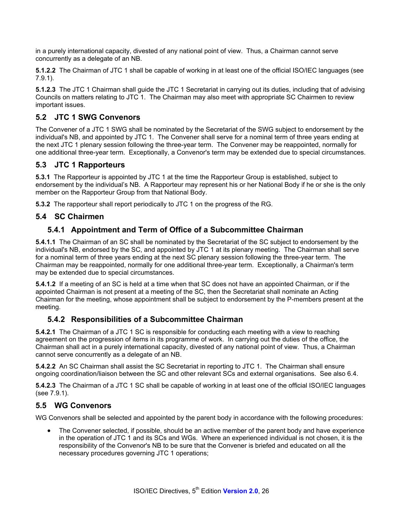in a purely international capacity, divested of any national point of view. Thus, a Chairman cannot serve concurrently as a delegate of an NB.

**5.1.2.2** The Chairman of JTC 1 shall be capable of working in at least one of the official ISO/IEC languages (see 7.9.1).

**5.1.2.3** The JTC 1 Chairman shall guide the JTC 1 Secretariat in carrying out its duties, including that of advising Councils on matters relating to JTC 1. The Chairman may also meet with appropriate SC Chairmen to review important issues.

## **5.2 JTC 1 SWG Convenors**

The Convener of a JTC 1 SWG shall be nominated by the Secretariat of the SWG subject to endorsement by the individual's NB, and appointed by JTC 1. The Convener shall serve for a nominal term of three years ending at the next JTC 1 plenary session following the three-year term. The Convener may be reappointed, normally for one additional three-year term. Exceptionally, a Convenor's term may be extended due to special circumstances.

### **5.3 JTC 1 Rapporteurs**

**5.3.1** The Rapporteur is appointed by JTC 1 at the time the Rapporteur Group is established, subject to endorsement by the individual's NB. A Rapporteur may represent his or her National Body if he or she is the only member on the Rapporteur Group from that National Body.

**5.3.2** The rapporteur shall report periodically to JTC 1 on the progress of the RG.

#### **5.4 SC Chairmen**

### **5.4.1 Appointment and Term of Office of a Subcommittee Chairman**

**5.4.1.1** The Chairman of an SC shall be nominated by the Secretariat of the SC subject to endorsement by the individual's NB, endorsed by the SC, and appointed by JTC 1 at its plenary meeting. The Chairman shall serve for a nominal term of three years ending at the next SC plenary session following the three-year term. The Chairman may be reappointed, normally for one additional three-year term. Exceptionally, a Chairman's term may be extended due to special circumstances.

**5.4.1.2** If a meeting of an SC is held at a time when that SC does not have an appointed Chairman, or if the appointed Chairman is not present at a meeting of the SC, then the Secretariat shall nominate an Acting Chairman for the meeting, whose appointment shall be subject to endorsement by the P-members present at the meeting.

### **5.4.2 Responsibilities of a Subcommittee Chairman**

**5.4.2.1** The Chairman of a JTC 1 SC is responsible for conducting each meeting with a view to reaching agreement on the progression of items in its programme of work. In carrying out the duties of the office, the Chairman shall act in a purely international capacity, divested of any national point of view. Thus, a Chairman cannot serve concurrently as a delegate of an NB.

**5.4.2.2** An SC Chairman shall assist the SC Secretariat in reporting to JTC 1. The Chairman shall ensure ongoing coordination/liaison between the SC and other relevant SCs and external organisations. See also 6.4.

**5.4.2.3** The Chairman of a JTC 1 SC shall be capable of working in at least one of the official ISO/IEC languages (see 7.9.1).

#### **5.5 WG Convenors**

WG Convenors shall be selected and appointed by the parent body in accordance with the following procedures:

• The Convener selected, if possible, should be an active member of the parent body and have experience in the operation of JTC 1 and its SCs and WGs. Where an experienced individual is not chosen, it is the responsibility of the Convenor's NB to be sure that the Convener is briefed and educated on all the necessary procedures governing JTC 1 operations;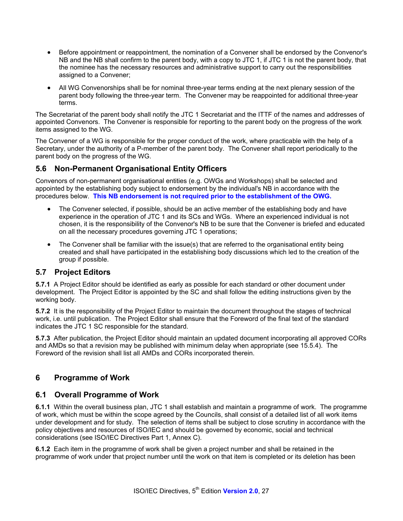- Before appointment or reappointment, the nomination of a Convener shall be endorsed by the Convenor's NB and the NB shall confirm to the parent body, with a copy to JTC 1, if JTC 1 is not the parent body, that the nominee has the necessary resources and administrative support to carry out the responsibilities assigned to a Convener;
- All WG Convenorships shall be for nominal three-year terms ending at the next plenary session of the parent body following the three-year term. The Convener may be reappointed for additional three-year terms.

The Secretariat of the parent body shall notify the JTC 1 Secretariat and the ITTF of the names and addresses of appointed Convenors. The Convener is responsible for reporting to the parent body on the progress of the work items assigned to the WG.

The Convener of a WG is responsible for the proper conduct of the work, where practicable with the help of a Secretary, under the authority of a P-member of the parent body. The Convener shall report periodically to the parent body on the progress of the WG.

### **5.6 Non-Permanent Organisational Entity Officers**

Convenors of non-permanent organisational entities (e.g. OWGs and Workshops) shall be selected and appointed by the establishing body subject to endorsement by the individual's NB in accordance with the procedures below. **This NB endorsement is not required prior to the establishment of the OWG.** 

- The Convener selected, if possible, should be an active member of the establishing body and have experience in the operation of JTC 1 and its SCs and WGs. Where an experienced individual is not chosen, it is the responsibility of the Convenor's NB to be sure that the Convener is briefed and educated on all the necessary procedures governing JTC 1 operations;
- The Convener shall be familiar with the issue(s) that are referred to the organisational entity being created and shall have participated in the establishing body discussions which led to the creation of the group if possible.

### **5.7 Project Editors**

**5.7.1** A Project Editor should be identified as early as possible for each standard or other document under development. The Project Editor is appointed by the SC and shall follow the editing instructions given by the working body.

**5.7.2** It is the responsibility of the Project Editor to maintain the document throughout the stages of technical work, i.e. until publication. The Project Editor shall ensure that the Foreword of the final text of the standard indicates the JTC 1 SC responsible for the standard.

**5.7.3** After publication, the Project Editor should maintain an updated document incorporating all approved CORs and AMDs so that a revision may be published with minimum delay when appropriate (see 15.5.4). The Foreword of the revision shall list all AMDs and CORs incorporated therein.

## **6 Programme of Work**

### **6.1 Overall Programme of Work**

**6.1.1** Within the overall business plan, JTC 1 shall establish and maintain a programme of work. The programme of work, which must be within the scope agreed by the Councils, shall consist of a detailed list of all work items under development and for study. The selection of items shall be subject to close scrutiny in accordance with the policy objectives and resources of ISO/IEC and should be governed by economic, social and technical considerations (see ISO/IEC Directives Part 1, Annex C).

**6.1.2** Each item in the programme of work shall be given a project number and shall be retained in the programme of work under that project number until the work on that item is completed or its deletion has been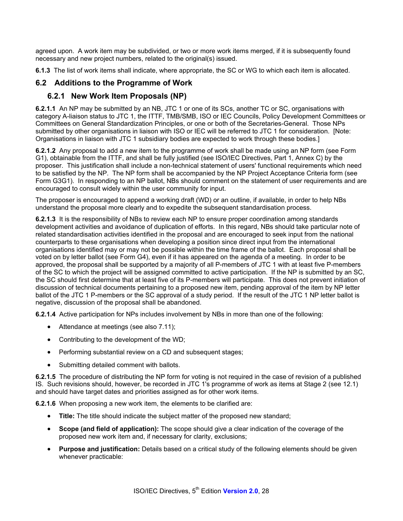agreed upon. A work item may be subdivided, or two or more work items merged, if it is subsequently found necessary and new project numbers, related to the original(s) issued.

**6.1.3** The list of work items shall indicate, where appropriate, the SC or WG to which each item is allocated.

## **6.2 Additions to the Programme of Work**

## **6.2.1 New Work Item Proposals (NP)**

**6.2.1.1** An NP may be submitted by an NB, JTC 1 or one of its SCs, another TC or SC, organisations with category A-liaison status to JTC 1, the ITTF, TMB/SMB, ISO or IEC Councils, Policy Development Committees or Committees on General Standardization Principles, or one or both of the Secretaries-General. Those NPs submitted by other organisations in liaison with ISO or IEC will be referred to JTC 1 for consideration. [Note: Organisations in liaison with JTC 1 subsidiary bodies are expected to work through these bodies.]

**6.2.1.2** Any proposal to add a new item to the programme of work shall be made using an NP form (see Form G1), obtainable from the ITTF, and shall be fully justified (see ISO/IEC Directives, Part 1, Annex C) by the proposer. This justification shall include a non-technical statement of users' functional requirements which need to be satisfied by the NP. The NP form shall be accompanied by the NP Project Acceptance Criteria form (see Form G3G1). In responding to an NP ballot, NBs should comment on the statement of user requirements and are encouraged to consult widely within the user community for input.

The proposer is encouraged to append a working draft (WD) or an outline, if available, in order to help NBs understand the proposal more clearly and to expedite the subsequent standardisation process.

**6.2.1.3** It is the responsibility of NBs to review each NP to ensure proper coordination among standards development activities and avoidance of duplication of efforts. In this regard, NBs should take particular note of related standardisation activities identified in the proposal and are encouraged to seek input from the national counterparts to these organisations when developing a position since direct input from the international organisations identified may or may not be possible within the time frame of the ballot. Each proposal shall be voted on by letter ballot (see Form G4), even if it has appeared on the agenda of a meeting. In order to be approved, the proposal shall be supported by a majority of all P-members of JTC 1 with at least five P-members of the SC to which the project will be assigned committed to active participation. If the NP is submitted by an SC, the SC should first determine that at least five of its P-members will participate. This does not prevent initiation of discussion of technical documents pertaining to a proposed new item, pending approval of the item by NP letter ballot of the JTC 1 P-members or the SC approval of a study period. If the result of the JTC 1 NP letter ballot is negative, discussion of the proposal shall be abandoned.

**6.2.1.4** Active participation for NPs includes involvement by NBs in more than one of the following:

- Attendance at meetings (see also 7.11);
- Contributing to the development of the WD;
- Performing substantial review on a CD and subsequent stages;
- Submitting detailed comment with ballots.

**6.2.1.5** The procedure of distributing the NP form for voting is not required in the case of revision of a published IS. Such revisions should, however, be recorded in JTC 1's programme of work as items at Stage 2 (see 12.1) and should have target dates and priorities assigned as for other work items.

**6.2.1.6** When proposing a new work item, the elements to be clarified are:

- **Title:** The title should indicate the subject matter of the proposed new standard;
- **Scope (and field of application):** The scope should give a clear indication of the coverage of the proposed new work item and, if necessary for clarity, exclusions;
- **Purpose and justification:** Details based on a critical study of the following elements should be given whenever practicable: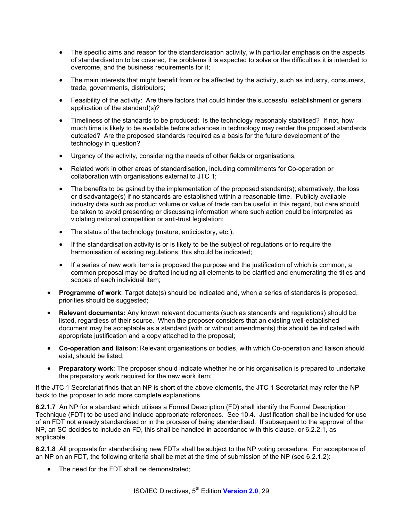- The specific aims and reason for the standardisation activity, with particular emphasis on the aspects of standardisation to be covered, the problems it is expected to solve or the difficulties it is intended to overcome, and the business requirements for it;
- The main interests that might benefit from or be affected by the activity, such as industry, consumers, trade, governments, distributors;
- Feasibility of the activity: Are there factors that could hinder the successful establishment or general application of the standard(s)?
- Timeliness of the standards to be produced: Is the technology reasonably stabilised? If not, how much time is likely to be available before advances in technology may render the proposed standards outdated? Are the proposed standards required as a basis for the future development of the technology in question?
- Urgency of the activity, considering the needs of other fields or organisations;
- Related work in other areas of standardisation, including commitments for Co-operation or collaboration with organisations external to JTC 1;
- The benefits to be gained by the implementation of the proposed standard(s); alternatively, the loss or disadvantage(s) if no standards are established within a reasonable time. Publicly available industry data such as product volume or value of trade can be useful in this regard, but care should be taken to avoid presenting or discussing information where such action could be interpreted as violating national competition or anti-trust legislation;
- The status of the technology (mature, anticipatory, etc.);
- If the standardisation activity is or is likely to be the subject of regulations or to require the harmonisation of existing regulations, this should be indicated;
- If a series of new work items is proposed the purpose and the justification of which is common, a common proposal may be drafted including all elements to be clarified and enumerating the titles and scopes of each individual item;
- **Programme of work**: Target date(s) should be indicated and, when a series of standards is proposed, priorities should be suggested;
- **Relevant documents:** Any known relevant documents (such as standards and regulations) should be listed, regardless of their source. When the proposer considers that an existing well-established document may be acceptable as a standard (with or without amendments) this should be indicated with appropriate justification and a copy attached to the proposal;
- **Co-operation and liaison**: Relevant organisations or bodies, with which Co-operation and liaison should exist, should be listed;
- **Preparatory work**: The proposer should indicate whether he or his organisation is prepared to undertake the preparatory work required for the new work item;

If the JTC 1 Secretariat finds that an NP is short of the above elements, the JTC 1 Secretariat may refer the NP back to the proposer to add more complete explanations.

**6.2.1.7** An NP for a standard which utilises a Formal Description (FD) shall identify the Formal Description Technique (FDT) to be used and include appropriate references. See 10.4. Justification shall be included for use of an FDT not already standardised or in the process of being standardised. If subsequent to the approval of the NP, an SC decides to include an FD, this shall be handled in accordance with this clause, or 6.2.2.1, as applicable.

**6.2.1.8** All proposals for standardising new FDTs shall be subject to the NP voting procedure. For acceptance of an NP on an FDT, the following criteria shall be met at the time of submission of the NP (see 6.2.1.2):

• The need for the FDT shall be demonstrated;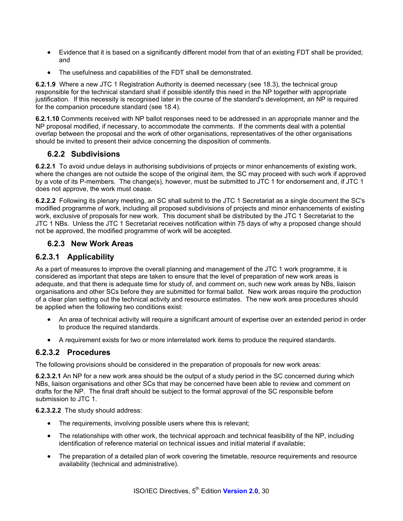- Evidence that it is based on a significantly different model from that of an existing FDT shall be provided; and
- The usefulness and capabilities of the FDT shall be demonstrated.

**6.2.1.9** Where a new JTC 1 Registration Authority is deemed necessary (see 18.3), the technical group responsible for the technical standard shall if possible identify this need in the NP together with appropriate justification. If this necessity is recognised later in the course of the standard's development, an NP is required for the companion procedure standard (see 18.4).

**6.2.1.10** Comments received with NP ballot responses need to be addressed in an appropriate manner and the NP proposal modified, if necessary, to accommodate the comments. If the comments deal with a potential overlap between the proposal and the work of other organisations, representatives of the other organisations should be invited to present their advice concerning the disposition of comments.

#### **6.2.2 Subdivisions**

**6.2.2.1** To avoid undue delays in authorising subdivisions of projects or minor enhancements of existing work, where the changes are not outside the scope of the original item, the SC may proceed with such work if approved by a vote of its P-members. The change(s), however, must be submitted to JTC 1 for endorsement and, if JTC 1 does not approve, the work must cease.

**6.2.2.2** Following its plenary meeting, an SC shall submit to the JTC 1 Secretariat as a single document the SC's modified programme of work, including all proposed subdivisions of projects and minor enhancements of existing work, exclusive of proposals for new work. This document shall be distributed by the JTC 1 Secretariat to the JTC 1 NBs. Unless the JTC 1 Secretariat receives notification within 75 days of why a proposed change should not be approved, the modified programme of work will be accepted.

#### **6.2.3 New Work Areas**

#### **6.2.3.1 Applicability**

As a part of measures to improve the overall planning and management of the JTC 1 work programme, it is considered as important that steps are taken to ensure that the level of preparation of new work areas is adequate, and that there is adequate time for study of, and comment on, such new work areas by NBs, liaison organisations and other SCs before they are submitted for formal ballot. New work areas require the production of a clear plan setting out the technical activity and resource estimates. The new work area procedures should be applied when the following two conditions exist:

- An area of technical activity will require a significant amount of expertise over an extended period in order to produce the required standards.
- A requirement exists for two or more interrelated work items to produce the required standards.

#### **6.2.3.2 Procedures**

The following provisions should be considered in the preparation of proposals for new work areas:

**6.2.3.2.1** An NP for a new work area should be the output of a study period in the SC concerned during which NBs, liaison organisations and other SCs that may be concerned have been able to review and comment on drafts for the NP. The final draft should be subject to the formal approval of the SC responsible before submission to JTC 1.

**6.2.3.2.2** The study should address:

- The requirements, involving possible users where this is relevant;
- The relationships with other work, the technical approach and technical feasibility of the NP, including identification of reference material on technical issues and initial material if available;
- The preparation of a detailed plan of work covering the timetable, resource requirements and resource availability (technical and administrative).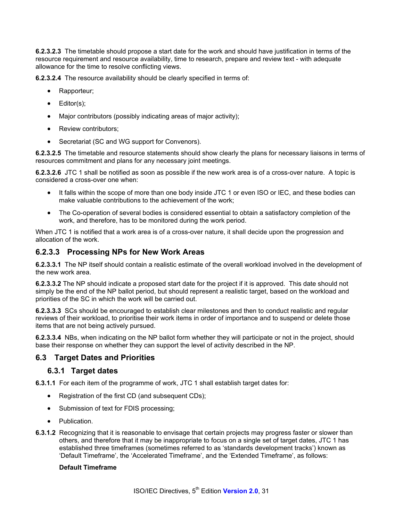**6.2.3.2.3** The timetable should propose a start date for the work and should have justification in terms of the resource requirement and resource availability, time to research, prepare and review text - with adequate allowance for the time to resolve conflicting views.

**6.2.3.2.4** The resource availability should be clearly specified in terms of:

- Rapporteur;
- Editor(s);
- Major contributors (possibly indicating areas of major activity);
- Review contributors:
- Secretariat (SC and WG support for Convenors).

**6.2.3.2.5** The timetable and resource statements should show clearly the plans for necessary liaisons in terms of resources commitment and plans for any necessary joint meetings.

**6.2.3.2.6** JTC 1 shall be notified as soon as possible if the new work area is of a cross-over nature. A topic is considered a cross-over one when:

- It falls within the scope of more than one body inside JTC 1 or even ISO or IEC, and these bodies can make valuable contributions to the achievement of the work;
- The Co-operation of several bodies is considered essential to obtain a satisfactory completion of the work, and therefore, has to be monitored during the work period.

When JTC 1 is notified that a work area is of a cross-over nature, it shall decide upon the progression and allocation of the work.

#### **6.2.3.3 Processing NPs for New Work Areas**

**6.2.3.3.1** The NP itself should contain a realistic estimate of the overall workload involved in the development of the new work area.

**6.2.3.3.2** The NP should indicate a proposed start date for the project if it is approved. This date should not simply be the end of the NP ballot period, but should represent a realistic target, based on the workload and priorities of the SC in which the work will be carried out.

**6.2.3.3.3** SCs should be encouraged to establish clear milestones and then to conduct realistic and regular reviews of their workload, to prioritise their work items in order of importance and to suspend or delete those items that are not being actively pursued.

**6.2.3.3.4** NBs, when indicating on the NP ballot form whether they will participate or not in the project, should base their response on whether they can support the level of activity described in the NP.

### **6.3 Target Dates and Priorities**

#### **6.3.1 Target dates**

**6.3.1.1** For each item of the programme of work, JTC 1 shall establish target dates for:

- Registration of the first CD (and subsequent CDs);
- Submission of text for FDIS processing;
- Publication.
- **6.3.1.2** Recognizing that it is reasonable to envisage that certain projects may progress faster or slower than others, and therefore that it may be inappropriate to focus on a single set of target dates, JTC 1 has established three timeframes (sometimes referred to as 'standards development tracks') known as 'Default Timeframe', the 'Accelerated Timeframe', and the 'Extended Timeframe', as follows:

#### **Default Timeframe**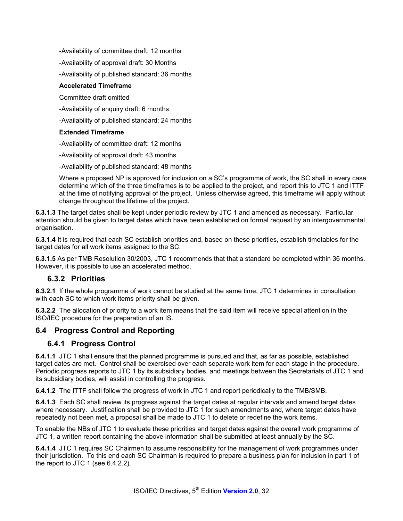-Availability of committee draft: 12 months

-Availability of approval draft: 30 Months

-Availability of published standard: 36 months

#### **Accelerated Timeframe**

Committee draft omitted

-Availability of enquiry draft: 6 months

-Availability of published standard: 24 months

#### **Extended Timeframe**

-Availability of committee draft: 12 months

-Availability of approval draft: 43 months

-Availability of published standard: 48 months

Where a proposed NP is approved for inclusion on a SC's programme of work, the SC shall in every case determine which of the three timeframes is to be applied to the project, and report this to JTC 1 and ITTF at the time of notifying approval of the project. Unless otherwise agreed, this timeframe will apply without change throughout the lifetime of the project.

**6.3.1.3** The target dates shall be kept under periodic review by JTC 1 and amended as necessary. Particular attention should be given to target dates which have been established on formal request by an intergovernmental organisation.

**6.3.1.4** It is required that each SC establish priorities and, based on these priorities, establish timetables for the target dates for all work items assigned to the SC.

**6.3.1.5** As per TMB Resolution 30/2003, JTC 1 recommends that that a standard be completed within 36 months. However, it is possible to use an accelerated method.

### **6.3.2 Priorities**

**6.3.2.1** If the whole programme of work cannot be studied at the same time, JTC 1 determines in consultation with each SC to which work items priority shall be given.

**6.3.2.2** The allocation of priority to a work item means that the said item will receive special attention in the ISO/IEC procedure for the preparation of an IS.

### **6.4 Progress Control and Reporting**

### **6.4.1 Progress Control**

**6.4.1.1** JTC 1 shall ensure that the planned programme is pursued and that, as far as possible, established target dates are met. Control shall be exercised over each separate work item for each stage in the procedure. Periodic progress reports to JTC 1 by its subsidiary bodies, and meetings between the Secretariats of JTC 1 and its subsidiary bodies, will assist in controlling the progress.

**6.4.1.2** The ITTF shall follow the progress of work in JTC 1 and report periodically to the TMB/SMB.

**6.4.1.3** Each SC shall review its progress against the target dates at regular intervals and amend target dates where necessary. Justification shall be provided to JTC 1 for such amendments and, where target dates have repeatedly not been met, a proposal shall be made to JTC 1 to delete or redefine the work items.

To enable the NBs of JTC 1 to evaluate these priorities and target dates against the overall work programme of JTC 1, a written report containing the above information shall be submitted at least annually by the SC.

**6.4.1.4** JTC 1 requires SC Chairmen to assume responsibility for the management of work programmes under their jurisdiction. To this end each SC Chairman is required to prepare a business plan for inclusion in part 1 of the report to JTC 1 (see 6.4.2.2).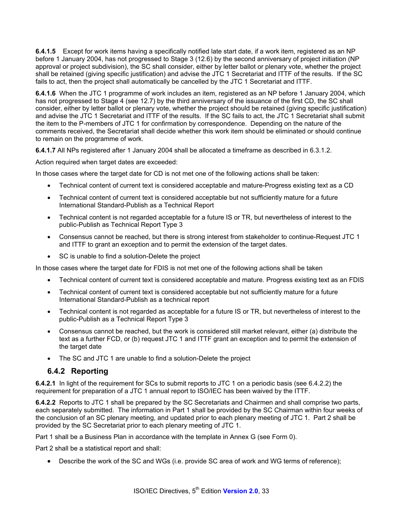**6.4.1.5** Except for work items having a specifically notified late start date, if a work item, registered as an NP before 1 January 2004, has not progressed to Stage 3 (12.6) by the second anniversary of project initiation (NP approval or project subdivision), the SC shall consider, either by letter ballot or plenary vote, whether the project shall be retained (giving specific justification) and advise the JTC 1 Secretariat and ITTF of the results. If the SC fails to act, then the project shall automatically be cancelled by the JTC 1 Secretariat and ITTF.

**6.4.1.6** When the JTC 1 programme of work includes an item, registered as an NP before 1 January 2004, which has not progressed to Stage 4 (see 12.7) by the third anniversary of the issuance of the first CD, the SC shall consider, either by letter ballot or plenary vote, whether the project should be retained (giving specific justification) and advise the JTC 1 Secretariat and ITTF of the results. If the SC fails to act, the JTC 1 Secretariat shall submit the item to the P-members of JTC 1 for confirmation by correspondence. Depending on the nature of the comments received, the Secretariat shall decide whether this work item should be eliminated or should continue to remain on the programme of work.

**6.4.1.7** All NPs registered after 1 January 2004 shall be allocated a timeframe as described in 6.3.1.2.

Action required when target dates are exceeded:

In those cases where the target date for CD is not met one of the following actions shall be taken:

- Technical content of current text is considered acceptable and mature-Progress existing text as a CD
- Technical content of current text is considered acceptable but not sufficiently mature for a future International Standard-Publish as a Technical Report
- Technical content is not regarded acceptable for a future IS or TR, but nevertheless of interest to the public-Publish as Technical Report Type 3
- Consensus cannot be reached, but there is strong interest from stakeholder to continue-Request JTC 1 and ITTF to grant an exception and to permit the extension of the target dates.
- SC is unable to find a solution-Delete the project

In those cases where the target date for FDIS is not met one of the following actions shall be taken

- Technical content of current text is considered acceptable and mature. Progress existing text as an FDIS
- Technical content of current text is considered acceptable but not sufficiently mature for a future International Standard-Publish as a technical report
- Technical content is not regarded as acceptable for a future IS or TR, but nevertheless of interest to the public-Publish as a Technical Report Type 3
- Consensus cannot be reached, but the work is considered still market relevant, either (a) distribute the text as a further FCD, or (b) request JTC 1 and ITTF grant an exception and to permit the extension of the target date
- The SC and JTC 1 are unable to find a solution-Delete the project

#### **6.4.2 Reporting**

**6.4.2.1** In light of the requirement for SCs to submit reports to JTC 1 on a periodic basis (see 6.4.2.2) the requirement for preparation of a JTC 1 annual report to ISO/IEC has been waived by the ITTF.

**6.4.2.2** Reports to JTC 1 shall be prepared by the SC Secretariats and Chairmen and shall comprise two parts, each separately submitted. The information in Part 1 shall be provided by the SC Chairman within four weeks of the conclusion of an SC plenary meeting, and updated prior to each plenary meeting of JTC 1. Part 2 shall be provided by the SC Secretariat prior to each plenary meeting of JTC 1.

Part 1 shall be a Business Plan in accordance with the template in Annex G (see Form 0).

Part 2 shall be a statistical report and shall:

• Describe the work of the SC and WGs (i.e. provide SC area of work and WG terms of reference);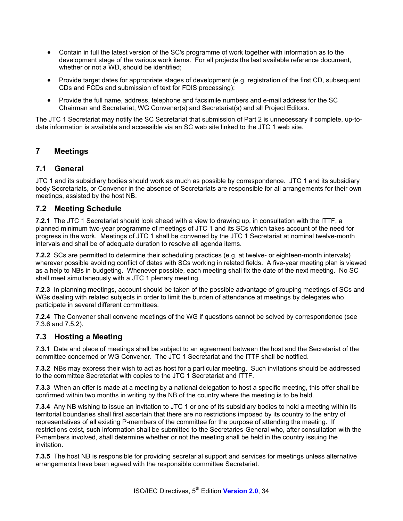- Contain in full the latest version of the SC's programme of work together with information as to the development stage of the various work items. For all projects the last available reference document, whether or not a WD, should be identified;
- Provide target dates for appropriate stages of development (e.g. registration of the first CD, subsequent CDs and FCDs and submission of text for FDIS processing);
- Provide the full name, address, telephone and facsimile numbers and e-mail address for the SC Chairman and Secretariat, WG Convener(s) and Secretariat(s) and all Project Editors.

The JTC 1 Secretariat may notify the SC Secretariat that submission of Part 2 is unnecessary if complete, up-todate information is available and accessible via an SC web site linked to the JTC 1 web site.

### **7 Meetings**

#### **7.1 General**

JTC 1 and its subsidiary bodies should work as much as possible by correspondence. JTC 1 and its subsidiary body Secretariats, or Convenor in the absence of Secretariats are responsible for all arrangements for their own meetings, assisted by the host NB.

#### **7.2 Meeting Schedule**

**7.2.1** The JTC 1 Secretariat should look ahead with a view to drawing up, in consultation with the ITTF, a planned minimum two-year programme of meetings of JTC 1 and its SCs which takes account of the need for progress in the work. Meetings of JTC 1 shall be convened by the JTC 1 Secretariat at nominal twelve-month intervals and shall be of adequate duration to resolve all agenda items.

**7.2.2** SCs are permitted to determine their scheduling practices (e.g. at twelve- or eighteen-month intervals) wherever possible avoiding conflict of dates with SCs working in related fields. A five-year meeting plan is viewed as a help to NBs in budgeting. Whenever possible, each meeting shall fix the date of the next meeting. No SC shall meet simultaneously with a JTC 1 plenary meeting.

**7.2.3** In planning meetings, account should be taken of the possible advantage of grouping meetings of SCs and WGs dealing with related subjects in order to limit the burden of attendance at meetings by delegates who participate in several different committees.

**7.2.4** The Convener shall convene meetings of the WG if questions cannot be solved by correspondence (see 7.3.6 and 7.5.2).

### **7.3 Hosting a Meeting**

**7.3.1** Date and place of meetings shall be subject to an agreement between the host and the Secretariat of the committee concerned or WG Convener. The JTC 1 Secretariat and the ITTF shall be notified.

**7.3.2** NBs may express their wish to act as host for a particular meeting. Such invitations should be addressed to the committee Secretariat with copies to the JTC 1 Secretariat and ITTF.

**7.3.3** When an offer is made at a meeting by a national delegation to host a specific meeting, this offer shall be confirmed within two months in writing by the NB of the country where the meeting is to be held.

**7.3.4** Any NB wishing to issue an invitation to JTC 1 or one of its subsidiary bodies to hold a meeting within its territorial boundaries shall first ascertain that there are no restrictions imposed by its country to the entry of representatives of all existing P-members of the committee for the purpose of attending the meeting. If restrictions exist, such information shall be submitted to the Secretaries-General who, after consultation with the P-members involved, shall determine whether or not the meeting shall be held in the country issuing the invitation.

**7.3.5** The host NB is responsible for providing secretarial support and services for meetings unless alternative arrangements have been agreed with the responsible committee Secretariat.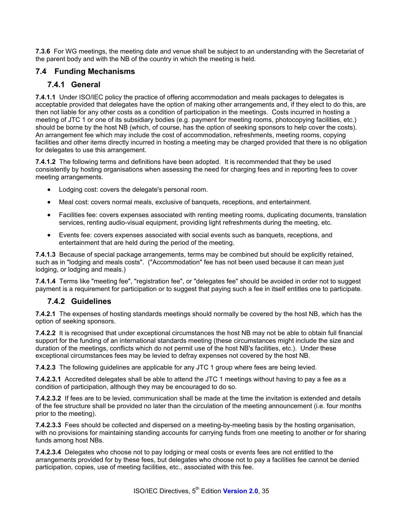**7.3.6** For WG meetings, the meeting date and venue shall be subject to an understanding with the Secretariat of the parent body and with the NB of the country in which the meeting is held.

### **7.4 Funding Mechanisms**

### **7.4.1 General**

**7.4.1.1** Under ISO/IEC policy the practice of offering accommodation and meals packages to delegates is acceptable provided that delegates have the option of making other arrangements and, if they elect to do this, are then not liable for any other costs as a condition of participation in the meetings. Costs incurred in hosting a meeting of JTC 1 or one of its subsidiary bodies (e.g. payment for meeting rooms, photocopying facilities, etc.) should be borne by the host NB (which, of course, has the option of seeking sponsors to help cover the costs). An arrangement fee which may include the cost of accommodation, refreshments, meeting rooms, copying facilities and other items directly incurred in hosting a meeting may be charged provided that there is no obligation for delegates to use this arrangement.

**7.4.1.2** The following terms and definitions have been adopted. It is recommended that they be used consistently by hosting organisations when assessing the need for charging fees and in reporting fees to cover meeting arrangements.

- Lodging cost: covers the delegate's personal room.
- Meal cost: covers normal meals, exclusive of banquets, receptions, and entertainment.
- Facilities fee: covers expenses associated with renting meeting rooms, duplicating documents, translation services, renting audio-visual equipment, providing light refreshments during the meeting, etc.
- Events fee: covers expenses associated with social events such as banquets, receptions, and entertainment that are held during the period of the meeting.

**7.4.1.3** Because of special package arrangements, terms may be combined but should be explicitly retained, such as in "lodging and meals costs". ("Accommodation" fee has not been used because it can mean just lodging, or lodging and meals.)

**7.4.1.4** Terms like "meeting fee", "registration fee", or "delegates fee" should be avoided in order not to suggest payment is a requirement for participation or to suggest that paying such a fee in itself entitles one to participate.

### **7.4.2 Guidelines**

**7.4.2.1** The expenses of hosting standards meetings should normally be covered by the host NB, which has the option of seeking sponsors.

**7.4.2.2** It is recognised that under exceptional circumstances the host NB may not be able to obtain full financial support for the funding of an international standards meeting (these circumstances might include the size and duration of the meetings, conflicts which do not permit use of the host NB's facilities, etc.). Under these exceptional circumstances fees may be levied to defray expenses not covered by the host NB.

**7.4.2.3** The following guidelines are applicable for any JTC 1 group where fees are being levied.

**7.4.2.3.1** Accredited delegates shall be able to attend the JTC 1 meetings without having to pay a fee as a condition of participation, although they may be encouraged to do so.

**7.4.2.3.2** If fees are to be levied, communication shall be made at the time the invitation is extended and details of the fee structure shall be provided no later than the circulation of the meeting announcement (i.e. four months prior to the meeting).

**7.4.2.3.3** Fees should be collected and dispersed on a meeting-by-meeting basis by the hosting organisation, with no provisions for maintaining standing accounts for carrying funds from one meeting to another or for sharing funds among host NBs.

**7.4.2.3.4** Delegates who choose not to pay lodging or meal costs or events fees are not entitled to the arrangements provided for by these fees, but delegates who choose not to pay a facilities fee cannot be denied participation, copies, use of meeting facilities, etc., associated with this fee.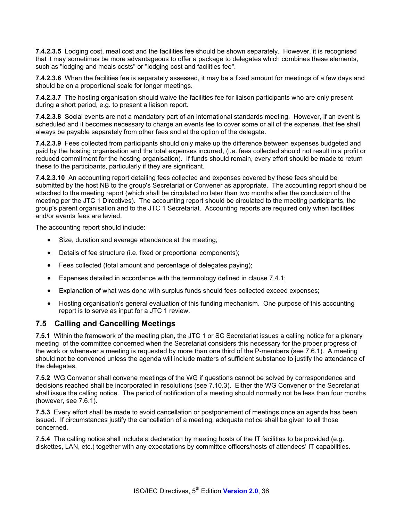**7.4.2.3.5** Lodging cost, meal cost and the facilities fee should be shown separately. However, it is recognised that it may sometimes be more advantageous to offer a package to delegates which combines these elements, such as "lodging and meals costs" or "lodging cost and facilities fee".

**7.4.2.3.6** When the facilities fee is separately assessed, it may be a fixed amount for meetings of a few days and should be on a proportional scale for longer meetings.

**7.4.2.3.7** The hosting organisation should waive the facilities fee for liaison participants who are only present during a short period, e.g. to present a liaison report.

**7.4.2.3.8** Social events are not a mandatory part of an international standards meeting. However, if an event is scheduled and it becomes necessary to charge an events fee to cover some or all of the expense, that fee shall always be payable separately from other fees and at the option of the delegate.

**7.4.2.3.9** Fees collected from participants should only make up the difference between expenses budgeted and paid by the hosting organisation and the total expenses incurred, (i.e. fees collected should not result in a profit or reduced commitment for the hosting organisation). If funds should remain, every effort should be made to return these to the participants, particularly if they are significant.

**7.4.2.3.10** An accounting report detailing fees collected and expenses covered by these fees should be submitted by the host NB to the group's Secretariat or Convener as appropriate. The accounting report should be attached to the meeting report (which shall be circulated no later than two months after the conclusion of the meeting per the JTC 1 Directives). The accounting report should be circulated to the meeting participants, the group's parent organisation and to the JTC 1 Secretariat. Accounting reports are required only when facilities and/or events fees are levied.

The accounting report should include:

- Size, duration and average attendance at the meeting;
- Details of fee structure (i.e. fixed or proportional components);
- Fees collected (total amount and percentage of delegates paying);
- Expenses detailed in accordance with the terminology defined in clause 7.4.1;
- Explanation of what was done with surplus funds should fees collected exceed expenses;
- Hosting organisation's general evaluation of this funding mechanism. One purpose of this accounting report is to serve as input for a JTC 1 review.

#### **7.5 Calling and Cancelling Meetings**

**7.5.1** Within the framework of the meeting plan, the JTC 1 or SC Secretariat issues a calling notice for a plenary meeting of the committee concerned when the Secretariat considers this necessary for the proper progress of the work or whenever a meeting is requested by more than one third of the P-members (see 7.6.1). A meeting should not be convened unless the agenda will include matters of sufficient substance to justify the attendance of the delegates.

**7.5.2** WG Convenor shall convene meetings of the WG if questions cannot be solved by correspondence and decisions reached shall be incorporated in resolutions (see 7.10.3). Either the WG Convener or the Secretariat shall issue the calling notice. The period of notification of a meeting should normally not be less than four months (however, see 7.6.1).

**7.5.3** Every effort shall be made to avoid cancellation or postponement of meetings once an agenda has been issued. If circumstances justify the cancellation of a meeting, adequate notice shall be given to all those concerned.

**7.5.4** The calling notice shall include a declaration by meeting hosts of the IT facilities to be provided (e.g. diskettes, LAN, etc.) together with any expectations by committee officers/hosts of attendees' IT capabilities.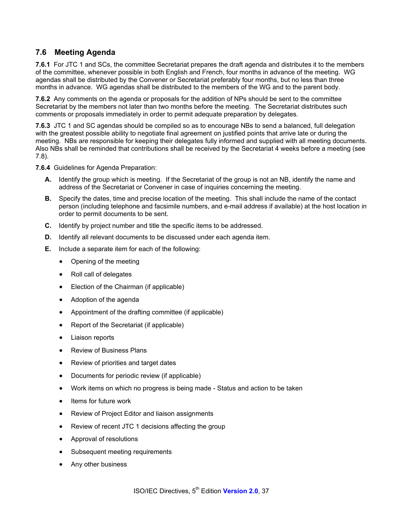## **7.6 Meeting Agenda**

**7.6.1** For JTC 1 and SCs, the committee Secretariat prepares the draft agenda and distributes it to the members of the committee, whenever possible in both English and French, four months in advance of the meeting. WG agendas shall be distributed by the Convener or Secretariat preferably four months, but no less than three months in advance. WG agendas shall be distributed to the members of the WG and to the parent body.

**7.6.2** Any comments on the agenda or proposals for the addition of NPs should be sent to the committee Secretariat by the members not later than two months before the meeting. The Secretariat distributes such comments or proposals immediately in order to permit adequate preparation by delegates.

**7.6.3** JTC 1 and SC agendas should be compiled so as to encourage NBs to send a balanced, full delegation with the greatest possible ability to negotiate final agreement on justified points that arrive late or during the meeting. NBs are responsible for keeping their delegates fully informed and supplied with all meeting documents. Also NBs shall be reminded that contributions shall be received by the Secretariat 4 weeks before a meeting (see 7.8).

**7.6.4** Guidelines for Agenda Preparation:

- **A.** Identify the group which is meeting. If the Secretariat of the group is not an NB, identify the name and address of the Secretariat or Convener in case of inquiries concerning the meeting.
- **B.** Specify the dates, time and precise location of the meeting. This shall include the name of the contact person (including telephone and facsimile numbers, and e-mail address if available) at the host location in order to permit documents to be sent.
- **C.** Identify by project number and title the specific items to be addressed.
- **D.** Identify all relevant documents to be discussed under each agenda item.
- **E.** Include a separate item for each of the following:
	- Opening of the meeting
	- Roll call of delegates
	- Election of the Chairman (if applicable)
	- Adoption of the agenda
	- Appointment of the drafting committee (if applicable)
	- Report of the Secretariat (if applicable)
	- Liaison reports
	- Review of Business Plans
	- Review of priorities and target dates
	- Documents for periodic review (if applicable)
	- Work items on which no progress is being made Status and action to be taken
	- Items for future work
	- Review of Project Editor and liaison assignments
	- Review of recent JTC 1 decisions affecting the group
	- Approval of resolutions
	- Subsequent meeting requirements
	- Any other business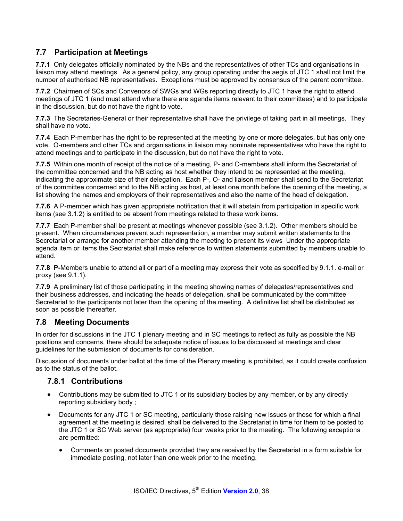# **7.7 Participation at Meetings**

**7.7.1** Only delegates officially nominated by the NBs and the representatives of other TCs and organisations in liaison may attend meetings. As a general policy, any group operating under the aegis of JTC 1 shall not limit the number of authorised NB representatives. Exceptions must be approved by consensus of the parent committee.

**7.7.2** Chairmen of SCs and Convenors of SWGs and WGs reporting directly to JTC 1 have the right to attend meetings of JTC 1 (and must attend where there are agenda items relevant to their committees) and to participate in the discussion, but do not have the right to vote.

**7.7.3** The Secretaries-General or their representative shall have the privilege of taking part in all meetings. They shall have no vote.

**7.7.4** Each P-member has the right to be represented at the meeting by one or more delegates, but has only one vote. O-members and other TCs and organisations in liaison may nominate representatives who have the right to attend meetings and to participate in the discussion, but do not have the right to vote.

**7.7.5** Within one month of receipt of the notice of a meeting, P- and O-members shall inform the Secretariat of the committee concerned and the NB acting as host whether they intend to be represented at the meeting, indicating the approximate size of their delegation. Each P-, O- and liaison member shall send to the Secretariat of the committee concerned and to the NB acting as host, at least one month before the opening of the meeting, a list showing the names and employers of their representatives and also the name of the head of delegation.

**7.7.6** A P-member which has given appropriate notification that it will abstain from participation in specific work items (see 3.1.2) is entitled to be absent from meetings related to these work items.

**7.7.7** Each P-member shall be present at meetings whenever possible (see 3.1.2). Other members should be present. When circumstances prevent such representation, a member may submit written statements to the Secretariat or arrange for another member attending the meeting to present its views Under the appropriate agenda item or items the Secretariat shall make reference to written statements submitted by members unable to attend.

**7.7.8 P-**Members unable to attend all or part of a meeting may express their vote as specified by 9.1.1. e-mail or proxy (see 9.1.1).

**7.7.9** A preliminary list of those participating in the meeting showing names of delegates/representatives and their business addresses, and indicating the heads of delegation, shall be communicated by the committee Secretariat to the participants not later than the opening of the meeting. A definitive list shall be distributed as soon as possible thereafter.

### **7.8 Meeting Documents**

In order for discussions in the JTC 1 plenary meeting and in SC meetings to reflect as fully as possible the NB positions and concerns, there should be adequate notice of issues to be discussed at meetings and clear guidelines for the submission of documents for consideration.

Discussion of documents under ballot at the time of the Plenary meeting is prohibited, as it could create confusion as to the status of the ballot.

### **7.8.1 Contributions**

- Contributions may be submitted to JTC 1 or its subsidiary bodies by any member, or by any directly reporting subsidiary body ;
- Documents for any JTC 1 or SC meeting, particularly those raising new issues or those for which a final agreement at the meeting is desired, shall be delivered to the Secretariat in time for them to be posted to the JTC 1 or SC Web server (as appropriate) four weeks prior to the meeting. The following exceptions are permitted:
	- Comments on posted documents provided they are received by the Secretariat in a form suitable for immediate posting, not later than one week prior to the meeting.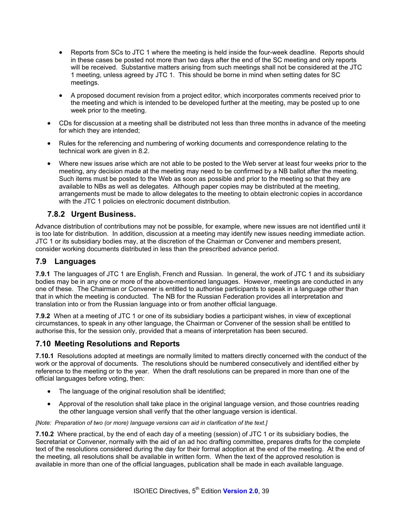- Reports from SCs to JTC 1 where the meeting is held inside the four-week deadline. Reports should in these cases be posted not more than two days after the end of the SC meeting and only reports will be received. Substantive matters arising from such meetings shall not be considered at the JTC 1 meeting, unless agreed by JTC 1. This should be borne in mind when setting dates for SC meetings.
- A proposed document revision from a project editor, which incorporates comments received prior to the meeting and which is intended to be developed further at the meeting, may be posted up to one week prior to the meeting.
- CDs for discussion at a meeting shall be distributed not less than three months in advance of the meeting for which they are intended;
- Rules for the referencing and numbering of working documents and correspondence relating to the technical work are given in 8.2.
- Where new issues arise which are not able to be posted to the Web server at least four weeks prior to the meeting, any decision made at the meeting may need to be confirmed by a NB ballot after the meeting. Such items must be posted to the Web as soon as possible and prior to the meeting so that they are available to NBs as well as delegates. Although paper copies may be distributed at the meeting, arrangements must be made to allow delegates to the meeting to obtain electronic copies in accordance with the JTC 1 policies on electronic document distribution.

### **7.8.2 Urgent Business.**

Advance distribution of contributions may not be possible, for example, where new issues are not identified until it is too late for distribution. In addition, discussion at a meeting may identify new issues needing immediate action. JTC 1 or its subsidiary bodies may, at the discretion of the Chairman or Convener and members present, consider working documents distributed in less than the prescribed advance period.

### **7.9 Languages**

**7.9.1** The languages of JTC 1 are English, French and Russian. In general, the work of JTC 1 and its subsidiary bodies may be in any one or more of the above-mentioned languages. However, meetings are conducted in any one of these. The Chairman or Convener is entitled to authorise participants to speak in a language other than that in which the meeting is conducted. The NB for the Russian Federation provides all interpretation and translation into or from the Russian language into or from another official language.

**7.9.2** When at a meeting of JTC 1 or one of its subsidiary bodies a participant wishes, in view of exceptional circumstances, to speak in any other language, the Chairman or Convener of the session shall be entitled to authorise this, for the session only, provided that a means of interpretation has been secured.

### **7.10 Meeting Resolutions and Reports**

**7.10.1** Resolutions adopted at meetings are normally limited to matters directly concerned with the conduct of the work or the approval of documents. The resolutions should be numbered consecutively and identified either by reference to the meeting or to the year. When the draft resolutions can be prepared in more than one of the official languages before voting, then:

- The language of the original resolution shall be identified;
- Approval of the resolution shall take place in the original language version, and those countries reading the other language version shall verify that the other language version is identical.

*[Note: Preparation of two (or more) language versions can aid in clarification of the text.]* 

**7.10.2** Where practical, by the end of each day of a meeting (session) of JTC 1 or its subsidiary bodies, the Secretariat or Convener, normally with the aid of an ad hoc drafting committee, prepares drafts for the complete text of the resolutions considered during the day for their formal adoption at the end of the meeting. At the end of the meeting, all resolutions shall be available in written form. When the text of the approved resolution is available in more than one of the official languages, publication shall be made in each available language.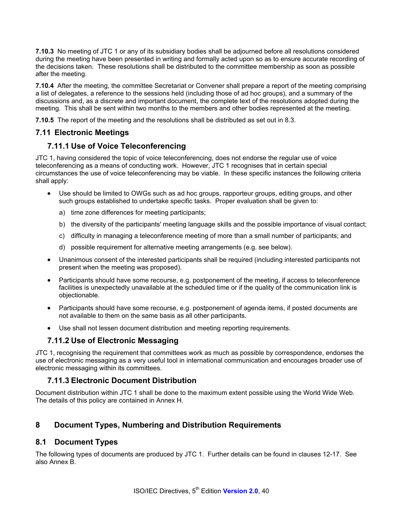**7.10.3** No meeting of JTC 1 or any of its subsidiary bodies shall be adjourned before all resolutions considered during the meeting have been presented in writing and formally acted upon so as to ensure accurate recording of the decisions taken. These resolutions shall be distributed to the committee membership as soon as possible after the meeting.

**7.10.4** After the meeting, the committee Secretariat or Convener shall prepare a report of the meeting comprising a list of delegates, a reference to the sessions held (including those of ad hoc groups), and a summary of the discussions and, as a discrete and important document, the complete text of the resolutions adopted during the meeting. This shall be sent within two months to the members and other bodies represented at the meeting.

**7.10.5** The report of the meeting and the resolutions shall be distributed as set out in 8.3.

# **7.11 Electronic Meetings**

## **7.11.1 Use of Voice Teleconferencing**

JTC 1, having considered the topic of voice teleconferencing, does not endorse the regular use of voice teleconferencing as a means of conducting work. However, JTC 1 recognises that in certain special circumstances the use of voice teleconferencing may be viable. In these specific instances the following criteria shall apply:

- Use should be limited to OWGs such as ad hoc groups, rapporteur groups, editing groups, and other such groups established to undertake specific tasks. Proper evaluation shall be given to:
	- a) time zone differences for meeting participants;
	- b) the diversity of the participants' meeting language skills and the possible importance of visual contact;
	- c) difficulty in managing a teleconference meeting of more than a small number of participants; and
	- d) possible requirement for alternative meeting arrangements (e.g. see below).
- Unanimous consent of the interested participants shall be required (including interested participants not present when the meeting was proposed).
- Participants should have some recourse, e.g. postponement of the meeting, if access to teleconference facilities is unexpectedly unavailable at the scheduled time or if the quality of the communication link is objectionable.
- Participants should have some recourse, e.g. postponement of agenda items, if posted documents are not available to them on the same basis as all other participants.
- Use shall not lessen document distribution and meeting reporting requirements.

### **7.11.2 Use of Electronic Messaging**

JTC 1, recognising the requirement that committees work as much as possible by correspondence, endorses the use of electronic messaging as a very useful tool in international communication and encourages broader use of electronic messaging within its committees.

### **7.11.3 Electronic Document Distribution**

Document distribution within JTC 1 shall be done to the maximum extent possible using the World Wide Web. The details of this policy are contained in Annex H.

# **8 Document Types, Numbering and Distribution Requirements**

### **8.1 Document Types**

The following types of documents are produced by JTC 1. Further details can be found in clauses 12-17. See also Annex B.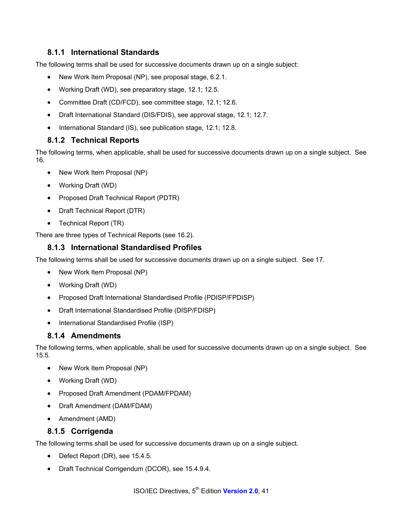## **8.1.1 International Standards**

The following terms shall be used for successive documents drawn up on a single subject:

- New Work Item Proposal (NP), see proposal stage, 6.2.1.
- Working Draft (WD), see preparatory stage, 12.1; 12.5.
- Committee Draft (CD/FCD), see committee stage, 12.1; 12.6.
- Draft International Standard (DIS/FDIS), see approval stage, 12.1; 12.7.
- International Standard (IS), see publication stage, 12.1; 12.8.

#### **8.1.2 Technical Reports**

The following terms, when applicable, shall be used for successive documents drawn up on a single subject. See 16.

- New Work Item Proposal (NP)
- Working Draft (WD)
- Proposed Draft Technical Report (PDTR)
- Draft Technical Report (DTR)
- Technical Report (TR)

There are three types of Technical Reports (see 16.2).

#### **8.1.3 International Standardised Profiles**

The following terms shall be used for successive documents drawn up on a single subject. See 17.

- New Work Item Proposal (NP)
- Working Draft (WD)
- Proposed Draft International Standardised Profile (PDISP/FPDISP)
- Draft International Standardised Profile (DISP/FDISP)
- International Standardised Profile (ISP)

#### **8.1.4 Amendments**

The following terms, when applicable, shall be used for successive documents drawn up on a single subject. See 15.5.

- New Work Item Proposal (NP)
- Working Draft (WD)
- Proposed Draft Amendment (PDAM/FPDAM)
- Draft Amendment (DAM/FDAM)
- Amendment (AMD)

#### **8.1.5 Corrigenda**

The following terms shall be used for successive documents drawn up on a single subject.

- Defect Report (DR), see 15.4.5.
- Draft Technical Corrigendum (DCOR), see 15.4.9.4.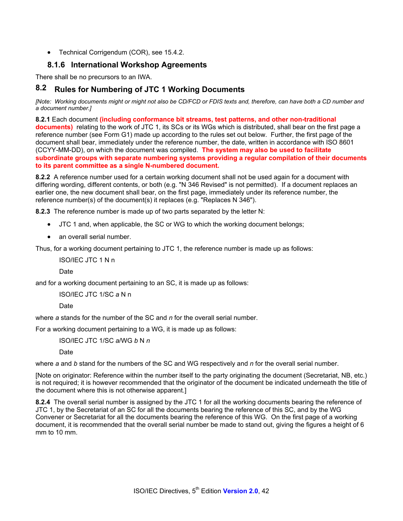• Technical Corrigendum (COR), see 15.4.2.

## **8.1.6 International Workshop Agreements**

There shall be no precursors to an IWA.

# **8.2 Rules for Numbering of JTC 1 Working Documents**

*[Note: Working documents might or might not also be CD/FCD or FDIS texts and, therefore, can have both a CD number and a document number.]* 

**8.2.1** Each document **(including conformance bit streams, test patterns, and other non-traditional documents)** relating to the work of JTC 1, its SCs or its WGs which is distributed, shall bear on the first page a reference number (see Form G1) made up according to the rules set out below. Further, the first page of the document shall bear, immediately under the reference number, the date, written in accordance with ISO 8601 (CCYY-MM-DD), on which the document was compiled. **The system may also be used to facilitate subordinate groups with separate numbering systems providing a regular compilation of their documents to its parent committee as a single N-numbered document.** 

**8.2.2** A reference number used for a certain working document shall not be used again for a document with differing wording, different contents, or both (e.g. "N 346 Revised" is not permitted). If a document replaces an earlier one, the new document shall bear, on the first page, immediately under its reference number, the reference number(s) of the document(s) it replaces (e.g. "Replaces N 346").

**8.2.3** The reference number is made up of two parts separated by the letter N:

- JTC 1 and, when applicable, the SC or WG to which the working document belongs;
- an overall serial number.

Thus, for a working document pertaining to JTC 1, the reference number is made up as follows:

ISO/IEC JTC 1 N n

Date

and for a working document pertaining to an SC, it is made up as follows:

ISO/IEC JTC 1/SC *a* N n

Date

where *a* stands for the number of the SC and *n* for the overall serial number.

For a working document pertaining to a WG, it is made up as follows:

ISO/IEC JTC 1/SC *a*/WG *b* N *n* 

Date

where *a* and *b* stand for the numbers of the SC and WG respectively and *n* for the overall serial number.

[Note on originator: Reference within the number itself to the party originating the document (Secretariat, NB, etc.) is not required; it is however recommended that the originator of the document be indicated underneath the title of the document where this is not otherwise apparent.]

**8.2.4** The overall serial number is assigned by the JTC 1 for all the working documents bearing the reference of JTC 1, by the Secretariat of an SC for all the documents bearing the reference of this SC, and by the WG Convener or Secretariat for all the documents bearing the reference of this WG. On the first page of a working document, it is recommended that the overall serial number be made to stand out, giving the figures a height of 6 mm to 10 mm.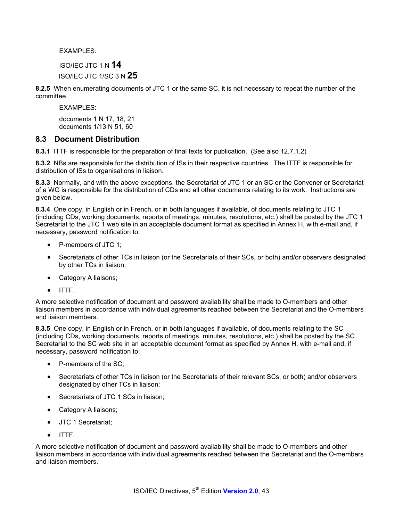**EXAMPLES:** 

ISO/IEC JTC 1 N **14** 

ISO/IEC JTC 1/SC 3 N **25**

**8.2.5** When enumerating documents of JTC 1 or the same SC, it is not necessary to repeat the number of the committee.

EXAMPLES:

documents 1 N 17, 18, 21 documents 1/13 N 51, 60

### **8.3 Document Distribution**

**8.3.1** ITTF is responsible for the preparation of final texts for publication. (See also 12.7.1.2)

**8.3.2** NBs are responsible for the distribution of ISs in their respective countries. The ITTF is responsible for distribution of ISs to organisations in liaison.

**8.3.3** Normally, and with the above exceptions, the Secretariat of JTC 1 or an SC or the Convener or Secretariat of a WG is responsible for the distribution of CDs and all other documents relating to its work. Instructions are given below.

**8.3.4** One copy, in English or in French, or in both languages if available, of documents relating to JTC 1 (including CDs, working documents, reports of meetings, minutes, resolutions, etc.) shall be posted by the JTC 1 Secretariat to the JTC 1 web site in an acceptable document format as specified in Annex H, with e-mail and, if necessary, password notification to:

- P-members of JTC 1;
- Secretariats of other TCs in liaison (or the Secretariats of their SCs, or both) and/or observers designated by other TCs in liaison;
- Category A liaisons;
- ITTF.

A more selective notification of document and password availability shall be made to O-members and other liaison members in accordance with individual agreements reached between the Secretariat and the O-members and liaison members.

**8.3.5** One copy, in English or in French, or in both languages if available, of documents relating to the SC (including CDs, working documents, reports of meetings, minutes, resolutions, etc.) shall be posted by the SC Secretariat to the SC web site in an acceptable document format as specified by Annex H, with e-mail and, if necessary, password notification to:

- P-members of the SC;
- Secretariats of other TCs in liaison (or the Secretariats of their relevant SCs, or both) and/or observers designated by other TCs in liaison;
- Secretariats of JTC 1 SCs in liaison;
- Category A liaisons;
- JTC 1 Secretariat;
- ITTF.

A more selective notification of document and password availability shall be made to O-members and other liaison members in accordance with individual agreements reached between the Secretariat and the O-members and liaison members.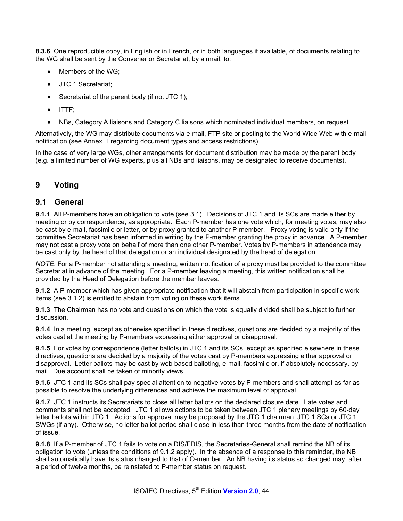**8.3.6** One reproducible copy, in English or in French, or in both languages if available, of documents relating to the WG shall be sent by the Convener or Secretariat, by airmail, to:

- Members of the WG;
- JTC 1 Secretariat;
- Secretariat of the parent body (if not JTC 1);
- ITTF;
- NBs, Category A liaisons and Category C liaisons which nominated individual members, on request.

Alternatively, the WG may distribute documents via e-mail, FTP site or posting to the World Wide Web with e-mail notification (see Annex H regarding document types and access restrictions).

In the case of very large WGs, other arrangements for document distribution may be made by the parent body (e.g. a limited number of WG experts, plus all NBs and liaisons, may be designated to receive documents).

#### **9 Voting**

#### **9.1 General**

**9.1.1** All P-members have an obligation to vote (see 3.1). Decisions of JTC 1 and its SCs are made either by meeting or by correspondence, as appropriate. Each P-member has one vote which, for meeting votes, may also be cast by e-mail, facsimile or letter, or by proxy granted to another P-member. Proxy voting is valid only if the committee Secretariat has been informed in writing by the P-member granting the proxy in advance. A P-member may not cast a proxy vote on behalf of more than one other P-member. Votes by P-members in attendance may be cast only by the head of that delegation or an individual designated by the head of delegation.

*NOTE*: For a P-member not attending a meeting, written notification of a proxy must be provided to the committee Secretariat in advance of the meeting. For a P-member leaving a meeting, this written notification shall be provided by the Head of Delegation before the member leaves.

**9.1.2** A P-member which has given appropriate notification that it will abstain from participation in specific work items (see 3.1.2) is entitled to abstain from voting on these work items.

**9.1.3** The Chairman has no vote and questions on which the vote is equally divided shall be subject to further discussion.

**9.1.4** In a meeting, except as otherwise specified in these directives, questions are decided by a majority of the votes cast at the meeting by P-members expressing either approval or disapproval.

**9.1.5** For votes by correspondence (letter ballots) in JTC 1 and its SCs, except as specified elsewhere in these directives, questions are decided by a majority of the votes cast by P-members expressing either approval or disapproval. Letter ballots may be cast by web based balloting, e-mail, facsimile or, if absolutely necessary, by mail. Due account shall be taken of minority views.

**9.1.6** JTC 1 and its SCs shall pay special attention to negative votes by P-members and shall attempt as far as possible to resolve the underlying differences and achieve the maximum level of approval.

**9.1.7** JTC 1 instructs its Secretariats to close all letter ballots on the declared closure date. Late votes and comments shall not be accepted. JTC 1 allows actions to be taken between JTC 1 plenary meetings by 60-day letter ballots within JTC 1. Actions for approval may be proposed by the JTC 1 chairman, JTC 1 SCs or JTC 1 SWGs (if any). Otherwise, no letter ballot period shall close in less than three months from the date of notification of issue.

**9.1.8** If a P-member of JTC 1 fails to vote on a DIS/FDIS, the Secretaries-General shall remind the NB of its obligation to vote (unless the conditions of 9.1.2 apply). In the absence of a response to this reminder, the NB shall automatically have its status changed to that of O-member. An NB having its status so changed may, after a period of twelve months, be reinstated to P-member status on request.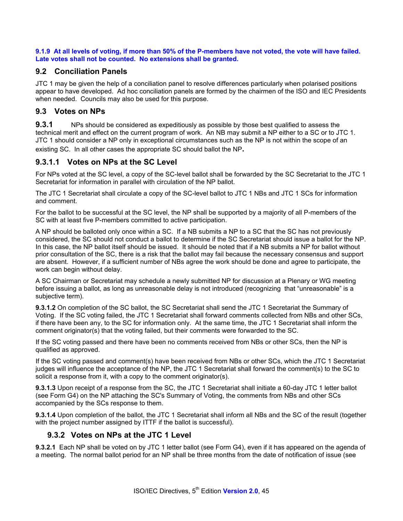**9.1.9 At all levels of voting, if more than 50% of the P-members have not voted, the vote will have failed. Late votes shall not be counted. No extensions shall be granted.** 

### **9.2 Conciliation Panels**

JTC 1 may be given the help of a conciliation panel to resolve differences particularly when polarised positions appear to have developed. Ad hoc conciliation panels are formed by the chairmen of the ISO and IEC Presidents when needed. Councils may also be used for this purpose.

## **9.3 Votes on NPs**

**9.3.1** NPs should be considered as expeditiously as possible by those best qualified to assess the technical merit and effect on the current program of work. An NB may submit a NP either to a SC or to JTC 1. JTC 1 should consider a NP only in exceptional circumstances such as the NP is not within the scope of an existing SC. In all other cases the appropriate SC should ballot the NP**.** 

## **9.3.1.1 Votes on NPs at the SC Level**

For NPs voted at the SC level, a copy of the SC-level ballot shall be forwarded by the SC Secretariat to the JTC 1 Secretariat for information in parallel with circulation of the NP ballot.

The JTC 1 Secretariat shall circulate a copy of the SC-level ballot to JTC 1 NBs and JTC 1 SCs for information and comment.

For the ballot to be successful at the SC level, the NP shall be supported by a majority of all P-members of the SC with at least five P-members committed to active participation.

A NP should be balloted only once within a SC. If a NB submits a NP to a SC that the SC has not previously considered, the SC should not conduct a ballot to determine if the SC Secretariat should issue a ballot for the NP. In this case, the NP ballot itself should be issued. It should be noted that if a NB submits a NP for ballot without prior consultation of the SC, there is a risk that the ballot may fail because the necessary consensus and support are absent. However, if a sufficient number of NBs agree the work should be done and agree to participate, the work can begin without delay.

A SC Chairman or Secretariat may schedule a newly submitted NP for discussion at a Plenary or WG meeting before issuing a ballot, as long as unreasonable delay is not introduced (recognizing that "unreasonable" is a subjective term).

**9.3.1.2** On completion of the SC ballot, the SC Secretariat shall send the JTC 1 Secretariat the Summary of Voting. If the SC voting failed, the JTC 1 Secretariat shall forward comments collected from NBs and other SCs, if there have been any, to the SC for information only. At the same time, the JTC 1 Secretariat shall inform the comment originator(s) that the voting failed, but their comments were forwarded to the SC.

If the SC voting passed and there have been no comments received from NBs or other SCs, then the NP is qualified as approved.

If the SC voting passed and comment(s) have been received from NBs or other SCs, which the JTC 1 Secretariat judges will influence the acceptance of the NP, the JTC 1 Secretariat shall forward the comment(s) to the SC to solicit a response from it, with a copy to the comment originator(s).

**9.3.1.3** Upon receipt of a response from the SC, the JTC 1 Secretariat shall initiate a 60-day JTC 1 letter ballot (see Form G4) on the NP attaching the SC's Summary of Voting, the comments from NBs and other SCs accompanied by the SCs response to them.

**9.3.1.4** Upon completion of the ballot, the JTC 1 Secretariat shall inform all NBs and the SC of the result (together with the project number assigned by ITTF if the ballot is successful).

### **9.3.2 Votes on NPs at the JTC 1 Level**

**9.3.2.1** Each NP shall be voted on by JTC 1 letter ballot (see Form G4), even if it has appeared on the agenda of a meeting. The normal ballot period for an NP shall be three months from the date of notification of issue (see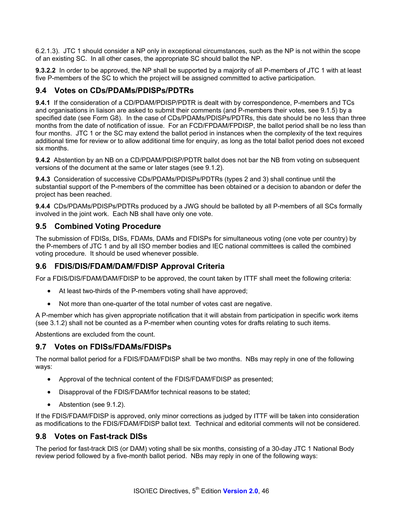6.2.1.3). JTC 1 should consider a NP only in exceptional circumstances, such as the NP is not within the scope of an existing SC. In all other cases, the appropriate SC should ballot the NP.

**9.3.2.2** In order to be approved, the NP shall be supported by a majority of all P-members of JTC 1 with at least five P-members of the SC to which the project will be assigned committed to active participation.

### **9.4 Votes on CDs/PDAMs/PDISPs/PDTRs**

**9.4.1** If the consideration of a CD/PDAM/PDISP/PDTR is dealt with by correspondence, P-members and TCs and organisations in liaison are asked to submit their comments (and P-members their votes, see 9.1.5) by a specified date (see Form G8). In the case of CDs/PDAMs/PDISPs/PDTRs, this date should be no less than three months from the date of notification of issue. For an FCD/FPDAM/FPDISP, the ballot period shall be no less than four months. JTC 1 or the SC may extend the ballot period in instances when the complexity of the text requires additional time for review or to allow additional time for enquiry, as long as the total ballot period does not exceed six months.

**9.4.2** Abstention by an NB on a CD/PDAM/PDISP/PDTR ballot does not bar the NB from voting on subsequent versions of the document at the same or later stages (see 9.1.2).

**9.4.3** Consideration of successive CDs/PDAMs/PDISPs/PDTRs (types 2 and 3) shall continue until the substantial support of the P-members of the committee has been obtained or a decision to abandon or defer the project has been reached.

**9.4.4** CDs/PDAMs/PDISPs/PDTRs produced by a JWG should be balloted by all P-members of all SCs formally involved in the joint work. Each NB shall have only one vote.

#### **9.5 Combined Voting Procedure**

The submission of FDISs, DISs, FDAMs, DAMs and FDISPs for simultaneous voting (one vote per country) by the P-members of JTC 1 and by all ISO member bodies and IEC national committees is called the combined voting procedure. It should be used whenever possible.

### **9.6 FDIS/DIS/FDAM/DAM/FDISP Approval Criteria**

For a FDIS/DIS/FDAM/DAM/FDISP to be approved, the count taken by ITTF shall meet the following criteria:

- At least two-thirds of the P-members voting shall have approved;
- Not more than one-quarter of the total number of votes cast are negative.

A P-member which has given appropriate notification that it will abstain from participation in specific work items (see 3.1.2) shall not be counted as a P-member when counting votes for drafts relating to such items.

Abstentions are excluded from the count.

#### **9.7 Votes on FDISs/FDAMs/FDISPs**

The normal ballot period for a FDIS/FDAM/FDISP shall be two months. NBs may reply in one of the following ways:

- Approval of the technical content of the FDIS/FDAM/FDISP as presented;
- Disapproval of the FDIS/FDAM/for technical reasons to be stated;
- Abstention (see 9.1.2).

If the FDIS/FDAM/FDISP is approved, only minor corrections as judged by ITTF will be taken into consideration as modifications to the FDIS/FDAM/FDISP ballot text. Technical and editorial comments will not be considered.

#### **9.8 Votes on Fast-track DISs**

The period for fast-track DIS (or DAM) voting shall be six months, consisting of a 30-day JTC 1 National Body review period followed by a five-month ballot period. NBs may reply in one of the following ways: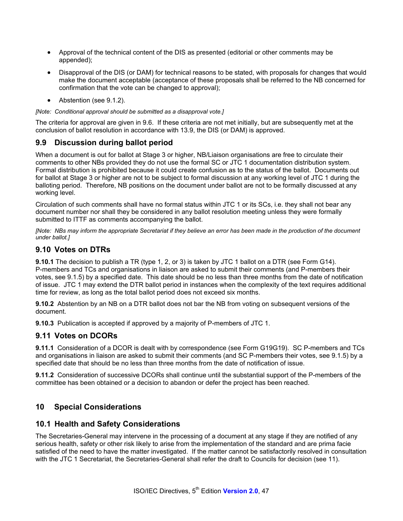- Approval of the technical content of the DIS as presented (editorial or other comments may be appended);
- Disapproval of the DIS (or DAM) for technical reasons to be stated, with proposals for changes that would make the document acceptable (acceptance of these proposals shall be referred to the NB concerned for confirmation that the vote can be changed to approval);
- Abstention (see 9.1.2).

*[Note: Conditional approval should be submitted as a disapproval vote.]* 

The criteria for approval are given in 9.6. If these criteria are not met initially, but are subsequently met at the conclusion of ballot resolution in accordance with 13.9, the DIS (or DAM) is approved.

### **9.9 Discussion during ballot period**

When a document is out for ballot at Stage 3 or higher, NB/Liaison organisations are free to circulate their comments to other NBs provided they do not use the formal SC or JTC 1 documentation distribution system. Formal distribution is prohibited because it could create confusion as to the status of the ballot. Documents out for ballot at Stage 3 or higher are not to be subject to formal discussion at any working level of JTC 1 during the balloting period. Therefore, NB positions on the document under ballot are not to be formally discussed at any working level.

Circulation of such comments shall have no formal status within JTC 1 or its SCs, i.e. they shall not bear any document number nor shall they be considered in any ballot resolution meeting unless they were formally submitted to ITTF as comments accompanying the ballot.

*[Note: NBs may inform the appropriate Secretariat if they believe an error has been made in the production of the document under ballot.]* 

#### **9.10 Votes on DTRs**

**9.10.1** The decision to publish a TR (type 1, 2, or 3) is taken by JTC 1 ballot on a DTR (see Form G14). P-members and TCs and organisations in liaison are asked to submit their comments (and P-members their votes, see 9.1.5) by a specified date. This date should be no less than three months from the date of notification of issue. JTC 1 may extend the DTR ballot period in instances when the complexity of the text requires additional time for review, as long as the total ballot period does not exceed six months.

**9.10.2** Abstention by an NB on a DTR ballot does not bar the NB from voting on subsequent versions of the document.

**9.10.3** Publication is accepted if approved by a majority of P-members of JTC 1.

#### **9.11 Votes on DCORs**

**9.11.1** Consideration of a DCOR is dealt with by correspondence (see Form G19G19). SC P-members and TCs and organisations in liaison are asked to submit their comments (and SC P-members their votes, see 9.1.5) by a specified date that should be no less than three months from the date of notification of issue.

**9.11.2** Consideration of successive DCORs shall continue until the substantial support of the P-members of the committee has been obtained or a decision to abandon or defer the project has been reached.

### **10 Special Considerations**

#### **10.1 Health and Safety Considerations**

The Secretaries-General may intervene in the processing of a document at any stage if they are notified of any serious health, safety or other risk likely to arise from the implementation of the standard and are prima facie satisfied of the need to have the matter investigated. If the matter cannot be satisfactorily resolved in consultation with the JTC 1 Secretariat, the Secretaries-General shall refer the draft to Councils for decision (see 11).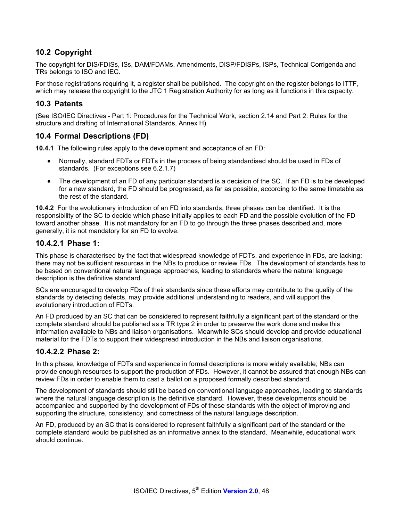## **10.2 Copyright**

The copyright for DIS/FDISs, ISs, DAM/FDAMs, Amendments, DISP/FDISPs, ISPs, Technical Corrigenda and TRs belongs to ISO and IEC.

For those registrations requiring it, a register shall be published. The copyright on the register belongs to ITTF, which may release the copyright to the JTC 1 Registration Authority for as long as it functions in this capacity.

## **10.3 Patents**

(See ISO/IEC Directives - Part 1: Procedures for the Technical Work, section 2.14 and Part 2: Rules for the structure and drafting of International Standards, Annex H)

### **10.4 Formal Descriptions (FD)**

**10.4.1** The following rules apply to the development and acceptance of an FD:

- Normally, standard FDTs or FDTs in the process of being standardised should be used in FDs of standards. (For exceptions see 6.2.1.7)
- The development of an FD of any particular standard is a decision of the SC. If an FD is to be developed for a new standard, the FD should be progressed, as far as possible, according to the same timetable as the rest of the standard.

**10.4.2** For the evolutionary introduction of an FD into standards, three phases can be identified. It is the responsibility of the SC to decide which phase initially applies to each FD and the possible evolution of the FD toward another phase. It is not mandatory for an FD to go through the three phases described and, more generally, it is not mandatory for an FD to evolve.

#### **10.4.2.1 Phase 1:**

This phase is characterised by the fact that widespread knowledge of FDTs, and experience in FDs, are lacking; there may not be sufficient resources in the NBs to produce or review FDs. The development of standards has to be based on conventional natural language approaches, leading to standards where the natural language description is the definitive standard.

SCs are encouraged to develop FDs of their standards since these efforts may contribute to the quality of the standards by detecting defects, may provide additional understanding to readers, and will support the evolutionary introduction of FDTs.

An FD produced by an SC that can be considered to represent faithfully a significant part of the standard or the complete standard should be published as a TR type 2 in order to preserve the work done and make this information available to NBs and liaison organisations. Meanwhile SCs should develop and provide educational material for the FDTs to support their widespread introduction in the NBs and liaison organisations.

### **10.4.2.2 Phase 2:**

In this phase, knowledge of FDTs and experience in formal descriptions is more widely available; NBs can provide enough resources to support the production of FDs. However, it cannot be assured that enough NBs can review FDs in order to enable them to cast a ballot on a proposed formally described standard.

The development of standards should still be based on conventional language approaches, leading to standards where the natural language description is the definitive standard. However, these developments should be accompanied and supported by the development of FDs of these standards with the object of improving and supporting the structure, consistency, and correctness of the natural language description.

An FD, produced by an SC that is considered to represent faithfully a significant part of the standard or the complete standard would be published as an informative annex to the standard. Meanwhile, educational work should continue.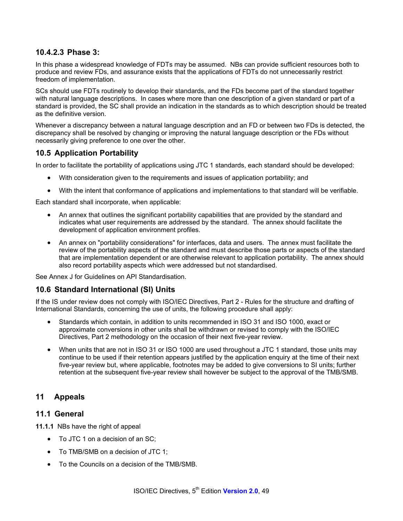### **10.4.2.3 Phase 3:**

In this phase a widespread knowledge of FDTs may be assumed. NBs can provide sufficient resources both to produce and review FDs, and assurance exists that the applications of FDTs do not unnecessarily restrict freedom of implementation.

SCs should use FDTs routinely to develop their standards, and the FDs become part of the standard together with natural language descriptions. In cases where more than one description of a given standard or part of a standard is provided, the SC shall provide an indication in the standards as to which description should be treated as the definitive version.

Whenever a discrepancy between a natural language description and an FD or between two FDs is detected, the discrepancy shall be resolved by changing or improving the natural language description or the FDs without necessarily giving preference to one over the other.

#### **10.5 Application Portability**

In order to facilitate the portability of applications using JTC 1 standards, each standard should be developed:

- With consideration given to the requirements and issues of application portability; and
- With the intent that conformance of applications and implementations to that standard will be verifiable.

Each standard shall incorporate, when applicable:

- An annex that outlines the significant portability capabilities that are provided by the standard and indicates what user requirements are addressed by the standard. The annex should facilitate the development of application environment profiles.
- An annex on "portability considerations" for interfaces, data and users. The annex must facilitate the review of the portability aspects of the standard and must describe those parts or aspects of the standard that are implementation dependent or are otherwise relevant to application portability. The annex should also record portability aspects which were addressed but not standardised.

See Annex J for Guidelines on API Standardisation.

#### **10.6 Standard International (SI) Units**

If the IS under review does not comply with ISO/IEC Directives, Part 2 - Rules for the structure and drafting of International Standards, concerning the use of units, the following procedure shall apply:

- Standards which contain, in addition to units recommended in ISO 31 and ISO 1000, exact or approximate conversions in other units shall be withdrawn or revised to comply with the ISO/IEC Directives, Part 2 methodology on the occasion of their next five-year review.
- When units that are not in ISO 31 or ISO 1000 are used throughout a JTC 1 standard, those units may continue to be used if their retention appears justified by the application enquiry at the time of their next five-year review but, where applicable, footnotes may be added to give conversions to SI units; further retention at the subsequent five-year review shall however be subject to the approval of the TMB/SMB.

### **11 Appeals**

#### **11.1 General**

**11.1.1** NBs have the right of appeal

- To JTC 1 on a decision of an SC;
- To TMB/SMB on a decision of JTC 1;
- To the Councils on a decision of the TMB/SMB.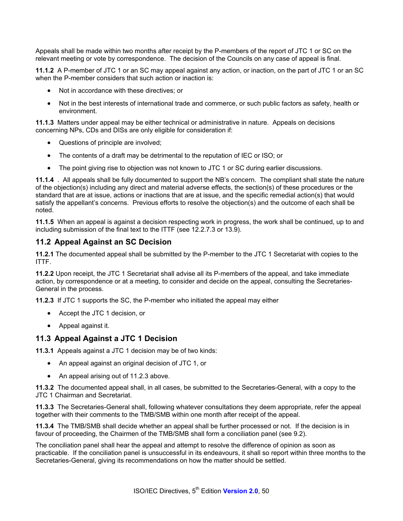Appeals shall be made within two months after receipt by the P-members of the report of JTC 1 or SC on the relevant meeting or vote by correspondence. The decision of the Councils on any case of appeal is final.

**11.1.2** A P-member of JTC 1 or an SC may appeal against any action, or inaction, on the part of JTC 1 or an SC when the P-member considers that such action or inaction is:

- Not in accordance with these directives; or
- Not in the best interests of international trade and commerce, or such public factors as safety, health or environment.

**11.1.3** Matters under appeal may be either technical or administrative in nature. Appeals on decisions concerning NPs, CDs and DISs are only eligible for consideration if:

- Questions of principle are involved;
- The contents of a draft may be detrimental to the reputation of IEC or ISO; or
- The point giving rise to objection was not known to JTC 1 or SC during earlier discussions.

**11.1.4** . All appeals shall be fully documented to support the NB's concern. The compliant shall state the nature of the objection(s) including any direct and material adverse effects, the section(s) of these procedures or the standard that are at issue, actions or inactions that are at issue, and the specific remedial action(s) that would satisfy the appellant's concerns. Previous efforts to resolve the objection(s) and the outcome of each shall be noted.

**11.1.5** When an appeal is against a decision respecting work in progress, the work shall be continued, up to and including submission of the final text to the ITTF (see 12.2.7.3 or 13.9).

#### **11.2 Appeal Against an SC Decision**

**11.2.1** The documented appeal shall be submitted by the P-member to the JTC 1 Secretariat with copies to the ITTF.

**11.2.2** Upon receipt, the JTC 1 Secretariat shall advise all its P-members of the appeal, and take immediate action, by correspondence or at a meeting, to consider and decide on the appeal, consulting the Secretaries-General in the process.

**11.2.3** If JTC 1 supports the SC, the P-member who initiated the appeal may either

- Accept the JTC 1 decision, or
- Appeal against it.

#### **11.3 Appeal Against a JTC 1 Decision**

**11.3.1** Appeals against a JTC 1 decision may be of two kinds:

- An appeal against an original decision of JTC 1, or
- An appeal arising out of 11.2.3 above.

**11.3.2** The documented appeal shall, in all cases, be submitted to the Secretaries-General, with a copy to the JTC 1 Chairman and Secretariat.

**11.3.3** The Secretaries-General shall, following whatever consultations they deem appropriate, refer the appeal together with their comments to the TMB/SMB within one month after receipt of the appeal.

**11.3.4** The TMB/SMB shall decide whether an appeal shall be further processed or not. If the decision is in favour of proceeding, the Chairmen of the TMB/SMB shall form a conciliation panel (see 9.2).

The conciliation panel shall hear the appeal and attempt to resolve the difference of opinion as soon as practicable. If the conciliation panel is unsuccessful in its endeavours, it shall so report within three months to the Secretaries-General, giving its recommendations on how the matter should be settled.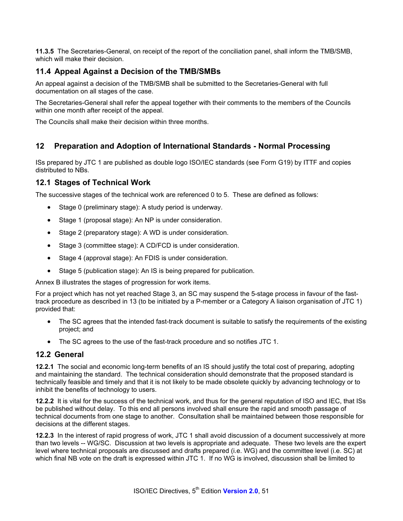**11.3.5** The Secretaries-General, on receipt of the report of the conciliation panel, shall inform the TMB/SMB, which will make their decision.

## **11.4 Appeal Against a Decision of the TMB/SMBs**

An appeal against a decision of the TMB/SMB shall be submitted to the Secretaries-General with full documentation on all stages of the case.

The Secretaries-General shall refer the appeal together with their comments to the members of the Councils within one month after receipt of the appeal.

The Councils shall make their decision within three months.

### **12 Preparation and Adoption of International Standards - Normal Processing**

ISs prepared by JTC 1 are published as double logo ISO/IEC standards (see Form G19) by ITTF and copies distributed to NBs.

#### **12.1 Stages of Technical Work**

The successive stages of the technical work are referenced 0 to 5. These are defined as follows:

- Stage 0 (preliminary stage): A study period is underway.
- Stage 1 (proposal stage): An NP is under consideration.
- Stage 2 (preparatory stage): A WD is under consideration.
- Stage 3 (committee stage): A CD/FCD is under consideration.
- Stage 4 (approval stage): An FDIS is under consideration.
- Stage 5 (publication stage): An IS is being prepared for publication.

Annex B illustrates the stages of progression for work items.

For a project which has not yet reached Stage 3, an SC may suspend the 5-stage process in favour of the fasttrack procedure as described in 13 (to be initiated by a P-member or a Category A liaison organisation of JTC 1) provided that:

- The SC agrees that the intended fast-track document is suitable to satisfy the requirements of the existing project; and
- The SC agrees to the use of the fast-track procedure and so notifies JTC 1.

#### **12.2 General**

**12.2.1** The social and economic long-term benefits of an IS should justify the total cost of preparing, adopting and maintaining the standard. The technical consideration should demonstrate that the proposed standard is technically feasible and timely and that it is not likely to be made obsolete quickly by advancing technology or to inhibit the benefits of technology to users.

**12.2.2** It is vital for the success of the technical work, and thus for the general reputation of ISO and IEC, that ISs be published without delay. To this end all persons involved shall ensure the rapid and smooth passage of technical documents from one stage to another. Consultation shall be maintained between those responsible for decisions at the different stages.

**12.2.3** In the interest of rapid progress of work, JTC 1 shall avoid discussion of a document successively at more than two levels -- WG/SC. Discussion at two levels is appropriate and adequate. These two levels are the expert level where technical proposals are discussed and drafts prepared (i.e. WG) and the committee level (i.e. SC) at which final NB vote on the draft is expressed within JTC 1. If no WG is involved, discussion shall be limited to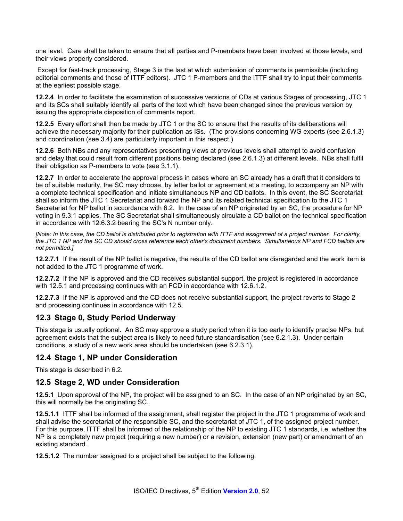one level. Care shall be taken to ensure that all parties and P-members have been involved at those levels, and their views properly considered.

 Except for fast-track processing, Stage 3 is the last at which submission of comments is permissible (including editorial comments and those of ITTF editors). JTC 1 P-members and the ITTF shall try to input their comments at the earliest possible stage.

**12.2.4** In order to facilitate the examination of successive versions of CDs at various Stages of processing, JTC 1 and its SCs shall suitably identify all parts of the text which have been changed since the previous version by issuing the appropriate disposition of comments report.

**12.2.5** Every effort shall then be made by JTC 1 or the SC to ensure that the results of its deliberations will achieve the necessary majority for their publication as ISs. (The provisions concerning WG experts (see 2.6.1.3) and coordination (see 3.4) are particularly important in this respect.)

**12.2.6** Both NBs and any representatives presenting views at previous levels shall attempt to avoid confusion and delay that could result from different positions being declared (see 2.6.1.3) at different levels. NBs shall fulfil their obligation as P-members to vote (see 3.1.1).

**12.2.7** In order to accelerate the approval process in cases where an SC already has a draft that it considers to be of suitable maturity, the SC may choose, by letter ballot or agreement at a meeting, to accompany an NP with a complete technical specification and initiate simultaneous NP and CD ballots. In this event, the SC Secretariat shall so inform the JTC 1 Secretariat and forward the NP and its related technical specification to the JTC 1 Secretariat for NP ballot in accordance with 6.2. In the case of an NP originated by an SC, the procedure for NP voting in 9.3.1 applies. The SC Secretariat shall simultaneously circulate a CD ballot on the technical specification in accordance with 12.6.3.2 bearing the SC's N number only.

*[Note: In this case, the CD ballot is distributed prior to registration with ITTF and assignment of a project number. For clarity, the JTC 1 NP and the SC CD should cross reference each other's document numbers. Simultaneous NP and FCD ballots are not permitted.]* 

**12.2.7.1** If the result of the NP ballot is negative, the results of the CD ballot are disregarded and the work item is not added to the JTC 1 programme of work.

**12.2.7.2** If the NP is approved and the CD receives substantial support, the project is registered in accordance with 12.5.1 and processing continues with an FCD in accordance with 12.6.1.2.

**12.2.7.3** If the NP is approved and the CD does not receive substantial support, the project reverts to Stage 2 and processing continues in accordance with 12.5.

### **12.3 Stage 0, Study Period Underway**

This stage is usually optional. An SC may approve a study period when it is too early to identify precise NPs, but agreement exists that the subject area is likely to need future standardisation (see 6.2.1.3). Under certain conditions, a study of a new work area should be undertaken (see 6.2.3.1).

### **12.4 Stage 1, NP under Consideration**

This stage is described in 6.2.

### **12.5 Stage 2, WD under Consideration**

**12.5.1** Upon approval of the NP, the project will be assigned to an SC. In the case of an NP originated by an SC, this will normally be the originating SC.

**12.5.1.1** ITTF shall be informed of the assignment, shall register the project in the JTC 1 programme of work and shall advise the secretariat of the responsible SC, and the secretariat of JTC 1, of the assigned project number. For this purpose, ITTF shall be informed of the relationship of the NP to existing JTC 1 standards, i.e. whether the NP is a completely new project (requiring a new number) or a revision, extension (new part) or amendment of an existing standard.

**12.5.1.2** The number assigned to a project shall be subject to the following: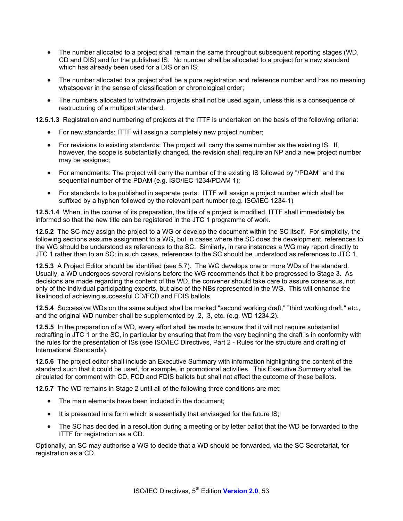- The number allocated to a project shall remain the same throughout subsequent reporting stages (WD, CD and DIS) and for the published IS. No number shall be allocated to a project for a new standard which has already been used for a DIS or an IS;
- The number allocated to a project shall be a pure registration and reference number and has no meaning whatsoever in the sense of classification or chronological order;
- The numbers allocated to withdrawn projects shall not be used again, unless this is a consequence of restructuring of a multipart standard.

**12.5.1.3** Registration and numbering of projects at the ITTF is undertaken on the basis of the following criteria:

- For new standards: ITTF will assign a completely new project number;
- For revisions to existing standards: The project will carry the same number as the existing IS. If, however, the scope is substantially changed, the revision shall require an NP and a new project number may be assigned;
- For amendments: The project will carry the number of the existing IS followed by "/PDAM" and the sequential number of the PDAM (e.g. ISO/IEC 1234/PDAM 1);
- For standards to be published in separate parts: ITTF will assign a project number which shall be suffixed by a hyphen followed by the relevant part number (e.g. ISO/IEC 1234-1)

**12.5.1.4** When, in the course of its preparation, the title of a project is modified, ITTF shall immediately be informed so that the new title can be registered in the JTC 1 programme of work.

**12.5.2** The SC may assign the project to a WG or develop the document within the SC itself. For simplicity, the following sections assume assignment to a WG, but in cases where the SC does the development, references to the WG should be understood as references to the SC. Similarly, in rare instances a WG may report directly to JTC 1 rather than to an SC; in such cases, references to the SC should be understood as references to JTC 1.

**12.5.3** A Project Editor should be identified (see 5.7). The WG develops one or more WDs of the standard. Usually, a WD undergoes several revisions before the WG recommends that it be progressed to Stage 3. As decisions are made regarding the content of the WD, the convener should take care to assure consensus, not only of the individual participating experts, but also of the NBs represented in the WG. This will enhance the likelihood of achieving successful CD/FCD and FDIS ballots.

**12.5.4** Successive WDs on the same subject shall be marked "second working draft," "third working draft," etc., and the original WD number shall be supplemented by .2, .3, etc. (e.g. WD 1234.2).

**12.5.5** In the preparation of a WD, every effort shall be made to ensure that it will not require substantial redrafting in JTC 1 or the SC, in particular by ensuring that from the very beginning the draft is in conformity with the rules for the presentation of ISs (see ISO/IEC Directives, Part 2 - Rules for the structure and drafting of International Standards).

**12.5.6** The project editor shall include an Executive Summary with information highlighting the content of the standard such that it could be used, for example, in promotional activities. This Executive Summary shall be circulated for comment with CD, FCD and FDIS ballots but shall not affect the outcome of these ballots.

**12.5.7** The WD remains in Stage 2 until all of the following three conditions are met:

- The main elements have been included in the document:
- It is presented in a form which is essentially that envisaged for the future IS;
- The SC has decided in a resolution during a meeting or by letter ballot that the WD be forwarded to the ITTF for registration as a CD.

Optionally, an SC may authorise a WG to decide that a WD should be forwarded, via the SC Secretariat, for registration as a CD.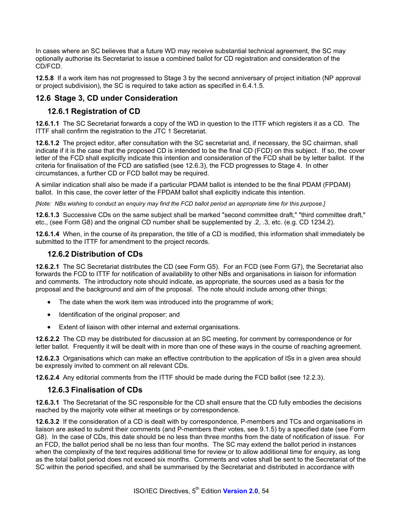In cases where an SC believes that a future WD may receive substantial technical agreement, the SC may optionally authorise its Secretariat to issue a combined ballot for CD registration and consideration of the CD/FCD.

**12.5.8** If a work item has not progressed to Stage 3 by the second anniversary of project initiation (NP approval or project subdivision), the SC is required to take action as specified in 6.4.1.5.

# **12.6 Stage 3, CD under Consideration**

## **12.6.1 Registration of CD**

**12.6.1.1** The SC Secretariat forwards a copy of the WD in question to the ITTF which registers it as a CD. The ITTF shall confirm the registration to the JTC 1 Secretariat.

**12.6.1.2** The project editor, after consultation with the SC secretariat and, if necessary, the SC chairman, shall indicate if it is the case that the proposed CD is intended to be the final CD (FCD) on this subject. If so, the cover letter of the FCD shall explicitly indicate this intention and consideration of the FCD shall be by letter ballot. If the criteria for finalisation of the FCD are satisfied (see 12.6.3), the FCD progresses to Stage 4. In other circumstances, a further CD or FCD ballot may be required.

A similar indication shall also be made if a particular PDAM ballot is intended to be the final PDAM (FPDAM) ballot. In this case, the cover letter of the FPDAM ballot shall explicitly indicate this intention.

*[Note: NBs wishing to conduct an enquiry may find the FCD ballot period an appropriate time for this purpose.]* 

**12.6.1.3** Successive CDs on the same subject shall be marked "second committee draft," "third committee draft," etc., (see Form G8) and the original CD number shall be supplemented by .2, .3, etc. (e.g. CD 1234.2).

**12.6.1.4** When, in the course of its preparation, the title of a CD is modified, this information shall immediately be submitted to the ITTF for amendment to the project records.

### **12.6.2 Distribution of CDs**

**12.6.2.1** The SC Secretariat distributes the CD (see Form G5). For an FCD (see Form G7), the Secretariat also forwards the FCD to ITTF for notification of availability to other NBs and organisations in liaison for information and comments. The introductory note should indicate, as appropriate, the sources used as a basis for the proposal and the background and aim of the proposal. The note should include among other things:

- The date when the work item was introduced into the programme of work;
- Identification of the original proposer; and
- Extent of liaison with other internal and external organisations.

**12.6.2.2** The CD may be distributed for discussion at an SC meeting, for comment by correspondence or for letter ballot. Frequently it will be dealt with in more than one of these ways in the course of reaching agreement.

**12.6.2.3** Organisations which can make an effective contribution to the application of ISs in a given area should be expressly invited to comment on all relevant CDs.

**12.6.2.4** Any editorial comments from the ITTF should be made during the FCD ballot (see 12.2.3).

#### **12.6.3 Finalisation of CDs**

**12.6.3.1** The Secretariat of the SC responsible for the CD shall ensure that the CD fully embodies the decisions reached by the majority vote either at meetings or by correspondence.

**12.6.3.2** If the consideration of a CD is dealt with by correspondence, P-members and TCs and organisations in liaison are asked to submit their comments (and P-members their votes, see 9.1.5) by a specified date (see Form G8). In the case of CDs, this date should be no less than three months from the date of notification of issue. For an FCD, the ballot period shall be no less than four months. The SC may extend the ballot period in instances when the complexity of the text requires additional time for review or to allow additional time for enquiry, as long as the total ballot period does not exceed six months. Comments and votes shall be sent to the Secretariat of the SC within the period specified, and shall be summarised by the Secretariat and distributed in accordance with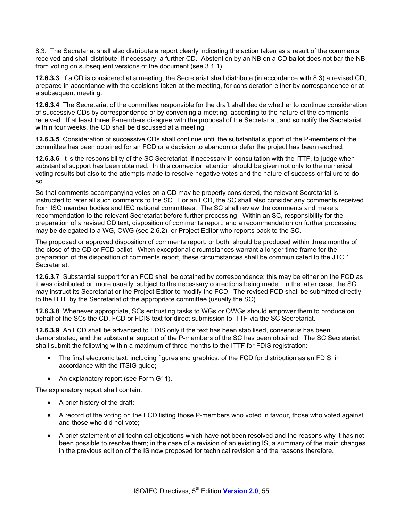8.3. The Secretariat shall also distribute a report clearly indicating the action taken as a result of the comments received and shall distribute, if necessary, a further CD. Abstention by an NB on a CD ballot does not bar the NB from voting on subsequent versions of the document (see 3.1.1).

**12.6.3.3** If a CD is considered at a meeting, the Secretariat shall distribute (in accordance with 8.3) a revised CD, prepared in accordance with the decisions taken at the meeting, for consideration either by correspondence or at a subsequent meeting.

**12.6.3.4** The Secretariat of the committee responsible for the draft shall decide whether to continue consideration of successive CDs by correspondence or by convening a meeting, according to the nature of the comments received. If at least three P-members disagree with the proposal of the Secretariat, and so notify the Secretariat within four weeks, the CD shall be discussed at a meeting.

**12.6.3.5** Consideration of successive CDs shall continue until the substantial support of the P-members of the committee has been obtained for an FCD or a decision to abandon or defer the project has been reached.

**12.6.3.6** It is the responsibility of the SC Secretariat, if necessary in consultation with the ITTF, to judge when substantial support has been obtained. In this connection attention should be given not only to the numerical voting results but also to the attempts made to resolve negative votes and the nature of success or failure to do so.

So that comments accompanying votes on a CD may be properly considered, the relevant Secretariat is instructed to refer all such comments to the SC. For an FCD, the SC shall also consider any comments received from ISO member bodies and IEC national committees. The SC shall review the comments and make a recommendation to the relevant Secretariat before further processing. Within an SC, responsibility for the preparation of a revised CD text, disposition of comments report, and a recommendation on further processing may be delegated to a WG, OWG (see 2.6.2), or Project Editor who reports back to the SC.

The proposed or approved disposition of comments report, or both, should be produced within three months of the close of the CD or FCD ballot. When exceptional circumstances warrant a longer time frame for the preparation of the disposition of comments report, these circumstances shall be communicated to the JTC 1 Secretariat.

**12.6.3.7** Substantial support for an FCD shall be obtained by correspondence; this may be either on the FCD as it was distributed or, more usually, subject to the necessary corrections being made. In the latter case, the SC may instruct its Secretariat or the Project Editor to modify the FCD. The revised FCD shall be submitted directly to the ITTF by the Secretariat of the appropriate committee (usually the SC).

**12.6.3.8** Whenever appropriate, SCs entrusting tasks to WGs or OWGs should empower them to produce on behalf of the SCs the CD, FCD or FDIS text for direct submission to ITTF via the SC Secretariat.

**12.6.3.9** An FCD shall be advanced to FDIS only if the text has been stabilised, consensus has been demonstrated, and the substantial support of the P-members of the SC has been obtained. The SC Secretariat shall submit the following within a maximum of three months to the ITTF for FDIS registration:

- The final electronic text, including figures and graphics, of the FCD for distribution as an FDIS, in accordance with the ITSIG guide;
- An explanatory report (see Form G11).

The explanatory report shall contain:

- A brief history of the draft;
- A record of the voting on the FCD listing those P-members who voted in favour, those who voted against and those who did not vote;
- A brief statement of all technical objections which have not been resolved and the reasons why it has not been possible to resolve them; in the case of a revision of an existing IS, a summary of the main changes in the previous edition of the IS now proposed for technical revision and the reasons therefore.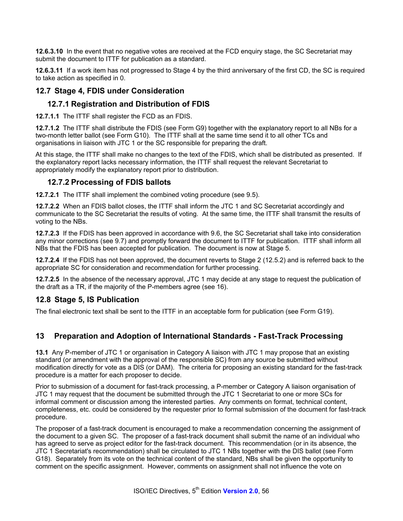**12.6.3.10** In the event that no negative votes are received at the FCD enquiry stage, the SC Secretariat may submit the document to ITTF for publication as a standard.

**12.6.3.11** If a work item has not progressed to Stage 4 by the third anniversary of the first CD, the SC is required to take action as specified in 0.

#### **12.7 Stage 4, FDIS under Consideration**

### **12.7.1 Registration and Distribution of FDIS**

**12.7.1.1** The ITTF shall register the FCD as an FDIS.

**12.7.1.2** The ITTF shall distribute the FDIS (see Form G9) together with the explanatory report to all NBs for a two-month letter ballot (see Form G10). The ITTF shall at the same time send it to all other TCs and organisations in liaison with JTC 1 or the SC responsible for preparing the draft.

At this stage, the ITTF shall make no changes to the text of the FDIS, which shall be distributed as presented. If the explanatory report lacks necessary information, the ITTF shall request the relevant Secretariat to appropriately modify the explanatory report prior to distribution.

#### **12.7.2 Processing of FDIS ballots**

**12.7.2.1** The ITTF shall implement the combined voting procedure (see 9.5).

**12.7.2.2** When an FDIS ballot closes, the ITTF shall inform the JTC 1 and SC Secretariat accordingly and communicate to the SC Secretariat the results of voting. At the same time, the ITTF shall transmit the results of voting to the NBs.

**12.7.2.3** If the FDIS has been approved in accordance with 9.6, the SC Secretariat shall take into consideration any minor corrections (see 9.7) and promptly forward the document to ITTF for publication. ITTF shall inform all NBs that the FDIS has been accepted for publication. The document is now at Stage 5.

**12.7.2.4** If the FDIS has not been approved, the document reverts to Stage 2 (12.5.2) and is referred back to the appropriate SC for consideration and recommendation for further processing.

**12.7.2.5** In the absence of the necessary approval, JTC 1 may decide at any stage to request the publication of the draft as a TR, if the majority of the P-members agree (see 16).

### **12.8 Stage 5, IS Publication**

The final electronic text shall be sent to the ITTF in an acceptable form for publication (see Form G19).

### **13 Preparation and Adoption of International Standards - Fast-Track Processing**

**13.1** Any P-member of JTC 1 or organisation in Category A liaison with JTC 1 may propose that an existing standard (or amendment with the approval of the responsible SC) from any source be submitted without modification directly for vote as a DIS (or DAM). The criteria for proposing an existing standard for the fast-track procedure is a matter for each proposer to decide.

Prior to submission of a document for fast-track processing, a P-member or Category A liaison organisation of JTC 1 may request that the document be submitted through the JTC 1 Secretariat to one or more SCs for informal comment or discussion among the interested parties. Any comments on format, technical content, completeness, etc. could be considered by the requester prior to formal submission of the document for fast-track procedure.

The proposer of a fast-track document is encouraged to make a recommendation concerning the assignment of the document to a given SC. The proposer of a fast-track document shall submit the name of an individual who has agreed to serve as project editor for the fast-track document. This recommendation (or in its absence, the JTC 1 Secretariat's recommendation) shall be circulated to JTC 1 NBs together with the DIS ballot (see Form G18). Separately from its vote on the technical content of the standard, NBs shall be given the opportunity to comment on the specific assignment. However, comments on assignment shall not influence the vote on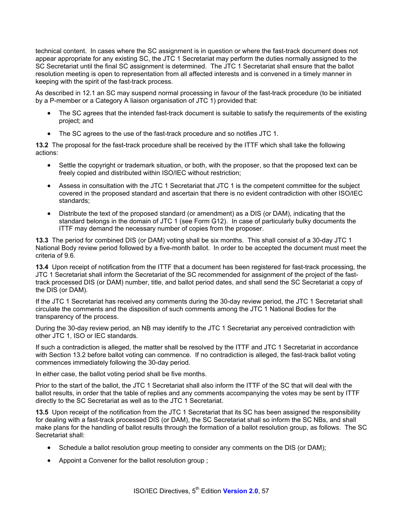technical content. In cases where the SC assignment is in question or where the fast-track document does not appear appropriate for any existing SC, the JTC 1 Secretariat may perform the duties normally assigned to the SC Secretariat until the final SC assignment is determined. The JTC 1 Secretariat shall ensure that the ballot resolution meeting is open to representation from all affected interests and is convened in a timely manner in keeping with the spirit of the fast-track process.

As described in 12.1 an SC may suspend normal processing in favour of the fast-track procedure (to be initiated by a P-member or a Category A liaison organisation of JTC 1) provided that:

- The SC agrees that the intended fast-track document is suitable to satisfy the requirements of the existing project; and
- The SC agrees to the use of the fast-track procedure and so notifies JTC 1.

**13.2** The proposal for the fast-track procedure shall be received by the ITTF which shall take the following actions:

- Settle the copyright or trademark situation, or both, with the proposer, so that the proposed text can be freely copied and distributed within ISO/IEC without restriction;
- Assess in consultation with the JTC 1 Secretariat that JTC 1 is the competent committee for the subject covered in the proposed standard and ascertain that there is no evident contradiction with other ISO/IEC standards;
- Distribute the text of the proposed standard (or amendment) as a DIS (or DAM), indicating that the standard belongs in the domain of JTC 1 (see Form G12). In case of particularly bulky documents the ITTF may demand the necessary number of copies from the proposer.

**13.3** The period for combined DIS (or DAM) voting shall be six months. This shall consist of a 30-day JTC 1 National Body review period followed by a five-month ballot. In order to be accepted the document must meet the criteria of 9.6.

**13.4** Upon receipt of notification from the ITTF that a document has been registered for fast-track processing, the JTC 1 Secretariat shall inform the Secretariat of the SC recommended for assignment of the project of the fasttrack processed DIS (or DAM) number, title, and ballot period dates, and shall send the SC Secretariat a copy of the DIS (or DAM).

If the JTC 1 Secretariat has received any comments during the 30-day review period, the JTC 1 Secretariat shall circulate the comments and the disposition of such comments among the JTC 1 National Bodies for the transparency of the process.

During the 30-day review period, an NB may identify to the JTC 1 Secretariat any perceived contradiction with other JTC 1, ISO or IEC standards.

If such a contradiction is alleged, the matter shall be resolved by the ITTF and JTC 1 Secretariat in accordance with Section 13.2 before ballot voting can commence. If no contradiction is alleged, the fast-track ballot voting commences immediately following the 30-day period.

In either case, the ballot voting period shall be five months.

Prior to the start of the ballot, the JTC 1 Secretariat shall also inform the ITTF of the SC that will deal with the ballot results, in order that the table of replies and any comments accompanying the votes may be sent by ITTF directly to the SC Secretariat as well as to the JTC 1 Secretariat.

**13.5** Upon receipt of the notification from the JTC 1 Secretariat that its SC has been assigned the responsibility for dealing with a fast-track processed DIS (or DAM), the SC Secretariat shall so inform the SC NBs, and shall make plans for the handling of ballot results through the formation of a ballot resolution group, as follows. The SC Secretariat shall:

- Schedule a ballot resolution group meeting to consider any comments on the DIS (or DAM);
- Appoint a Convener for the ballot resolution group ;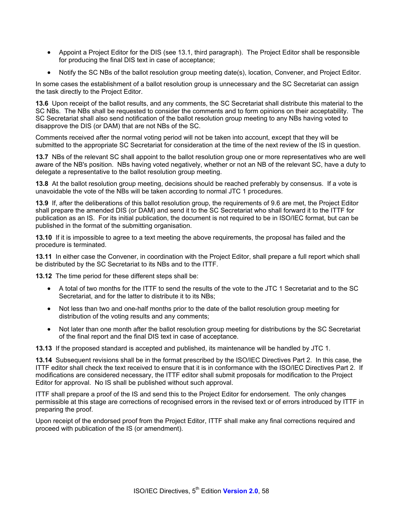- Appoint a Project Editor for the DIS (see 13.1, third paragraph). The Project Editor shall be responsible for producing the final DIS text in case of acceptance;
- Notify the SC NBs of the ballot resolution group meeting date(s), location, Convener, and Project Editor.

In some cases the establishment of a ballot resolution group is unnecessary and the SC Secretariat can assign the task directly to the Project Editor.

**13.6** Upon receipt of the ballot results, and any comments, the SC Secretariat shall distribute this material to the SC NBs. The NBs shall be requested to consider the comments and to form opinions on their acceptability. The SC Secretariat shall also send notification of the ballot resolution group meeting to any NBs having voted to disapprove the DIS (or DAM) that are not NBs of the SC.

Comments received after the normal voting period will not be taken into account, except that they will be submitted to the appropriate SC Secretariat for consideration at the time of the next review of the IS in question.

**13.7** NBs of the relevant SC shall appoint to the ballot resolution group one or more representatives who are well aware of the NB's position. NBs having voted negatively, whether or not an NB of the relevant SC, have a duty to delegate a representative to the ballot resolution group meeting.

**13.8** At the ballot resolution group meeting, decisions should be reached preferably by consensus. If a vote is unavoidable the vote of the NBs will be taken according to normal JTC 1 procedures.

**13.9** If, after the deliberations of this ballot resolution group, the requirements of 9.6 are met, the Project Editor shall prepare the amended DIS (or DAM) and send it to the SC Secretariat who shall forward it to the ITTF for publication as an IS. For its initial publication, the document is not required to be in ISO/IEC format, but can be published in the format of the submitting organisation.

**13.10** If it is impossible to agree to a text meeting the above requirements, the proposal has failed and the procedure is terminated.

**13.11** In either case the Convener, in coordination with the Project Editor, shall prepare a full report which shall be distributed by the SC Secretariat to its NBs and to the ITTF.

**13.12** The time period for these different steps shall be:

- A total of two months for the ITTF to send the results of the vote to the JTC 1 Secretariat and to the SC Secretariat, and for the latter to distribute it to its NBs;
- Not less than two and one-half months prior to the date of the ballot resolution group meeting for distribution of the voting results and any comments;
- Not later than one month after the ballot resolution group meeting for distributions by the SC Secretariat of the final report and the final DIS text in case of acceptance.

**13.13** If the proposed standard is accepted and published, its maintenance will be handled by JTC 1.

**13.14** Subsequent revisions shall be in the format prescribed by the ISO/IEC Directives Part 2. In this case, the ITTF editor shall check the text received to ensure that it is in conformance with the ISO/IEC Directives Part 2. If modifications are considered necessary, the ITTF editor shall submit proposals for modification to the Project Editor for approval. No IS shall be published without such approval.

ITTF shall prepare a proof of the IS and send this to the Project Editor for endorsement. The only changes permissible at this stage are corrections of recognised errors in the revised text or of errors introduced by ITTF in preparing the proof.

Upon receipt of the endorsed proof from the Project Editor, ITTF shall make any final corrections required and proceed with publication of the IS (or amendment).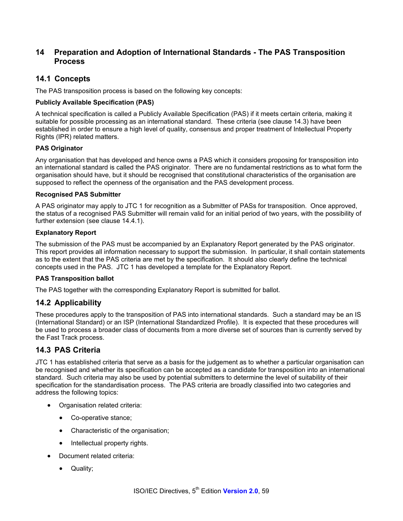## **14 Preparation and Adoption of International Standards - The PAS Transposition Process**

## **14.1 Concepts**

The PAS transposition process is based on the following key concepts:

#### **Publicly Available Specification (PAS)**

A technical specification is called a Publicly Available Specification (PAS) if it meets certain criteria, making it suitable for possible processing as an international standard. These criteria (see clause 14.3) have been established in order to ensure a high level of quality, consensus and proper treatment of Intellectual Property Rights (IPR) related matters.

#### **PAS Originator**

Any organisation that has developed and hence owns a PAS which it considers proposing for transposition into an international standard is called the PAS originator. There are no fundamental restrictions as to what form the organisation should have, but it should be recognised that constitutional characteristics of the organisation are supposed to reflect the openness of the organisation and the PAS development process.

#### **Recognised PAS Submitter**

A PAS originator may apply to JTC 1 for recognition as a Submitter of PASs for transposition. Once approved, the status of a recognised PAS Submitter will remain valid for an initial period of two years, with the possibility of further extension (see clause 14.4.1).

#### **Explanatory Report**

The submission of the PAS must be accompanied by an Explanatory Report generated by the PAS originator. This report provides all information necessary to support the submission. In particular, it shall contain statements as to the extent that the PAS criteria are met by the specification. It should also clearly define the technical concepts used in the PAS. JTC 1 has developed a template for the Explanatory Report.

#### **PAS Transposition ballot**

The PAS together with the corresponding Explanatory Report is submitted for ballot.

### **14.2 Applicability**

These procedures apply to the transposition of PAS into international standards. Such a standard may be an IS (International Standard) or an ISP (International Standardized Profile). It is expected that these procedures will be used to process a broader class of documents from a more diverse set of sources than is currently served by the Fast Track process.

### **14.3 PAS Criteria**

JTC 1 has established criteria that serve as a basis for the judgement as to whether a particular organisation can be recognised and whether its specification can be accepted as a candidate for transposition into an international standard. Such criteria may also be used by potential submitters to determine the level of suitability of their specification for the standardisation process. The PAS criteria are broadly classified into two categories and address the following topics:

- Organisation related criteria:
	- Co-operative stance;
	- Characteristic of the organisation;
	- Intellectual property rights.
- Document related criteria:
	- Quality;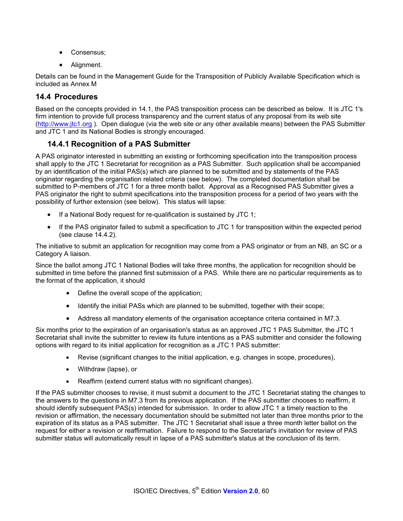- Consensus;
- Alignment.

Details can be found in the Management Guide for the Transposition of Publicly Available Specification which is included as Annex M

#### **14.4 Procedures**

Based on the concepts provided in 14.1, the PAS transposition process can be described as below. It is JTC 1's firm intention to provide full process transparency and the current status of any proposal from its web site (http://www.jtc1.org ). Open dialogue (via the web site or any other available means) between the PAS Submitter and JTC 1 and its National Bodies is strongly encouraged.

### **14.4.1 Recognition of a PAS Submitter**

A PAS originator interested in submitting an existing or forthcoming specification into the transposition process shall apply to the JTC 1 Secretariat for recognition as a PAS Submitter. Such application shall be accompanied by an identification of the initial PAS(s) which are planned to be submitted and by statements of the PAS originator regarding the organisation related criteria (see below). The completed documentation shall be submitted to P-members of JTC 1 for a three month ballot. Approval as a Recognised PAS Submitter gives a PAS originator the right to submit specifications into the transposition process for a period of two years with the possibility of further extension (see below). This status will lapse:

- If a National Body request for re-qualification is sustained by JTC 1;
- If the PAS originator failed to submit a specification to JTC 1 for transposition within the expected period (see clause 14.4.2).

The initiative to submit an application for recognition may come from a PAS originator or from an NB, an SC or a Category A liaison.

Since the ballot among JTC 1 National Bodies will take three months, the application for recognition should be submitted in time before the planned first submission of a PAS. While there are no particular requirements as to the format of the application, it should

- Define the overall scope of the application;
- Identify the initial PASs which are planned to be submitted, together with their scope;
- Address all mandatory elements of the organisation acceptance criteria contained in M7.3.

Six months prior to the expiration of an organisation's status as an approved JTC 1 PAS Submitter, the JTC 1 Secretariat shall invite the submitter to review its future intentions as a PAS submitter and consider the following options with regard to its initial application for recognition as a JTC 1 PAS submitter:

- Revise (significant changes to the initial application, e.g. changes in scope, procedures),
- Withdraw (lapse), or
- Reaffirm (extend current status with no significant changes).

If the PAS submitter chooses to revise, it must submit a document to the JTC 1 Secretariat stating the changes to the answers to the questions in M7.3 from its previous application. If the PAS submitter chooses to reaffirm, it should identify subsequent PAS(s) intended for submission. In order to allow JTC 1 a timely reaction to the revision or affirmation, the necessary documentation should be submitted not later than three months prior to the expiration of its status as a PAS submitter. The JTC 1 Secretariat shall issue a three month letter ballot on the request for either a revision or reaffirmation. Failure to respond to the Secretariat's invitation for review of PAS submitter status will automatically result in lapse of a PAS submitter's status at the conclusion of its term.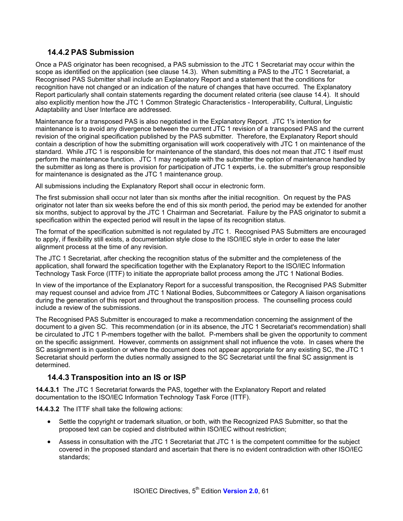### **14.4.2 PAS Submission**

Once a PAS originator has been recognised, a PAS submission to the JTC 1 Secretariat may occur within the scope as identified on the application (see clause 14.3). When submitting a PAS to the JTC 1 Secretariat, a Recognised PAS Submitter shall include an Explanatory Report and a statement that the conditions for recognition have not changed or an indication of the nature of changes that have occurred. The Explanatory Report particularly shall contain statements regarding the document related criteria (see clause 14.4). It should also explicitly mention how the JTC 1 Common Strategic Characteristics - Interoperability, Cultural, Linguistic Adaptability and User Interface are addressed.

Maintenance for a transposed PAS is also negotiated in the Explanatory Report. JTC 1's intention for maintenance is to avoid any divergence between the current JTC 1 revision of a transposed PAS and the current revision of the original specification published by the PAS submitter. Therefore, the Explanatory Report should contain a description of how the submitting organisation will work cooperatively with JTC 1 on maintenance of the standard. While JTC 1 is responsible for maintenance of the standard, this does not mean that JTC 1 itself must perform the maintenance function. JTC 1 may negotiate with the submitter the option of maintenance handled by the submitter as long as there is provision for participation of JTC 1 experts, i.e. the submitter's group responsible for maintenance is designated as the JTC 1 maintenance group.

All submissions including the Explanatory Report shall occur in electronic form.

The first submission shall occur not later than six months after the initial recognition. On request by the PAS originator not later than six weeks before the end of this six month period, the period may be extended for another six months, subject to approval by the JTC 1 Chairman and Secretariat. Failure by the PAS originator to submit a specification within the expected period will result in the lapse of its recognition status.

The format of the specification submitted is not regulated by JTC 1. Recognised PAS Submitters are encouraged to apply, if flexibility still exists, a documentation style close to the ISO/IEC style in order to ease the later alignment process at the time of any revision.

The JTC 1 Secretariat, after checking the recognition status of the submitter and the completeness of the application, shall forward the specification together with the Explanatory Report to the ISO/IEC Information Technology Task Force (ITTF) to initiate the appropriate ballot process among the JTC 1 National Bodies.

In view of the importance of the Explanatory Report for a successful transposition, the Recognised PAS Submitter may request counsel and advice from JTC 1 National Bodies, Subcommittees or Category A liaison organisations during the generation of this report and throughout the transposition process. The counselling process could include a review of the submissions.

The Recognised PAS Submitter is encouraged to make a recommendation concerning the assignment of the document to a given SC. This recommendation (or in its absence, the JTC 1 Secretariat's recommendation) shall be circulated to JTC 1 P-members together with the ballot. P-members shall be given the opportunity to comment on the specific assignment. However, comments on assignment shall not influence the vote. In cases where the SC assignment is in question or where the document does not appear appropriate for any existing SC, the JTC 1 Secretariat should perform the duties normally assigned to the SC Secretariat until the final SC assignment is determined.

### **14.4.3 Transposition into an IS or ISP**

**14.4.3.1** The JTC 1 Secretariat forwards the PAS, together with the Explanatory Report and related documentation to the ISO/IEC Information Technology Task Force (ITTF).

**14.4.3.2** The ITTF shall take the following actions:

- Settle the copyright or trademark situation, or both, with the Recognized PAS Submitter, so that the proposed text can be copied and distributed within ISO/IEC without restriction;
- Assess in consultation with the JTC 1 Secretariat that JTC 1 is the competent committee for the subject covered in the proposed standard and ascertain that there is no evident contradiction with other ISO/IEC standards;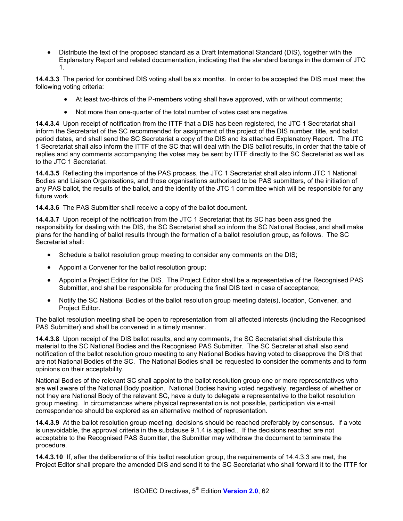• Distribute the text of the proposed standard as a Draft International Standard (DIS), together with the Explanatory Report and related documentation, indicating that the standard belongs in the domain of JTC 1.

**14.4.3.3** The period for combined DIS voting shall be six months. In order to be accepted the DIS must meet the following voting criteria:

- At least two-thirds of the P-members voting shall have approved, with or without comments;
- Not more than one-quarter of the total number of votes cast are negative.

**14.4.3.4** Upon receipt of notification from the ITTF that a DIS has been registered, the JTC 1 Secretariat shall inform the Secretariat of the SC recommended for assignment of the project of the DIS number, title, and ballot period dates, and shall send the SC Secretariat a copy of the DIS and its attached Explanatory Report. The JTC 1 Secretariat shall also inform the ITTF of the SC that will deal with the DIS ballot results, in order that the table of replies and any comments accompanying the votes may be sent by ITTF directly to the SC Secretariat as well as to the JTC 1 Secretariat.

**14.4.3.5** Reflecting the importance of the PAS process, the JTC 1 Secretariat shall also inform JTC 1 National Bodies and Liaison Organisations, and those organisations authorised to be PAS submitters, of the initiation of any PAS ballot, the results of the ballot, and the identity of the JTC 1 committee which will be responsible for any future work.

**14.4.3.6** The PAS Submitter shall receive a copy of the ballot document.

**14.4.3.7** Upon receipt of the notification from the JTC 1 Secretariat that its SC has been assigned the responsibility for dealing with the DIS, the SC Secretariat shall so inform the SC National Bodies, and shall make plans for the handling of ballot results through the formation of a ballot resolution group, as follows. The SC Secretariat shall:

- Schedule a ballot resolution group meeting to consider any comments on the DIS;
- Appoint a Convener for the ballot resolution group;
- Appoint a Project Editor for the DIS. The Project Editor shall be a representative of the Recognised PAS Submitter, and shall be responsible for producing the final DIS text in case of acceptance;
- Notify the SC National Bodies of the ballot resolution group meeting date(s), location, Convener, and Project Editor.

The ballot resolution meeting shall be open to representation from all affected interests (including the Recognised PAS Submitter) and shall be convened in a timely manner.

**14.4.3.8** Upon receipt of the DIS ballot results, and any comments, the SC Secretariat shall distribute this material to the SC National Bodies and the Recognised PAS Submitter. The SC Secretariat shall also send notification of the ballot resolution group meeting to any National Bodies having voted to disapprove the DIS that are not National Bodies of the SC. The National Bodies shall be requested to consider the comments and to form opinions on their acceptability.

National Bodies of the relevant SC shall appoint to the ballot resolution group one or more representatives who are well aware of the National Body position. National Bodies having voted negatively, regardless of whether or not they are National Body of the relevant SC, have a duty to delegate a representative to the ballot resolution group meeting. In circumstances where physical representation is not possible, participation via e-mail correspondence should be explored as an alternative method of representation.

**14.4.3.9** At the ballot resolution group meeting, decisions should be reached preferably by consensus. If a vote is unavoidable, the approval criteria in the subclause 9.1.4 is applied.. If the decisions reached are not acceptable to the Recognised PAS Submitter, the Submitter may withdraw the document to terminate the procedure.

**14.4.3.10** If, after the deliberations of this ballot resolution group, the requirements of 14.4.3.3 are met, the Project Editor shall prepare the amended DIS and send it to the SC Secretariat who shall forward it to the ITTF for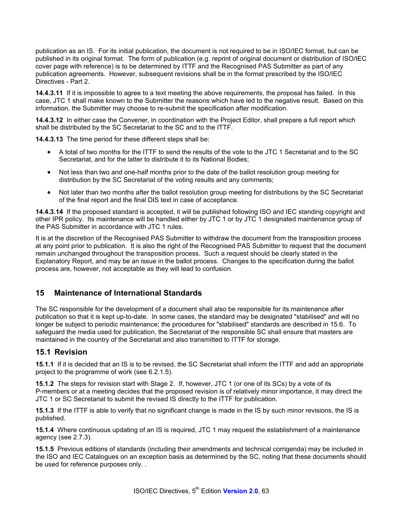publication as an IS. For its initial publication, the document is not required to be in ISO/IEC format, but can be published in its original format. The form of publication (e.g. reprint of original document or distribution of ISO/IEC cover page with reference) is to be determined by ITTF and the Recognised PAS Submitter as part of any publication agreements. However, subsequent revisions shall be in the format prescribed by the ISO/IEC Directives - Part 2.

**14.4.3.11** If it is impossible to agree to a text meeting the above requirements, the proposal has failed. In this case, JTC 1 shall make known to the Submitter the reasons which have led to the negative result. Based on this information, the Submitter may choose to re-submit the specification after modification.

**14.4.3.12** In either case the Convener, in coordination with the Project Editor, shall prepare a full report which shall be distributed by the SC Secretariat to the SC and to the ITTF.

**14.4.3.13** The time period for these different steps shall be:

- A total of two months for the ITTF to send the results of the vote to the JTC 1 Secretariat and to the SC Secretariat, and for the latter to distribute it to its National Bodies;
- Not less than two and one-half months prior to the date of the ballot resolution group meeting for distribution by the SC Secretariat of the voting results and any comments;
- Not later than two months after the ballot resolution group meeting for distributions by the SC Secretariat of the final report and the final DIS text in case of acceptance.

**14.4.3.14** If the proposed standard is accepted, it will be published following ISO and IEC standing copyright and other IPR policy. Its maintenance will be handled either by JTC 1 or by JTC 1 designated maintenance group of the PAS Submitter in accordance with JTC 1 rules.

It is at the discretion of the Recognised PAS Submitter to withdraw the document from the transposition process at any point prior to publication. It is also the right of the Recognised PAS Submitter to request that the document remain unchanged throughout the transposition process. Such a request should be clearly stated in the Explanatory Report, and may be an issue in the ballot process. Changes to the specification during the ballot process are, however, not acceptable as they will lead to confusion.

### **15 Maintenance of International Standards**

The SC responsible for the development of a document shall also be responsible for its maintenance after publication so that it is kept up-to-date. In some cases, the standard may be designated "stabilised" and will no longer be subject to periodic maintenance; the procedures for "stabilised" standards are described in 15.6. To safeguard the media used for publication, the Secretariat of the responsible SC shall ensure that masters are maintained in the country of the Secretariat and also transmitted to ITTF for storage.

#### **15.1 Revision**

**15.1.1** If it is decided that an IS is to be revised, the SC Secretariat shall inform the ITTF and add an appropriate project to the programme of work (see 6.2.1.5).

**15.1.2** The steps for revision start with Stage 2. If, however, JTC 1 (or one of its SCs) by a vote of its P-members or at a meeting decides that the proposed revision is of relatively minor importance, it may direct the JTC 1 or SC Secretariat to submit the revised IS directly to the ITTF for publication.

**15.1.3** If the ITTF is able to verify that no significant change is made in the IS by such minor revisions, the IS is published.

**15.1.4** Where continuous updating of an IS is required, JTC 1 may request the establishment of a maintenance agency (see 2.7.3).

**15.1.5** Previous editions of standards (including their amendments and technical corrigenda) may be included in the ISO and IEC Catalogues on an exception basis as determined by the SC, noting that these documents should be used for reference purposes only. .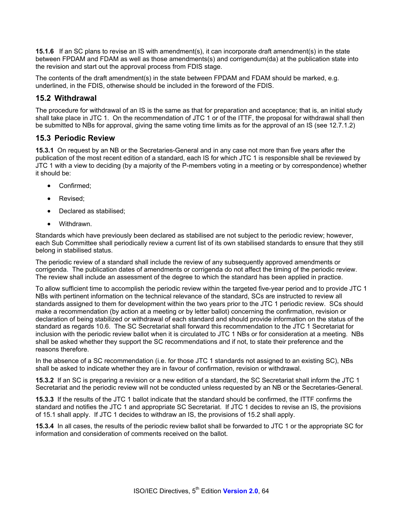**15.1.6** If an SC plans to revise an IS with amendment(s), it can incorporate draft amendment(s) in the state between FPDAM and FDAM as well as those amendments(s) and corrigendum(da) at the publication state into the revision and start out the approval process from FDIS stage.

The contents of the draft amendment(s) in the state between FPDAM and FDAM should be marked, e.g. underlined, in the FDIS, otherwise should be included in the foreword of the FDIS.

#### **15.2 Withdrawal**

The procedure for withdrawal of an IS is the same as that for preparation and acceptance; that is, an initial study shall take place in JTC 1. On the recommendation of JTC 1 or of the ITTF, the proposal for withdrawal shall then be submitted to NBs for approval, giving the same voting time limits as for the approval of an IS (see 12.7.1.2)

#### **15.3 Periodic Review**

**15.3.1** On request by an NB or the Secretaries-General and in any case not more than five years after the publication of the most recent edition of a standard, each IS for which JTC 1 is responsible shall be reviewed by JTC 1 with a view to deciding (by a majority of the P-members voting in a meeting or by correspondence) whether it should be:

- Confirmed:
- Revised:
- Declared as stabilised;
- Withdrawn.

Standards which have previously been declared as stabilised are not subject to the periodic review; however, each Sub Committee shall periodically review a current list of its own stabilised standards to ensure that they still belong in stabilised status.

The periodic review of a standard shall include the review of any subsequently approved amendments or corrigenda. The publication dates of amendments or corrigenda do not affect the timing of the periodic review. The review shall include an assessment of the degree to which the standard has been applied in practice.

To allow sufficient time to accomplish the periodic review within the targeted five-year period and to provide JTC 1 NBs with pertinent information on the technical relevance of the standard, SCs are instructed to review all standards assigned to them for development within the two years prior to the JTC 1 periodic review. SCs should make a recommendation (by action at a meeting or by letter ballot) concerning the confirmation, revision or declaration of being stabilized or withdrawal of each standard and should provide information on the status of the standard as regards 10.6. The SC Secretariat shall forward this recommendation to the JTC 1 Secretariat for inclusion with the periodic review ballot when it is circulated to JTC 1 NBs or for consideration at a meeting. NBs shall be asked whether they support the SC recommendations and if not, to state their preference and the reasons therefore.

In the absence of a SC recommendation (i.e. for those JTC 1 standards not assigned to an existing SC), NBs shall be asked to indicate whether they are in favour of confirmation, revision or withdrawal.

**15.3.2** If an SC is preparing a revision or a new edition of a standard, the SC Secretariat shall inform the JTC 1 Secretariat and the periodic review will not be conducted unless requested by an NB or the Secretaries-General.

**15.3.3** If the results of the JTC 1 ballot indicate that the standard should be confirmed, the ITTF confirms the standard and notifies the JTC 1 and appropriate SC Secretariat. If JTC 1 decides to revise an IS, the provisions of 15.1 shall apply. If JTC 1 decides to withdraw an IS, the provisions of 15.2 shall apply.

**15.3.4** In all cases, the results of the periodic review ballot shall be forwarded to JTC 1 or the appropriate SC for information and consideration of comments received on the ballot.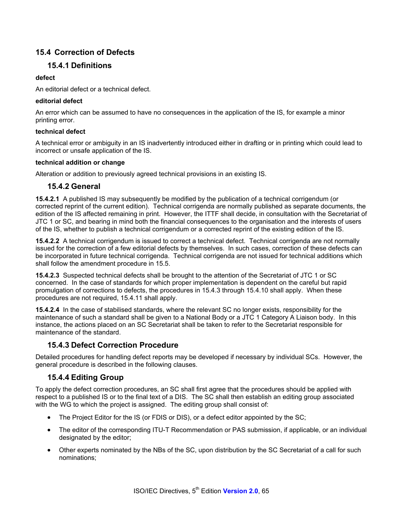# **15.4 Correction of Defects**

## **15.4.1 Definitions**

#### **defect**

An editorial defect or a technical defect.

#### **editorial defect**

An error which can be assumed to have no consequences in the application of the IS, for example a minor printing error.

#### **technical defect**

A technical error or ambiguity in an IS inadvertently introduced either in drafting or in printing which could lead to incorrect or unsafe application of the IS.

#### **technical addition or change**

Alteration or addition to previously agreed technical provisions in an existing IS.

### **15.4.2 General**

**15.4.2.1** A published IS may subsequently be modified by the publication of a technical corrigendum (or corrected reprint of the current edition). Technical corrigenda are normally published as separate documents, the edition of the IS affected remaining in print. However, the ITTF shall decide, in consultation with the Secretariat of JTC 1 or SC, and bearing in mind both the financial consequences to the organisation and the interests of users of the IS, whether to publish a technical corrigendum or a corrected reprint of the existing edition of the IS.

**15.4.2.2** A technical corrigendum is issued to correct a technical defect. Technical corrigenda are not normally issued for the correction of a few editorial defects by themselves. In such cases, correction of these defects can be incorporated in future technical corrigenda. Technical corrigenda are not issued for technical additions which shall follow the amendment procedure in 15.5.

**15.4.2.3** Suspected technical defects shall be brought to the attention of the Secretariat of JTC 1 or SC concerned. In the case of standards for which proper implementation is dependent on the careful but rapid promulgation of corrections to defects, the procedures in 15.4.3 through 15.4.10 shall apply. When these procedures are not required, 15.4.11 shall apply.

**15.4.2.4** In the case of stabilised standards, where the relevant SC no longer exists, responsibility for the maintenance of such a standard shall be given to a National Body or a JTC 1 Category A Liaison body. In this instance, the actions placed on an SC Secretariat shall be taken to refer to the Secretariat responsible for maintenance of the standard.

### **15.4.3 Defect Correction Procedure**

Detailed procedures for handling defect reports may be developed if necessary by individual SCs. However, the general procedure is described in the following clauses.

# **15.4.4 Editing Group**

To apply the defect correction procedures, an SC shall first agree that the procedures should be applied with respect to a published IS or to the final text of a DIS. The SC shall then establish an editing group associated with the WG to which the project is assigned. The editing group shall consist of:

- The Project Editor for the IS (or FDIS or DIS), or a defect editor appointed by the SC;
- The editor of the corresponding ITU-T Recommendation or PAS submission, if applicable, or an individual designated by the editor;
- Other experts nominated by the NBs of the SC, upon distribution by the SC Secretariat of a call for such nominations;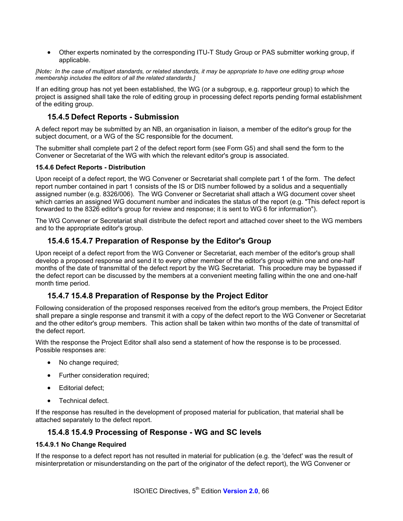• Other experts nominated by the corresponding ITU-T Study Group or PAS submitter working group, if applicable.

*[Note: In the case of multipart standards, or related standards, it may be appropriate to have one editing group whose membership includes the editors of all the related standards.]* 

If an editing group has not yet been established, the WG (or a subgroup, e.g. rapporteur group) to which the project is assigned shall take the role of editing group in processing defect reports pending formal establishment of the editing group.

### **15.4.5 Defect Reports - Submission**

A defect report may be submitted by an NB, an organisation in liaison, a member of the editor's group for the subject document, or a WG of the SC responsible for the document.

The submitter shall complete part 2 of the defect report form (see Form G5) and shall send the form to the Convener or Secretariat of the WG with which the relevant editor's group is associated.

#### **15.4.6 Defect Reports - Distribution**

Upon receipt of a defect report, the WG Convener or Secretariat shall complete part 1 of the form. The defect report number contained in part 1 consists of the IS or DIS number followed by a solidus and a sequentially assigned number (e.g. 8326/006). The WG Convener or Secretariat shall attach a WG document cover sheet which carries an assigned WG document number and indicates the status of the report (e.g. "This defect report is forwarded to the 8326 editor's group for review and response; it is sent to WG 6 for information").

The WG Convener or Secretariat shall distribute the defect report and attached cover sheet to the WG members and to the appropriate editor's group.

### **15.4.6 15.4.7 Preparation of Response by the Editor's Group**

Upon receipt of a defect report from the WG Convener or Secretariat, each member of the editor's group shall develop a proposed response and send it to every other member of the editor's group within one and one-half months of the date of transmittal of the defect report by the WG Secretariat. This procedure may be bypassed if the defect report can be discussed by the members at a convenient meeting falling within the one and one-half month time period.

### **15.4.7 15.4.8 Preparation of Response by the Project Editor**

Following consideration of the proposed responses received from the editor's group members, the Project Editor shall prepare a single response and transmit it with a copy of the defect report to the WG Convener or Secretariat and the other editor's group members. This action shall be taken within two months of the date of transmittal of the defect report.

With the response the Project Editor shall also send a statement of how the response is to be processed. Possible responses are:

- No change required;
- Further consideration required;
- Editorial defect;
- Technical defect.

If the response has resulted in the development of proposed material for publication, that material shall be attached separately to the defect report.

#### **15.4.8 15.4.9 Processing of Response - WG and SC levels**

#### **15.4.9.1 No Change Required**

If the response to a defect report has not resulted in material for publication (e.g. the 'defect' was the result of misinterpretation or misunderstanding on the part of the originator of the defect report), the WG Convener or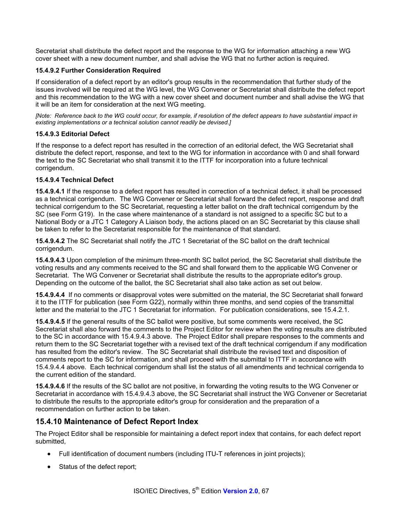Secretariat shall distribute the defect report and the response to the WG for information attaching a new WG cover sheet with a new document number, and shall advise the WG that no further action is required.

#### **15.4.9.2 Further Consideration Required**

If consideration of a defect report by an editor's group results in the recommendation that further study of the issues involved will be required at the WG level, the WG Convener or Secretariat shall distribute the defect report and this recommendation to the WG with a new cover sheet and document number and shall advise the WG that it will be an item for consideration at the next WG meeting.

*[Note: Reference back to the WG could occur, for example, if resolution of the defect appears to have substantial impact in existing implementations or a technical solution cannot readily be devised.]* 

#### **15.4.9.3 Editorial Defect**

If the response to a defect report has resulted in the correction of an editorial defect, the WG Secretariat shall distribute the defect report, response, and text to the WG for information in accordance with 0 and shall forward the text to the SC Secretariat who shall transmit it to the ITTF for incorporation into a future technical corrigendum.

#### **15.4.9.4 Technical Defect**

**15.4.9.4.1** If the response to a defect report has resulted in correction of a technical defect, it shall be processed as a technical corrigendum. The WG Convener or Secretariat shall forward the defect report, response and draft technical corrigendum to the SC Secretariat, requesting a letter ballot on the draft technical corrigendum by the SC (see Form G19). In the case where maintenance of a standard is not assigned to a specific SC but to a National Body or a JTC 1 Category A Liaison body, the actions placed on an SC Secretariat by this clause shall be taken to refer to the Secretariat responsible for the maintenance of that standard.

**15.4.9.4.2** The SC Secretariat shall notify the JTC 1 Secretariat of the SC ballot on the draft technical corrigendum.

**15.4.9.4.3** Upon completion of the minimum three-month SC ballot period, the SC Secretariat shall distribute the voting results and any comments received to the SC and shall forward them to the applicable WG Convener or Secretariat. The WG Convener or Secretariat shall distribute the results to the appropriate editor's group. Depending on the outcome of the ballot, the SC Secretariat shall also take action as set out below.

**15.4.9.4.4** If no comments or disapproval votes were submitted on the material, the SC Secretariat shall forward it to the ITTF for publication (see Form G22), normally within three months, and send copies of the transmittal letter and the material to the JTC 1 Secretariat for information. For publication considerations, see 15.4.2.1.

**15.4.9.4.5** If the general results of the SC ballot were positive, but some comments were received, the SC Secretariat shall also forward the comments to the Project Editor for review when the voting results are distributed to the SC in accordance with 15.4.9.4.3 above. The Project Editor shall prepare responses to the comments and return them to the SC Secretariat together with a revised text of the draft technical corrigendum if any modification has resulted from the editor's review. The SC Secretariat shall distribute the revised text and disposition of comments report to the SC for information, and shall proceed with the submittal to ITTF in accordance with 15.4.9.4.4 above. Each technical corrigendum shall list the status of all amendments and technical corrigenda to the current edition of the standard.

**15.4.9.4.6** If the results of the SC ballot are not positive, in forwarding the voting results to the WG Convener or Secretariat in accordance with 15.4.9.4.3 above, the SC Secretariat shall instruct the WG Convener or Secretariat to distribute the results to the appropriate editor's group for consideration and the preparation of a recommendation on further action to be taken.

### **15.4.10 Maintenance of Defect Report Index**

The Project Editor shall be responsible for maintaining a defect report index that contains, for each defect report submitted,

- Full identification of document numbers (including ITU-T references in joint projects);
- Status of the defect report;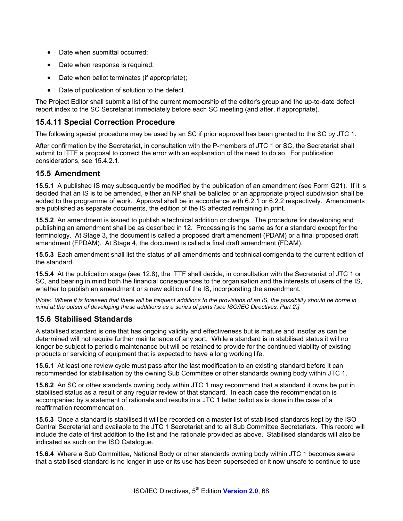- Date when submittal occurred;
- Date when response is required;
- Date when ballot terminates (if appropriate);
- Date of publication of solution to the defect.

The Project Editor shall submit a list of the current membership of the editor's group and the up-to-date defect report index to the SC Secretariat immediately before each SC meeting (and after, if appropriate).

## **15.4.11 Special Correction Procedure**

The following special procedure may be used by an SC if prior approval has been granted to the SC by JTC 1.

After confirmation by the Secretariat, in consultation with the P-members of JTC 1 or SC, the Secretariat shall submit to ITTF a proposal to correct the error with an explanation of the need to do so. For publication considerations, see 15.4.2.1.

#### **15.5 Amendment**

**15.5.1** A published IS may subsequently be modified by the publication of an amendment (see Form G21). If it is decided that an IS is to be amended, either an NP shall be balloted or an appropriate project subdivision shall be added to the programme of work. Approval shall be in accordance with 6.2.1 or 6.2.2 respectively. Amendments are published as separate documents, the edition of the IS affected remaining in print.

**15.5.2** An amendment is issued to publish a technical addition or change. The procedure for developing and publishing an amendment shall be as described in 12. Processing is the same as for a standard except for the terminology. At Stage 3, the document is called a proposed draft amendment (PDAM) or a final proposed draft amendment (FPDAM). At Stage 4, the document is called a final draft amendment (FDAM).

**15.5.3** Each amendment shall list the status of all amendments and technical corrigenda to the current edition of the standard.

**15.5.4** At the publication stage (see 12.8), the ITTF shall decide, in consultation with the Secretariat of JTC 1 or SC, and bearing in mind both the financial consequences to the organisation and the interests of users of the IS, whether to publish an amendment or a new edition of the IS, incorporating the amendment.

*[Note: Where it is foreseen that there will be frequent additions to the provisions of an IS, the possibility should be borne in mind at the outset of developing these additions as a series of parts (see ISO/IEC Directives, Part 2)]* 

### **15.6 Stabilised Standards**

A stabilised standard is one that has ongoing validity and effectiveness but is mature and insofar as can be determined will not require further maintenance of any sort. While a standard is in stabilised status it will no longer be subject to periodic maintenance but will be retained to provide for the continued viability of existing products or servicing of equipment that is expected to have a long working life.

**15.6.1** At least one review cycle must pass after the last modification to an existing standard before it can recommended for stabilisation by the owning Sub Committee or other standards owning body within JTC 1.

**15.6.2** An SC or other standards owning body within JTC 1 may recommend that a standard it owns be put in stabilised status as a result of any regular review of that standard. In each case the recommendation is accompanied by a statement of rationale and results in a JTC 1 letter ballot as is done in the case of a reaffirmation recommendation.

**15.6.3** Once a standard is stabilised it will be recorded on a master list of stabilised standards kept by the ISO Central Secretariat and available to the JTC 1 Secretariat and to all Sub Committee Secretariats. This record will include the date of first addition to the list and the rationale provided as above. Stabilised standards will also be indicated as such on the ISO Catalogue.

**15.6.4** Where a Sub Committee, National Body or other standards owning body within JTC 1 becomes aware that a stabilised standard is no longer in use or its use has been superseded or it now unsafe to continue to use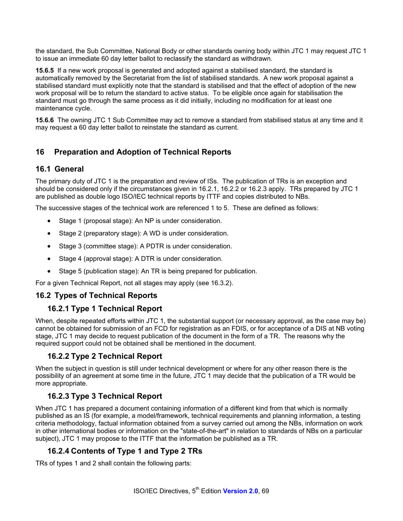the standard, the Sub Committee, National Body or other standards owning body within JTC 1 may request JTC 1 to issue an immediate 60 day letter ballot to reclassify the standard as withdrawn.

**15.6.5** If a new work proposal is generated and adopted against a stabilised standard, the standard is automatically removed by the Secretariat from the list of stabilised standards. A new work proposal against a stabilised standard must explicitly note that the standard is stabilised and that the effect of adoption of the new work proposal will be to return the standard to active status. To be eligible once again for stabilisation the standard must go through the same process as it did initially, including no modification for at least one maintenance cycle.

**15.6.6** The owning JTC 1 Sub Committee may act to remove a standard from stabilised status at any time and it may request a 60 day letter ballot to reinstate the standard as current.

# **16 Preparation and Adoption of Technical Reports**

## **16.1 General**

The primary duty of JTC 1 is the preparation and review of ISs. The publication of TRs is an exception and should be considered only if the circumstances given in 16.2.1, 16.2.2 or 16.2.3 apply. TRs prepared by JTC 1 are published as double logo ISO/IEC technical reports by ITTF and copies distributed to NBs.

The successive stages of the technical work are referenced 1 to 5. These are defined as follows:

- Stage 1 (proposal stage): An NP is under consideration.
- Stage 2 (preparatory stage): A WD is under consideration.
- Stage 3 (committee stage): A PDTR is under consideration.
- Stage 4 (approval stage): A DTR is under consideration.
- Stage 5 (publication stage): An TR is being prepared for publication.

For a given Technical Report, not all stages may apply (see 16.3.2).

# **16.2 Types of Technical Reports**

### **16.2.1 Type 1 Technical Report**

When, despite repeated efforts within JTC 1, the substantial support (or necessary approval, as the case may be) cannot be obtained for submission of an FCD for registration as an FDIS, or for acceptance of a DIS at NB voting stage, JTC 1 may decide to request publication of the document in the form of a TR. The reasons why the required support could not be obtained shall be mentioned in the document.

### **16.2.2 Type 2 Technical Report**

When the subject in question is still under technical development or where for any other reason there is the possibility of an agreement at some time in the future, JTC 1 may decide that the publication of a TR would be more appropriate.

### **16.2.3 Type 3 Technical Report**

When JTC 1 has prepared a document containing information of a different kind from that which is normally published as an IS (for example, a model/framework, technical requirements and planning information, a testing criteria methodology, factual information obtained from a survey carried out among the NBs, information on work in other international bodies or information on the "state-of-the-art" in relation to standards of NBs on a particular subject), JTC 1 may propose to the ITTF that the information be published as a TR.

# **16.2.4 Contents of Type 1 and Type 2 TRs**

TRs of types 1 and 2 shall contain the following parts: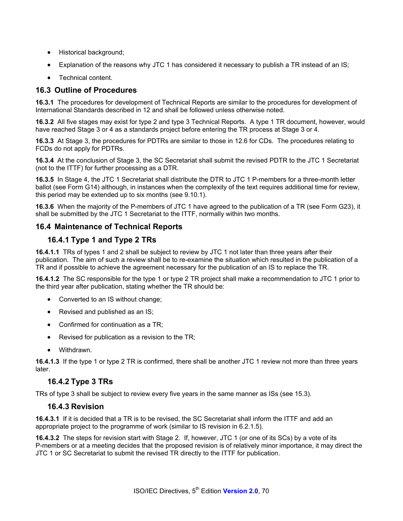- Historical background;
- Explanation of the reasons why JTC 1 has considered it necessary to publish a TR instead of an IS;
- Technical content.

## **16.3 Outline of Procedures**

**16.3.1** The procedures for development of Technical Reports are similar to the procedures for development of International Standards described in 12 and shall be followed unless otherwise noted.

**16.3.2** All five stages may exist for type 2 and type 3 Technical Reports. A type 1 TR document, however, would have reached Stage 3 or 4 as a standards project before entering the TR process at Stage 3 or 4.

**16.3.3** At Stage 3, the procedures for PDTRs are similar to those in 12.6 for CDs. The procedures relating to FCDs do not apply for PDTRs.

**16.3.4** At the conclusion of Stage 3, the SC Secretariat shall submit the revised PDTR to the JTC 1 Secretariat (not to the ITTF) for further processing as a DTR.

**16.3.5** In Stage 4, the JTC 1 Secretariat shall distribute the DTR to JTC 1 P-members for a three-month letter ballot (see Form G14) although, in instances when the complexity of the text requires additional time for review, this period may be extended up to six months (see 9.10.1).

**16.3.6** When the majority of the P-members of JTC 1 have agreed to the publication of a TR (see Form G23), it shall be submitted by the JTC 1 Secretariat to the ITTF, normally within two months.

### **16.4 Maintenance of Technical Reports**

### **16.4.1 Type 1 and Type 2 TRs**

**16.4.1.1** TRs of types 1 and 2 shall be subject to review by JTC 1 not later than three years after their publication. The aim of such a review shall be to re-examine the situation which resulted in the publication of a TR and if possible to achieve the agreement necessary for the publication of an IS to replace the TR.

**16.4.1.2** The SC responsible for the type 1 or type 2 TR project shall make a recommendation to JTC 1 prior to the third year after publication, stating whether the TR should be:

- Converted to an IS without change;
- Revised and published as an IS;
- Confirmed for continuation as a TR;
- Revised for publication as a revision to the TR;
- Withdrawn.

**16.4.1.3** If the type 1 or type 2 TR is confirmed, there shall be another JTC 1 review not more than three years later.

#### **16.4.2 Type 3 TRs**

TRs of type 3 shall be subject to review every five years in the same manner as ISs (see 15.3).

#### **16.4.3 Revision**

**16.4.3.1** If it is decided that a TR is to be revised, the SC Secretariat shall inform the ITTF and add an appropriate project to the programme of work (similar to IS revision in 6.2.1.5).

**16.4.3.2** The steps for revision start with Stage 2. If, however, JTC 1 (or one of its SCs) by a vote of its P-members or at a meeting decides that the proposed revision is of relatively minor importance, it may direct the JTC 1 or SC Secretariat to submit the revised TR directly to the ITTF for publication.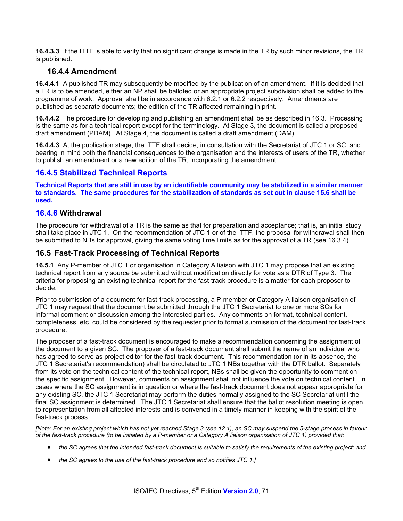**16.4.3.3** If the ITTF is able to verify that no significant change is made in the TR by such minor revisions, the TR is published.

#### **16.4.4 Amendment**

**16.4.4.1** A published TR may subsequently be modified by the publication of an amendment. If it is decided that a TR is to be amended, either an NP shall be balloted or an appropriate project subdivision shall be added to the programme of work. Approval shall be in accordance with 6.2.1 or 6.2.2 respectively. Amendments are published as separate documents; the edition of the TR affected remaining in print.

**16.4.4.2** The procedure for developing and publishing an amendment shall be as described in 16.3. Processing is the same as for a technical report except for the terminology. At Stage 3, the document is called a proposed draft amendment (PDAM). At Stage 4, the document is called a draft amendment (DAM).

**16.4.4.3** At the publication stage, the ITTF shall decide, in consultation with the Secretariat of JTC 1 or SC, and bearing in mind both the financial consequences to the organisation and the interests of users of the TR, whether to publish an amendment or a new edition of the TR, incorporating the amendment.

## **16.4.5 Stabilized Technical Reports**

**Technical Reports that are still in use by an identifiable community may be stabilized in a similar manner to standards. The same procedures for the stabilization of standards as set out in clause 15.6 shall be used.** 

#### **16.4.6 Withdrawal**

The procedure for withdrawal of a TR is the same as that for preparation and acceptance; that is, an initial study shall take place in JTC 1. On the recommendation of JTC 1 or of the ITTF, the proposal for withdrawal shall then be submitted to NBs for approval, giving the same voting time limits as for the approval of a TR (see 16.3.4).

#### **16.5 Fast-Track Processing of Technical Reports**

**16.5.1** Any P-member of JTC 1 or organisation in Category A liaison with JTC 1 may propose that an existing technical report from any source be submitted without modification directly for vote as a DTR of Type 3. The criteria for proposing an existing technical report for the fast-track procedure is a matter for each proposer to decide.

Prior to submission of a document for fast-track processing, a P-member or Category A liaison organisation of JTC 1 may request that the document be submitted through the JTC 1 Secretariat to one or more SCs for informal comment or discussion among the interested parties. Any comments on format, technical content, completeness, etc. could be considered by the requester prior to formal submission of the document for fast-track procedure.

The proposer of a fast-track document is encouraged to make a recommendation concerning the assignment of the document to a given SC. The proposer of a fast-track document shall submit the name of an individual who has agreed to serve as project editor for the fast-track document. This recommendation (or in its absence, the JTC 1 Secretariat's recommendation) shall be circulated to JTC 1 NBs together with the DTR ballot. Separately from its vote on the technical content of the technical report, NBs shall be given the opportunity to comment on the specific assignment. However, comments on assignment shall not influence the vote on technical content. In cases where the SC assignment is in question or where the fast-track document does not appear appropriate for any existing SC, the JTC 1 Secretariat may perform the duties normally assigned to the SC Secretariat until the final SC assignment is determined. The JTC 1 Secretariat shall ensure that the ballot resolution meeting is open to representation from all affected interests and is convened in a timely manner in keeping with the spirit of the fast-track process.

*[Note: For an existing project which has not yet reached Stage 3 (see 12.1), an SC may suspend the 5-stage process in favour of the fast-track procedure (to be initiated by a P-member or a Category A liaison organisation of JTC 1) provided that:* 

- *the SC agrees that the intended fast-track document is suitable to satisfy the requirements of the existing project; and*
- *the SC agrees to the use of the fast-track procedure and so notifies JTC 1.]*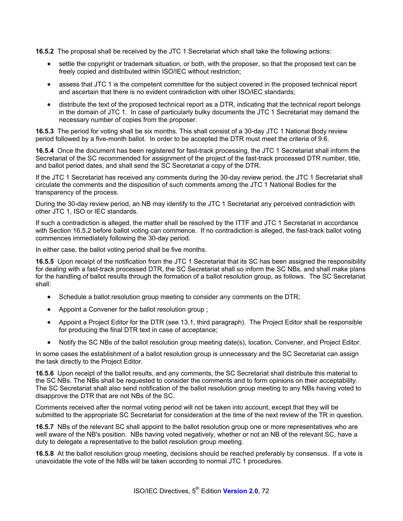**16.5.2** The proposal shall be received by the JTC 1 Secretariat which shall take the following actions:

- settle the copyright or trademark situation, or both, with the proposer, so that the proposed text can be freely copied and distributed within ISO/IEC without restriction;
- assess that JTC 1 is the competent committee for the subject covered in the proposed technical report and ascertain that there is no evident contradiction with other ISO/IEC standards;
- distribute the text of the proposed technical report as a DTR, indicating that the technical report belongs in the domain of JTC 1. In case of particularly bulky documents the JTC 1 Secretariat may demand the necessary number of copies from the proposer.

**16.5.3** The period for voting shall be six months. This shall consist of a 30-day JTC 1 National Body review period followed by a five-month ballot. In order to be accepted the DTR must meet the criteria of 9.6.

**16.5.4** Once the document has been registered for fast-track processing, the JTC 1 Secretariat shall inform the Secretariat of the SC recommended for assignment of the project of the fast-track processed DTR number, title, and ballot period dates, and shall send the SC Secretariat a copy of the DTR.

If the JTC 1 Secretariat has received any comments during the 30-day review period, the JTC 1 Secretariat shall circulate the comments and the disposition of such comments among the JTC 1 National Bodies for the transparency of the process.

During the 30-day review period, an NB may identify to the JTC 1 Secretariat any perceived contradiction with other JTC 1, ISO or IEC standards.

If such a contradiction is alleged, the matter shall be resolved by the ITTF and JTC 1 Secretariat in accordance with Section 16.5.2 before ballot voting can commence. If no contradiction is alleged, the fast-track ballot voting commences immediately following the 30-day period.

In either case, the ballot voting period shall be five months.

**16.5.5** Upon receipt of the notification from the JTC 1 Secretariat that its SC has been assigned the responsibility for dealing with a fast-track processed DTR, the SC Secretariat shall so inform the SC NBs, and shall make plans for the handling of ballot results through the formation of a ballot resolution group, as follows. The SC Secretariat shall:

- Schedule a ballot resolution group meeting to consider any comments on the DTR;
- Appoint a Convener for the ballot resolution group ;
- Appoint a Project Editor for the DTR (see 13.1, third paragraph). The Project Editor shall be responsible for producing the final DTR text in case of acceptance;
- Notify the SC NBs of the ballot resolution group meeting date(s), location, Convener, and Project Editor.

In some cases the establishment of a ballot resolution group is unnecessary and the SC Secretariat can assign the task directly to the Project Editor.

**16.5.6** Upon receipt of the ballot results, and any comments, the SC Secretariat shall distribute this material to the SC NBs. The NBs shall be requested to consider the comments and to form opinions on their acceptability. The SC Secretariat shall also send notification of the ballot resolution group meeting to any NBs having voted to disapprove the DTR that are not NBs of the SC.

Comments received after the normal voting period will not be taken into account, except that they will be submitted to the appropriate SC Secretariat for consideration at the time of the next review of the TR in question.

**16.5.7** NBs of the relevant SC shall appoint to the ballot resolution group one or more representatives who are well aware of the NB's position. NBs having voted negatively, whether or not an NB of the relevant SC, have a duty to delegate a representative to the ballot resolution group meeting.

**16.5.8** At the ballot resolution group meeting, decisions should be reached preferably by consensus. If a vote is unavoidable the vote of the NBs will be taken according to normal JTC 1 procedures.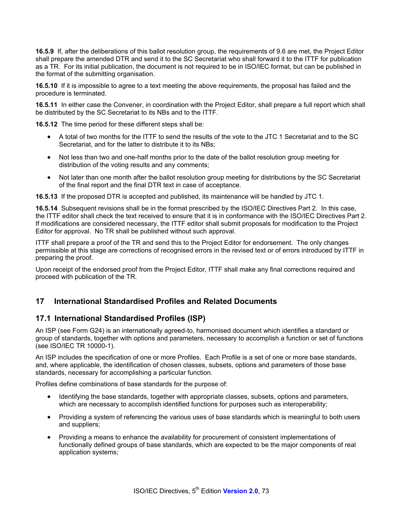**16.5.9** If, after the deliberations of this ballot resolution group, the requirements of 9.6 are met, the Project Editor shall prepare the amended DTR and send it to the SC Secretariat who shall forward it to the ITTF for publication as a TR. For its initial publication, the document is not required to be in ISO/IEC format, but can be published in the format of the submitting organisation.

**16.5.10** If it is impossible to agree to a text meeting the above requirements, the proposal has failed and the procedure is terminated.

**16.5.11** In either case the Convener, in coordination with the Project Editor, shall prepare a full report which shall be distributed by the SC Secretariat to its NBs and to the ITTF.

**16.5.12** The time period for these different steps shall be:

- A total of two months for the ITTF to send the results of the vote to the JTC 1 Secretariat and to the SC Secretariat, and for the latter to distribute it to its NBs;
- Not less than two and one-half months prior to the date of the ballot resolution group meeting for distribution of the voting results and any comments;
- Not later than one month after the ballot resolution group meeting for distributions by the SC Secretariat of the final report and the final DTR text in case of acceptance.

**16.5.13** If the proposed DTR is accepted and published, its maintenance will be handled by JTC 1.

**16.5.14** Subsequent revisions shall be in the format prescribed by the ISO/IEC Directives Part 2. In this case, the ITTF editor shall check the text received to ensure that it is in conformance with the ISO/IEC Directives Part 2. If modifications are considered necessary, the ITTF editor shall submit proposals for modification to the Project Editor for approval. No TR shall be published without such approval.

ITTF shall prepare a proof of the TR and send this to the Project Editor for endorsement. The only changes permissible at this stage are corrections of recognised errors in the revised text or of errors introduced by ITTF in preparing the proof.

Upon receipt of the endorsed proof from the Project Editor, ITTF shall make any final corrections required and proceed with publication of the TR.

## **17 International Standardised Profiles and Related Documents**

## **17.1 International Standardised Profiles (ISP)**

An ISP (see Form G24) is an internationally agreed-to, harmonised document which identifies a standard or group of standards, together with options and parameters, necessary to accomplish a function or set of functions (see ISO/IEC TR 10000-1).

An ISP includes the specification of one or more Profiles. Each Profile is a set of one or more base standards, and, where applicable, the identification of chosen classes, subsets, options and parameters of those base standards, necessary for accomplishing a particular function.

Profiles define combinations of base standards for the purpose of:

- Identifying the base standards, together with appropriate classes, subsets, options and parameters, which are necessary to accomplish identified functions for purposes such as interoperability;
- Providing a system of referencing the various uses of base standards which is meaningful to both users and suppliers;
- Providing a means to enhance the availability for procurement of consistent implementations of functionally defined groups of base standards, which are expected to be the major components of real application systems;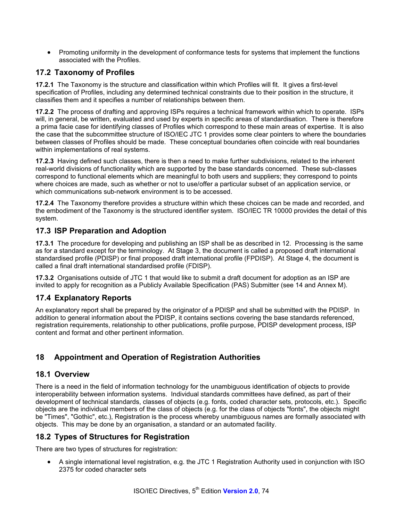• Promoting uniformity in the development of conformance tests for systems that implement the functions associated with the Profiles.

## **17.2 Taxonomy of Profiles**

**17.2.1** The Taxonomy is the structure and classification within which Profiles will fit. It gives a first-level specification of Profiles, including any determined technical constraints due to their position in the structure, it classifies them and it specifies a number of relationships between them.

**17.2.2** The process of drafting and approving ISPs requires a technical framework within which to operate. ISPs will, in general, be written, evaluated and used by experts in specific areas of standardisation. There is therefore a prima facie case for identifying classes of Profiles which correspond to these main areas of expertise. It is also the case that the subcommittee structure of ISO/IEC JTC 1 provides some clear pointers to where the boundaries between classes of Profiles should be made. These conceptual boundaries often coincide with real boundaries within implementations of real systems.

**17.2.3** Having defined such classes, there is then a need to make further subdivisions, related to the inherent real-world divisions of functionality which are supported by the base standards concerned. These sub-classes correspond to functional elements which are meaningful to both users and suppliers; they correspond to points where choices are made, such as whether or not to use/offer a particular subset of an application service, or which communications sub-network environment is to be accessed.

**17.2.4** The Taxonomy therefore provides a structure within which these choices can be made and recorded, and the embodiment of the Taxonomy is the structured identifier system. ISO/IEC TR 10000 provides the detail of this system.

## **17.3 ISP Preparation and Adoption**

**17.3.1** The procedure for developing and publishing an ISP shall be as described in 12. Processing is the same as for a standard except for the terminology. At Stage 3, the document is called a proposed draft international standardised profile (PDISP) or final proposed draft international profile (FPDISP). At Stage 4, the document is called a final draft international standardised profile (FDISP).

**17.3.2** Organisations outside of JTC 1 that would like to submit a draft document for adoption as an ISP are invited to apply for recognition as a Publicly Available Specification (PAS) Submitter (see 14 and Annex M).

## **17.4 Explanatory Reports**

An explanatory report shall be prepared by the originator of a PDISP and shall be submitted with the PDISP. In addition to general information about the PDISP, it contains sections covering the base standards referenced, registration requirements, relationship to other publications, profile purpose, PDISP development process, ISP content and format and other pertinent information.

## **18 Appointment and Operation of Registration Authorities**

#### **18.1 Overview**

There is a need in the field of information technology for the unambiguous identification of objects to provide interoperability between information systems. Individual standards committees have defined, as part of their development of technical standards, classes of objects (e.g. fonts, coded character sets, protocols, etc.). Specific objects are the individual members of the class of objects (e.g. for the class of objects "fonts", the objects might be "Times", "Gothic", etc.), Registration is the process whereby unambiguous names are formally associated with objects. This may be done by an organisation, a standard or an automated facility.

## **18.2 Types of Structures for Registration**

There are two types of structures for registration:

• A single international level registration, e.g. the JTC 1 Registration Authority used in conjunction with ISO 2375 for coded character sets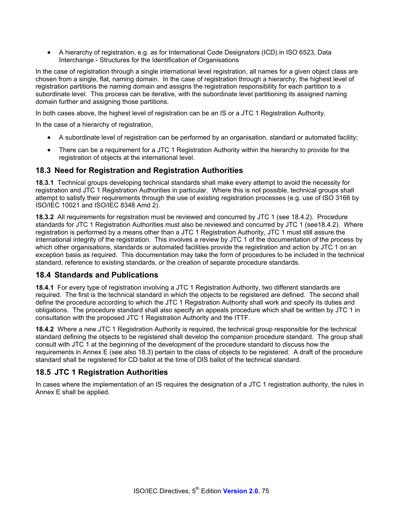• A hierarchy of registration, e.g. as for International Code Designators (ICD) in ISO 6523, Data Interchange - Structures for the Identification of Organisations

In the case of registration through a single international level registration, all names for a given object class are chosen from a single, flat, naming domain. In the case of registration through a hierarchy, the highest level of registration partitions the naming domain and assigns the registration responsibility for each partition to a subordinate level. This process can be iterative, with the subordinate level partitioning its assigned naming domain further and assigning those partitions.

In both cases above, the highest level of registration can be an IS or a JTC 1 Registration Authority.

In the case of a hierarchy of registration,

- A subordinate level of registration can be performed by an organisation, standard or automated facility;
- There can be a requirement for a JTC 1 Registration Authority within the hierarchy to provide for the registration of objects at the international level.

#### **18.3 Need for Registration and Registration Authorities**

**18.3.1** Technical groups developing technical standards shall make every attempt to avoid the necessity for registration and JTC 1 Registration Authorities in particular. Where this is not possible, technical groups shall attempt to satisfy their requirements through the use of existing registration processes (e.g. use of ISO 3166 by ISO/IEC 10021 and ISO/IEC 8348 Amd 2).

**18.3.2** All requirements for registration must be reviewed and concurred by JTC 1 (see 18.4.2). Procedure standards for JTC 1 Registration Authorities must also be reviewed and concurred by JTC 1 (see18.4.2). Where registration is performed by a means other than a JTC 1 Registration Authority, JTC 1 must still assure the international integrity of the registration. This involves a review by JTC 1 of the documentation of the process by which other organisations, standards or automated facilities provide the registration and action by JTC 1 on an exception basis as required. This documentation may take the form of procedures to be included in the technical standard, reference to existing standards, or the creation of separate procedure standards.

#### **18.4 Standards and Publications**

**18.4.1** For every type of registration involving a JTC 1 Registration Authority, two different standards are required. The first is the technical standard in which the objects to be registered are defined. The second shall define the procedure according to which the JTC 1 Registration Authority shall work and specify its duties and obligations. The procedure standard shall also specify an appeals procedure which shall be written by JTC 1 in consultation with the proposed JTC 1 Registration Authority and the ITTF.

**18.4.2** Where a new JTC 1 Registration Authority is required, the technical group responsible for the technical standard defining the objects to be registered shall develop the companion procedure standard. The group shall consult with JTC 1 at the beginning of the development of the procedure standard to discuss how the requirements in Annex E (see also 18.3) pertain to the class of objects to be registered. A draft of the procedure standard shall be registered for CD ballot at the time of DIS ballot of the technical standard.

## **18.5 JTC 1 Registration Authorities**

In cases where the implementation of an IS requires the designation of a JTC 1 registration authority, the rules in Annex E shall be applied.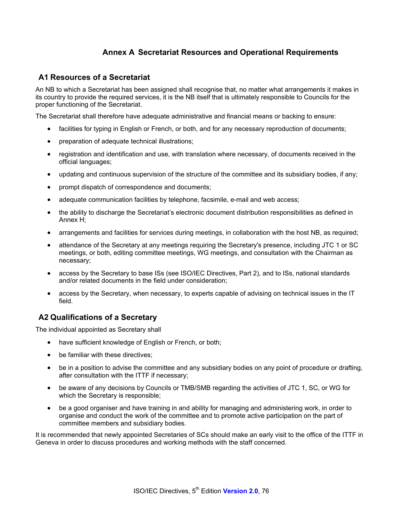## **Annex A Secretariat Resources and Operational Requirements**

#### **A1 Resources of a Secretariat**

An NB to which a Secretariat has been assigned shall recognise that, no matter what arrangements it makes in its country to provide the required services, it is the NB itself that is ultimately responsible to Councils for the proper functioning of the Secretariat.

The Secretariat shall therefore have adequate administrative and financial means or backing to ensure:

- facilities for typing in English or French, or both, and for any necessary reproduction of documents;
- preparation of adequate technical illustrations;
- registration and identification and use, with translation where necessary, of documents received in the official languages;
- updating and continuous supervision of the structure of the committee and its subsidiary bodies, if any;
- prompt dispatch of correspondence and documents;
- adequate communication facilities by telephone, facsimile, e-mail and web access;
- the ability to discharge the Secretariat's electronic document distribution responsibilities as defined in Annex H;
- arrangements and facilities for services during meetings, in collaboration with the host NB, as required;
- attendance of the Secretary at any meetings requiring the Secretary's presence, including JTC 1 or SC meetings, or both, editing committee meetings, WG meetings, and consultation with the Chairman as necessary;
- access by the Secretary to base ISs (see ISO/IEC Directives, Part 2), and to ISs, national standards and/or related documents in the field under consideration;
- access by the Secretary, when necessary, to experts capable of advising on technical issues in the IT field.

## **A2 Qualifications of a Secretary**

The individual appointed as Secretary shall

- have sufficient knowledge of English or French, or both;
- be familiar with these directives;
- be in a position to advise the committee and any subsidiary bodies on any point of procedure or drafting, after consultation with the ITTF if necessary;
- be aware of any decisions by Councils or TMB/SMB regarding the activities of JTC 1, SC, or WG for which the Secretary is responsible;
- be a good organiser and have training in and ability for managing and administering work, in order to organise and conduct the work of the committee and to promote active participation on the part of committee members and subsidiary bodies.

It is recommended that newly appointed Secretaries of SCs should make an early visit to the office of the ITTF in Geneva in order to discuss procedures and working methods with the staff concerned.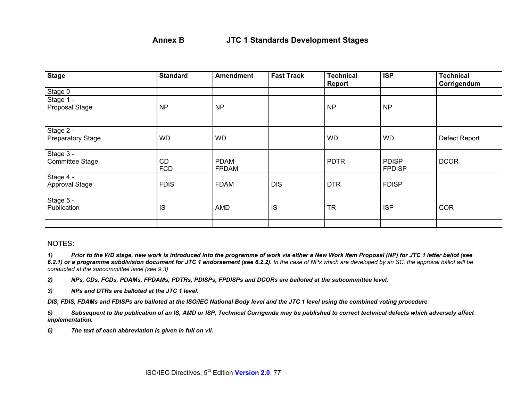| <b>Stage</b>                          | <b>Standard</b>         | <b>Amendment</b>            | <b>Fast Track</b> | <b>Technical</b><br>Report | <b>ISP</b>                    | <b>Technical</b><br>Corrigendum |
|---------------------------------------|-------------------------|-----------------------------|-------------------|----------------------------|-------------------------------|---------------------------------|
| Stage 0                               |                         |                             |                   |                            |                               |                                 |
| Stage 1 -<br>Proposal Stage           | <b>NP</b>               | <b>NP</b>                   |                   | <b>NP</b>                  | <b>NP</b>                     |                                 |
| Stage 2 -<br><b>Preparatory Stage</b> | <b>WD</b>               | <b>WD</b>                   |                   | <b>WD</b>                  | <b>WD</b>                     | Defect Report                   |
| Stage 3 -<br><b>Committee Stage</b>   | <b>CD</b><br><b>FCD</b> | <b>PDAM</b><br><b>FPDAM</b> |                   | <b>PDTR</b>                | <b>PDISP</b><br><b>FPDISP</b> | <b>DCOR</b>                     |
| Stage 4 -<br>Approval Stage           | <b>FDIS</b>             | <b>FDAM</b>                 | <b>DIS</b>        | <b>DTR</b>                 | <b>FDISP</b>                  |                                 |
| Stage 5 -<br>Publication              | <b>IS</b>               | <b>AMD</b>                  | IS                | <b>TR</b>                  | <b>ISP</b>                    | <b>COR</b>                      |
|                                       |                         |                             |                   |                            |                               |                                 |

#### NOTES:

*1) Prior to the WD stage, new work is introduced into the programme of work via either a New Work Item Proposal (NP) for JTC 1 letter ballot (see*  6.2.1) or a programme subdivision document for JTC 1 endorsement (see 6.2.2). In the case of NPs which are developed by an SC, the approval ballot will be *conducted at the subcommittee level (see 9.3)*

*2) NPs, CDs, FCDs, PDAMs, FPDAMs, PDTRs, PDISPs, FPDISPs and DCORs are balloted at the subcommittee level.* 

*3) NPs and DTRs are balloted at the JTC 1 level.* 

*DIS, FDIS, FDAMs and FDISPs are balloted at the ISO/IEC National Body level and the JTC 1 level using the combined voting procedure* 

*5) Subsequent to the publication of an IS, AMD or ISP, Technical Corrigenda may be published to correct technical defects which adversely affect implementation.* 

*6) The text of each abbreviation is given in full on vii.*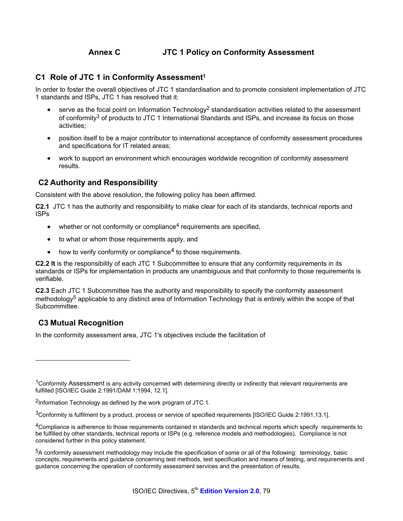## **Annex C JTC 1 Policy on Conformity Assessment**

#### **C1 Role of JTC 1 in Conformity Assessment1**

In order to foster the overall objectives of JTC 1 standardisation and to promote consistent implementation of JTC 1 standards and ISPs, JTC 1 has resolved that it:

- serve as the focal point on Information Technology<sup>2</sup> standardisation activities related to the assessment of conformity3 of products to JTC 1 International Standards and ISPs, and increase its focus on those activities;
- position itself to be a major contributor to international acceptance of conformity assessment procedures and specifications for IT related areas;
- work to support an environment which encourages worldwide recognition of conformity assessment results.

## **C2 Authority and Responsibility**

Consistent with the above resolution, the following policy has been affirmed.

**C2.1** JTC 1 has the authority and responsibility to make clear for each of its standards, technical reports and ISPs

- $\bullet$  whether or not conformity or compliance<sup>4</sup> requirements are specified,
- to what or whom those requirements apply, and
- how to verify conformity or compliance<sup>4</sup> to those requirements.

**C2.2 It** is the responsibility of each JTC 1 Subcommittee to ensure that any conformity requirements in its standards or ISPs for implementation in products are unambiguous and that conformity to those requirements is verifiable.

**C2.3** Each JTC 1 Subcommittee has the authority and responsibility to specify the conformity assessment methodology<sup>5</sup> applicable to any distinct area of Information Technology that is entirely within the scope of that Subcommittee.

## **C3 Mutual Recognition**

l

In the conformity assessment area, JTC 1's objectives include the facilitation of

<sup>&</sup>lt;sup>1</sup>Conformity Assessment is any activity concerned with determining directly or indirectly that relevant requirements are fulfilled [ISO/IEC Guide 2:1991/DAM 1:1994, 12.1].

<sup>2</sup>Information Technology as defined by the work program of JTC 1.

<sup>3</sup>Conformity is fulfilment by a product, process or service of specified requirements [ISO/IEC Guide 2:1991,13.1].

<sup>&</sup>lt;sup>4</sup>Compliance is adherence to those requirements contained in standards and technical reports which specify requirements to be fulfilled by other standards, technical reports or ISPs (e.g. reference models and methodologies). Compliance is not considered further in this policy statement.

<sup>5</sup>A conformity assessment methodology may include the specification of some or all of the following: terminology, basic concepts, requirements and guidance concerning test methods, test specification and means of testing, and requirements and guidance concerning the operation of conformity assessment services and the presentation of results.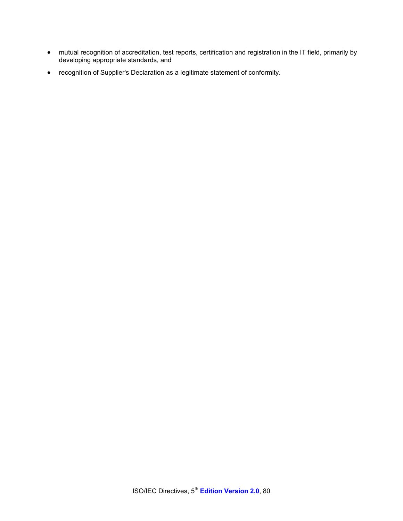- mutual recognition of accreditation, test reports, certification and registration in the IT field, primarily by developing appropriate standards, and
- recognition of Supplier's Declaration as a legitimate statement of conformity.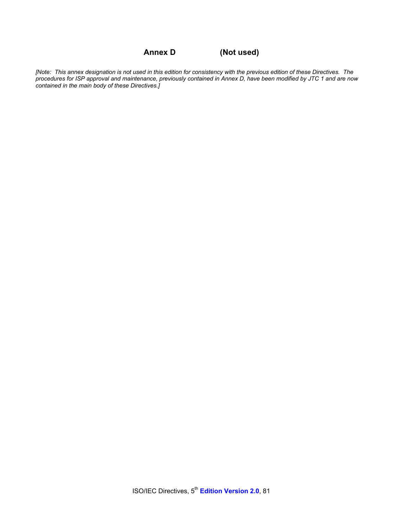**Annex D (Not used)** 

*[Note: This annex designation is not used in this edition for consistency with the previous edition of these Directives. The procedures for ISP approval and maintenance, previously contained in Annex D, have been modified by JTC 1 and are now contained in the main body of these Directives.]*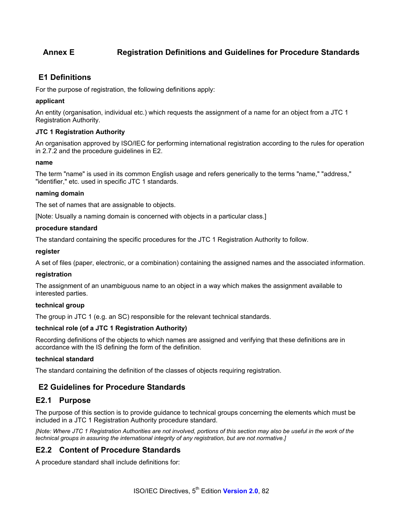## **Annex E Registration Definitions and Guidelines for Procedure Standards**

## **E1 Definitions**

For the purpose of registration, the following definitions apply:

#### **applicant**

An entity (organisation, individual etc.) which requests the assignment of a name for an object from a JTC 1 Registration Authority.

#### **JTC 1 Registration Authority**

An organisation approved by ISO/IEC for performing international registration according to the rules for operation in 2.7.2 and the procedure guidelines in E2.

#### **name**

The term "name" is used in its common English usage and refers generically to the terms "name," "address," "identifier," etc. used in specific JTC 1 standards.

#### **naming domain**

The set of names that are assignable to objects.

[Note: Usually a naming domain is concerned with objects in a particular class.]

#### **procedure standard**

The standard containing the specific procedures for the JTC 1 Registration Authority to follow.

#### **register**

A set of files (paper, electronic, or a combination) containing the assigned names and the associated information.

#### **registration**

The assignment of an unambiguous name to an object in a way which makes the assignment available to interested parties.

#### **technical group**

The group in JTC 1 (e.g. an SC) responsible for the relevant technical standards.

#### **technical role (of a JTC 1 Registration Authority)**

Recording definitions of the objects to which names are assigned and verifying that these definitions are in accordance with the IS defining the form of the definition.

#### **technical standard**

The standard containing the definition of the classes of objects requiring registration.

#### **E2 Guidelines for Procedure Standards**

#### **E2.1 Purpose**

The purpose of this section is to provide guidance to technical groups concerning the elements which must be included in a JTC 1 Registration Authority procedure standard.

*[Note: Where JTC 1 Registration Authorities are not involved, portions of this section may also be useful in the work of the technical groups in assuring the international integrity of any registration, but are not normative.]* 

## **E2.2 Content of Procedure Standards**

A procedure standard shall include definitions for: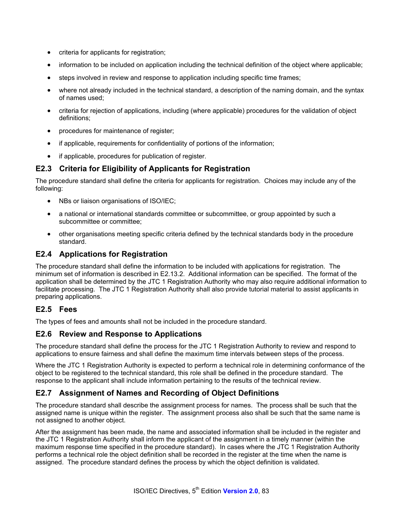- criteria for applicants for registration;
- information to be included on application including the technical definition of the object where applicable;
- steps involved in review and response to application including specific time frames;
- where not already included in the technical standard, a description of the naming domain, and the syntax of names used;
- criteria for rejection of applications, including (where applicable) procedures for the validation of object definitions;
- procedures for maintenance of register;
- if applicable, requirements for confidentiality of portions of the information;
- if applicable, procedures for publication of register.

## **E2.3 Criteria for Eligibility of Applicants for Registration**

The procedure standard shall define the criteria for applicants for registration. Choices may include any of the following:

- NBs or liaison organisations of ISO/IEC;
- a national or international standards committee or subcommittee, or group appointed by such a subcommittee or committee;
- other organisations meeting specific criteria defined by the technical standards body in the procedure standard.

## **E2.4 Applications for Registration**

The procedure standard shall define the information to be included with applications for registration. The minimum set of information is described in E2.13.2. Additional information can be specified. The format of the application shall be determined by the JTC 1 Registration Authority who may also require additional information to facilitate processing. The JTC 1 Registration Authority shall also provide tutorial material to assist applicants in preparing applications.

## **E2.5 Fees**

The types of fees and amounts shall not be included in the procedure standard.

## **E2.6 Review and Response to Applications**

The procedure standard shall define the process for the JTC 1 Registration Authority to review and respond to applications to ensure fairness and shall define the maximum time intervals between steps of the process.

Where the JTC 1 Registration Authority is expected to perform a technical role in determining conformance of the object to be registered to the technical standard, this role shall be defined in the procedure standard. The response to the applicant shall include information pertaining to the results of the technical review.

## **E2.7 Assignment of Names and Recording of Object Definitions**

The procedure standard shall describe the assignment process for names. The process shall be such that the assigned name is unique within the register. The assignment process also shall be such that the same name is not assigned to another object.

After the assignment has been made, the name and associated information shall be included in the register and the JTC 1 Registration Authority shall inform the applicant of the assignment in a timely manner (within the maximum response time specified in the procedure standard). In cases where the JTC 1 Registration Authority performs a technical role the object definition shall be recorded in the register at the time when the name is assigned. The procedure standard defines the process by which the object definition is validated.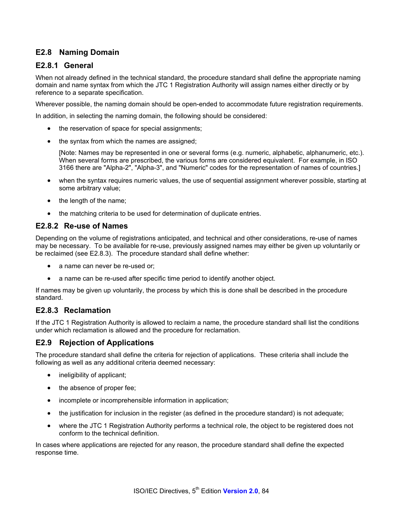## **E2.8 Naming Domain**

#### **E2.8.1 General**

When not already defined in the technical standard, the procedure standard shall define the appropriate naming domain and name syntax from which the JTC 1 Registration Authority will assign names either directly or by reference to a separate specification.

Wherever possible, the naming domain should be open-ended to accommodate future registration requirements.

In addition, in selecting the naming domain, the following should be considered:

- the reservation of space for special assignments;
- the syntax from which the names are assigned;

[Note: Names may be represented in one or several forms (e.g. numeric, alphabetic, alphanumeric, etc.). When several forms are prescribed, the various forms are considered equivalent. For example, in ISO 3166 there are "Alpha-2", "Alpha-3", and "Numeric" codes for the representation of names of countries.]

- when the syntax requires numeric values, the use of sequential assignment wherever possible, starting at some arbitrary value;
- the length of the name;
- the matching criteria to be used for determination of duplicate entries.

#### **E2.8.2 Re-use of Names**

Depending on the volume of registrations anticipated, and technical and other considerations, re-use of names may be necessary. To be available for re-use, previously assigned names may either be given up voluntarily or be reclaimed (see E2.8.3). The procedure standard shall define whether:

- a name can never be re-used or:
- a name can be re-used after specific time period to identify another object.

If names may be given up voluntarily, the process by which this is done shall be described in the procedure standard.

#### **E2.8.3 Reclamation**

If the JTC 1 Registration Authority is allowed to reclaim a name, the procedure standard shall list the conditions under which reclamation is allowed and the procedure for reclamation.

## **E2.9 Rejection of Applications**

The procedure standard shall define the criteria for rejection of applications. These criteria shall include the following as well as any additional criteria deemed necessary:

- ineligibility of applicant;
- the absence of proper fee;
- incomplete or incomprehensible information in application;
- the justification for inclusion in the register (as defined in the procedure standard) is not adequate;
- where the JTC 1 Registration Authority performs a technical role, the object to be registered does not conform to the technical definition.

In cases where applications are rejected for any reason, the procedure standard shall define the expected response time.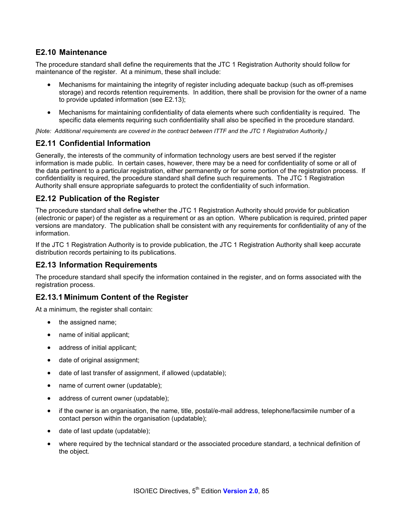#### **E2.10 Maintenance**

The procedure standard shall define the requirements that the JTC 1 Registration Authority should follow for maintenance of the register. At a minimum, these shall include:

- Mechanisms for maintaining the integrity of register including adequate backup (such as off-premises storage) and records retention requirements. In addition, there shall be provision for the owner of a name to provide updated information (see E2.13);
- Mechanisms for maintaining confidentiality of data elements where such confidentiality is required. The specific data elements requiring such confidentiality shall also be specified in the procedure standard.

[Note: Additional requirements are covered in the contract between ITTF and the JTC 1 Registration Authority.]

#### **E2.11 Confidential Information**

Generally, the interests of the community of information technology users are best served if the register information is made public. In certain cases, however, there may be a need for confidentiality of some or all of the data pertinent to a particular registration, either permanently or for some portion of the registration process. If confidentiality is required, the procedure standard shall define such requirements. The JTC 1 Registration Authority shall ensure appropriate safeguards to protect the confidentiality of such information.

#### **E2.12 Publication of the Register**

The procedure standard shall define whether the JTC 1 Registration Authority should provide for publication (electronic or paper) of the register as a requirement or as an option. Where publication is required, printed paper versions are mandatory. The publication shall be consistent with any requirements for confidentiality of any of the information.

If the JTC 1 Registration Authority is to provide publication, the JTC 1 Registration Authority shall keep accurate distribution records pertaining to its publications.

#### **E2.13 Information Requirements**

The procedure standard shall specify the information contained in the register, and on forms associated with the registration process.

## **E2.13.1 Minimum Content of the Register**

At a minimum, the register shall contain:

- the assigned name;
- name of initial applicant;
- address of initial applicant;
- date of original assignment;
- date of last transfer of assignment, if allowed (updatable);
- name of current owner (updatable);
- address of current owner (updatable);
- if the owner is an organisation, the name, title, postal/e-mail address, telephone/facsimile number of a contact person within the organisation (updatable);
- date of last update (updatable);
- where required by the technical standard or the associated procedure standard, a technical definition of the object.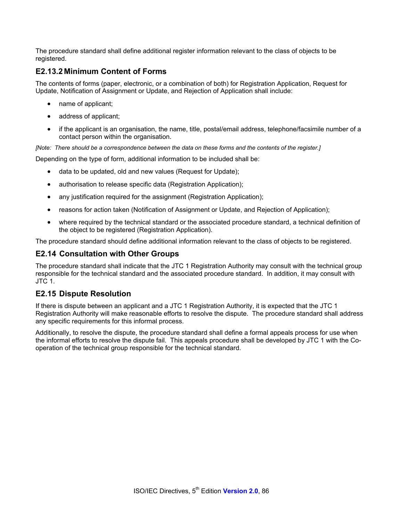The procedure standard shall define additional register information relevant to the class of objects to be registered.

## **E2.13.2 Minimum Content of Forms**

The contents of forms (paper, electronic, or a combination of both) for Registration Application, Request for Update, Notification of Assignment or Update, and Rejection of Application shall include:

- name of applicant;
- address of applicant;
- if the applicant is an organisation, the name, title, postal/email address, telephone/facsimile number of a contact person within the organisation.

*[Note: There should be a correspondence between the data on these forms and the contents of the register.]* 

Depending on the type of form, additional information to be included shall be:

- data to be updated, old and new values (Request for Update);
- authorisation to release specific data (Registration Application);
- any justification required for the assignment (Registration Application);
- reasons for action taken (Notification of Assignment or Update, and Rejection of Application);
- where required by the technical standard or the associated procedure standard, a technical definition of the object to be registered (Registration Application).

The procedure standard should define additional information relevant to the class of objects to be registered.

#### **E2.14 Consultation with Other Groups**

The procedure standard shall indicate that the JTC 1 Registration Authority may consult with the technical group responsible for the technical standard and the associated procedure standard. In addition, it may consult with JTC 1.

#### **E2.15 Dispute Resolution**

If there is dispute between an applicant and a JTC 1 Registration Authority, it is expected that the JTC 1 Registration Authority will make reasonable efforts to resolve the dispute. The procedure standard shall address any specific requirements for this informal process.

Additionally, to resolve the dispute, the procedure standard shall define a formal appeals process for use when the informal efforts to resolve the dispute fail. This appeals procedure shall be developed by JTC 1 with the Cooperation of the technical group responsible for the technical standard.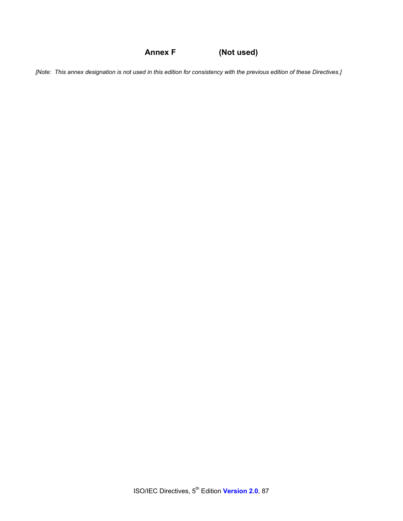**Annex F (Not used)** 

*[Note: This annex designation is not used in this edition for consistency with the previous edition of these Directives.]*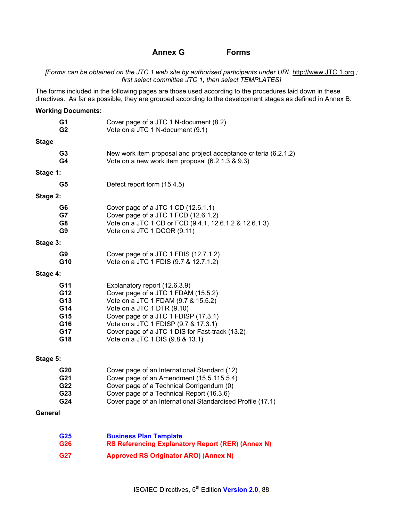#### **Annex G Forms**

*[Forms can be obtained on the JTC 1 web site by authorised participants under URL* http://www.JTC 1.org *; first select committee JTC 1, then select TEMPLATES]*

The forms included in the following pages are those used according to the procedures laid down in these directives. As far as possible, they are grouped according to the development stages as defined in Annex B:

|              | <b>Working Documents:</b>                            |                                                                                                                                                                                                                                                                                                                  |
|--------------|------------------------------------------------------|------------------------------------------------------------------------------------------------------------------------------------------------------------------------------------------------------------------------------------------------------------------------------------------------------------------|
|              | G1<br>G2                                             | Cover page of a JTC 1 N-document (8.2)<br>Vote on a JTC 1 N-document (9.1)                                                                                                                                                                                                                                       |
| <b>Stage</b> |                                                      |                                                                                                                                                                                                                                                                                                                  |
|              | G <sub>3</sub><br>G4                                 | New work item proposal and project acceptance criteria (6.2.1.2)<br>Vote on a new work item proposal (6.2.1.3 & 9.3)                                                                                                                                                                                             |
| Stage 1:     |                                                      |                                                                                                                                                                                                                                                                                                                  |
|              | G5                                                   | Defect report form (15.4.5)                                                                                                                                                                                                                                                                                      |
| Stage 2:     |                                                      |                                                                                                                                                                                                                                                                                                                  |
|              | G6<br>G7<br>G8<br>G9                                 | Cover page of a JTC 1 CD (12.6.1.1)<br>Cover page of a JTC 1 FCD (12.6.1.2)<br>Vote on a JTC 1 CD or FCD (9.4.1, 12.6.1.2 & 12.6.1.3)<br>Vote on a JTC 1 DCOR (9.11)                                                                                                                                             |
| Stage 3:     |                                                      |                                                                                                                                                                                                                                                                                                                  |
|              | G9<br>G10                                            | Cover page of a JTC 1 FDIS (12.7.1.2)<br>Vote on a JTC 1 FDIS (9.7 & 12.7.1.2)                                                                                                                                                                                                                                   |
| Stage 4:     |                                                      |                                                                                                                                                                                                                                                                                                                  |
|              | G11<br>G12<br>G13<br>G14<br>G15<br>G16<br>G17<br>G18 | Explanatory report (12.6.3.9)<br>Cover page of a JTC 1 FDAM (15.5.2)<br>Vote on a JTC 1 FDAM (9.7 & 15.5.2)<br>Vote on a JTC 1 DTR (9.10)<br>Cover page of a JTC 1 FDISP (17.3.1)<br>Vote on a JTC 1 FDISP (9.7 & 17.3.1)<br>Cover page of a JTC 1 DIS for Fast-track (13.2)<br>Vote on a JTC 1 DIS (9.8 & 13.1) |
| Stage 5:     |                                                      |                                                                                                                                                                                                                                                                                                                  |
|              | G20<br>G21<br>G22<br>G23<br>G24                      | Cover page of an International Standard (12)<br>Cover page of an Amendment (15.5.115.5.4)<br>Cover page of a Technical Corrigendum (0)<br>Cover page of a Technical Report (16.3.6)<br>Cover page of an International Standardised Profile (17.1)                                                                |
| General      |                                                      |                                                                                                                                                                                                                                                                                                                  |
|              | G25<br>G26                                           | <b>Business Plan Template</b><br><b>RS Referencing Explanatory Report (RER) (Annex N)</b>                                                                                                                                                                                                                        |
|              | G27                                                  | <b>Approved RS Originator ARO) (Annex N)</b>                                                                                                                                                                                                                                                                     |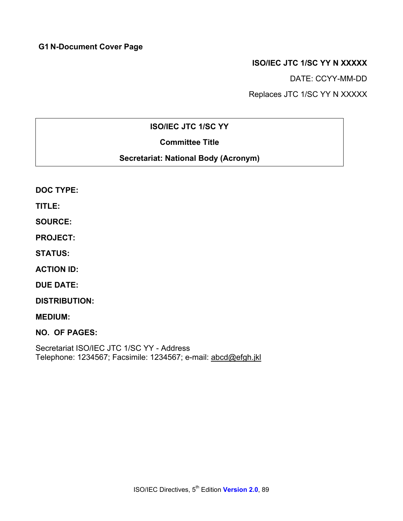## **G1 N-Document Cover Page**

## **ISO/IEC JTC 1/SC YY N XXXXX**

DATE: CCYY-MM-DD

Replaces JTC 1/SC YY N XXXXX

## **ISO/IEC JTC 1/SC YY**

## **Committee Title**

## **Secretariat: National Body (Acronym)**

|  | <b>DOC TYPE:</b> |
|--|------------------|
|--|------------------|

**TITLE:** 

**SOURCE:** 

**PROJECT:** 

**STATUS:** 

**ACTION ID:** 

**DUE DATE:** 

**DISTRIBUTION:** 

**MEDIUM:** 

**NO. OF PAGES:** 

Secretariat ISO/IEC JTC 1/SC YY - Address Telephone: 1234567; Facsimile: 1234567; e-mail: abcd@efgh.jkl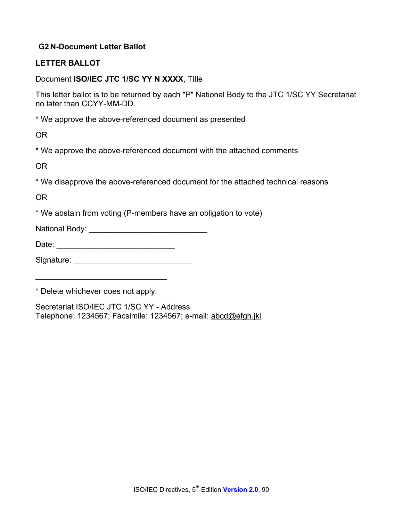## **G2 N-Document Letter Ballot**

#### **LETTER BALLOT**

#### Document **ISO/IEC JTC 1/SC YY N XXXX**, Title

This letter ballot is to be returned by each "P" National Body to the JTC 1/SC YY Secretariat no later than CCYY-MM-DD.

\* We approve the above-referenced document as presented

OR

\* We approve the above-referenced document with the attached comments

OR

\* We disapprove the above-referenced document for the attached technical reasons

OR

\* We abstain from voting (P-members have an obligation to vote)

National Body: \_\_\_\_\_\_\_\_\_\_\_\_\_\_\_\_\_\_\_\_\_\_\_\_\_\_\_

Date: \_\_\_\_\_\_\_\_\_\_\_\_\_\_\_\_\_\_\_\_\_\_\_\_\_\_\_

Signature: \_\_\_\_\_\_\_\_\_\_\_\_\_\_\_\_\_\_\_\_\_\_\_\_\_\_\_

\* Delete whichever does not apply.

\_\_\_\_\_\_\_\_\_\_\_\_\_\_\_\_\_\_\_\_\_\_\_\_\_\_\_\_\_\_

Secretariat ISO/IEC JTC 1/SC YY - Address Telephone: 1234567; Facsimile: 1234567; e-mail: abcd@efgh.jkl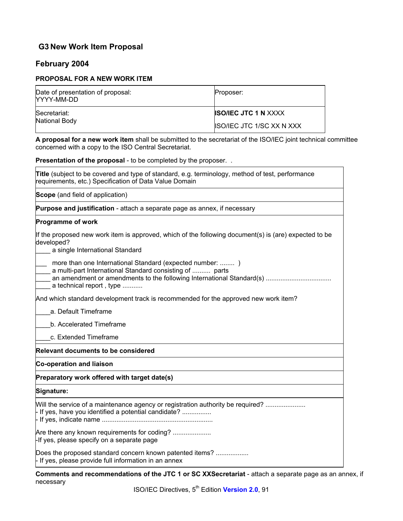## **G3 New Work Item Proposal**

#### **February 2004**

#### **PROPOSAL FOR A NEW WORK ITEM**

| Date of presentation of proposal:<br>NYYY-MM-DD | Proposer:                        |
|-------------------------------------------------|----------------------------------|
| Secretariat:                                    | <b>ISO/IEC JTC 1 N XXXX</b>      |
| National Body                                   | <b>ISO/IEC JTC 1/SC XX N XXX</b> |

**A proposal for a new work item** shall be submitted to the secretariat of the ISO/IEC joint technical committee concerned with a copy to the ISO Central Secretariat.

**Presentation of the proposal** - to be completed by the proposer. .

|  |  |                                                        |  |  | <b>Title</b> (subject to be covered and type of standard, e.g. terminology, method of test, performance |  |
|--|--|--------------------------------------------------------|--|--|---------------------------------------------------------------------------------------------------------|--|
|  |  | requirements, etc.) Specification of Data Value Domain |  |  |                                                                                                         |  |

**Scope** (and field of application)

**Purpose and justification** - attach a separate page as annex, if necessary

#### **Programme of work**

| If the proposed new work item is approved, which of the following document(s) is (are) expected to be<br>developed?                              |
|--------------------------------------------------------------------------------------------------------------------------------------------------|
| a single International Standard                                                                                                                  |
| more than one International Standard (expected number: )<br>a multi-part International Standard consisting of  parts<br>a technical report, type |
| And which standard development track is recommended for the approved new work item?                                                              |
| a. Default Timeframe                                                                                                                             |
| b. Accelerated Timeframe                                                                                                                         |
| c. Extended Timeframe                                                                                                                            |
| <b>Relevant documents to be considered</b>                                                                                                       |
| Co-operation and liaison                                                                                                                         |
| Preparatory work offered with target date(s)                                                                                                     |
| Signature:                                                                                                                                       |
| Will the service of a maintenance agency or registration authority be required?<br>$\vdash$ If yes, have you identified a potential candidate?   |
| Are there any known requirements for coding?<br>-If yes, please specify on a separate page                                                       |
| Does the proposed standard concern known patented items?<br>$\vdash$ If yes, please provide full information in an annex                         |
| Commente and recommendations of the ITO 4 av CO VVCs quatariate officely a concrete non-                                                         |

**Comments and recommendations of the JTC 1 or SC XXSecretariat** - attach a separate page as an annex, if necessary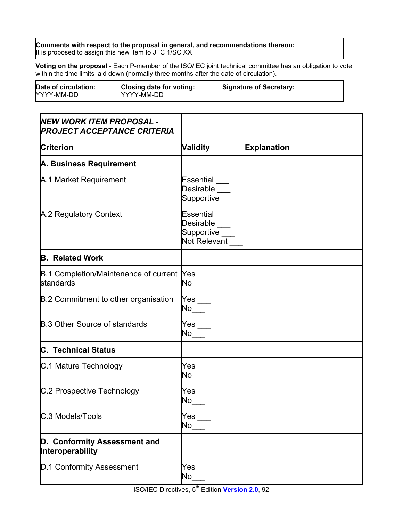**Comments with respect to the proposal in general, and recommendations thereon:** It is proposed to assign this new item to JTC 1/SC XX

**Voting on the proposal** - Each P-member of the ISO/IEC joint technical committee has an obligation to vote within the time limits laid down (normally three months after the date of circulation).

| Date of circulation:<br>YYYY-MM-DD | Closing date for voting:<br>NYYY-MM-DD | <b>Signature of Secretary:</b> |
|------------------------------------|----------------------------------------|--------------------------------|
|                                    |                                        |                                |

| <b>NEW WORK ITEM PROPOSAL -</b><br><b>PROJECT ACCEPTANCE CRITERIA</b> |                                                              |                    |
|-----------------------------------------------------------------------|--------------------------------------------------------------|--------------------|
| <b>Criterion</b>                                                      | <b>Validity</b>                                              | <b>Explanation</b> |
| A. Business Requirement                                               |                                                              |                    |
| A.1 Market Requirement                                                | Essential<br>Desirable<br>Supportive ___                     |                    |
| A.2 Regulatory Context                                                | Essential<br>Desirable ___<br>Supportive ___<br>Not Relevant |                    |
| <b>B. Related Work</b>                                                |                                                              |                    |
| B.1 Completion/Maintenance of current  Yes ___<br>standards           |                                                              |                    |
| B.2 Commitment to other organisation                                  | ${\sf Yes}$ $\rule{1.5ex}{0.6ex}$                            |                    |
| <b>B.3 Other Source of standards</b>                                  | Yes                                                          |                    |
| <b>C. Technical Status</b>                                            |                                                              |                    |
| C.1 Mature Technology                                                 | ${\sf Yes}$ $\_$                                             |                    |
| C.2 Prospective Technology                                            | $\mathsf{Yes}_{\_\_}$                                        |                    |
| C.3 Models/Tools                                                      | $Yes$ $\rule{1em}{0.15mm}$<br>No                             |                    |
| D. Conformity Assessment and<br>Interoperability                      |                                                              |                    |
| D.1 Conformity Assessment                                             | ${\sf Yes}$ $\_$<br>No                                       |                    |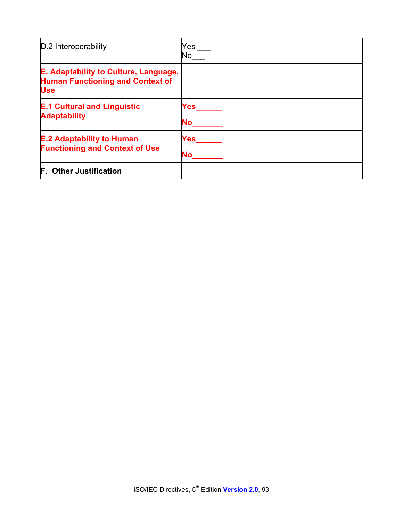| D.2 Interoperability                                                                           | Yes<br>No.       |  |
|------------------------------------------------------------------------------------------------|------------------|--|
| E. Adaptability to Culture, Language,<br><b>Human Functioning and Context of</b><br><b>Use</b> |                  |  |
| <b>E.1 Cultural and Linguistic</b><br><b>Adaptability</b>                                      | Yes<br><b>No</b> |  |
| <b>E.2 Adaptability to Human</b><br><b>Functioning and Context of Use</b>                      | Yes<br><b>No</b> |  |
| <b>F. Other Justification</b>                                                                  |                  |  |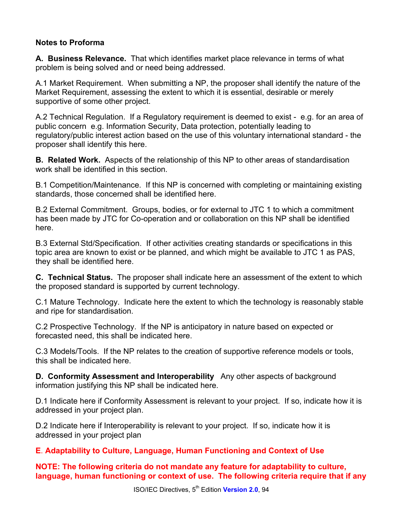## **Notes to Proforma**

**A. Business Relevance.** That which identifies market place relevance in terms of what problem is being solved and or need being addressed.

A.1 Market Requirement. When submitting a NP, the proposer shall identify the nature of the Market Requirement, assessing the extent to which it is essential, desirable or merely supportive of some other project.

A.2 Technical Regulation. If a Regulatory requirement is deemed to exist - e.g. for an area of public concern e.g. Information Security, Data protection, potentially leading to regulatory/public interest action based on the use of this voluntary international standard - the proposer shall identify this here.

**B. Related Work.** Aspects of the relationship of this NP to other areas of standardisation work shall be identified in this section.

B.1 Competition/Maintenance. If this NP is concerned with completing or maintaining existing standards, those concerned shall be identified here.

B.2 External Commitment. Groups, bodies, or for external to JTC 1 to which a commitment has been made by JTC for Co-operation and or collaboration on this NP shall be identified here.

B.3 External Std/Specification. If other activities creating standards or specifications in this topic area are known to exist or be planned, and which might be available to JTC 1 as PAS, they shall be identified here.

**C. Technical Status.** The proposer shall indicate here an assessment of the extent to which the proposed standard is supported by current technology.

C.1 Mature Technology. Indicate here the extent to which the technology is reasonably stable and ripe for standardisation.

C.2 Prospective Technology. If the NP is anticipatory in nature based on expected or forecasted need, this shall be indicated here.

C.3 Models/Tools. If the NP relates to the creation of supportive reference models or tools, this shall be indicated here.

**D. Conformity Assessment and Interoperability** Any other aspects of background information justifying this NP shall be indicated here.

D.1 Indicate here if Conformity Assessment is relevant to your project. If so, indicate how it is addressed in your project plan.

D.2 Indicate here if Interoperability is relevant to your project. If so, indicate how it is addressed in your project plan

**E**. **Adaptability to Culture, Language, Human Functioning and Context of Use** 

**NOTE: The following criteria do not mandate any feature for adaptability to culture, language, human functioning or context of use. The following criteria require that if any**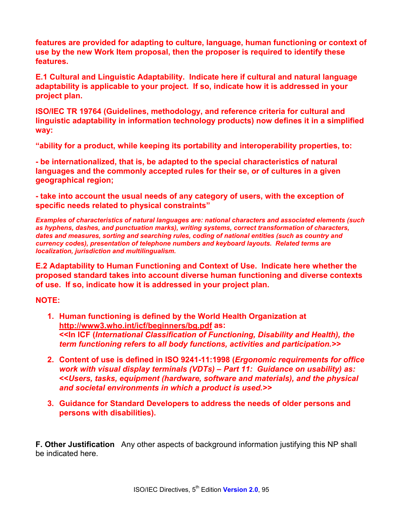**features are provided for adapting to culture, language, human functioning or context of use by the new Work Item proposal, then the proposer is required to identify these features.** 

**E.1 Cultural and Linguistic Adaptability. Indicate here if cultural and natural language adaptability is applicable to your project. If so, indicate how it is addressed in your project plan.** 

**ISO/IEC TR 19764 (Guidelines, methodology, and reference criteria for cultural and linguistic adaptability in information technology products) now defines it in a simplified way:** 

**"ability for a product, while keeping its portability and interoperability properties, to:** 

**- be internationalized, that is, be adapted to the special characteristics of natural languages and the commonly accepted rules for their se, or of cultures in a given geographical region;** 

**- take into account the usual needs of any category of users, with the exception of specific needs related to physical constraints"** 

*Examples of characteristics of natural languages are: national characters and associated elements (such as hyphens, dashes, and punctuation marks), writing systems, correct transformation of characters, dates and measures, sorting and searching rules, coding of national entities (such as country and currency codes), presentation of telephone numbers and keyboard layouts. Related terms are localization, jurisdiction and multilingualism.* 

**E.2 Adaptability to Human Functioning and Context of Use. Indicate here whether the proposed standard takes into account diverse human functioning and diverse contexts of use. If so, indicate how it is addressed in your project plan.** 

**NOTE:** 

- **1. Human functioning is defined by the World Health Organization at http://www3.who.int/icf/beginners/bg.pdf as: <<In ICF (***International Classification of Functioning, Disability and Health), the term functioning refers to all body functions, activities and participation.>>*
- **2. Content of use is defined in ISO 9241-11:1998 (***Ergonomic requirements for office work with visual display terminals (VDTs) – Part 11: Guidance on usability) as:*  **<<***Users, tasks, equipment (hardware, software and materials), and the physical and societal environments in which a product is used.>>*
- **3. Guidance for Standard Developers to address the needs of older persons and persons with disabilities).**

**F. Other Justification** Any other aspects of background information justifying this NP shall be indicated here.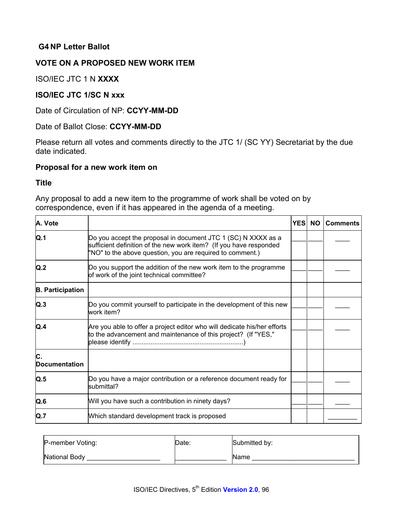## **G4 NP Letter Ballot**

## **VOTE ON A PROPOSED NEW WORK ITEM**

ISO/IEC JTC 1 N **XXXX** 

#### **ISO/IEC JTC 1/SC N xxx**

Date of Circulation of NP: **CCYY-MM-DD**

#### Date of Ballot Close: **CCYY-MM-DD**

Please return all votes and comments directly to the JTC 1/ (SC YY) Secretariat by the due date indicated.

#### **Proposal for a new work item on**

#### **Title**

Any proposal to add a new item to the programme of work shall be voted on by correspondence, even if it has appeared in the agenda of a meeting.

| A. Vote                    |                                                                                                                                                                                                  | <b>YES</b> | <b>NO</b> | <b>Comments</b> |
|----------------------------|--------------------------------------------------------------------------------------------------------------------------------------------------------------------------------------------------|------------|-----------|-----------------|
| Q.1                        | Do you accept the proposal in document JTC 1 (SC) N XXXX as a<br>sufficient definition of the new work item? (If you have responded<br>"NO" to the above question, you are required to comment.) |            |           |                 |
| Q.2                        | Do you support the addition of the new work item to the programme<br>of work of the joint technical committee?                                                                                   |            |           |                 |
| <b>B. Participation</b>    |                                                                                                                                                                                                  |            |           |                 |
| Q.3                        | Do you commit yourself to participate in the development of this new<br>work item?                                                                                                               |            |           |                 |
| Q.4                        | Are you able to offer a project editor who will dedicate his/her efforts<br>to the advancement and maintenance of this project? (If "YES,"                                                       |            |           |                 |
| C.<br><b>Documentation</b> |                                                                                                                                                                                                  |            |           |                 |
| Q.5                        | Do you have a major contribution or a reference document ready for<br>submittal?                                                                                                                 |            |           |                 |
| Q.6                        | Will you have such a contribution in ninety days?                                                                                                                                                |            |           |                 |
| Q.7                        | Which standard development track is proposed                                                                                                                                                     |            |           |                 |

| P-member Voting: | Date: | Submitted by: |
|------------------|-------|---------------|
| National Body    |       | <b>Name</b>   |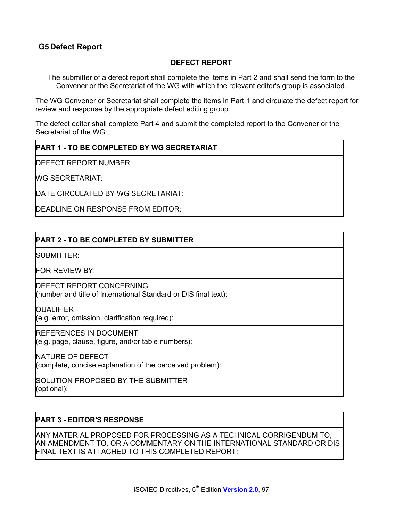## **G5 Defect Report**

#### **DEFECT REPORT**

The submitter of a defect report shall complete the items in Part 2 and shall send the form to the Convener or the Secretariat of the WG with which the relevant editor's group is associated.

The WG Convener or Secretariat shall complete the items in Part 1 and circulate the defect report for review and response by the appropriate defect editing group.

The defect editor shall complete Part 4 and submit the completed report to the Convener or the Secretariat of the WG.

#### **PART 1 - TO BE COMPLETED BY WG SECRETARIAT**

DEFECT REPORT NUMBER:

WG SECRETARIAT:

DATE CIRCULATED BY WG SECRETARIAT:

DEADLINE ON RESPONSE FROM EDITOR:

#### **PART 2 - TO BE COMPLETED BY SUBMITTER**

SUBMITTER:

FOR REVIEW BY:

DEFECT REPORT CONCERNING (number and title of International Standard or DIS final text):

**QUALIFIER** 

(e.g. error, omission, clarification required):

REFERENCES IN DOCUMENT

(e.g. page, clause, figure, and/or table numbers):

NATURE OF DEFECT

(complete, concise explanation of the perceived problem):

SOLUTION PROPOSED BY THE SUBMITTER (optional):

#### **PART 3 - EDITOR'S RESPONSE**

ANY MATERIAL PROPOSED FOR PROCESSING AS A TECHNICAL CORRIGENDUM TO, AN AMENDMENT TO, OR A COMMENTARY ON THE INTERNATIONAL STANDARD OR DIS FINAL TEXT IS ATTACHED TO THIS COMPLETED REPORT: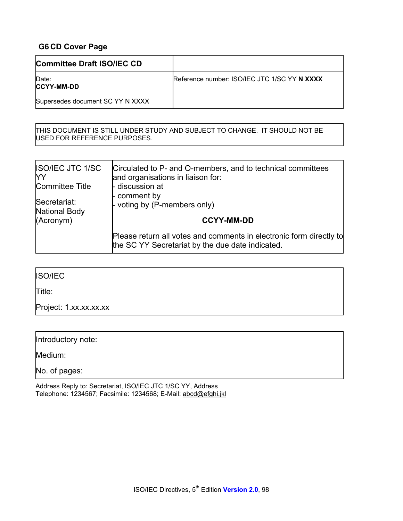## **G6 CD Cover Page**

| Committee Draft ISO/IEC CD       |                                              |
|----------------------------------|----------------------------------------------|
| Date:<br><b>CCYY-MM-DD</b>       | Reference number: ISO/IEC JTC 1/SC YY N XXXX |
| Supersedes document SC YY N XXXX |                                              |

THIS DOCUMENT IS STILL UNDER STUDY AND SUBJECT TO CHANGE. IT SHOULD NOT BE USED FOR REFERENCE PURPOSES.

| <b>ISO/IEC JTC 1/SC</b> | Circulated to P- and O-members, and to technical committees                                                             |
|-------------------------|-------------------------------------------------------------------------------------------------------------------------|
| YY                      | and organisations in liaison for:                                                                                       |
| Committee Title         | - discussion at                                                                                                         |
| Secretariat:            | - comment by                                                                                                            |
| National Body           | - voting by (P-members only)                                                                                            |
| (Acronym)               | <b>CCYY-MM-DD</b>                                                                                                       |
|                         | Please return all votes and comments in electronic form directly to<br>the SC YY Secretariat by the due date indicated. |

ISO/IEC

Title:

Project: 1.xx.xx.xx.xx

Introductory note:

Medium:

No. of pages: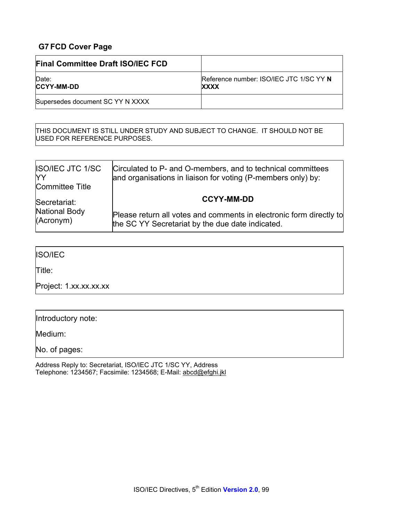## **G7 FCD Cover Page**

| <b>Final Committee Draft ISO/IEC FCD</b> |                                                        |
|------------------------------------------|--------------------------------------------------------|
| Date:<br><b>CCYY-MM-DD</b>               | Reference number: ISO/IEC JTC 1/SC YY N<br><b>XXXX</b> |
| Supersedes document SC YY N XXXX         |                                                        |

THIS DOCUMENT IS STILL UNDER STUDY AND SUBJECT TO CHANGE. IT SHOULD NOT BE USED FOR REFERENCE PURPOSES.

| <b>ISO/IEC JTC 1/SC</b><br>YY<br><b>Committee Title</b> | Circulated to P- and O-members, and to technical committees<br>and organisations in liaison for voting (P-members only) by: |
|---------------------------------------------------------|-----------------------------------------------------------------------------------------------------------------------------|
| Secretariat:                                            | <b>CCYY-MM-DD</b>                                                                                                           |
| <b>National Body</b><br>(Acronym)                       | Please return all votes and comments in electronic form directly to<br>the SC YY Secretariat by the due date indicated.     |

## ISO/IEC

Title:

Project: 1.xx.xx.xx.xx

| Introductory note: |  |
|--------------------|--|
|--------------------|--|

Medium:

No. of pages: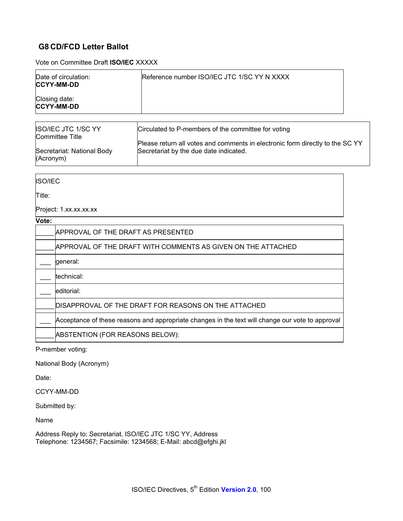## **G8 CD/FCD Letter Ballot**

Vote on Committee Draft **ISO/IEC** XXXXX

| Date of circulation:<br><b>CCYY-MM-DD</b> | Reference number ISO/IEC JTC 1/SC YY N XXXX |
|-------------------------------------------|---------------------------------------------|
| Closing date:<br><b>CCYY-MM-DD</b>        |                                             |

| ISO/IEC JTC 1/SC YY<br>Committee Title | Circulated to P-members of the committee for voting                           |
|----------------------------------------|-------------------------------------------------------------------------------|
| Secretariat: National Body             | Please return all votes and comments in electronic form directly to the SC YY |
| (Acronym)                              | Secretariat by the due date indicated.                                        |

ISO/IEC

Title:

Project: 1.xx.xx.xx.xx

#### **Vote:**

| . |                                                                                                  |
|---|--------------------------------------------------------------------------------------------------|
|   | APPROVAL OF THE DRAFT AS PRESENTED                                                               |
|   | APPROVAL OF THE DRAFT WITH COMMENTS AS GIVEN ON THE ATTACHED                                     |
|   | general:                                                                                         |
|   | technical:                                                                                       |
|   | editorial:                                                                                       |
|   | DISAPPROVAL OF THE DRAFT FOR REASONS ON THE ATTACHED                                             |
|   | Acceptance of these reasons and appropriate changes in the text will change our vote to approval |
|   | ABSTENTION (FOR REASONS BELOW):                                                                  |
|   |                                                                                                  |

P-member voting:

National Body (Acronym)

Date:

CCYY-MM-DD

Submitted by:

Name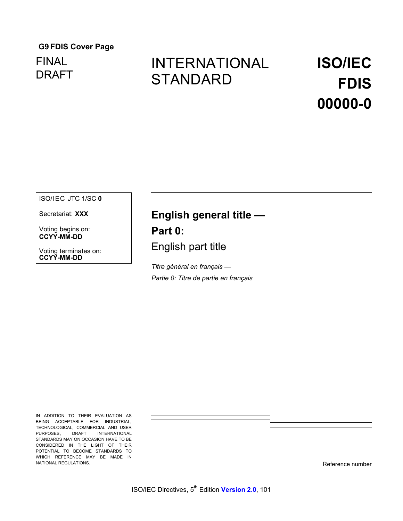## **G9 FDIS Cover Page**

## FINAL DRAFT

## INTERNATIONAL **STANDARD**

## **ISO/IEC FDIS 00000-0**

ISO/IEC JTC 1/SC **0** 

Secretariat: **XXX** 

Voting begins on: **CCYY-MM-DD**

Voting terminates on: **CCYY-MM-DD**

## **English general title —**

**Part 0:** 

English part title

*Titre général en français — Partie 0: Titre de partie en français*

IN ADDITION TO THEIR EVALUATION AS BEING ACCEPTABLE FOR INDUSTRIAL, TECHNOLOGICAL, COMMERCIAL AND USER PURPOSES, DRAFT INTERNATIONAL STANDARDS MAY ON OCCASION HAVE TO BE CONSIDERED IN THE LIGHT OF THEIR POTENTIAL TO BECOME STANDARDS TO WHICH REFERENCE MAY BE MADE IN NATIONAL REGULATIONS.

Reference number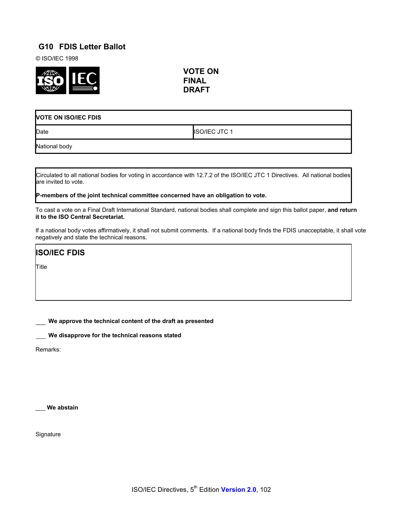## **G10 FDIS Letter Ballot**

© ISO/IEC 1998



**VOTE ON FINAL DRAFT**

| <b>VOTE ON ISO/IEC FDIS</b> |                      |  |
|-----------------------------|----------------------|--|
| Date                        | <b>ISO/IEC JTC 1</b> |  |
| National body               |                      |  |

Circulated to all national bodies for voting in accordance with 12.7.2 of the ISO/IEC JTC 1 Directives. All national bodies are invited to vote.

**P-members of the joint technical committee concerned have an obligation to vote.**

To cast a vote on a Final Draft International Standard, national bodies shall complete and sign this ballot paper, **and return it to the ISO Central Secretariat.** 

If a national body votes affirmatively, it shall not submit comments. If a national body finds the FDIS unacceptable, it shall vote negatively and state the technical reasons.

**ISO/IEC FDIS**

Title

\_\_\_ **We approve the technical content of the draft as presented**

\_\_\_ **We disapprove for the technical reasons stated**

Remarks:

\_\_\_ **We abstain** 

**Signature**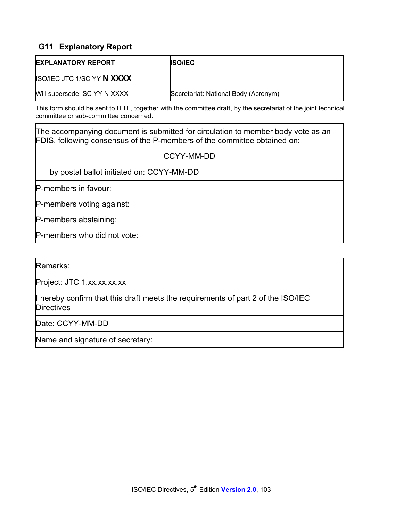## **G11 Explanatory Report**

| <b>EXPLANATORY REPORT</b>         | <b>ISO/IEC</b>                       |
|-----------------------------------|--------------------------------------|
| <b>ISO/IEC JTC 1/SC YY N XXXX</b> |                                      |
| Will supersede: SC YY N XXXX      | Secretariat: National Body (Acronym) |

This form should be sent to ITTF, together with the committee draft, by the secretariat of the joint technical committee or sub-committee concerned.

The accompanying document is submitted for circulation to member body vote as an FDIS, following consensus of the P-members of the committee obtained on:

#### CCYY-MM-DD

by postal ballot initiated on: CCYY-MM-DD

P-members in favour:

P-members voting against:

P-members abstaining:

P-members who did not vote:

Remarks:

Project: JTC 1.xx.xx.xx.xx

I hereby confirm that this draft meets the requirements of part 2 of the ISO/IEC **Directives** 

Date: CCYY-MM-DD

Name and signature of secretary: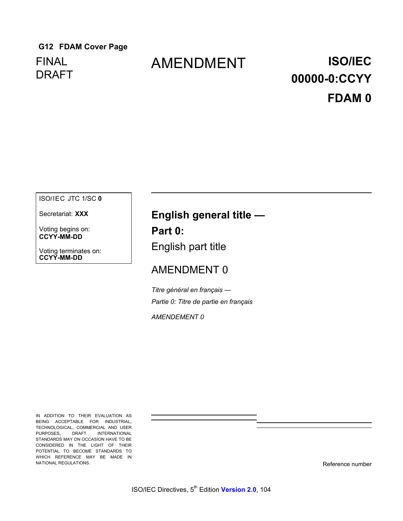## **G12 FDAM Cover Page**  FINAL DRAFT

## AMENDMENT **ISO/IEC**

# **00000-0:CCYY FDAM 0**

#### ISO/IEC JTC 1/SC **0**

Secretariat: **XXX** 

Voting begins on: **CCYY-MM-DD**

Voting terminates on: **CCYY-MM-DD**

## **English general title —**

**Part 0:**  English part title

## AMENDMENT 0

*Titre général en français — Partie 0: Titre de partie en français*

*AMENDEMENT 0* 

IN ADDITION TO THEIR EVALUATION AS BEING ACCEPTABLE FOR INDUSTRIAL, TECHNOLOGICAL, COMMERCIAL AND USER PURPOSES, DRAFT INTERNATIONAL STANDARDS MAY ON OCCASION HAVE TO BE CONSIDERED IN THE LIGHT OF THEIR POTENTIAL TO BECOME STANDARDS TO WHICH REFERENCE MAY BE MADE IN NATIONAL REGULATIONS.

Reference number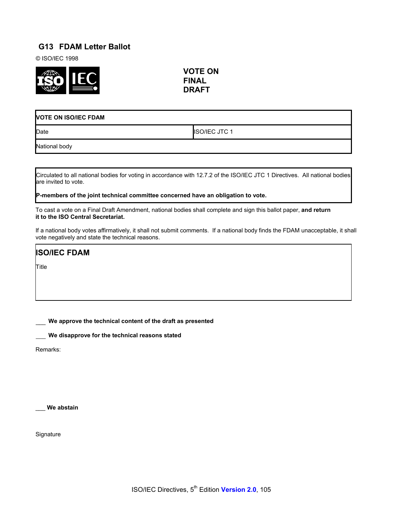## **G13 FDAM Letter Ballot**

© ISO/IEC 1998



**VOTE ON FINAL DRAFT**

| <b>VOTE ON ISO/IEC FDAM</b> |                      |
|-----------------------------|----------------------|
| Date                        | <b>ISO/IEC JTC 1</b> |
| National body               |                      |

Circulated to all national bodies for voting in accordance with 12.7.2 of the ISO/IEC JTC 1 Directives. All national bodies are invited to vote.

**P-members of the joint technical committee concerned have an obligation to vote.**

To cast a vote on a Final Draft Amendment, national bodies shall complete and sign this ballot paper, **and return it to the ISO Central Secretariat.** 

If a national body votes affirmatively, it shall not submit comments. If a national body finds the FDAM unacceptable, it shall vote negatively and state the technical reasons.

**ISO/IEC FDAM**

Title

\_\_\_ **We approve the technical content of the draft as presented**

\_\_\_ **We disapprove for the technical reasons stated**

Remarks:

\_\_\_ **We abstain** 

**Signature**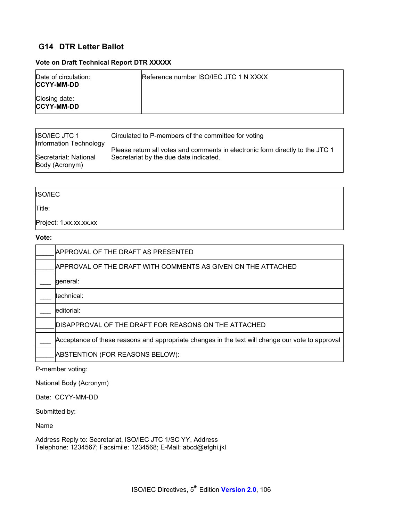## **G14 DTR Letter Ballot**

#### **Vote on Draft Technical Report DTR XXXXX**

| Date of circulation:<br><b>ICCYY-MM-DD</b> | Reference number ISO/IEC JTC 1 N XXXX |
|--------------------------------------------|---------------------------------------|
| Closing date:<br><b>CCYY-MM-DD</b>         |                                       |

| <b>ISO/IEC JTC 1</b><br>Information Technology | Circulated to P-members of the committee for voting                           |
|------------------------------------------------|-------------------------------------------------------------------------------|
| Secretariat: National                          | Please return all votes and comments in electronic form directly to the JTC 1 |
| Body (Acronym)                                 | Secretariat by the due date indicated.                                        |

#### ISO/IEC

Title:

Project: 1.xx.xx.xx.xx

#### **Vote:**

| APPROVAL OF THE DRAFT AS PRESENTED                                                               |
|--------------------------------------------------------------------------------------------------|
| APPROVAL OF THE DRAFT WITH COMMENTS AS GIVEN ON THE ATTACHED                                     |
| general:                                                                                         |
| technical:                                                                                       |
| editorial:                                                                                       |
| DISAPPROVAL OF THE DRAFT FOR REASONS ON THE ATTACHED                                             |
| Acceptance of these reasons and appropriate changes in the text will change our vote to approval |
| ABSTENTION (FOR REASONS BELOW):                                                                  |

P-member voting:

National Body (Acronym)

Date: CCYY-MM-DD

Submitted by:

Name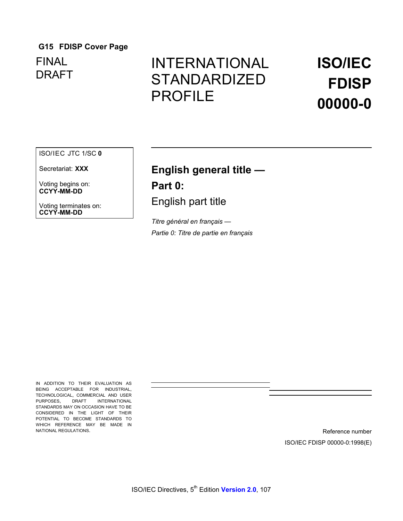## **G15 FDISP Cover Page**

FINAL DRAFT

## INTERNATIONAL STANDARDIZED PROFILE

## **ISO/IEC FDISP 00000-0**

#### ISO/IEC JTC 1/SC **0**

Secretariat: **XXX** 

Voting begins on: **CCYY-MM-DD**

Voting terminates on: **CCYY-MM-DD**

## **English general title —**

**Part 0:**  English part title

*Titre général en français — Partie 0: Titre de partie en français*

IN ADDITION TO THEIR EVALUATION AS BEING ACCEPTABLE FOR INDUSTRIAL, TECHNOLOGICAL, COMMERCIAL AND USER PURPOSES, DRAFT INTERNATIONAL STANDARDS MAY ON OCCASION HAVE TO BE CONSIDERED IN THE LIGHT OF THEIR POTENTIAL TO BECOME STANDARDS TO WHICH REFERENCE MAY BE MADE IN NATIONAL REGULATIONS.

Reference number ISO/IEC FDISP 00000-0:1998(E)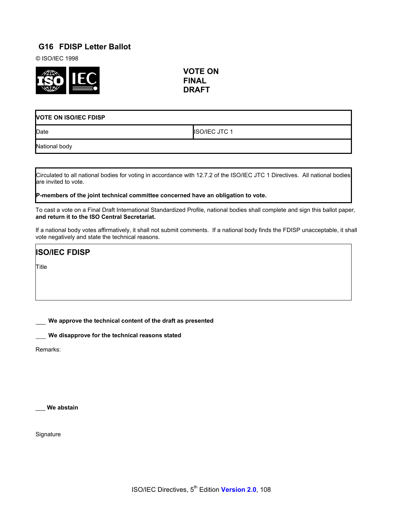# **G16 FDISP Letter Ballot**

© ISO/IEC 1998



**VOTE ON FINAL DRAFT**

| <b>VOTE ON ISO/IEC FDISP</b> |                      |
|------------------------------|----------------------|
| Date                         | <b>ISO/IEC JTC 1</b> |
| National body                |                      |

Circulated to all national bodies for voting in accordance with 12.7.2 of the ISO/IEC JTC 1 Directives. All national bodies are invited to vote.

**P-members of the joint technical committee concerned have an obligation to vote.**

To cast a vote on a Final Draft International Standardized Profile, national bodies shall complete and sign this ballot paper, **and return it to the ISO Central Secretariat.** 

If a national body votes affirmatively, it shall not submit comments. If a national body finds the FDISP unacceptable, it shall vote negatively and state the technical reasons.

**ISO/IEC FDISP**

Title

\_\_\_ **We approve the technical content of the draft as presented**

\_\_\_ **We disapprove for the technical reasons stated**

Remarks:

\_\_\_ **We abstain** 

**Signature**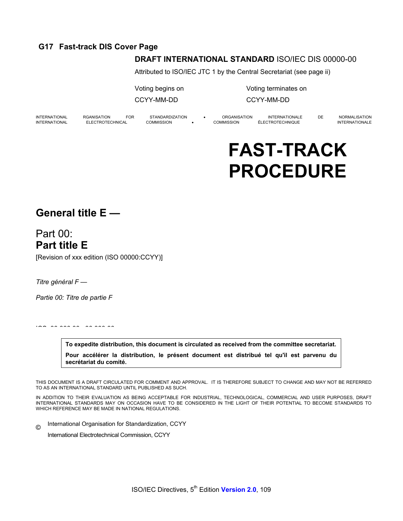# **G17 Fast-track DIS Cover Page**

### **DRAFT INTERNATIONAL STANDARD** ISO/IEC DIS 00000-00

Attributed to ISO/IEC JTC 1 by the Central Secretariat (see page ii)

Voting begins on Voting terminates on

CCYY-MM-DD CCYY-MM-DD

INTERNATIONAL RGANISATION FOR STANDARDIZATION • ORGANISATION INTERNATIONALE DE NORMALISATION INTERNATIONAL ELECTROTECHNICAL COMMISSION • COMMISSION ÉLECTROTECHNIQUE INTERNATIONALE

# **FAST-TRACK PROCEDURE**

# **General title E —**

Part 00: **Part title E**  [Revision of xxx edition (ISO 00000:CCYY)]

*Titre général F —*

*Partie 00: Titre de partie F*

. . . . . . . . . . . . . . . .

**To expedite distribution, this document is circulated as received from the committee secretariat. Pour accélérer la distribution, le présent document est distribué tel qu'il est parvenu du secrétariat du comité.**

THIS DOCUMENT IS A DRAFT CIRCULATED FOR COMMENT AND APPROVAL. IT IS THEREFORE SUBJECT TO CHANGE AND MAY NOT BE REFERRED TO AS AN INTERNATIONAL STANDARD UNTIL PUBLISHED AS SUCH.

IN ADDITION TO THEIR EVALUATION AS BEING ACCEPTABLE FOR INDUSTRIAL, TECHNOLOGICAL, COMMERCIAL AND USER PURPOSES, DRAFT INTERNATIONAL STANDARDS MAY ON OCCASION HAVE TO BE CONSIDERED IN THE LIGHT OF THEIR POTENTIAL TO BECOME STANDARDS TO WHICH REFERENCE MAY BE MADE IN NATIONAL REGULATIONS.

© International Organisation for Standardization, CCYY

International Electrotechnical Commission, CCYY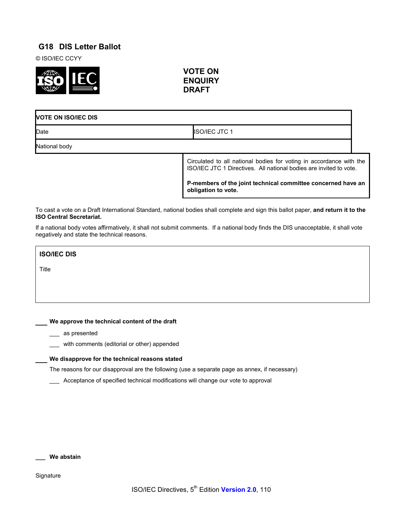# **G18 DIS Letter Ballot**

© ISO/IEC CCYY



**VOTE ON ENQUIRY DRAFT**

# **VOTE ON ISO/IEC DIS**  Date **ISO/IEC JTC 1**

National body

Circulated to all national bodies for voting in accordance with the ISO/IEC JTC 1 Directives. All national bodies are invited to vote.

**P-members of the joint technical committee concerned have an obligation to vote.**

To cast a vote on a Draft International Standard, national bodies shall complete and sign this ballot paper, **and return it to the ISO Central Secretariat.** 

If a national body votes affirmatively, it shall not submit comments. If a national body finds the DIS unacceptable, it shall vote negatively and state the technical reasons.

**ISO/IEC DIS** 

Title

\_\_ **We approve the technical content of the draft** 

\_\_\_ as presented

\_\_\_ with comments (editorial or other) appended

#### \_\_ **We disapprove for the technical reasons stated**

The reasons for our disapproval are the following (use a separate page as annex, if necessary)

\_\_\_ Acceptance of specified technical modifications will change our vote to approval

**\_\_\_ We abstain**

**Signature**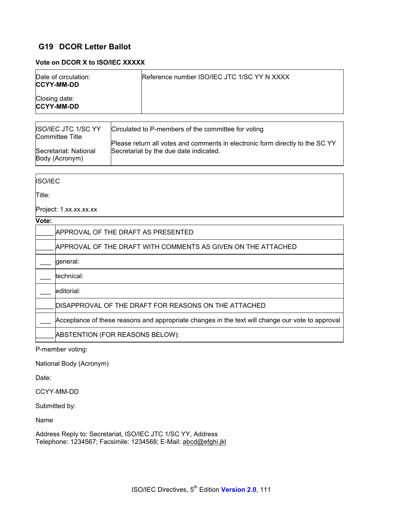# **G19 DCOR Letter Ballot**

#### **Vote on DCOR X to ISO/IEC XXXXX**

|                        | Date of circulation:<br><b>CCYY-MM-DD</b>     |  | Reference number ISO/IEC JTC 1/SC YY N XXXX                                                                             |
|------------------------|-----------------------------------------------|--|-------------------------------------------------------------------------------------------------------------------------|
| Closing date:          | <b>CCYY-MM-DD</b>                             |  |                                                                                                                         |
|                        |                                               |  |                                                                                                                         |
|                        | ISO/IEC JTC 1/SC YY<br><b>Committee Title</b> |  | Circulated to P-members of the committee for voting                                                                     |
|                        | Secretariat: National                         |  | Please return all votes and comments in electronic form directly to the SC YY<br>Secretariat by the due date indicated. |
|                        | Body (Acronym)                                |  |                                                                                                                         |
|                        |                                               |  |                                                                                                                         |
| <b>ISO/IEC</b>         |                                               |  |                                                                                                                         |
| Title:                 |                                               |  |                                                                                                                         |
| Project: 1.xx.xx.xx.xx |                                               |  |                                                                                                                         |
| Vote:                  |                                               |  |                                                                                                                         |
|                        | APPROVAL OF THE DRAFT AS PRESENTED            |  |                                                                                                                         |
|                        |                                               |  | APPROVAL OF THE DRAFT WITH COMMENTS AS GIVEN ON THE ATTACHED                                                            |
|                        | general:                                      |  |                                                                                                                         |
|                        | technical:                                    |  |                                                                                                                         |
|                        | editorial:                                    |  |                                                                                                                         |
|                        |                                               |  | DISAPPROVAL OF THE DRAFT FOR REASONS ON THE ATTACHED                                                                    |
|                        |                                               |  | Acceptance of these reasons and appropriate changes in the text will change our vote to approval                        |
|                        | ABSTENTION (FOR REASONS BELOW):               |  |                                                                                                                         |
|                        | P-member voting:                              |  |                                                                                                                         |
|                        |                                               |  |                                                                                                                         |

National Body (Acronym)

Date:

CCYY-MM-DD

Submitted by:

Name

Address Reply to: Secretariat, ISO/IEC JTC 1/SC YY, Address Telephone: 1234567; Facsimile: 1234568; E-Mail: abcd@efghi.jkl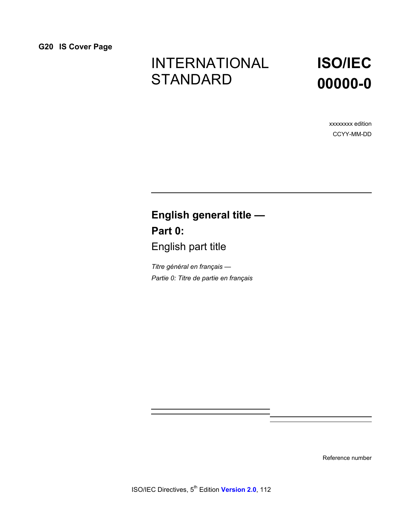# INTERNATIONAL **STANDARD**

# **ISO/IEC 00000-0**

xxxxxxxx edition CCYY-MM-DD

# **English general title — Part 0:**  English part title

*Titre général en français — Partie 0: Titre de partie en français*

Reference number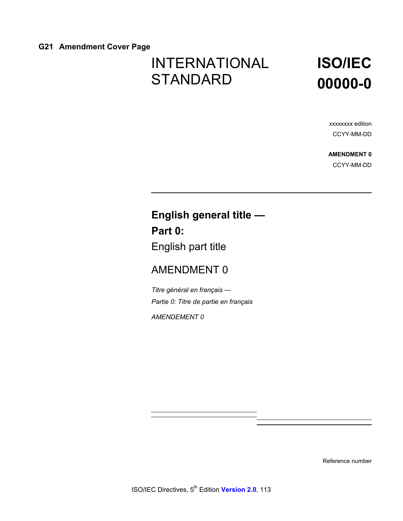### **G21 Amendment Cover Page**

# INTERNATIONAL **STANDARD**

# **ISO/IEC 00000-0**

xxxxxxxx edition CCYY-MM-DD

**AMENDMENT 0** CCYY-MM-DD

# **English general title — Part 0:**  English part title

# AMENDMENT 0

*Titre général en français — Partie 0: Titre de partie en français*

*AMENDEMENT 0* 

Reference number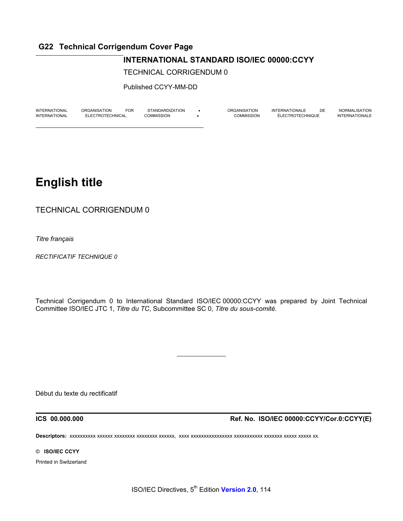# **G22 Technical Corrigendum Cover Page**

### **INTERNATIONAL STANDARD ISO/IEC 00000:CCYY**

TECHNICAL CORRIGENDUM 0

Published CCYY-MM-DD

| <b>INTERNATIONAL</b> | ORGANISATION     | <b>FOR</b> | STANDARDIZATION | ORGANISATION | <b>INTERNATIONALE</b> | DE | NORMALISATION  |
|----------------------|------------------|------------|-----------------|--------------|-----------------------|----|----------------|
| <b>INTERNATIONAL</b> | ELECTROTECHNICAL |            | COMMISSION      | COMMISSION   | ÉLECTROTECHNIQUE      |    | INTERNATIONALE |
|                      |                  |            |                 |              |                       |    |                |

# **English title**

TECHNICAL CORRIGENDUM 0

*Titre français*

*RECTIFICATIF TECHNIQUE 0*

Technical Corrigendum 0 to International Standard ISO/IEC 00000:CCYY was prepared by Joint Technical Committee ISO/IEC JTC 1, *Titre du TC*, Subcommittee SC 0, *Titre du sous-comité*.

Début du texte du rectificatif

**ICS 00.000.000 Ref. No. ISO/IEC 00000:CCYY/Cor.0:CCYY(E)**

**Descriptors:** xxxxxxxxxx xxxxxx xxxxxxxx xxxxxxxx xxxxxx, xxxx xxxxxxxxxxxxxxxx xxxxxxxxxxx xxxxxxx xxxxx xxxxx xx.

 $\overline{a}$ 

© **ISO/IEC CCYY** 

Printed in Switzerland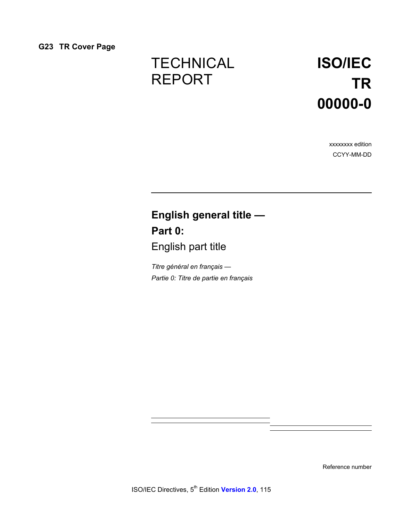# **TECHNICAL** REPORT

# **ISO/IEC TR 00000-0**

xxxxxxxx edition CCYY-MM-DD

# **English general title — Part 0:**  English part title

*Titre général en français — Partie 0: Titre de partie en français*

Reference number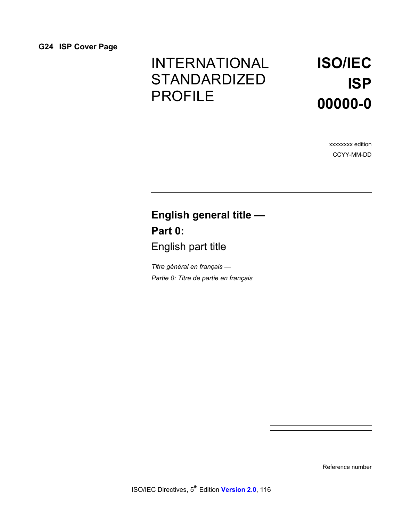# INTERNATIONAL STANDARDIZED PROFILE

# **ISO/IEC ISP 00000-0**

xxxxxxxx edition CCYY-MM-DD

# **English general title — Part 0:**  English part title

*Titre général en français — Partie 0: Titre de partie en français*

Reference number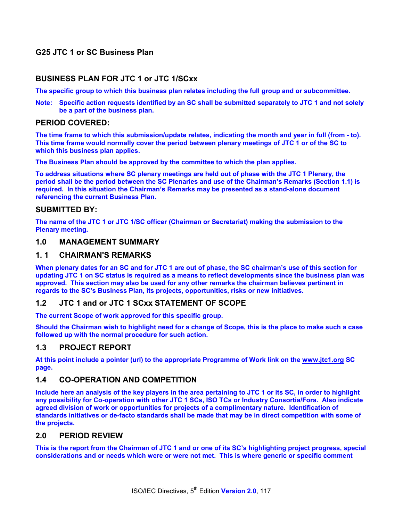# **G25 JTC 1 or SC Business Plan**

#### **BUSINESS PLAN FOR JTC 1 or JTC 1/SCxx**

**The specific group to which this business plan relates including the full group and or subcommittee.** 

**Note: Specific action requests identified by an SC shall be submitted separately to JTC 1 and not solely be a part of the business plan.** 

#### **PERIOD COVERED:**

**The time frame to which this submission/update relates, indicating the month and year in full (from - to). This time frame would normally cover the period between plenary meetings of JTC 1 or of the SC to which this business plan applies.** 

**The Business Plan should be approved by the committee to which the plan applies.** 

**To address situations where SC plenary meetings are held out of phase with the JTC 1 Plenary, the period shall be the period between the SC Plenaries and use of the Chairman's Remarks (Section 1.1) is required. In this situation the Chairman's Remarks may be presented as a stand-alone document referencing the current Business Plan.** 

#### **SUBMITTED BY:**

**The name of the JTC 1 or JTC 1/SC officer (Chairman or Secretariat) making the submission to the Plenary meeting.** 

#### **1.0 MANAGEMENT SUMMARY**

#### **1. 1 CHAIRMAN'S REMARKS**

**When plenary dates for an SC and for JTC 1 are out of phase, the SC chairman's use of this section for updating JTC 1 on SC status is required as a means to reflect developments since the business plan was approved. This section may also be used for any other remarks the chairman believes pertinent in regards to the SC's Business Plan, its projects, opportunities, risks or new initiatives.** 

#### **1.2 JTC 1 and or JTC 1 SCxx STATEMENT OF SCOPE**

**The current Scope of work approved for this specific group.** 

**Should the Chairman wish to highlight need for a change of Scope, this is the place to make such a case followed up with the normal procedure for such action.** 

#### **1.3 PROJECT REPORT**

**At this point include a pointer (url) to the appropriate Programme of Work link on the www.jtc1.org SC page.** 

#### **1.4 CO-OPERATION AND COMPETITION**

**Include here an analysis of the key players in the area pertaining to JTC 1 or its SC, in order to highlight any possibility for Co-operation with other JTC 1 SCs, ISO TCs or Industry Consortia/Fora. Also indicate agreed division of work or opportunities for projects of a complimentary nature. Identification of standards initiatives or de-facto standards shall be made that may be in direct competition with some of the projects.** 

### **2.0 PERIOD REVIEW**

**This is the report from the Chairman of JTC 1 and or one of its SC's highlighting project progress, special considerations and or needs which were or were not met. This is where generic or specific comment**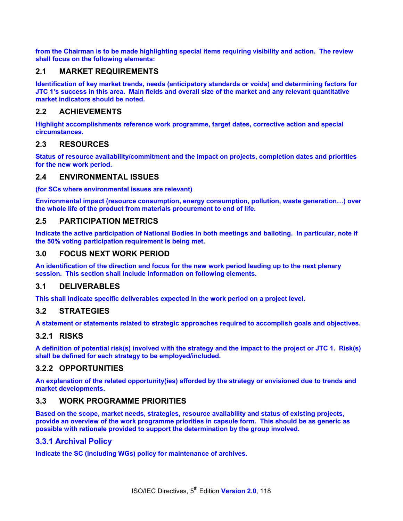**from the Chairman is to be made highlighting special items requiring visibility and action. The review shall focus on the following elements:** 

### **2.1 MARKET REQUIREMENTS**

**Identification of key market trends, needs (anticipatory standards or voids) and determining factors for JTC 1's success in this area. Main fields and overall size of the market and any relevant quantitative market indicators should be noted.** 

#### **2.2 ACHIEVEMENTS**

**Highlight accomplishments reference work programme, target dates, corrective action and special circumstances.** 

#### **2.3 RESOURCES**

**Status of resource availability/commitment and the impact on projects, completion dates and priorities for the new work period.** 

#### **2.4 ENVIRONMENTAL ISSUES**

**(for SCs where environmental issues are relevant)** 

**Environmental impact (resource consumption, energy consumption, pollution, waste generation…) over the whole life of the product from materials procurement to end of life.** 

#### **2.5 PARTICIPATION METRICS**

**Indicate the active participation of National Bodies in both meetings and balloting. In particular, note if the 50% voting participation requirement is being met.** 

#### **3.0 FOCUS NEXT WORK PERIOD**

**An identification of the direction and focus for the new work period leading up to the next plenary session. This section shall include information on following elements.** 

### **3.1 DELIVERABLES**

**This shall indicate specific deliverables expected in the work period on a project level.** 

#### **3.2 STRATEGIES**

**A statement or statements related to strategic approaches required to accomplish goals and objectives.** 

#### **3.2.1 RISKS**

**A definition of potential risk(s) involved with the strategy and the impact to the project or JTC 1. Risk(s) shall be defined for each strategy to be employed/included.** 

#### **3.2.2 OPPORTUNITIES**

**An explanation of the related opportunity(ies) afforded by the strategy or envisioned due to trends and market developments.** 

#### **3.3 WORK PROGRAMME PRIORITIES**

**Based on the scope, market needs, strategies, resource availability and status of existing projects, provide an overview of the work programme priorities in capsule form. This should be as generic as possible with rationale provided to support the determination by the group involved.** 

#### **3.3.1 Archival Policy**

**Indicate the SC (including WGs) policy for maintenance of archives.**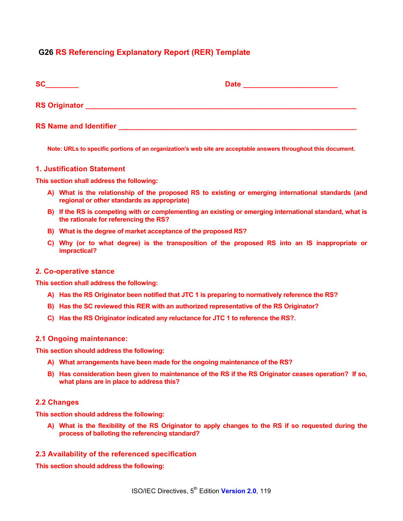### **G26 RS Referencing Explanatory Report (RER) Template**

| <b>SC</b>                     | <b>Date</b> |
|-------------------------------|-------------|
| <b>RS Originator</b>          |             |
| <b>RS Name and Identifier</b> |             |

**Note: URLs to specific portions of an organization's web site are acceptable answers throughout this document.** 

#### **1. Justification Statement**

**This section shall address the following:** 

- **A) What is the relationship of the proposed RS to existing or emerging international standards (and regional or other standards as appropriate)**
- **B) If the RS is competing with or complementing an existing or emerging international standard, what is the rationale for referencing the RS?**
- **B) What is the degree of market acceptance of the proposed RS?**
- **C) Why (or to what degree) is the transposition of the proposed RS into an IS inappropriate or impractical?**

#### **2. Co-operative stance**

**This section shall address the following:** 

- **A) Has the RS Originator been notified that JTC 1 is preparing to normatively reference the RS?**
- **B) Has the SC reviewed this RER with an authorized representative of the RS Originator?**
- **C) Has the RS Originator indicated any reluctance for JTC 1 to reference the RS?.**

#### **2.1 Ongoing maintenance:**

**This section should address the following:** 

- **A) What arrangements have been made for the ongoing maintenance of the RS?**
- **B) Has consideration been given to maintenance of the RS if the RS Originator ceases operation? If so, what plans are in place to address this?**

#### **2.2 Changes**

**This section should address the following:** 

**A) What is the flexibility of the RS Originator to apply changes to the RS if so requested during the process of balloting the referencing standard?** 

#### **2.3 Availability of the referenced specification**

**This section should address the following:**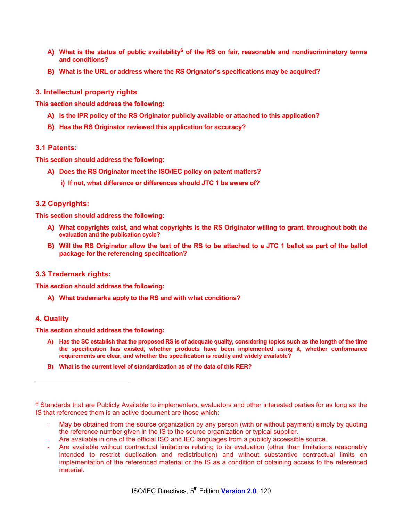- **A) What is the status of public availability6 of the RS on fair, reasonable and nondiscriminatory terms and conditions?**
- **B) What is the URL or address where the RS Orignator's specifications may be acquired?**

#### **3. Intellectual property rights**

**This section should address the following:** 

- **A) Is the IPR policy of the RS Originator publicly available or attached to this application?**
- **B) Has the RS Originator reviewed this application for accuracy?**

#### **3.1 Patents:**

**This section should address the following:** 

- **A) Does the RS Originator meet the ISO/IEC policy on patent matters?** 
	- **i) If not, what difference or differences should JTC 1 be aware of?**

#### **3.2 Copyrights:**

**This section should address the following:** 

- **A) What copyrights exist, and what copyrights is the RS Originator willing to grant, throughout both the evaluation and the publication cycle?**
- **B) Will the RS Originator allow the text of the RS to be attached to a JTC 1 ballot as part of the ballot package for the referencing specification?**

#### **3.3 Trademark rights:**

**This section should address the following:** 

**A) What trademarks apply to the RS and with what conditions?** 

#### **4. Quality**

l

**This section should address the following:** 

- **A) Has the SC establish that the proposed RS is of adequate quality, considering topics such as the length of the time the specification has existed, whether products have been implemented using it, whether conformance requirements are clear, and whether the specification is readily and widely available?**
- **B) What is the current level of standardization as of the data of this RER?**

- May be obtained from the source organization by any person (with or without payment) simply by quoting the reference number given in the IS to the source organization or typical supplier.
- Are available in one of the official ISO and IEC languages from a publicly accessible source.
- Are available without contractual limitations relating to its evaluation (other than limitations reasonably intended to restrict duplication and redistribution) and without substantive contractual limits on implementation of the referenced material or the IS as a condition of obtaining access to the referenced material.

<sup>&</sup>lt;sup>6</sup> Standards that are Publicly Available to implementers, evaluators and other interested parties for as long as the IS that references them is an active document are those which: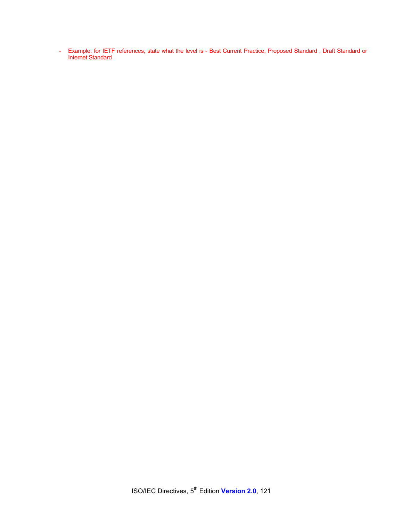- Example: for IETF references, state what the level is - Best Current Practice, Proposed Standard , Draft Standard or Internet Standard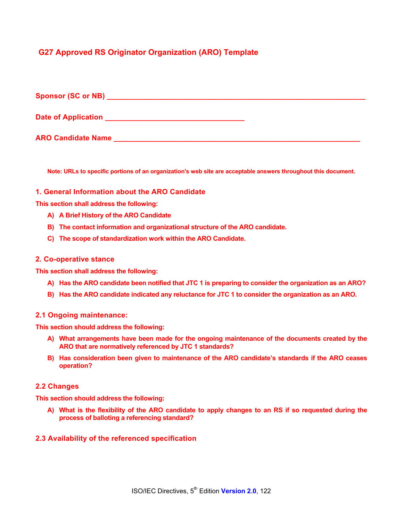# **G27 Approved RS Originator Organization (ARO) Template**

| Sponsor (SC or NB)        |  |  |  |
|---------------------------|--|--|--|
| Date of Application       |  |  |  |
| <b>ARO Candidate Name</b> |  |  |  |

**Note: URLs to specific portions of an organization's web site are acceptable answers throughout this document.** 

#### **1. General Information about the ARO Candidate**

**This section shall address the following:** 

- **A) A Brief History of the ARO Candidate**
- **B) The contact information and organizational structure of the ARO candidate.**
- **C) The scope of standardization work within the ARO Candidate.**

#### **2. Co-operative stance**

**This section shall address the following:** 

- **A) Has the ARO candidate been notified that JTC 1 is preparing to consider the organization as an ARO?**
- **B) Has the ARO candidate indicated any reluctance for JTC 1 to consider the organization as an ARO.**

#### **2.1 Ongoing maintenance:**

**This section should address the following:** 

- **A) What arrangements have been made for the ongoing maintenance of the documents created by the ARO that are normatively referenced by JTC 1 standards?**
- **B) Has consideration been given to maintenance of the ARO candidate's standards if the ARO ceases operation?**

#### **2.2 Changes**

**This section should address the following:** 

**A) What is the flexibility of the ARO candidate to apply changes to an RS if so requested during the process of balloting a referencing standard?** 

#### **2.3 Availability of the referenced specification**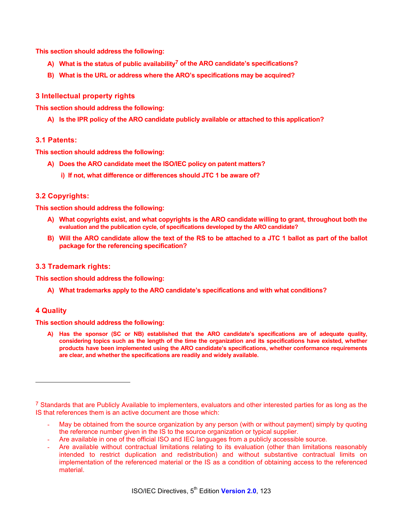**This section should address the following:** 

- **A) What is the status of public availability7 of the ARO candidate's specifications?**
- **B) What is the URL or address where the ARO's specifications may be acquired?**

#### **3 Intellectual property rights**

**This section should address the following:** 

**A) Is the IPR policy of the ARO candidate publicly available or attached to this application?** 

#### **3.1 Patents:**

**This section should address the following:** 

- **A) Does the ARO candidate meet the ISO/IEC policy on patent matters?** 
	- **i) If not, what difference or differences should JTC 1 be aware of?**

#### **3.2 Copyrights:**

**This section should address the following:** 

- **A) What copyrights exist, and what copyrights is the ARO candidate willing to grant, throughout both the evaluation and the publication cycle, of specifications developed by the ARO candidate?**
- **B) Will the ARO candidate allow the text of the RS to be attached to a JTC 1 ballot as part of the ballot package for the referencing specification?**

#### **3.3 Trademark rights:**

**This section should address the following:** 

**A) What trademarks apply to the ARO candidate's specifications and with what conditions?** 

#### **4 Quality**

l

**This section should address the following:** 

**A) Has the sponsor (SC or NB) established that the ARO candidate's specifications are of adequate quality, considering topics such as the length of the time the organization and its specifications have existed, whether products have been implemented using the ARO candidate's specifications, whether conformance requirements are clear, and whether the specifications are readily and widely available.** 

- May be obtained from the source organization by any person (with or without payment) simply by quoting the reference number given in the IS to the source organization or typical supplier.
- Are available in one of the official ISO and IEC languages from a publicly accessible source.
- Are available without contractual limitations relating to its evaluation (other than limitations reasonably intended to restrict duplication and redistribution) and without substantive contractual limits on implementation of the referenced material or the IS as a condition of obtaining access to the referenced material.

<sup>&</sup>lt;sup>7</sup> Standards that are Publicly Available to implementers, evaluators and other interested parties for as long as the IS that references them is an active document are those which: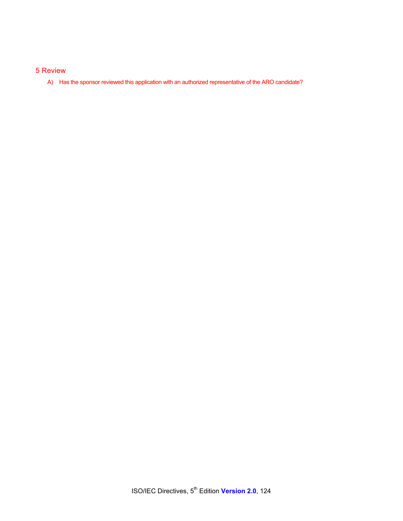#### 5 Review

A) Has the sponsor reviewed this application with an authorized representative of the ARO candidate?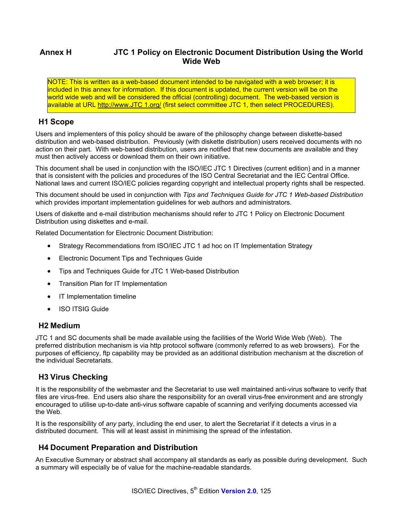# **Annex H JTC 1 Policy on Electronic Document Distribution Using the World Wide Web**

NOTE: This is written as a web-based document intended to be navigated with a web browser; it is included in this annex for information. If this document is updated, the current version will be on the world wide web and will be considered the official (controlling) document. The web-based version is available at URL http://www.JTC 1.org/ (first select committee JTC 1, then select PROCEDURES).

# **H1 Scope**

Users and implementers of this policy should be aware of the philosophy change between diskette-based distribution and web-based distribution. Previously (with diskette distribution) users received documents with no action on their part. With web-based distribution, users are notified that new documents are available and they must then actively access or download them on their own initiative.

This document shall be used in conjunction with the ISO/IEC JTC 1 Directives (current edition) and in a manner that is consistent with the policies and procedures of the ISO Central Secretariat and the IEC Central Office. National laws and current ISO/IEC policies regarding copyright and intellectual property rights shall be respected.

This document should be used in conjunction with *Tips and Techniques Guide for JTC 1 Web-based Distribution* which provides important implementation guidelines for web authors and administrators.

Users of diskette and e-mail distribution mechanisms should refer to JTC 1 Policy on Electronic Document Distribution using diskettes and e-mail.

Related Documentation for Electronic Document Distribution:

- Strategy Recommendations from ISO/IEC JTC 1 ad hoc on IT Implementation Strategy
- Electronic Document Tips and Techniques Guide
- Tips and Techniques Guide for JTC 1 Web-based Distribution
- Transition Plan for IT Implementation
- IT Implementation timeline
- **ISO ITSIG Guide**

#### **H2 Medium**

JTC 1 and SC documents shall be made available using the facilities of the World Wide Web (Web). The preferred distribution mechanism is via http protocol software (commonly referred to as web browsers). For the purposes of efficiency, ftp capability may be provided as an additional distribution mechanism at the discretion of the individual Secretariats.

#### **H3 Virus Checking**

It is the responsibility of the webmaster and the Secretariat to use well maintained anti-virus software to verify that files are virus-free. End users also share the responsibility for an overall virus-free environment and are strongly encouraged to utilise up-to-date anti-virus software capable of scanning and verifying documents accessed via the Web.

It is the responsibility of *any* party, including the end user, to alert the Secretariat if it detects a virus in a distributed document. This will at least assist in minimising the spread of the infestation.

# **H4 Document Preparation and Distribution**

An Executive Summary or abstract shall accompany all standards as early as possible during development. Such a summary will especially be of value for the machine-readable standards.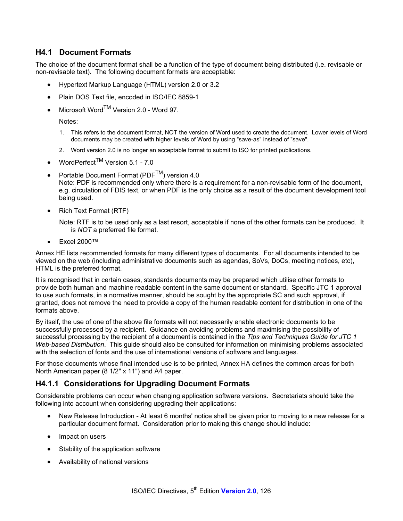### **H4.1 Document Formats**

The choice of the document format shall be a function of the type of document being distributed (i.e. revisable or non-revisable text). The following document formats are acceptable:

- Hypertext Markup Language (HTML) version 2.0 or 3.2
- Plain DOS Text file, encoded in ISO/IEC 8859-1
- Microsoft Word<sup>™</sup> Version 2.0 Word 97.

Notes:

- 1. This refers to the document format, NOT the version of Word used to create the document. Lower levels of Word documents may be created with higher levels of Word by using "save-as" instead of "save".
- 2. Word version 2.0 is no longer an acceptable format to submit to ISO for printed publications.
- WordPerfect<sup>TM</sup> Version 5.1 7.0
- Portable Document Format (PDF<sup>TM</sup>) version 4.0 Note: PDF is recommended only where there is a requirement for a non-revisable form of the document, e.g. circulation of FDIS text, or when PDF is the only choice as a result of the document development tool being used.
- Rich Text Format (RTF)

Note: RTF is to be used only as a last resort, acceptable if none of the other formats can be produced. It is *NOT* a preferred file format.

• Excel 2000™

Annex HE lists recommended formats for many different types of documents. For all documents intended to be viewed on the web (including administrative documents such as agendas, SoVs, DoCs, meeting notices, etc), HTML is the preferred format.

It is recognised that in certain cases, standards documents may be prepared which utilise other formats to provide both human and machine readable content in the same document or standard. Specific JTC 1 approval to use such formats, in a normative manner, should be sought by the appropriate SC and such approval, if granted, does not remove the need to provide a copy of the human readable content for distribution in one of the formats above.

By itself, the use of one of the above file formats will not necessarily enable electronic documents to be successfully processed by a recipient. Guidance on avoiding problems and maximising the possibility of successful processing by the recipient of a document is contained in the *Tips and Techniques Guide for JTC 1 Web-based Distribution*. This guide should also be consulted for information on minimising problems associated with the selection of fonts and the use of international versions of software and languages.

For those documents whose final intended use is to be printed, Annex HA defines the common areas for both North American paper (8 1/2" x 11") and A4 paper.

# **H4.1.1 Considerations for Upgrading Document Formats**

Considerable problems can occur when changing application software versions. Secretariats should take the following into account when considering upgrading their applications:

- New Release Introduction At least 6 months' notice shall be given prior to moving to a new release for a particular document format. Consideration prior to making this change should include:
- Impact on users
- Stability of the application software
- Availability of national versions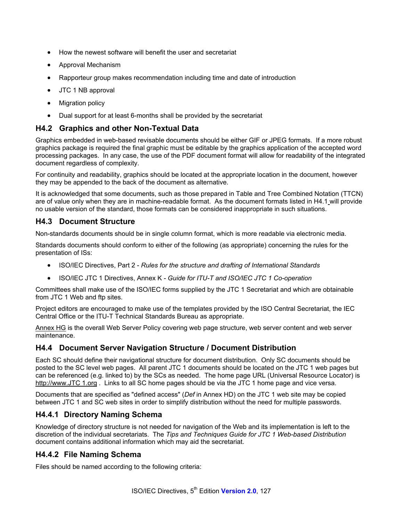- How the newest software will benefit the user and secretariat
- Approval Mechanism
- Rapporteur group makes recommendation including time and date of introduction
- JTC 1 NB approval
- Migration policy
- Dual support for at least 6-months shall be provided by the secretariat

### **H4.2 Graphics and other Non-Textual Data**

Graphics embedded in web-based revisable documents should be either GIF or JPEG formats. If a more robust graphics package is required the final graphic must be editable by the graphics application of the accepted word processing packages. In any case, the use of the PDF document format will allow for readability of the integrated document regardless of complexity.

For continuity and readability, graphics should be located at the appropriate location in the document, however they may be appended to the back of the document as alternative.

It is acknowledged that some documents, such as those prepared in Table and Tree Combined Notation (TTCN) are of value only when they are in machine-readable format. As the document formats listed in H4.1 will provide no usable version of the standard, those formats can be considered inappropriate in such situations.

### **H4.3 Document Structure**

Non-standards documents should be in single column format, which is more readable via electronic media.

Standards documents should conform to either of the following (as appropriate) concerning the rules for the presentation of ISs:

- ISO/IEC Directives, Part 2 *Rules for the structure and drafting of International Standards*
- ISO/IEC JTC 1 Directives, Annex K *Guide for ITU-T and ISO/IEC JTC 1 Co-operation*

Committees shall make use of the ISO/IEC forms supplied by the JTC 1 Secretariat and which are obtainable from JTC 1 Web and ftp sites.

Project editors are encouraged to make use of the templates provided by the ISO Central Secretariat, the IEC Central Office or the ITU-T Technical Standards Bureau as appropriate.

Annex HG is the overall Web Server Policy covering web page structure, web server content and web server maintenance.

#### **H4.4 Document Server Navigation Structure / Document Distribution**

Each SC should define their navigational structure for document distribution. Only SC documents should be posted to the SC level web pages. All parent JTC 1 documents should be located on the JTC 1 web pages but can be referenced (e.g. linked to) by the SCs as needed. The home page URL (Universal Resource Locator) is http://www.JTC 1.org . Links to all SC home pages should be via the JTC 1 home page and vice versa.

Documents that are specified as "defined access" (*Def* in Annex HD) on the JTC 1 web site may be copied between JTC 1 and SC web sites in order to simplify distribution without the need for multiple passwords.

# **H4.4.1 Directory Naming Schema**

Knowledge of directory structure is not needed for navigation of the Web and its implementation is left to the discretion of the individual secretariats. The *Tips and Techniques Guide for JTC 1 Web-based Distribution* document contains additional information which may aid the secretariat.

#### **H4.4.2 File Naming Schema**

Files should be named according to the following criteria: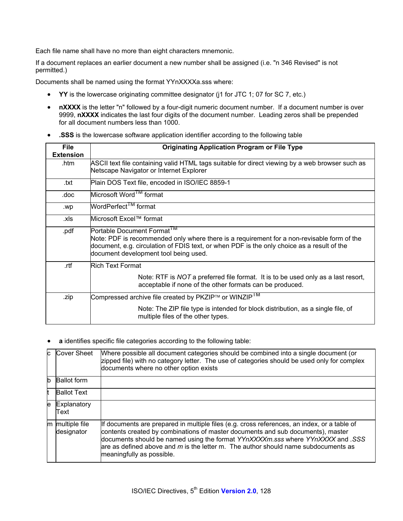Each file name shall have no more than eight characters mnemonic.

If a document replaces an earlier document a new number shall be assigned (i.e. "n 346 Revised" is not permitted.)

Documents shall be named using the format YYnXXXXa.sss where:

- **YY** is the lowercase originating committee designator (j1 for JTC 1; 07 for SC 7, etc.)
- nXXXX is the letter "n" followed by a four-digit numeric document number. If a document number is over 9999, **nXXXX** indicates the last four digits of the document number. Leading zeros shall be prepended for all document numbers less than 1000.
- **.SSS** is the lowercase software application identifier according to the following table

| <b>File</b><br><b>Extension</b> | <b>Originating Application Program or File Type</b>                                                                                                                                                                                                                         |
|---------------------------------|-----------------------------------------------------------------------------------------------------------------------------------------------------------------------------------------------------------------------------------------------------------------------------|
| .htm                            | ASCII text file containing valid HTML tags suitable for direct viewing by a web browser such as<br>Netscape Navigator or Internet Explorer                                                                                                                                  |
| .txt                            | Plain DOS Text file, encoded in ISO/IEC 8859-1                                                                                                                                                                                                                              |
| .doc                            | Microsoft Word <sup>1M</sup> format                                                                                                                                                                                                                                         |
| .wp                             | WordPerfect <sup>1M</sup> format                                                                                                                                                                                                                                            |
| .xls                            | Microsoft Excel™ format                                                                                                                                                                                                                                                     |
| .pdf                            | Portable Document Format <sup>1M</sup><br>Note: PDF is recommended only where there is a requirement for a non-revisable form of the<br>document, e.g. circulation of FDIS text, or when PDF is the only choice as a result of the<br>document development tool being used. |
| .rtf                            | Rich Text Format                                                                                                                                                                                                                                                            |
|                                 | Note: RTF is NOT a preferred file format. It is to be used only as a last resort,<br>acceptable if none of the other formats can be produced.                                                                                                                               |
| .zip                            | Compressed archive file created by PKZIP™ or WINZIP <sup>TM</sup>                                                                                                                                                                                                           |
|                                 | Note: The ZIP file type is intended for block distribution, as a single file, of<br>multiple files of the other types.                                                                                                                                                      |

• **a** identifies specific file categories according to the following table:

| C  | Cover Sheet                   | Where possible all document categories should be combined into a single document (or<br>zipped file) with no category letter. The use of categories should be used only for complex<br>documents where no other option exists                                                                                                                                                         |
|----|-------------------------------|---------------------------------------------------------------------------------------------------------------------------------------------------------------------------------------------------------------------------------------------------------------------------------------------------------------------------------------------------------------------------------------|
| lb | <b>Ballot form</b>            |                                                                                                                                                                                                                                                                                                                                                                                       |
| lt | <b>Ballot Text</b>            |                                                                                                                                                                                                                                                                                                                                                                                       |
| e  | Explanatory<br>Text           |                                                                                                                                                                                                                                                                                                                                                                                       |
|    | m multiple file<br>designator | If documents are prepared in multiple files (e.g. cross references, an index, or a table of<br>contents created by combinations of master documents and sub documents), master<br>documents should be named using the format YYnXXXXm.sss where YYnXXXX and .SSS<br>are as defined above and $m$ is the letter m. The author should name subdocuments as<br>meaningfully as possible. |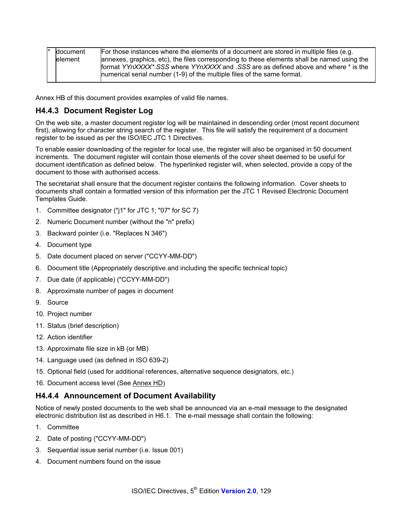| document | For those instances where the elements of a document are stored in multiple files (e.g.     |
|----------|---------------------------------------------------------------------------------------------|
| lelement | annexes, graphics, etc), the files corresponding to these elements shall be named using the |
|          | format YYnXXXX*.SSS where YYnXXXX and .SSS are as defined above and where * is the          |
|          | numerical serial number (1-9) of the multiple files of the same format.                     |
|          |                                                                                             |

Annex HB of this document provides examples of valid file names.

# **H4.4.3 Document Register Log**

On the web site, a master document register log will be maintained in descending order (most recent document first), allowing for character string search of the register. This file will satisfy the requirement of a document register to be issued as per the ISO/IEC JTC 1 Directives.

To enable easier downloading of the register for local use, the register will also be organised in 50 document increments. The document register will contain those elements of the cover sheet deemed to be useful for document identification as defined below. The hyperlinked register will, when selected, provide a copy of the document to those with authorised access.

The secretariat shall ensure that the document register contains the following information. Cover sheets to documents shall contain a formatted version of this information per the JTC 1 Revised Electronic Document Templates Guide.

- 1. Committee designator ("j1" for JTC 1; "07" for SC 7)
- 2. Numeric Document number (without the "n" prefix)
- 3. Backward pointer (i.e. "Replaces N 346")
- 4. Document type
- 5. Date document placed on server ("CCYY-MM-DD")
- 6. Document title (Appropriately descriptive and including the specific technical topic)
- 7. Due date (if applicable) ("CCYY-MM-DD")
- 8. Approximate number of pages in document
- 9. Source
- 10. Project number
- 11. Status (brief description)
- 12. Action identifier
- 13. Approximate file size in kB (or MB)
- 14. Language used (as defined in ISO 639-2)
- 15. Optional field (used for additional references, alternative sequence designators, etc.)
- 16. Document access level (See Annex HD)

# **H4.4.4 Announcement of Document Availability**

Notice of newly posted documents to the web shall be announced via an e-mail message to the designated electronic distribution list as described in H6.1. The e-mail message shall contain the following:

- 1. Committee
- 2. Date of posting ("CCYY-MM-DD")
- 3. Sequential issue serial number (i.e. Issue 001)
- 4. Document numbers found on the issue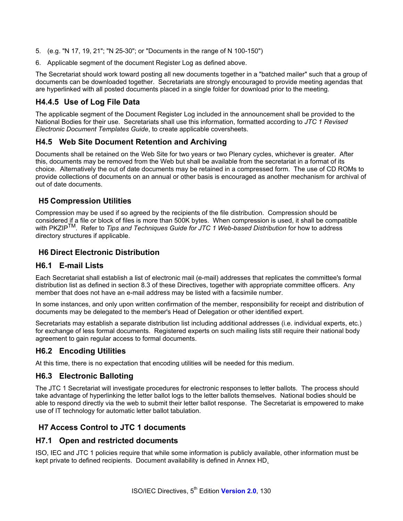- 5. (e.g. "N 17, 19, 21"; "N 25-30"; or "Documents in the range of N 100-150")
- 6. Applicable segment of the document Register Log as defined above.

The Secretariat should work toward posting all new documents together in a "batched mailer" such that a group of documents can be downloaded together. Secretariats are strongly encouraged to provide meeting agendas that are hyperlinked with all posted documents placed in a single folder for download prior to the meeting.

# **H4.4.5 Use of Log File Data**

The applicable segment of the Document Register Log included in the announcement shall be provided to the National Bodies for their use. Secretariats shall use this information, formatted according to *JTC 1 Revised Electronic Document Templates Guide*, to create applicable coversheets.

### **H4.5 Web Site Document Retention and Archiving**

Documents shall be retained on the Web Site for two years or two Plenary cycles, whichever is greater. After this, documents may be removed from the Web but shall be available from the secretariat in a format of its choice. Alternatively the out of date documents may be retained in a compressed form. The use of CD ROMs to provide collections of documents on an annual or other basis is encouraged as another mechanism for archival of out of date documents.

# **H5 Compression Utilities**

Compression may be used if so agreed by the recipients of the file distribution. Compression should be considered if a file or block of files is more than 500K bytes. When compression is used, it shall be compatible with PKZIPTM. Refer to *Tips and Techniques Guide for JTC 1 Web-based Distribution* for how to address directory structures if applicable.

# **H6 Direct Electronic Distribution**

#### **H6.1 E-mail Lists**

Each Secretariat shall establish a list of electronic mail (e-mail) addresses that replicates the committee's formal distribution list as defined in section 8.3 of these Directives, together with appropriate committee officers. Any member that does not have an e-mail address may be listed with a facsimile number.

In some instances, and only upon written confirmation of the member, responsibility for receipt and distribution of documents may be delegated to the member's Head of Delegation or other identified expert.

Secretariats may establish a separate distribution list including additional addresses (i.e. individual experts, etc.) for exchange of less formal documents. Registered experts on such mailing lists still require their national body agreement to gain regular access to formal documents.

#### **H6.2 Encoding Utilities**

At this time, there is no expectation that encoding utilities will be needed for this medium.

#### **H6.3 Electronic Balloting**

The JTC 1 Secretariat will investigate procedures for electronic responses to letter ballots. The process should take advantage of hyperlinking the letter ballot logs to the letter ballots themselves. National bodies should be able to respond directly via the web to submit their letter ballot response. The Secretariat is empowered to make use of IT technology for automatic letter ballot tabulation.

# **H7 Access Control to JTC 1 documents**

#### **H7.1 Open and restricted documents**

ISO, IEC and JTC 1 policies require that while some information is publicly available, other information must be kept private to defined recipients. Document availability is defined in Annex HD.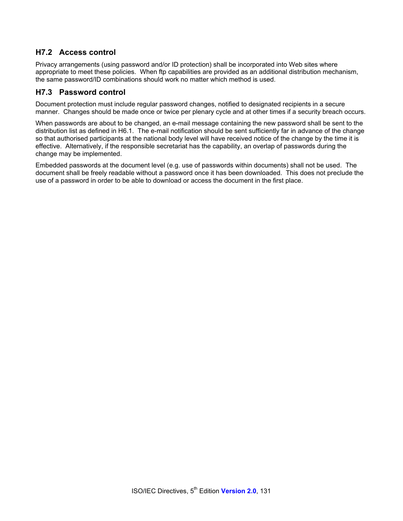# **H7.2 Access control**

Privacy arrangements (using password and/or ID protection) shall be incorporated into Web sites where appropriate to meet these policies. When ftp capabilities are provided as an additional distribution mechanism, the same password/ID combinations should work no matter which method is used.

### **H7.3 Password control**

Document protection must include regular password changes, notified to designated recipients in a secure manner. Changes should be made once or twice per plenary cycle and at other times if a security breach occurs.

When passwords are about to be changed, an e-mail message containing the new password shall be sent to the distribution list as defined in H6.1. The e-mail notification should be sent sufficiently far in advance of the change so that authorised participants at the national body level will have received notice of the change by the time it is effective. Alternatively, if the responsible secretariat has the capability, an overlap of passwords during the change may be implemented.

Embedded passwords at the document level (e.g. use of passwords within documents) shall not be used. The document shall be freely readable without a password once it has been downloaded. This does not preclude the use of a password in order to be able to download or access the document in the first place.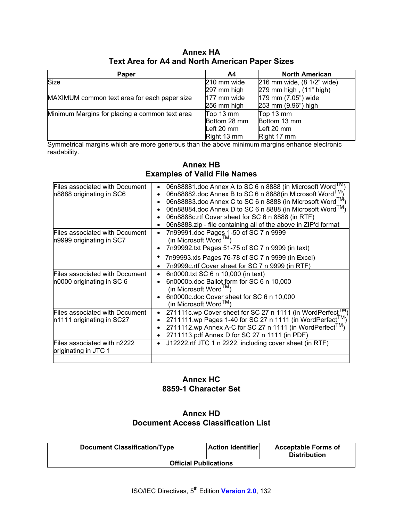| <b>Annex HA</b>                                        |  |
|--------------------------------------------------------|--|
| <b>Text Area for A4 and North American Paper Sizes</b> |  |

| Paper                                          | A4            | <b>North American</b>      |
|------------------------------------------------|---------------|----------------------------|
| Size                                           | 210 mm wide   | 216 mm wide, (8 1/2" wide) |
|                                                | 297 mm high   | 279 mm high, (11" high)    |
| MAXIMUM common text area for each paper size   | $177$ mm wide | 179 mm (7.05") wide        |
|                                                | 256 mm high   | 253 mm (9.96") high        |
| Minimum Margins for placing a common text area | Top 13 mm     | Top 13 mm                  |
|                                                | Bottom 28 mm  | Bottom 13 mm               |
|                                                | Left 20 mm    | Left 20 mm                 |
|                                                | Right 13 mm   | Right 17 mm                |

Symmetrical margins which are more generous than the above minimum margins enhance electronic readability.

|                                                             | <b>Examples of Valid File Names</b>                                                                                                                                                                                                                                                                                                                                                                           |  |  |  |
|-------------------------------------------------------------|---------------------------------------------------------------------------------------------------------------------------------------------------------------------------------------------------------------------------------------------------------------------------------------------------------------------------------------------------------------------------------------------------------------|--|--|--|
| Files associated with Document<br>n8888 originating in SC6  | 06n88881.doc Annex A to SC 6 n 8888 (in Microsoft Word <sup>1M</sup> )<br>06n88882.doc Annex B to SC 6 n 8888(in Microsoft Word <sup>TM</sup> )<br>06n88883.doc Annex C to SC 6 n 8888 (in Microsoft Word <sup>TM</sup> )<br>06n88884.doc Annex D to SC 6 n 8888 (in Microsoft Word M)<br>06n8888c.rtf Cover sheet for SC 6 n 8888 (in RTF)<br>06n8888.zip - file containing all of the above in ZIP'd format |  |  |  |
| Files associated with Document<br>n9999 originating in SC7  | 7n99991.doc Pages 1-50 of SC 7 n 9999<br>(in Microsoft Word $^{TM}$ )<br>7n99992.txt Pages 51-75 of SC 7 n 9999 (in text)                                                                                                                                                                                                                                                                                     |  |  |  |
|                                                             | 7n99993.xls Pages 76-78 of SC 7 n 9999 (in Excel)<br>7n9999c.rtf Cover sheet for SC 7 n 9999 (in RTF)                                                                                                                                                                                                                                                                                                         |  |  |  |
| Files associated with Document<br>n0000 originating in SC 6 | 6n0000.txt SC 6 n 10,000 (in text)<br>6n0000b.doc Ballot form for SC 6 n 10,000<br>(in Microsoft Word $TM$ )<br>6n0000c.doc Cover sheet for SC 6 n 10,000<br>(in Microsoft Word $TM$ )                                                                                                                                                                                                                        |  |  |  |
| Files associated with Document<br>n1111 originating in SC27 | 271111c.wp Cover sheet for SC 27 n 1111 (in WordPerfect <sup>1M</sup><br>$\bullet$<br>2711111.wp Pages 1-40 for SC 27 n 1111 (in WordPerfect <sup>TM</sup> )<br>2711112.wp Annex A-C for SC 27 n 1111 (in WordPerfect <sup>1M</sup> )<br>2711113.pdf Annex D for SC 27 n 1111 (in PDF)                                                                                                                        |  |  |  |
| Files associated with n2222<br>originating in JTC 1         | J12222.rtf JTC 1 n 2222, including cover sheet (in RTF)<br>$\bullet$                                                                                                                                                                                                                                                                                                                                          |  |  |  |
|                                                             |                                                                                                                                                                                                                                                                                                                                                                                                               |  |  |  |

# **Annex HB**

# **Annex HC 8859-1 Character Set**

# **Annex HD Document Access Classification List**

| <b>Document Classification/Type</b> | <b>Action Identifier</b> | <b>Acceptable Forms of</b><br><b>Distribution</b> |  |  |  |  |
|-------------------------------------|--------------------------|---------------------------------------------------|--|--|--|--|
| <b>Official Publications</b>        |                          |                                                   |  |  |  |  |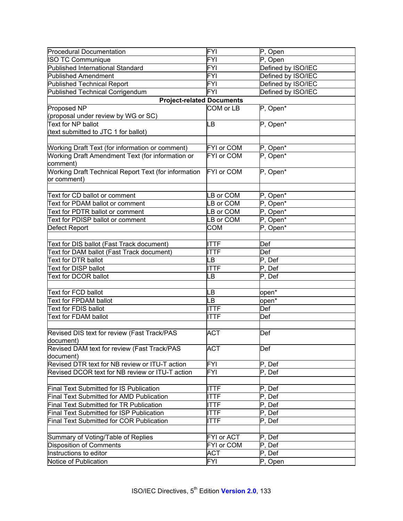| <b>Procedural Documentation</b>                        | <b>FYI</b>  | P, Open                      |  |  |
|--------------------------------------------------------|-------------|------------------------------|--|--|
| <b>ISO TC Communique</b>                               | <b>FYI</b>  | P, Open                      |  |  |
| <b>Published International Standard</b>                | FYI         | Defined by ISO/IEC           |  |  |
|                                                        |             |                              |  |  |
| <b>Published Amendment</b>                             | FYI         | Defined by ISO/IEC           |  |  |
| <b>Published Technical Report</b>                      | <b>FYI</b>  | Defined by ISO/IEC           |  |  |
| Published Technical Corrigendum                        | <b>FYI</b>  | Defined by ISO/IEC           |  |  |
| <b>Project-related Documents</b>                       |             |                              |  |  |
| Proposed NP                                            | COM or LB   | P, Open*                     |  |  |
| (proposal under review by WG or SC)                    |             |                              |  |  |
| Text for NP ballot                                     | LВ          | P, Open*                     |  |  |
| (text submitted to JTC 1 for ballot)                   |             |                              |  |  |
|                                                        |             |                              |  |  |
| <b>Working Draft Text (for information or comment)</b> | FYI or COM  | P, Open*                     |  |  |
| Working Draft Amendment Text (for information or       | FYI or COM  | $\overline{P}$ , Open*       |  |  |
| comment)                                               |             |                              |  |  |
| Working Draft Technical Report Text (for information   | FYI or COM  | P, Open*                     |  |  |
| or comment)                                            |             |                              |  |  |
|                                                        |             |                              |  |  |
| Text for CD ballot or comment                          | B or COM    | P, Open*                     |  |  |
| Text for PDAM ballot or comment                        | B or COM    | P, Open*                     |  |  |
| Text for PDTR ballot or comment                        | B or COM    | P, Open*                     |  |  |
| Text for PDISP ballot or comment                       | LB or COM   | P, Open*                     |  |  |
| Defect Report                                          | COM         | P, Open*                     |  |  |
|                                                        |             |                              |  |  |
|                                                        |             |                              |  |  |
| Text for DIS ballot (Fast Track document)              | <b>ITTF</b> | Def                          |  |  |
| Text for DAM ballot (Fast Track document)              | <b>TTF</b>  | Def                          |  |  |
| Text for DTR ballot                                    | LB          | $P$ , Def                    |  |  |
| Text for DISP ballot                                   | <b>TTF</b>  | $\mathsf{P},\, \mathsf{Def}$ |  |  |
| Text for DCOR ballot                                   | LB          | P, Def                       |  |  |
|                                                        |             |                              |  |  |
| Text for FCD ballot                                    | LB          | open*                        |  |  |
| Text for FPDAM ballot                                  | LВ          | open*                        |  |  |
| Text for FDIS ballot                                   | <b>ITTF</b> | Def                          |  |  |
| Text for FDAM ballot                                   | <b>ITTF</b> | Def                          |  |  |
|                                                        |             |                              |  |  |
| Revised DIS text for review (Fast Track/PAS            | <b>ACT</b>  | Def                          |  |  |
| document)                                              |             |                              |  |  |
| Revised DAM text for review (Fast Track/PAS            | <b>ACT</b>  | Def                          |  |  |
| document)                                              |             |                              |  |  |
| Revised DTR text for NB review or ITU-T action         | FYI         | P, Def                       |  |  |
| Revised DCOR text for NB review or ITU-T action        | <b>FYI</b>  | P, Def                       |  |  |
|                                                        |             |                              |  |  |
| <b>Final Text Submitted for IS Publication</b>         | <b>ITTF</b> | P, Def                       |  |  |
| Final Text Submitted for AMD Publication               | <b>ITTF</b> | P, Def                       |  |  |
| Final Text Submitted for TR Publication                | <b>ITTF</b> | P, Def                       |  |  |
| <b>Final Text Submitted for ISP Publication</b>        | <b>ITTF</b> | $P$ , Def                    |  |  |
| <b>Final Text Submitted for COR Publication</b>        | <b>ITTF</b> | $P$ , Def                    |  |  |
|                                                        |             |                              |  |  |
|                                                        |             |                              |  |  |
| Summary of Voting/Table of Replies                     | FYI or ACT  | P, Def                       |  |  |
| Disposition of Comments                                | FYI or COM  | P, Def                       |  |  |
| Instructions to editor                                 | ACT         | $\mathsf{P},\, \mathsf{Def}$ |  |  |
| Notice of Publication                                  | <b>FYI</b>  | P, Open                      |  |  |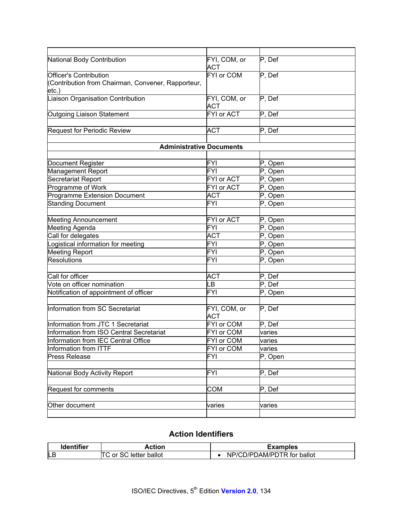| National Body Contribution                                  | FYI, COM, or<br>ACT        | P, Def  |
|-------------------------------------------------------------|----------------------------|---------|
| Officer's Contribution                                      | FYI or COM                 | P, Def  |
| (Contribution from Chairman, Convener, Rapporteur,<br>etc.) |                            |         |
| Liaison Organisation Contribution                           | FYI, COM, or<br><b>ACT</b> | P, Def  |
| Outgoing Liaison Statement                                  | FYI or ACT                 | P, Def  |
|                                                             |                            |         |
| Request for Periodic Review                                 | <b>ACT</b>                 | P, Def  |
|                                                             |                            |         |
| <b>Administrative Documents</b>                             |                            |         |
|                                                             |                            |         |
| Document Register                                           | FYI                        | P, Open |
| Management Report                                           | <b>FYI</b>                 | P, Open |
| Secretariat Report                                          | <b>FYI</b> or ACT          | P, Open |
| Programme of Work                                           | FYI or ACT                 | P, Open |
| Programme Extension Document                                | <b>ACT</b>                 | P, Open |
| <b>Standing Document</b>                                    | <b>FYI</b>                 | P, Open |
|                                                             |                            |         |
| <b>Meeting Announcement</b>                                 | <b>FYI or ACT</b>          | P, Open |
| <b>Meeting Agenda</b>                                       | FYI                        | P, Open |
| Call for delegates                                          | ACT                        | P, Open |
| Logistical information for meeting                          | <b>FYI</b>                 | P, Open |
| <b>Meeting Report</b>                                       | <b>FYI</b>                 | P, Open |
| <b>Resolutions</b>                                          | <b>FYI</b>                 | P, Open |
|                                                             |                            |         |
| Call for officer                                            | <b>ACT</b>                 | P, Def  |
| Vote on officer nomination                                  | LВ                         | P, Def  |
| Notification of appointment of officer                      | FYI                        | P, Open |
|                                                             |                            |         |
| Information from SC Secretariat                             | FYI, COM, or<br><b>ACT</b> | P, Def  |
| Information from JTC 1 Secretariat                          | FYI or COM                 | P, Def  |
| Information from ISO Central Secretariat                    | FYI or COM                 | varies  |
| Information from IEC Central Office                         | FYI or COM                 | varies  |
| Information from ITTF                                       | FYI or COM                 | varies  |
| <b>Press Release</b>                                        | FYI                        | P, Open |
|                                                             |                            |         |
| National Body Activity Report                               | FYI                        | P, Def  |
|                                                             |                            |         |
| Request for comments                                        | COM                        | P, Def  |
|                                                             |                            |         |
| Other document                                              | varies                     | varies  |
|                                                             |                            |         |

# **Action Identifiers**

| <b>Identifier</b> | Action                  | Examples                   |
|-------------------|-------------------------|----------------------------|
| <b>LB</b>         | ITC or SC letter ballot | NP/CD/PDAM/PDTR for ballot |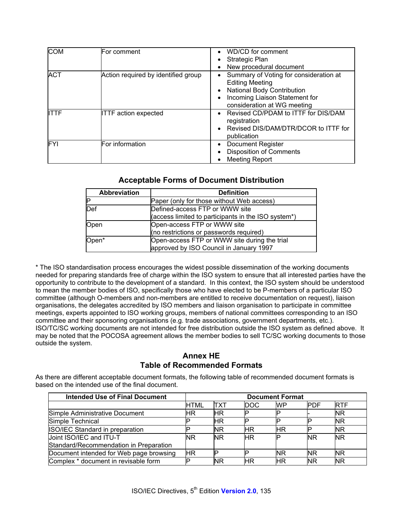| <b>COM</b>   | For comment                         | WD/CD for comment<br>Strategic Plan<br>New procedural document                                                                                                         |
|--------------|-------------------------------------|------------------------------------------------------------------------------------------------------------------------------------------------------------------------|
| <b>ACT</b>   | Action required by identified group | Summary of Voting for consideration at<br><b>Editing Meeting</b><br><b>National Body Contribution</b><br>Incoming Liaison Statement for<br>consideration at WG meeting |
| <b>IITTF</b> | <b>ITTF</b> action expected         | Revised CD/PDAM to ITTF for DIS/DAM<br>registration<br>Revised DIS/DAM/DTR/DCOR to ITTF for<br>publication                                                             |
| FYI          | For information                     | <b>Document Register</b><br><b>Disposition of Comments</b><br><b>Meeting Report</b>                                                                                    |

# **Acceptable Forms of Document Distribution**

| <b>Abbreviation</b> | <b>Definition</b>                                                                       |
|---------------------|-----------------------------------------------------------------------------------------|
|                     | Paper (only for those without Web access)                                               |
| Def                 | Defined-access FTP or WWW site                                                          |
|                     | (access limited to participants in the ISO system*)                                     |
| Open                | Open-access FTP or WWW site                                                             |
|                     | (no restrictions or passwords required)                                                 |
| Open*               | Open-access FTP or WWW site during the trial<br>approved by ISO Council in January 1997 |

\* The ISO standardisation process encourages the widest possible dissemination of the working documents needed for preparing standards free of charge within the ISO system to ensure that all interested parties have the opportunity to contribute to the development of a standard. In this context, the ISO system should be understood to mean the member bodies of ISO, specifically those who have elected to be P-members of a particular ISO committee (although O-members and non-members are entitled to receive documentation on request), liaison organisations, the delegates accredited by ISO members and liaison organisation to participate in committee meetings, experts appointed to ISO working groups, members of national committees corresponding to an ISO committee and their sponsoring organisations (e.g. trade associations, government departments, etc.). ISO/TC/SC working documents are not intended for free distribution outside the ISO system as defined above. It may be noted that the POCOSA agreement allows the member bodies to sell TC/SC working documents to those outside the system.

# **Annex HE Table of Recommended Formats**

As there are different acceptable document formats, the following table of recommended document formats is based on the intended use of the final document.

| <b>Intended Use of Final Document</b>   | <b>Document Format</b> |           |      |           |            |            |
|-----------------------------------------|------------------------|-----------|------|-----------|------------|------------|
|                                         | HTML                   | ITXT      | DOC. | <b>WP</b> | <b>PDF</b> | <b>RTF</b> |
| Simple Administrative Document          | ΗR                     | ΗR        |      |           |            | <b>NR</b>  |
| Simple Technical                        |                        | ΗR        | E    |           |            | <b>NR</b>  |
| <b>ISO/IEC Standard in preparation</b>  |                        | ΝR        | ΗR   | ΗR        |            | ΝR         |
| Joint ISO/IEC and ITU-T                 | <b>NR</b>              | <b>NR</b> | ΗR   |           | <b>NR</b>  | <b>NR</b>  |
| Standard/Recommendation in Preparation  |                        |           |      |           |            |            |
| Document intended for Web page browsing | ΗR                     |           |      | ΝR        | <b>NR</b>  | <b>NR</b>  |
| Complex * document in revisable form    |                        | ΝR        | ΗR   | ΗR        | <b>NR</b>  | <b>NR</b>  |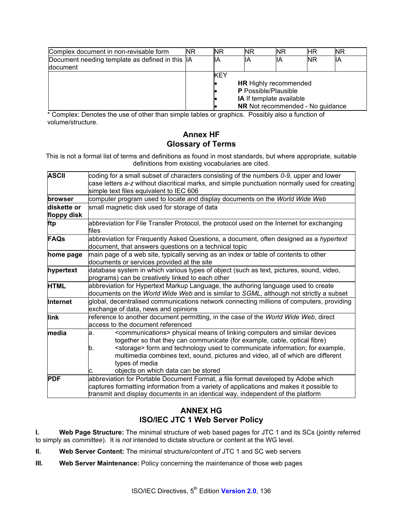| Complex document in non-revisable form<br><b>NR</b><br><b>NR</b><br><b>NR</b><br><b>NR</b><br>ΗR |  | <b>NR</b>                                                   |     |     |           |     |
|--------------------------------------------------------------------------------------------------|--|-------------------------------------------------------------|-----|-----|-----------|-----|
| Document needing template as defined in this IA                                                  |  | lіA                                                         | llА | lΙA | <b>NR</b> | llА |
| <b>document</b>                                                                                  |  |                                                             |     |     |           |     |
|                                                                                                  |  | <b>KEY</b>                                                  |     |     |           |     |
|                                                                                                  |  | <b>HR</b> Highly recommended<br><b>P</b> Possible/Plausible |     |     |           |     |
|                                                                                                  |  |                                                             |     |     |           |     |
|                                                                                                  |  | <b>IA</b> If template available                             |     |     |           |     |
|                                                                                                  |  | <b>NR</b> Not recommended - No guidance                     |     |     |           |     |

\* Complex: Denotes the use of other than simple tables or graphics. Possibly also a function of volume/structure.

# **Annex HF Glossary of Terms**

This is not a formal list of terms and definitions as found in most standards, but where appropriate, suitable definitions from existing vocabularies are cited.

| <b>ASCII</b> | coding for a small subset of characters consisting of the numbers 0-9, upper and lower<br>case letters a-z without diacritical marks, and simple punctuation normally used for creating<br>simple text files equivalent to IEC 606                                                                                                                                                                                                       |  |  |  |
|--------------|------------------------------------------------------------------------------------------------------------------------------------------------------------------------------------------------------------------------------------------------------------------------------------------------------------------------------------------------------------------------------------------------------------------------------------------|--|--|--|
| browser      | computer program used to locate and display documents on the World Wide Web                                                                                                                                                                                                                                                                                                                                                              |  |  |  |
| diskette or  | small magnetic disk used for storage of data                                                                                                                                                                                                                                                                                                                                                                                             |  |  |  |
| floppy disk  |                                                                                                                                                                                                                                                                                                                                                                                                                                          |  |  |  |
| ftp          | abbreviation for File Transfer Protocol, the protocol used on the Internet for exchanging<br>files                                                                                                                                                                                                                                                                                                                                       |  |  |  |
| <b>FAQs</b>  | abbreviation for Frequently Asked Questions, a document, often designed as a hypertext<br>document, that answers questions on a technical topic                                                                                                                                                                                                                                                                                          |  |  |  |
| home page    | main page of a web site, typically serving as an index or table of contents to other<br>documents or services provided at the site                                                                                                                                                                                                                                                                                                       |  |  |  |
| hypertext    | database system in which various types of object (such as text, pictures, sound, video,<br>programs) can be creatively linked to each other                                                                                                                                                                                                                                                                                              |  |  |  |
| <b>HTML</b>  | abbreviation for Hypertext Markup Language, the authoring language used to create<br>documents on the World Wide Web and is similar to SGML, although not strictly a subset                                                                                                                                                                                                                                                              |  |  |  |
| Internet     | global, decentralised communications network connecting millions of computers, providing<br>exchange of data, news and opinions                                                                                                                                                                                                                                                                                                          |  |  |  |
| link         | reference to another document permitting, in the case of the World Wide Web, direct<br>laccess to the document referenced                                                                                                                                                                                                                                                                                                                |  |  |  |
| media        | <communications> physical means of linking computers and similar devices<br/>la.<br/>together so that they can communicate (for example, cable, optical fibre)<br/><storage> form and technology used to communicate information; for example,<br/>lb.<br/>multimedia combines text, sound, pictures and video, all of which are different<br/>types of media<br/>objects on which data can be stored<br/>IC.</storage></communications> |  |  |  |
| <b>PDF</b>   | abbreviation for Portable Document Format, a file format developed by Adobe which<br>captures formatting information from a variety of applications and makes it possible to<br>transmit and display documents in an identical way, independent of the platform                                                                                                                                                                          |  |  |  |

# **ANNEX HG ISO/IEC JTC 1 Web Server Policy**

**I. Web Page Structure:** The minimal structure of web based pages for JTC 1 and its SCs (jointly referred to simply as *committee*). It is *not* intended to dictate structure or content at the WG level.

- **II. Web Server Content:** The minimal structure/content of JTC 1 and SC web servers
- **III.** Web Server Maintenance: Policy concerning the maintenance of those web pages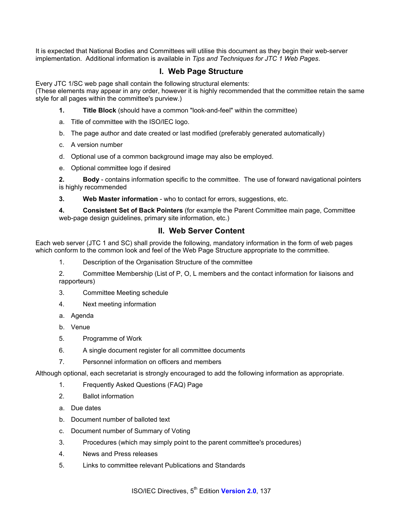It is expected that National Bodies and Committees will utilise this document as they begin their web-server implementation. Additional information is available in *Tips and Techniques for JTC 1 Web Pages*.

### **I. Web Page Structure**

Every JTC 1/SC web page shall contain the following structural elements:

(These elements may appear in any order, however it is highly recommended that the committee retain the same style for all pages within the committee's purview.)

- **1. Title Block** (should have a common "look-and-feel" within the committee)
- a. Title of committee with the ISO/IEC logo.
- b. The page author and date created or last modified (preferably generated automatically)
- c. A version number
- d. Optional use of a common background image may also be employed.
- e. Optional committee logo if desired

**2. Body** - contains information specific to the committee. The use of forward navigational pointers is highly recommended

**3. Web Master information** - who to contact for errors, suggestions, etc.

**4. Consistent Set of Back Pointers** (for example the Parent Committee main page, Committee web-page design guidelines, primary site information, etc.)

### **II. Web Server Content**

Each web server (JTC 1 and SC) shall provide the following, mandatory information in the form of web pages which conform to the common look and feel of the Web Page Structure appropriate to the committee.

1. Description of the Organisation Structure of the committee

2. Committee Membership (List of P, O, L members and the contact information for liaisons and rapporteurs)

- 3. Committee Meeting schedule
- 4. Next meeting information
- a. Agenda
- b. Venue
- 5. Programme of Work
- 6. A single document register for all committee documents
- 7. Personnel information on officers and members

Although optional, each secretariat is strongly encouraged to add the following information as appropriate.

- 1. Frequently Asked Questions (FAQ) Page
- 2. Ballot information
- a. Due dates
- b. Document number of balloted text
- c. Document number of Summary of Voting
- 3. Procedures (which may simply point to the parent committee's procedures)
- 4. News and Press releases
- 5. Links to committee relevant Publications and Standards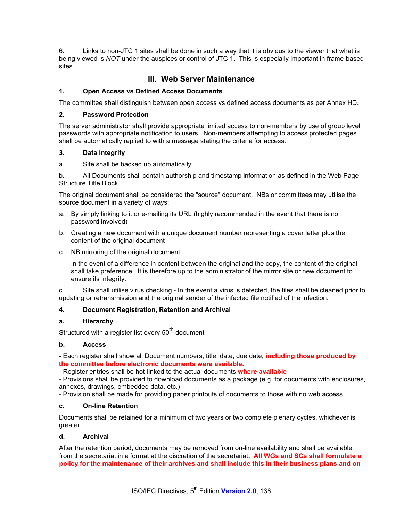6. Links to non-JTC 1 sites shall be done in such a way that it is obvious to the viewer that what is being viewed is *NOT* under the auspices or control of JTC 1. This is especially important in frame-based sites.

# **III. Web Server Maintenance**

#### **1. Open Access vs Defined Access Documents**

The committee shall distinguish between open access vs defined access documents as per Annex HD.

#### **2. Password Protection**

The server administrator shall provide appropriate limited access to non-members by use of group level passwords with appropriate notification to users. Non-members attempting to access protected pages shall be automatically replied to with a message stating the criteria for access.

#### **3. Data Integrity**

a. Site shall be backed up automatically

b. All Documents shall contain authorship and timestamp information as defined in the Web Page Structure Title Block

The original document shall be considered the "source" document. NBs or committees may utilise the source document in a variety of ways:

- a. By simply linking to it or e-mailing its URL (highly recommended in the event that there is no password involved)
- b. Creating a new document with a unique document number representing a cover letter plus the content of the original document
- c. NB mirroring of the original document

 In the event of a difference in content between the original and the copy, the content of the original shall take preference. It is therefore up to the administrator of the mirror site or new document to ensure its integrity.

c. Site shall utilise virus checking - In the event a virus is detected, the files shall be cleaned prior to updating or retransmission and the original sender of the infected file notified of the infection.

#### **4. Document Registration, Retention and Archival**

#### **a. Hierarchy**

Structured with a register list every 50<sup>th</sup> document

#### **b. Access**

- Each register shall show all Document numbers, title, date, due date**, including those produced by the committee before electronic documents were available.** 

- Register entries shall be hot-linked to the actual documents **where available**

- Provisions shall be provided to download documents as a package (e.g. for documents with enclosures, annexes, drawings, embedded data, etc.)

- Provision shall be made for providing paper printouts of documents to those with no web access.

#### **c. On-line Retention**

Documents shall be retained for a minimum of two years or two complete plenary cycles, whichever is greater.

#### **d. Archival**

After the retention period, documents may be removed from on-line availability and shall be available from the secretariat in a format at the discretion of the secretariat**. All WGs and SCs shall formulate a policy for the maintenance of their archives and shall include this in their business plans and on**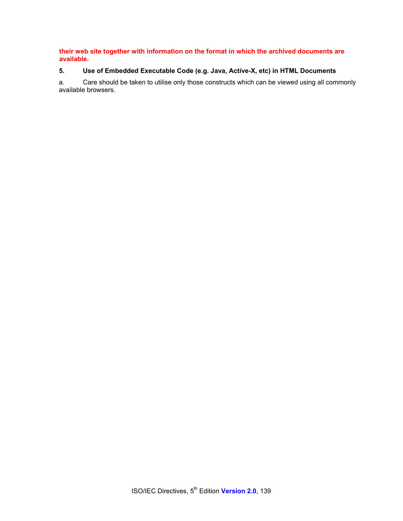**their web site together with information on the format in which the archived documents are available.** 

# **5. Use of Embedded Executable Code (e.g. Java, Active-X, etc) in HTML Documents**

a. Care should be taken to utilise only those constructs which can be viewed using all commonly available browsers.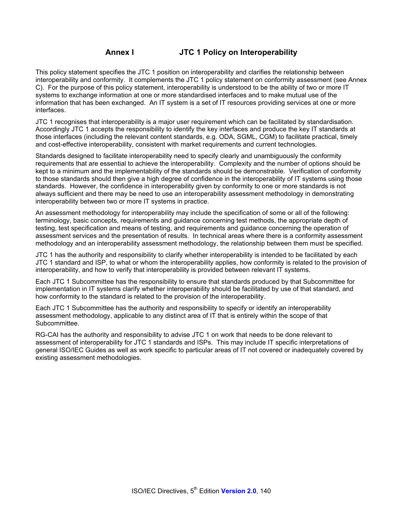# **Annex I JTC 1 Policy on Interoperability**

This policy statement specifies the JTC 1 position on interoperability and clarifies the relationship between interoperability and conformity. It complements the JTC 1 policy statement on conformity assessment (see Annex C). For the purpose of this policy statement, interoperability is understood to be the ability of two or more IT systems to exchange information at one or more standardised interfaces and to make mutual use of the information that has been exchanged. An IT system is a set of IT resources providing services at one or more interfaces.

JTC 1 recognises that interoperability is a major user requirement which can be facilitated by standardisation. Accordingly JTC 1 accepts the responsibility to identify the key interfaces and produce the key IT standards at those interfaces (including the relevant content standards, e.g. ODA, SGML, CGM) to facilitate practical, timely and cost-effective interoperability, consistent with market requirements and current technologies.

Standards designed to facilitate interoperability need to specify clearly and unambiguously the conformity requirements that are essential to achieve the interoperability. Complexity and the number of options should be kept to a minimum and the implementability of the standards should be demonstrable. Verification of conformity to those standards should then give a high degree of confidence in the interoperability of IT systems using those standards. However, the confidence in interoperability given by conformity to one or more standards is not always sufficient and there may be need to use an interoperability assessment methodology in demonstrating interoperability between two or more IT systems in practice.

An assessment methodology for interoperability may include the specification of some or all of the following: terminology, basic concepts, requirements and guidance concerning test methods, the appropriate depth of testing, test specification and means of testing, and requirements and guidance concerning the operation of assessment services and the presentation of results. In technical areas where there is a conformity assessment methodology and an interoperability assessment methodology, the relationship between them must be specified.

JTC 1 has the authority and responsibility to clarify whether interoperability is intended to be facilitated by each JTC 1 standard and ISP, to what or whom the interoperability applies, how conformity is related to the provision of interoperability, and how to verify that interoperability is provided between relevant IT systems.

Each JTC 1 Subcommittee has the responsibility to ensure that standards produced by that Subcommittee for implementation in IT systems clarify whether interoperability should be facilitated by use of that standard, and how conformity to the standard is related to the provision of the interoperability.

Each JTC 1 Subcommittee has the authority and responsibility to specify or identify an interoperability assessment methodology, applicable to any distinct area of IT that is entirely within the scope of that Subcommittee.

RG-CAI has the authority and responsibility to advise JTC 1 on work that needs to be done relevant to assessment of interoperability for JTC 1 standards and ISPs. This may include IT specific interpretations of general ISO/IEC Guides as well as work specific to particular areas of IT not covered or inadequately covered by existing assessment methodologies.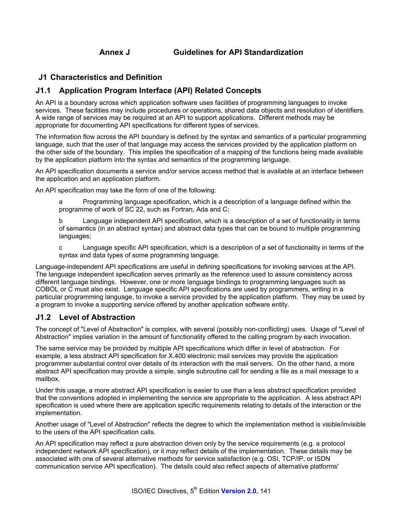# **J1 Characteristics and Definition**

# **J1.1 Application Program Interface (API) Related Concepts**

An API is a boundary across which application software uses facilities of programming languages to invoke services. These facilities may include procedures or operations, shared data objects and resolution of identifiers. A wide range of services may be required at an API to support applications. Different methods may be appropriate for documenting API specifications for different types of services.

The information flow across the API boundary is defined by the syntax and semantics of a particular programming language, such that the user of that language may access the services provided by the application platform on the other side of the boundary. This implies the specification of a mapping of the functions being made available by the application platform into the syntax and semantics of the programming language.

An API specification documents a service and/or service access method that is available at an interface between the application and an application platform.

An API specification may take the form of one of the following:

a Programming language specification, which is a description of a language defined within the programme of work of SC 22, such as Fortran, Ada and C;

b Language independent API specification, which is a description of a set of functionality in terms of semantics (in an abstract syntax) and abstract data types that can be bound to multiple programming languages;

c Language specific API specification, which is a description of a set of functionality in terms of the syntax and data types of some programming language.

Language-independent API specifications are useful in defining specifications for invoking services at the API. The language independent specification serves primarily as the reference used to assure consistency across different language bindings. However, one or more language bindings to programming languages such as COBOL or C must also exist. Language specific API specifications are used by programmers, writing in a particular programming language, to invoke a service provided by the application platform. They may be used by a program to invoke a supporting service offered by another application software entity.

# **J1.2 Level of Abstraction**

The concept of "Level of Abstraction" is complex, with several (possibly non-conflicting) uses. Usage of "Level of Abstraction" implies variation in the amount of functionality offered to the calling program by each invocation.

The same service may be provided by multiple API specifications which differ in level of abstraction. For example, a less abstract API specification for X.400 electronic mail services may provide the application programmer substantial control over details of its interaction with the mail servers. On the other hand, a more abstract API specification may provide a simple, single subroutine call for sending a file as a mail message to a mailbox.

Under this usage, a more abstract API specification is easier to use than a less abstract specification provided that the conventions adopted in implementing the service are appropriate to the application. A less abstract API specification is used where there are application specific requirements relating to details of the interaction or the implementation.

Another usage of "Level of Abstraction" reflects the degree to which the implementation method is visible/invisible to the users of the API specification calls.

An API specification may reflect a pure abstraction driven only by the service requirements (e.g. a protocol independent network API specification), or it may reflect details of the implementation. These details may be associated with one of several alternative methods for service satisfaction (e.g. OSI, TCP/IP, or ISDN communication service API specification). The details could also reflect aspects of alternative platforms'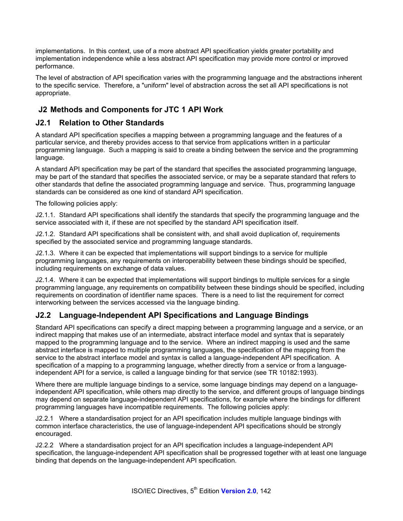implementations. In this context, use of a more abstract API specification yields greater portability and implementation independence while a less abstract API specification may provide more control or improved performance.

The level of abstraction of API specification varies with the programming language and the abstractions inherent to the specific service. Therefore, a "uniform" level of abstraction across the set all API specifications is not appropriate.

# **J2 Methods and Components for JTC 1 API Work**

# **J2.1 Relation to Other Standards**

A standard API specification specifies a mapping between a programming language and the features of a particular service, and thereby provides access to that service from applications written in a particular programming language. Such a mapping is said to create a binding between the service and the programming language.

A standard API specification may be part of the standard that specifies the associated programming language, may be part of the standard that specifies the associated service, or may be a separate standard that refers to other standards that define the associated programming language and service. Thus, programming language standards can be considered as one kind of standard API specification.

The following policies apply:

J2.1.1. Standard API specifications shall identify the standards that specify the programming language and the service associated with it, if these are not specified by the standard API specification itself.

J2.1.2. Standard API specifications shall be consistent with, and shall avoid duplication of, requirements specified by the associated service and programming language standards.

J2.1.3. Where it can be expected that implementations will support bindings to a service for multiple programming languages, any requirements on interoperability between these bindings should be specified, including requirements on exchange of data values.

J2.1.4. Where it can be expected that implementations will support bindings to multiple services for a single programming language, any requirements on compatibility between these bindings should be specified, including requirements on coordination of identifier name spaces. There is a need to list the requirement for correct interworking between the services accessed via the language binding.

# **J2.2 Language-Independent API Specifications and Language Bindings**

Standard API specifications can specify a direct mapping between a programming language and a service, or an indirect mapping that makes use of an intermediate, abstract interface model and syntax that is separately mapped to the programming language and to the service. Where an indirect mapping is used and the same abstract interface is mapped to multiple programming languages, the specification of the mapping from the service to the abstract interface model and syntax is called a language-independent API specification. A specification of a mapping to a programming language, whether directly from a service or from a languageindependent API for a service, is called a language binding for that service (see TR 10182:1993).

Where there are multiple language bindings to a service, some language bindings may depend on a languageindependent API specification, while others map directly to the service, and different groups of language bindings may depend on separate language-independent API specifications, for example where the bindings for different programming languages have incompatible requirements. The following policies apply:

J2.2.1 Where a standardisation project for an API specification includes multiple language bindings with common interface characteristics, the use of language-independent API specifications should be strongly encouraged.

J2.2.2 Where a standardisation project for an API specification includes a language-independent API specification, the language-independent API specification shall be progressed together with at least one language binding that depends on the language-independent API specification.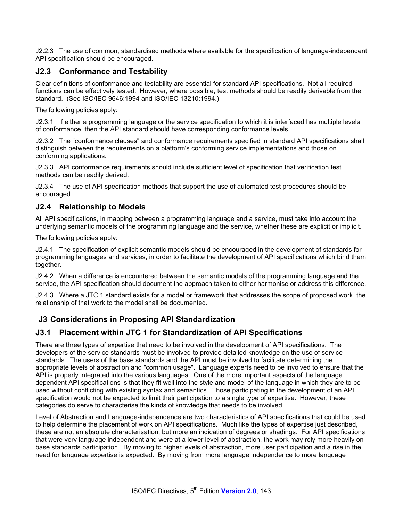J2.2.3 The use of common, standardised methods where available for the specification of language-independent API specification should be encouraged.

# **J2.3 Conformance and Testability**

Clear definitions of conformance and testability are essential for standard API specifications. Not all required functions can be effectively tested. However, where possible, test methods should be readily derivable from the standard. (See ISO/IEC 9646:1994 and ISO/IEC 13210:1994.)

The following policies apply:

J2.3.1 If either a programming language or the service specification to which it is interfaced has multiple levels of conformance, then the API standard should have corresponding conformance levels.

J2.3.2 The "conformance clauses" and conformance requirements specified in standard API specifications shall distinguish between the requirements on a platform's conforming service implementations and those on conforming applications.

J2.3.3 API conformance requirements should include sufficient level of specification that verification test methods can be readily derived.

J2.3.4 The use of API specification methods that support the use of automated test procedures should be encouraged.

### **J2.4 Relationship to Models**

All API specifications, in mapping between a programming language and a service, must take into account the underlying semantic models of the programming language and the service, whether these are explicit or implicit.

The following policies apply:

J2.4.1 The specification of explicit semantic models should be encouraged in the development of standards for programming languages and services, in order to facilitate the development of API specifications which bind them together.

J2.4.2 When a difference is encountered between the semantic models of the programming language and the service, the API specification should document the approach taken to either harmonise or address this difference.

J2.4.3 Where a JTC 1 standard exists for a model or framework that addresses the scope of proposed work, the relationship of that work to the model shall be documented.

# **J3 Considerations in Proposing API Standardization**

# **J3.1 Placement within JTC 1 for Standardization of API Specifications**

There are three types of expertise that need to be involved in the development of API specifications. The developers of the service standards must be involved to provide detailed knowledge on the use of service standards. The users of the base standards and the API must be involved to facilitate determining the appropriate levels of abstraction and "common usage". Language experts need to be involved to ensure that the API is properly integrated into the various languages. One of the more important aspects of the language dependent API specifications is that they fit well into the style and model of the language in which they are to be used without conflicting with existing syntax and semantics. Those participating in the development of an API specification would not be expected to limit their participation to a single type of expertise. However, these categories do serve to characterise the kinds of knowledge that needs to be involved.

Level of Abstraction and Language-independence are two characteristics of API specifications that could be used to help determine the placement of work on API specifications. Much like the types of expertise just described, these are not an absolute characterisation, but more an indication of degrees or shadings. For API specifications that were very language independent and were at a lower level of abstraction, the work may rely more heavily on base standards participation. By moving to higher levels of abstraction, more user participation and a rise in the need for language expertise is expected. By moving from more language independence to more language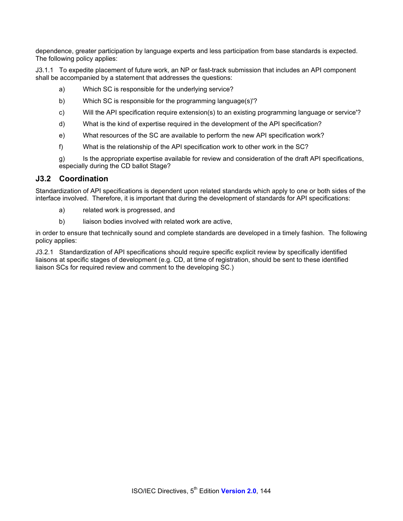dependence, greater participation by language experts and less participation from base standards is expected. The following policy applies:

J3.1.1 To expedite placement of future work, an NP or fast-track submission that includes an API component shall be accompanied by a statement that addresses the questions:

- a) Which SC is responsible for the underlying service?
- b) Which SC is responsible for the programming language(s)'?
- c) Will the API specification require extension(s) to an existing programming language or service'?
- d) What is the kind of expertise required in the development of the API specification?
- e) What resources of the SC are available to perform the new API specification work?
- f) What is the relationship of the API specification work to other work in the SC?
- g) Is the appropriate expertise available for review and consideration of the draft API specifications, especially during the CD ballot Stage?

### **J3.2 Coordination**

Standardization of API specifications is dependent upon related standards which apply to one or both sides of the interface involved. Therefore, it is important that during the development of standards for API specifications:

- a) related work is progressed, and
- b) liaison bodies involved with related work are active,

in order to ensure that technically sound and complete standards are developed in a timely fashion. The following policy applies:

J3.2.1 Standardization of API specifications should require specific explicit review by specifically identified liaisons at specific stages of development (e.g. CD, at time of registration, should be sent to these identified liaison SCs for required review and comment to the developing SC.)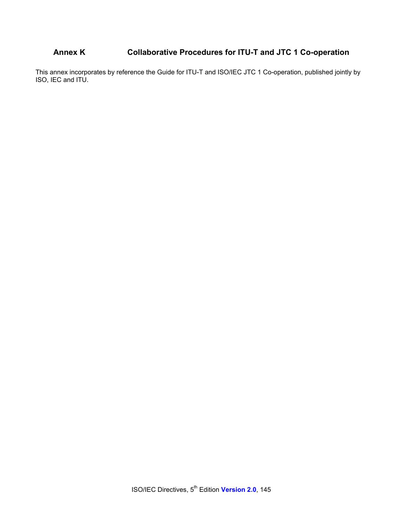# **Annex K Collaborative Procedures for ITU-T and JTC 1 Co-operation**

This annex incorporates by reference the Guide for ITU-T and ISO/IEC JTC 1 Co-operation, published jointly by ISO, IEC and ITU.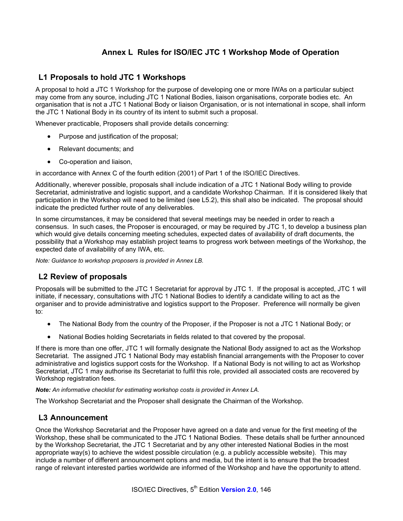# **Annex L Rules for ISO/IEC JTC 1 Workshop Mode of Operation**

### **L1 Proposals to hold JTC 1 Workshops**

A proposal to hold a JTC 1 Workshop for the purpose of developing one or more IWAs on a particular subject may come from any source, including JTC 1 National Bodies, liaison organisations, corporate bodies etc. An organisation that is not a JTC 1 National Body or liaison Organisation, or is not international in scope, shall inform the JTC 1 National Body in its country of its intent to submit such a proposal.

Whenever practicable, Proposers shall provide details concerning:

- Purpose and justification of the proposal;
- Relevant documents; and
- Co-operation and liaison,

in accordance with Annex C of the fourth edition (2001) of Part 1 of the ISO/IEC Directives.

Additionally, wherever possible, proposals shall include indication of a JTC 1 National Body willing to provide Secretariat, administrative and logistic support, and a candidate Workshop Chairman. If it is considered likely that participation in the Workshop will need to be limited (see L5.2), this shall also be indicated. The proposal should indicate the predicted further route of any deliverables.

In some circumstances, it may be considered that several meetings may be needed in order to reach a consensus. In such cases, the Proposer is encouraged, or may be required by JTC 1, to develop a business plan which would give details concerning meeting schedules, expected dates of availability of draft documents, the possibility that a Workshop may establish project teams to progress work between meetings of the Workshop, the expected date of availability of any IWA, etc.

*Note: Guidance to workshop proposers is provided in Annex LB.* 

## **L2 Review of proposals**

Proposals will be submitted to the JTC 1 Secretariat for approval by JTC 1. If the proposal is accepted, JTC 1 will initiate, if necessary, consultations with JTC 1 National Bodies to identify a candidate willing to act as the organiser and to provide administrative and logistics support to the Proposer. Preference will normally be given to:

- The National Body from the country of the Proposer, if the Proposer is not a JTC 1 National Body; or
- National Bodies holding Secretariats in fields related to that covered by the proposal.

If there is more than one offer, JTC 1 will formally designate the National Body assigned to act as the Workshop Secretariat. The assigned JTC 1 National Body may establish financial arrangements with the Proposer to cover administrative and logistics support costs for the Workshop. If a National Body is not willing to act as Workshop Secretariat, JTC 1 may authorise its Secretariat to fulfil this role, provided all associated costs are recovered by Workshop registration fees.

*Note: An informative checklist for estimating workshop costs is provided in Annex LA.* 

The Workshop Secretariat and the Proposer shall designate the Chairman of the Workshop.

### **L3 Announcement**

Once the Workshop Secretariat and the Proposer have agreed on a date and venue for the first meeting of the Workshop, these shall be communicated to the JTC 1 National Bodies. These details shall be further announced by the Workshop Secretariat, the JTC 1 Secretariat and by any other interested National Bodies in the most appropriate way(s) to achieve the widest possible circulation (e.g. a publicly accessible website). This may include a number of different announcement options and media, but the intent is to ensure that the broadest range of relevant interested parties worldwide are informed of the Workshop and have the opportunity to attend.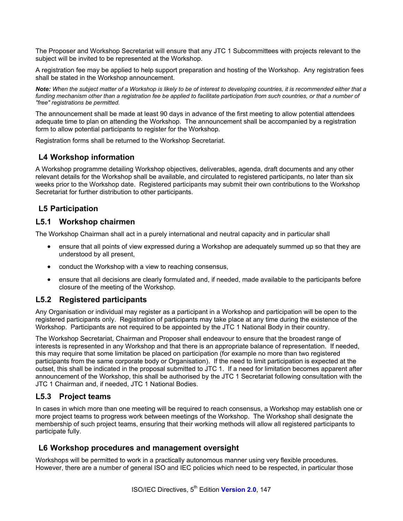The Proposer and Workshop Secretariat will ensure that any JTC 1 Subcommittees with projects relevant to the subject will be invited to be represented at the Workshop.

A registration fee may be applied to help support preparation and hosting of the Workshop. Any registration fees shall be stated in the Workshop announcement.

*Note: When the subject matter of a Workshop is likely to be of interest to developing countries, it is recommended either that a funding mechanism other than a registration fee be applied to facilitate participation from such countries, or that a number of "free" registrations be permitted.* 

The announcement shall be made at least 90 days in advance of the first meeting to allow potential attendees adequate time to plan on attending the Workshop. The announcement shall be accompanied by a registration form to allow potential participants to register for the Workshop.

Registration forms shall be returned to the Workshop Secretariat.

## **L4 Workshop information**

A Workshop programme detailing Workshop objectives, deliverables, agenda, draft documents and any other relevant details for the Workshop shall be available, and circulated to registered participants, no later than six weeks prior to the Workshop date. Registered participants may submit their own contributions to the Workshop Secretariat for further distribution to other participants.

## **L5 Participation**

### **L5.1 Workshop chairmen**

The Workshop Chairman shall act in a purely international and neutral capacity and in particular shall

- ensure that all points of view expressed during a Workshop are adequately summed up so that they are understood by all present,
- conduct the Workshop with a view to reaching consensus,
- ensure that all decisions are clearly formulated and, if needed, made available to the participants before closure of the meeting of the Workshop.

### **L5.2 Registered participants**

Any Organisation or individual may register as a participant in a Workshop and participation will be open to the registered participants only. Registration of participants may take place at any time during the existence of the Workshop. Participants are not required to be appointed by the JTC 1 National Body in their country.

The Workshop Secretariat, Chairman and Proposer shall endeavour to ensure that the broadest range of interests is represented in any Workshop and that there is an appropriate balance of representation. If needed, this may require that some limitation be placed on participation (for example no more than two registered participants from the same corporate body or Organisation). If the need to limit participation is expected at the outset, this shall be indicated in the proposal submitted to JTC 1. If a need for limitation becomes apparent after announcement of the Workshop, this shall be authorised by the JTC 1 Secretariat following consultation with the JTC 1 Chairman and, if needed, JTC 1 National Bodies.

## **L5.3 Project teams**

In cases in which more than one meeting will be required to reach consensus, a Workshop may establish one or more project teams to progress work between meetings of the Workshop. The Workshop shall designate the membership of such project teams, ensuring that their working methods will allow all registered participants to participate fully.

### **L6 Workshop procedures and management oversight**

Workshops will be permitted to work in a practically autonomous manner using very flexible procedures. However, there are a number of general ISO and IEC policies which need to be respected, in particular those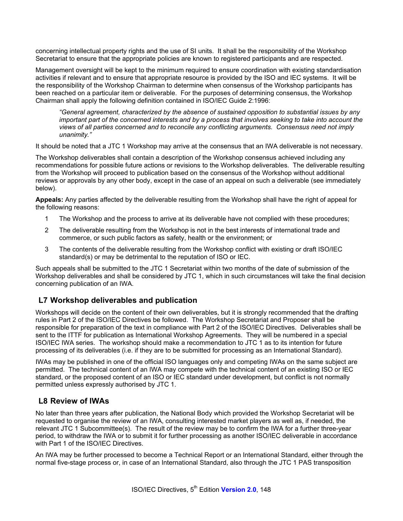concerning intellectual property rights and the use of SI units. It shall be the responsibility of the Workshop Secretariat to ensure that the appropriate policies are known to registered participants and are respected.

Management oversight will be kept to the minimum required to ensure coordination with existing standardisation activities if relevant and to ensure that appropriate resource is provided by the ISO and IEC systems. It will be the responsibility of the Workshop Chairman to determine when consensus of the Workshop participants has been reached on a particular item or deliverable. For the purposes of determining consensus, the Workshop Chairman shall apply the following definition contained in ISO/IEC Guide 2:1996:

*"General agreement, characterized by the absence of sustained opposition to substantial issues by any important part of the concerned interests and by a process that involves seeking to take into account the views of all parties concerned and to reconcile any conflicting arguments. Consensus need not imply unanimity."* 

It should be noted that a JTC 1 Workshop may arrive at the consensus that an IWA deliverable is not necessary.

The Workshop deliverables shall contain a description of the Workshop consensus achieved including any recommendations for possible future actions or revisions to the Workshop deliverables. The deliverable resulting from the Workshop will proceed to publication based on the consensus of the Workshop without additional reviews or approvals by any other body, except in the case of an appeal on such a deliverable (see immediately below).

**Appeals:** Any parties affected by the deliverable resulting from the Workshop shall have the right of appeal for the following reasons:

- 1 The Workshop and the process to arrive at its deliverable have not complied with these procedures;
- 2 The deliverable resulting from the Workshop is not in the best interests of international trade and commerce, or such public factors as safety, health or the environment; or
- 3 The contents of the deliverable resulting from the Workshop conflict with existing or draft ISO/IEC standard(s) or may be detrimental to the reputation of ISO or IEC.

Such appeals shall be submitted to the JTC 1 Secretariat within two months of the date of submission of the Workshop deliverables and shall be considered by JTC 1, which in such circumstances will take the final decision concerning publication of an IWA.

# **L7 Workshop deliverables and publication**

Workshops will decide on the content of their own deliverables, but it is strongly recommended that the drafting rules in Part 2 of the ISO/IEC Directives be followed. The Workshop Secretariat and Proposer shall be responsible for preparation of the text in compliance with Part 2 of the ISO/IEC Directives. Deliverables shall be sent to the ITTF for publication as International Workshop Agreements. They will be numbered in a special ISO/IEC IWA series. The workshop should make a recommendation to JTC 1 as to its intention for future processing of its deliverables (i.e. if they are to be submitted for processing as an International Standard).

IWAs may be published in one of the official ISO languages only and competing IWAs on the same subject are permitted. The technical content of an IWA may compete with the technical content of an existing ISO or IEC standard, or the proposed content of an ISO or IEC standard under development, but conflict is not normally permitted unless expressly authorised by JTC 1.

## **L8 Review of IWAs**

No later than three years after publication, the National Body which provided the Workshop Secretariat will be requested to organise the review of an IWA, consulting interested market players as well as, if needed, the relevant JTC 1 Subcommittee(s). The result of the review may be to confirm the IWA for a further three-year period, to withdraw the IWA or to submit it for further processing as another ISO/IEC deliverable in accordance with Part 1 of the ISO/IEC Directives.

An IWA may be further processed to become a Technical Report or an International Standard, either through the normal five-stage process or, in case of an International Standard, also through the JTC 1 PAS transposition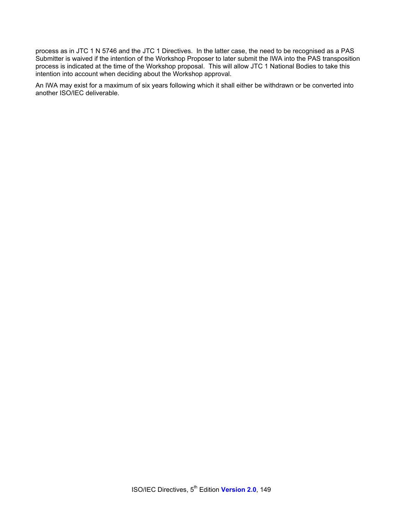process as in JTC 1 N 5746 and the JTC 1 Directives. In the latter case, the need to be recognised as a PAS Submitter is waived if the intention of the Workshop Proposer to later submit the IWA into the PAS transposition process is indicated at the time of the Workshop proposal. This will allow JTC 1 National Bodies to take this intention into account when deciding about the Workshop approval.

An IWA may exist for a maximum of six years following which it shall either be withdrawn or be converted into another ISO/IEC deliverable.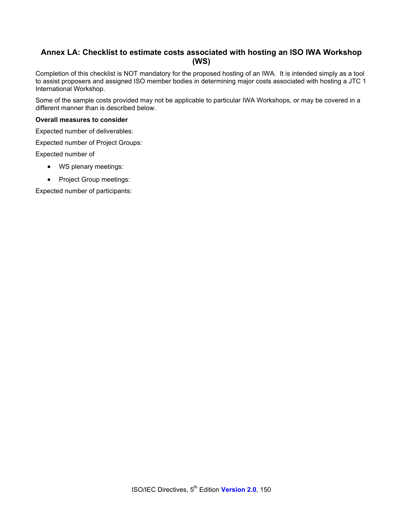# **Annex LA: Checklist to estimate costs associated with hosting an ISO IWA Workshop (WS)**

Completion of this checklist is NOT mandatory for the proposed hosting of an IWA. It is intended simply as a tool to assist proposers and assigned ISO member bodies in determining major costs associated with hosting a JTC 1 International Workshop.

Some of the sample costs provided may not be applicable to particular IWA Workshops, or may be covered in a different manner than is described below.

#### **Overall measures to consider**

Expected number of deliverables:

Expected number of Project Groups:

Expected number of

- WS plenary meetings:
- Project Group meetings:

Expected number of participants: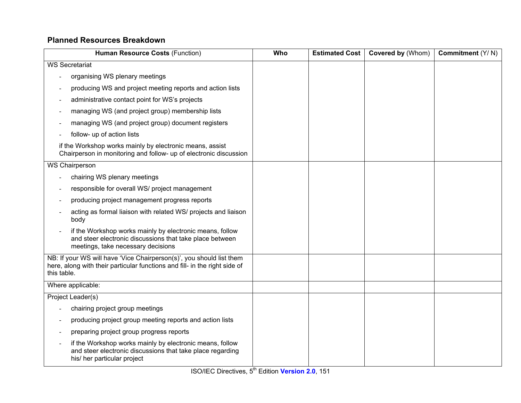# **Planned Resources Breakdown**

| Human Resource Costs (Function)                                                                                                                                   | Who | <b>Estimated Cost</b> | Covered by (Whom) | Commitment $(Y/N)$ |
|-------------------------------------------------------------------------------------------------------------------------------------------------------------------|-----|-----------------------|-------------------|--------------------|
| <b>WS Secretariat</b>                                                                                                                                             |     |                       |                   |                    |
| organising WS plenary meetings                                                                                                                                    |     |                       |                   |                    |
| producing WS and project meeting reports and action lists                                                                                                         |     |                       |                   |                    |
| administrative contact point for WS's projects                                                                                                                    |     |                       |                   |                    |
| managing WS (and project group) membership lists                                                                                                                  |     |                       |                   |                    |
| managing WS (and project group) document registers                                                                                                                |     |                       |                   |                    |
| follow- up of action lists                                                                                                                                        |     |                       |                   |                    |
| if the Workshop works mainly by electronic means, assist<br>Chairperson in monitoring and follow- up of electronic discussion                                     |     |                       |                   |                    |
| <b>WS Chairperson</b>                                                                                                                                             |     |                       |                   |                    |
| chairing WS plenary meetings                                                                                                                                      |     |                       |                   |                    |
| responsible for overall WS/ project management                                                                                                                    |     |                       |                   |                    |
| producing project management progress reports                                                                                                                     |     |                       |                   |                    |
| acting as formal liaison with related WS/ projects and liaison<br>body                                                                                            |     |                       |                   |                    |
| if the Workshop works mainly by electronic means, follow<br>and steer electronic discussions that take place between<br>meetings, take necessary decisions        |     |                       |                   |                    |
| NB: If your WS will have 'Vice Chairperson(s)', you should list them<br>here, along with their particular functions and fill- in the right side of<br>this table. |     |                       |                   |                    |
| Where applicable:                                                                                                                                                 |     |                       |                   |                    |
| Project Leader(s)                                                                                                                                                 |     |                       |                   |                    |
| chairing project group meetings                                                                                                                                   |     |                       |                   |                    |
| producing project group meeting reports and action lists                                                                                                          |     |                       |                   |                    |
| preparing project group progress reports                                                                                                                          |     |                       |                   |                    |
| if the Workshop works mainly by electronic means, follow<br>and steer electronic discussions that take place regarding<br>his/ her particular project             |     |                       |                   |                    |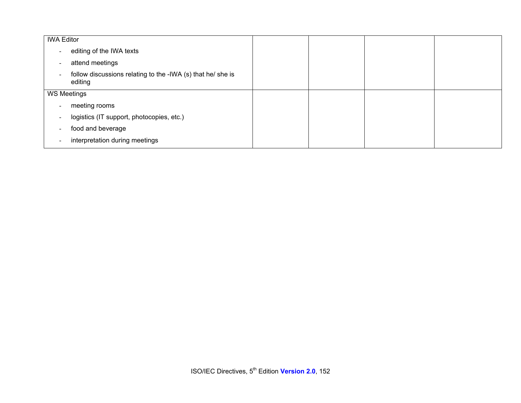| <b>IWA Editor</b>        |                                                                        |  |  |
|--------------------------|------------------------------------------------------------------------|--|--|
| $\sim$                   | editing of the IWA texts                                               |  |  |
| $\overline{\phantom{a}}$ | attend meetings                                                        |  |  |
|                          | follow discussions relating to the -IWA (s) that he/ she is<br>editing |  |  |
| <b>WS Meetings</b>       |                                                                        |  |  |
| $\overline{\phantom{a}}$ | meeting rooms                                                          |  |  |
| $\overline{\phantom{a}}$ | logistics (IT support, photocopies, etc.)                              |  |  |
| $\overline{\phantom{a}}$ | food and beverage                                                      |  |  |
|                          | interpretation during meetings                                         |  |  |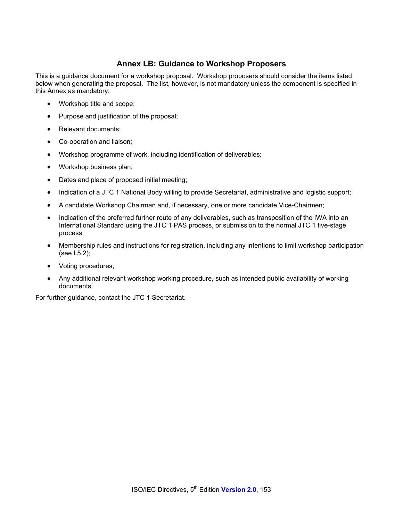## **Annex LB: Guidance to Workshop Proposers**

This is a guidance document for a workshop proposal. Workshop proposers should consider the items listed below when generating the proposal. The list, however, is not mandatory unless the component is specified in this Annex as mandatory:

- Workshop title and scope;
- Purpose and justification of the proposal;
- Relevant documents;
- Co-operation and liaison;
- Workshop programme of work, including identification of deliverables;
- Workshop business plan;
- Dates and place of proposed initial meeting;
- Indication of a JTC 1 National Body willing to provide Secretariat, administrative and logistic support;
- A candidate Workshop Chairman and, if necessary, one or more candidate Vice-Chairmen;
- Indication of the preferred further route of any deliverables, such as transposition of the IWA into an International Standard using the JTC 1 PAS process, or submission to the normal JTC 1 five-stage process;
- Membership rules and instructions for registration, including any intentions to limit workshop participation (see L5.2);
- Voting procedures;
- Any additional relevant workshop working procedure, such as intended public availability of working documents.

For further guidance, contact the JTC 1 Secretariat.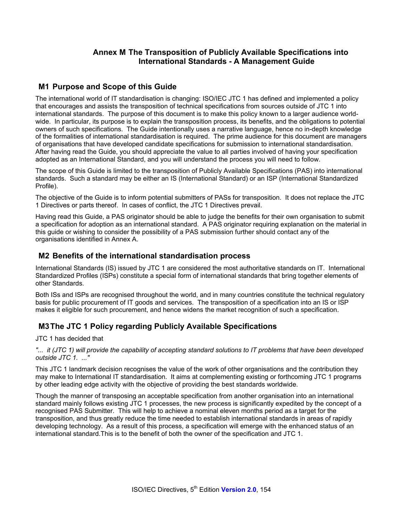## **Annex M The Transposition of Publicly Available Specifications into International Standards - A Management Guide**

### **M1 Purpose and Scope of this Guide**

The international world of IT standardisation is changing: ISO/IEC JTC 1 has defined and implemented a policy that encourages and assists the transposition of technical specifications from sources outside of JTC 1 into international standards. The purpose of this document is to make this policy known to a larger audience worldwide. In particular, its purpose is to explain the transposition process, its benefits, and the obligations to potential owners of such specifications. The Guide intentionally uses a narrative language, hence no in-depth knowledge of the formalities of international standardisation is required. The prime audience for this document are managers of organisations that have developed candidate specifications for submission to international standardisation. After having read the Guide, you should appreciate the value to all parties involved of having your specification adopted as an International Standard, and you will understand the process you will need to follow.

The scope of this Guide is limited to the transposition of Publicly Available Specifications (PAS) into international standards. Such a standard may be either an IS (International Standard) or an ISP (International Standardized Profile).

The objective of the Guide is to inform potential submitters of PASs for transposition. It does not replace the JTC 1 Directives or parts thereof. In cases of conflict, the JTC 1 Directives prevail.

Having read this Guide, a PAS originator should be able to judge the benefits for their own organisation to submit a specification for adoption as an international standard. A PAS originator requiring explanation on the material in this guide or wishing to consider the possibility of a PAS submission further should contact any of the organisations identified in Annex A.

### **M2 Benefits of the international standardisation process**

International Standards (IS) issued by JTC 1 are considered the most authoritative standards on IT. International Standardized Profiles (ISPs) constitute a special form of international standards that bring together elements of other Standards.

Both ISs and ISPs are recognised throughout the world, and in many countries constitute the technical regulatory basis for public procurement of IT goods and services. The transposition of a specification into an IS or ISP makes it eligible for such procurement, and hence widens the market recognition of such a specification.

## **M3 The JTC 1 Policy regarding Publicly Available Specifications**

JTC 1 has decided that

*"... it (JTC 1) will provide the capability of accepting standard solutions to IT problems that have been developed outside JTC 1. ..."* 

This JTC 1 landmark decision recognises the value of the work of other organisations and the contribution they may make to International IT standardisation. It aims at complementing existing or forthcoming JTC 1 programs by other leading edge activity with the objective of providing the best standards worldwide.

Though the manner of transposing an acceptable specification from another organisation into an international standard mainly follows existing JTC 1 processes, the new process is significantly expedited by the concept of a recognised PAS Submitter. This will help to achieve a nominal eleven months period as a target for the transposition, and thus greatly reduce the time needed to establish international standards in areas of rapidly developing technology. As a result of this process, a specification will emerge with the enhanced status of an international standard.This is to the benefit of both the owner of the specification and JTC 1.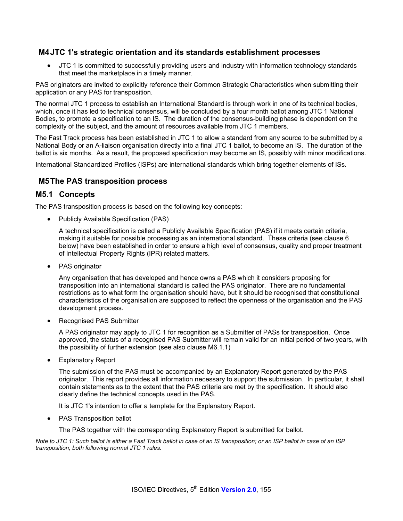### **M4 JTC 1's strategic orientation and its standards establishment processes**

• JTC 1 is committed to successfully providing users and industry with information technology standards that meet the marketplace in a timely manner.

PAS originators are invited to explicitly reference their Common Strategic Characteristics when submitting their application or any PAS for transposition.

The normal JTC 1 process to establish an International Standard is through work in one of its technical bodies, which, once it has led to technical consensus, will be concluded by a four month ballot among JTC 1 National Bodies, to promote a specification to an IS. The duration of the consensus-building phase is dependent on the complexity of the subject, and the amount of resources available from JTC 1 members.

The Fast Track process has been established in JTC 1 to allow a standard from any source to be submitted by a National Body or an A-liaison organisation directly into a final JTC 1 ballot, to become an IS. The duration of the ballot is six months. As a result, the proposed specification may become an IS, possibly with minor modifications.

International Standardized Profiles (ISPs) are international standards which bring together elements of ISs.

### **M5 The PAS transposition process**

### **M5.1 Concepts**

The PAS transposition process is based on the following key concepts:

• Publicly Available Specification (PAS)

A technical specification is called a Publicly Available Specification (PAS) if it meets certain criteria, making it suitable for possible processing as an international standard. These criteria (see clause 6 below) have been established in order to ensure a high level of consensus, quality and proper treatment of Intellectual Property Rights (IPR) related matters.

• PAS originator

Any organisation that has developed and hence owns a PAS which it considers proposing for transposition into an international standard is called the PAS originator. There are no fundamental restrictions as to what form the organisation should have, but it should be recognised that constitutional characteristics of the organisation are supposed to reflect the openness of the organisation and the PAS development process.

• Recognised PAS Submitter

A PAS originator may apply to JTC 1 for recognition as a Submitter of PASs for transposition. Once approved, the status of a recognised PAS Submitter will remain valid for an initial period of two years, with the possibility of further extension (see also clause M6.1.1)

**Explanatory Report** 

The submission of the PAS must be accompanied by an Explanatory Report generated by the PAS originator. This report provides all information necessary to support the submission. In particular, it shall contain statements as to the extent that the PAS criteria are met by the specification. It should also clearly define the technical concepts used in the PAS.

It is JTC 1's intention to offer a template for the Explanatory Report.

• PAS Transposition ballot

The PAS together with the corresponding Explanatory Report is submitted for ballot.

*Note to JTC 1: Such ballot is either a Fast Track ballot in case of an IS transposition; or an ISP ballot in case of an ISP transposition, both following normal JTC 1 rules.*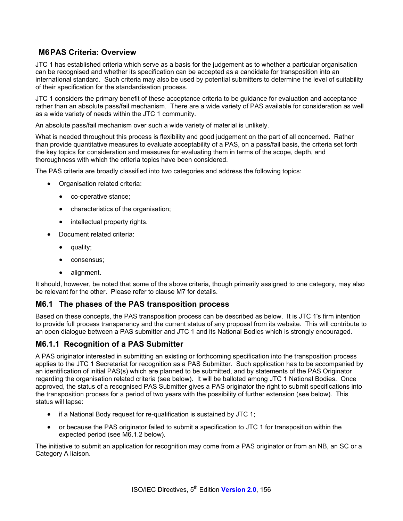## **M6 PAS Criteria: Overview**

JTC 1 has established criteria which serve as a basis for the judgement as to whether a particular organisation can be recognised and whether its specification can be accepted as a candidate for transposition into an international standard. Such criteria may also be used by potential submitters to determine the level of suitability of their specification for the standardisation process.

JTC 1 considers the primary benefit of these acceptance criteria to be guidance for evaluation and acceptance rather than an absolute pass/fail mechanism. There are a wide variety of PAS available for consideration as well as a wide variety of needs within the JTC 1 community.

An absolute pass/fail mechanism over such a wide variety of material is unlikely.

What is needed throughout this process is flexibility and good judgement on the part of all concerned. Rather than provide quantitative measures to evaluate acceptability of a PAS, on a pass/fail basis, the criteria set forth the key topics for consideration and measures for evaluating them in terms of the scope, depth, and thoroughness with which the criteria topics have been considered.

The PAS criteria are broadly classified into two categories and address the following topics:

- Organisation related criteria:
	- co-operative stance;
	- characteristics of the organisation;
	- intellectual property rights.
- Document related criteria:
	- quality;
	- consensus;
	- alignment.

It should, however, be noted that some of the above criteria, though primarily assigned to one category, may also be relevant for the other. Please refer to clause M7 for details.

### **M6.1 The phases of the PAS transposition process**

Based on these concepts, the PAS transposition process can be described as below. It is JTC 1's firm intention to provide full process transparency and the current status of any proposal from its website. This will contribute to an open dialogue between a PAS submitter and JTC 1 and its National Bodies which is strongly encouraged.

### **M6.1.1 Recognition of a PAS Submitter**

A PAS originator interested in submitting an existing or forthcoming specification into the transposition process applies to the JTC 1 Secretariat for recognition as a PAS Submitter. Such application has to be accompanied by an identification of initial PAS(s) which are planned to be submitted, and by statements of the PAS Originator regarding the organisation related criteria (see below). It will be balloted among JTC 1 National Bodies. Once approved, the status of a recognised PAS Submitter gives a PAS originator the right to submit specifications into the transposition process for a period of two years with the possibility of further extension (see below). This status will lapse:

- if a National Body request for re-qualification is sustained by JTC 1;
- or because the PAS originator failed to submit a specification to JTC 1 for transposition within the expected period (see M6.1.2 below).

The initiative to submit an application for recognition may come from a PAS originator or from an NB, an SC or a Category A liaison.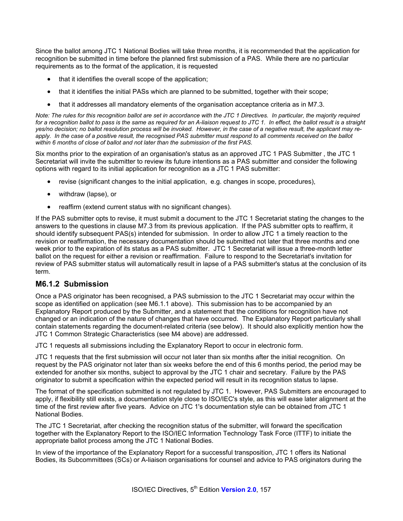Since the ballot among JTC 1 National Bodies will take three months, it is recommended that the application for recognition be submitted in time before the planned first submission of a PAS. While there are no particular requirements as to the format of the application, it is requested

- that it identifies the overall scope of the application;
- that it identifies the initial PASs which are planned to be submitted, together with their scope;
- that it addresses all mandatory elements of the organisation acceptance criteria as in M7.3.

*Note: The rules for this recognition ballot are set in accordance with the JTC 1 Directives. In particular, the majority required for a recognition ballot to pass is the same as required for an A-liaison request to JTC 1. In effect, the ballot result is a straight yes/no decision; no ballot resolution process will be invoked. However, in the case of a negative result, the applicant may re*apply. In the case of a positive result, the recognised PAS submitter must respond to all comments received on the ballot *within 6 months of close of ballot and not later than the submission of the first PAS.* 

Six months prior to the expiration of an organisation's status as an approved JTC 1 PAS Submitter , the JTC 1 Secretariat will invite the submitter to review its future intentions as a PAS submitter and consider the following options with regard to its initial application for recognition as a JTC 1 PAS submitter:

- revise (significant changes to the initial application, e.g. changes in scope, procedures),
- withdraw (lapse), or
- reaffirm (extend current status with no significant changes).

If the PAS submitter opts to revise, it must submit a document to the JTC 1 Secretariat stating the changes to the answers to the questions in clause M7.3 from its previous application. If the PAS submitter opts to reaffirm, it should identify subsequent PAS(s) intended for submission. In order to allow JTC 1 a timely reaction to the revision or reaffirmation, the necessary documentation should be submitted not later that three months and one week prior to the expiration of its status as a PAS submitter. JTC 1 Secretariat will issue a three-month letter ballot on the request for either a revision or reaffirmation. Failure to respond to the Secretariat's invitation for review of PAS submitter status will automatically result in lapse of a PAS submitter's status at the conclusion of its term.

### **M6.1.2 Submission**

Once a PAS originator has been recognised, a PAS submission to the JTC 1 Secretariat may occur within the scope as identified on application (see M6.1.1 above). This submission has to be accompanied by an Explanatory Report produced by the Submitter, and a statement that the conditions for recognition have not changed or an indication of the nature of changes that have occurred. The Explanatory Report particularly shall contain statements regarding the document-related criteria (see below). It should also explicitly mention how the JTC 1 Common Strategic Characteristics (see M4 above) are addressed.

JTC 1 requests all submissions including the Explanatory Report to occur in electronic form.

JTC 1 requests that the first submission will occur not later than six months after the initial recognition. On request by the PAS originator not later than six weeks before the end of this 6 months period, the period may be extended for another six months, subject to approval by the JTC 1 chair and secretary. Failure by the PAS originator to submit a specification within the expected period will result in its recognition status to lapse.

The format of the specification submitted is not regulated by JTC 1. However, PAS Submitters are encouraged to apply, if flexibility still exists, a documentation style close to ISO/IEC's style, as this will ease later alignment at the time of the first review after five years. Advice on JTC 1's documentation style can be obtained from JTC 1 National Bodies.

The JTC 1 Secretariat, after checking the recognition status of the submitter, will forward the specification together with the Explanatory Report to the ISO/IEC Information Technology Task Force (ITTF) to initiate the appropriate ballot process among the JTC 1 National Bodies.

In view of the importance of the Explanatory Report for a successful transposition, JTC 1 offers its National Bodies, its Subcommittees (SCs) or A-liaison organisations for counsel and advice to PAS originators during the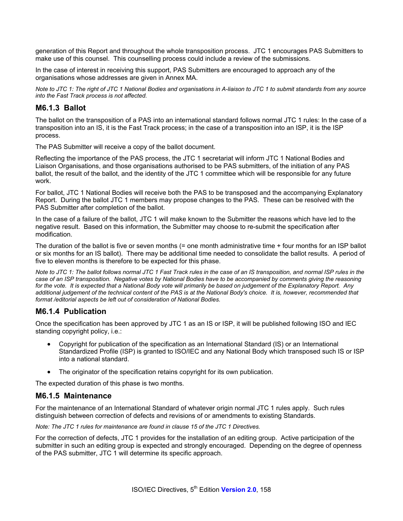generation of this Report and throughout the whole transposition process. JTC 1 encourages PAS Submitters to make use of this counsel. This counselling process could include a review of the submissions.

In the case of interest in receiving this support, PAS Submitters are encouraged to approach any of the organisations whose addresses are given in Annex MA.

*Note to JTC 1: The right of JTC 1 National Bodies and organisations in A-liaison to JTC 1 to submit standards from any source into the Fast Track process is not affected.* 

### **M6.1.3 Ballot**

The ballot on the transposition of a PAS into an international standard follows normal JTC 1 rules: In the case of a transposition into an IS, it is the Fast Track process; in the case of a transposition into an ISP, it is the ISP process.

The PAS Submitter will receive a copy of the ballot document.

Reflecting the importance of the PAS process, the JTC 1 secretariat will inform JTC 1 National Bodies and Liaison Organisations, and those organisations authorised to be PAS submitters, of the initiation of any PAS ballot, the result of the ballot, and the identity of the JTC 1 committee which will be responsible for any future work.

For ballot, JTC 1 National Bodies will receive both the PAS to be transposed and the accompanying Explanatory Report. During the ballot JTC 1 members may propose changes to the PAS. These can be resolved with the PAS Submitter after completion of the ballot.

In the case of a failure of the ballot, JTC 1 will make known to the Submitter the reasons which have led to the negative result. Based on this information, the Submitter may choose to re-submit the specification after modification.

The duration of the ballot is five or seven months (= one month administrative time + four months for an ISP ballot or six months for an IS ballot). There may be additional time needed to consolidate the ballot results. A period of five to eleven months is therefore to be expected for this phase.

*Note to JTC 1: The ballot follows normal JTC 1 Fast Track rules in the case of an IS transposition, and normal ISP rules in the case of an ISP transposition. Negative votes by National Bodies have to be accompanied by comments giving the reasoning*  for the vote. It is expected that a National Body vote will primarily be based on judgement of the Explanatory Report. Any *additional judgement of the technical content of the PAS is at the National Body's choice. It is, however, recommended that format /editorial aspects be left out of consideration of National Bodies.* 

### **M6.1.4 Publication**

Once the specification has been approved by JTC 1 as an IS or ISP, it will be published following ISO and IEC standing copyright policy, i.e.:

- Copyright for publication of the specification as an International Standard (IS) or an International Standardized Profile (ISP) is granted to ISO/IEC and any National Body which transposed such IS or ISP into a national standard.
- The originator of the specification retains copyright for its own publication.

The expected duration of this phase is two months.

### **M6.1.5 Maintenance**

For the maintenance of an International Standard of whatever origin normal JTC 1 rules apply. Such rules distinguish between correction of defects and revisions of or amendments to existing Standards.

*Note: The JTC 1 rules for maintenance are found in clause 15 of the JTC 1 Directives.* 

For the correction of defects, JTC 1 provides for the installation of an editing group. Active participation of the submitter in such an editing group is expected and strongly encouraged. Depending on the degree of openness of the PAS submitter, JTC 1 will determine its specific approach.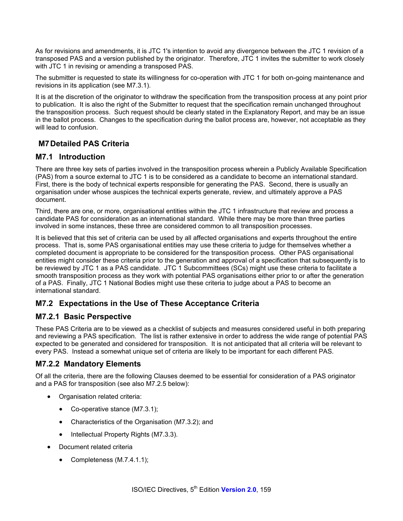As for revisions and amendments, it is JTC 1's intention to avoid any divergence between the JTC 1 revision of a transposed PAS and a version published by the originator. Therefore, JTC 1 invites the submitter to work closely with JTC 1 in revising or amending a transposed PAS.

The submitter is requested to state its willingness for co-operation with JTC 1 for both on-going maintenance and revisions in its application (see M7.3.1).

It is at the discretion of the originator to withdraw the specification from the transposition process at any point prior to publication. It is also the right of the Submitter to request that the specification remain unchanged throughout the transposition process. Such request should be clearly stated in the Explanatory Report, and may be an issue in the ballot process. Changes to the specification during the ballot process are, however, not acceptable as they will lead to confusion.

# **M7 Detailed PAS Criteria**

## **M7.1 Introduction**

There are three key sets of parties involved in the transposition process wherein a Publicly Available Specification (PAS) from a source external to JTC 1 is to be considered as a candidate to become an international standard. First, there is the body of technical experts responsible for generating the PAS. Second, there is usually an organisation under whose auspices the technical experts generate, review, and ultimately approve a PAS document.

Third, there are one, or more, organisational entities within the JTC 1 infrastructure that review and process a candidate PAS for consideration as an international standard. While there may be more than three parties involved in some instances, these three are considered common to all transposition processes.

It is believed that this set of criteria can be used by all affected organisations and experts throughout the entire process. That is, some PAS organisational entities may use these criteria to judge for themselves whether a completed document is appropriate to be considered for the transposition process. Other PAS organisational entities might consider these criteria prior to the generation and approval of a specification that subsequently is to be reviewed by JTC 1 as a PAS candidate. JTC 1 Subcommittees (SCs) might use these criteria to facilitate a smooth transposition process as they work with potential PAS organisations either prior to or after the generation of a PAS. Finally, JTC 1 National Bodies might use these criteria to judge about a PAS to become an international standard.

# **M7.2 Expectations in the Use of These Acceptance Criteria**

# **M7.2.1 Basic Perspective**

These PAS Criteria are to be viewed as a checklist of subjects and measures considered useful in both preparing and reviewing a PAS specification. The list is rather extensive in order to address the wide range of potential PAS expected to be generated and considered for transposition. It is not anticipated that all criteria will be relevant to every PAS. Instead a somewhat unique set of criteria are likely to be important for each different PAS.

# **M7.2.2 Mandatory Elements**

Of all the criteria, there are the following Clauses deemed to be essential for consideration of a PAS originator and a PAS for transposition (see also M7.2.5 below):

- Organisation related criteria:
	- Co-operative stance (M7.3.1);
	- Characteristics of the Organisation (M7.3.2); and
	- Intellectual Property Rights (M7.3.3).
- Document related criteria
	- Completeness (M.7.4.1.1);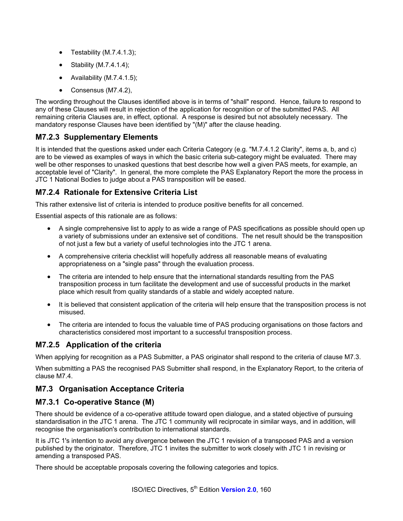- Testability (M.7.4.1.3);
- Stability (M.7.4.1.4);
- Availability (M.7.4.1.5);
- Consensus (M7.4.2),

The wording throughout the Clauses identified above is in terms of "shall" respond. Hence, failure to respond to any of these Clauses will result in rejection of the application for recognition or of the submitted PAS. All remaining criteria Clauses are, in effect, optional. A response is desired but not absolutely necessary. The mandatory response Clauses have been identified by "(M)" after the clause heading.

## **M7.2.3 Supplementary Elements**

It is intended that the questions asked under each Criteria Category (e.g. "M.7.4.1.2 Clarity", items a, b, and c) are to be viewed as examples of ways in which the basic criteria sub-category might be evaluated. There may well be other responses to unasked questions that best describe how well a given PAS meets, for example, an acceptable level of "Clarity". In general, the more complete the PAS Explanatory Report the more the process in JTC 1 National Bodies to judge about a PAS transposition will be eased.

## **M7.2.4 Rationale for Extensive Criteria List**

This rather extensive list of criteria is intended to produce positive benefits for all concerned.

Essential aspects of this rationale are as follows:

- A single comprehensive list to apply to as wide a range of PAS specifications as possible should open up a variety of submissions under an extensive set of conditions. The net result should be the transposition of not just a few but a variety of useful technologies into the JTC 1 arena.
- A comprehensive criteria checklist will hopefully address all reasonable means of evaluating appropriateness on a "single pass" through the evaluation process.
- The criteria are intended to help ensure that the international standards resulting from the PAS transposition process in turn facilitate the development and use of successful products in the market place which result from quality standards of a stable and widely accepted nature.
- It is believed that consistent application of the criteria will help ensure that the transposition process is not misused.
- The criteria are intended to focus the valuable time of PAS producing organisations on those factors and characteristics considered most important to a successful transposition process.

## **M7.2.5 Application of the criteria**

When applying for recognition as a PAS Submitter, a PAS originator shall respond to the criteria of clause M7.3.

When submitting a PAS the recognised PAS Submitter shall respond, in the Explanatory Report, to the criteria of clause M7.4.

## **M7.3 Organisation Acceptance Criteria**

## **M7.3.1 Co-operative Stance (M)**

There should be evidence of a co-operative attitude toward open dialogue, and a stated objective of pursuing standardisation in the JTC 1 arena. The JTC 1 community will reciprocate in similar ways, and in addition, will recognise the organisation's contribution to international standards.

It is JTC 1's intention to avoid any divergence between the JTC 1 revision of a transposed PAS and a version published by the originator. Therefore, JTC 1 invites the submitter to work closely with JTC 1 in revising or amending a transposed PAS.

There should be acceptable proposals covering the following categories and topics.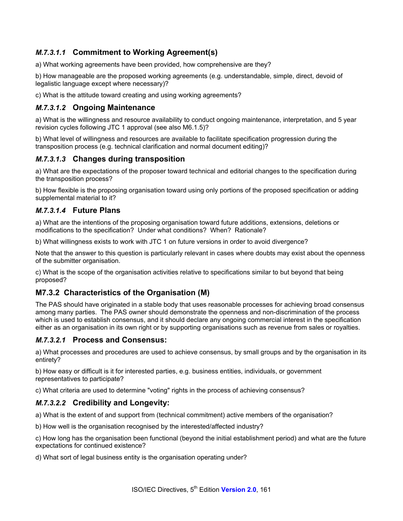# *M.7.3.1.1* **Commitment to Working Agreement(s)**

a) What working agreements have been provided, how comprehensive are they?

b) How manageable are the proposed working agreements (e.g. understandable, simple, direct, devoid of legalistic language except where necessary)?

c) What is the attitude toward creating and using working agreements?

### *M.7.3.1.2* **Ongoing Maintenance**

a) What is the willingness and resource availability to conduct ongoing maintenance, interpretation, and 5 year revision cycles following JTC 1 approval (see also M6.1.5)?

b) What level of willingness and resources are available to facilitate specification progression during the transposition process (e.g. technical clarification and normal document editing)?

## *M.7.3.1.3* **Changes during transposition**

a) What are the expectations of the proposer toward technical and editorial changes to the specification during the transposition process?

b) How flexible is the proposing organisation toward using only portions of the proposed specification or adding supplemental material to it?

### *M.7.3.1.4* **Future Plans**

a) What are the intentions of the proposing organisation toward future additions, extensions, deletions or modifications to the specification? Under what conditions? When? Rationale?

b) What willingness exists to work with JTC 1 on future versions in order to avoid divergence?

Note that the answer to this question is particularly relevant in cases where doubts may exist about the openness of the submitter organisation.

c) What is the scope of the organisation activities relative to specifications similar to but beyond that being proposed?

## **M7.3.2 Characteristics of the Organisation (M)**

The PAS should have originated in a stable body that uses reasonable processes for achieving broad consensus among many parties. The PAS owner should demonstrate the openness and non-discrimination of the process which is used to establish consensus, and it should declare any ongoing commercial interest in the specification either as an organisation in its own right or by supporting organisations such as revenue from sales or royalties.

### *M.7.3.2.1* **Process and Consensus:**

a) What processes and procedures are used to achieve consensus, by small groups and by the organisation in its entirety?

b) How easy or difficult is it for interested parties, e.g. business entities, individuals, or government representatives to participate?

c) What criteria are used to determine "voting" rights in the process of achieving consensus?

## *M.7.3.2.2* **Credibility and Longevity:**

a) What is the extent of and support from (technical commitment) active members of the organisation?

b) How well is the organisation recognised by the interested/affected industry?

c) How long has the organisation been functional (beyond the initial establishment period) and what are the future expectations for continued existence?

d) What sort of legal business entity is the organisation operating under?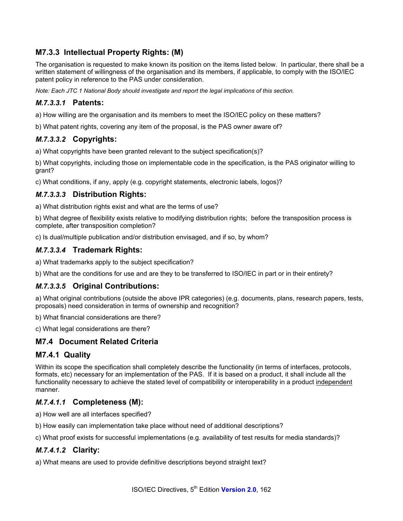# **M7.3.3 Intellectual Property Rights: (M)**

The organisation is requested to make known its position on the items listed below. In particular, there shall be a written statement of willingness of the organisation and its members, if applicable, to comply with the ISO/IEC patent policy in reference to the PAS under consideration.

*Note: Each JTC 1 National Body should investigate and report the legal implications of this section.* 

## *M.7.3.3.1* **Patents:**

a) How willing are the organisation and its members to meet the ISO/IEC policy on these matters?

b) What patent rights, covering any item of the proposal, is the PAS owner aware of?

### *M.7.3.3.2* **Copyrights:**

a) What copyrights have been granted relevant to the subject specification(s)?

b) What copyrights, including those on implementable code in the specification, is the PAS originator willing to grant?

c) What conditions, if any, apply (e.g. copyright statements, electronic labels, logos)?

### *M.7.3.3.3* **Distribution Rights:**

a) What distribution rights exist and what are the terms of use?

b) What degree of flexibility exists relative to modifying distribution rights; before the transposition process is complete, after transposition completion?

c) Is dual/multiple publication and/or distribution envisaged, and if so, by whom?

### *M.7.3.3.4* **Trademark Rights:**

a) What trademarks apply to the subject specification?

b) What are the conditions for use and are they to be transferred to ISO/IEC in part or in their entirety?

## *M.7.3.3.5* **Original Contributions:**

a) What original contributions (outside the above IPR categories) (e.g. documents, plans, research papers, tests, proposals) need consideration in terms of ownership and recognition?

b) What financial considerations are there?

c) What legal considerations are there?

## **M7.4 Document Related Criteria**

### **M7.4.1 Quality**

Within its scope the specification shall completely describe the functionality (in terms of interfaces, protocols, formats, etc) necessary for an implementation of the PAS. If it is based on a product, it shall include all the functionality necessary to achieve the stated level of compatibility or interoperability in a product independent manner.

### *M.7.4.1.1* **Completeness (M):**

a) How well are all interfaces specified?

b) How easily can implementation take place without need of additional descriptions?

c) What proof exists for successful implementations (e.g. availability of test results for media standards)?

## *M.7.4.1.2* **Clarity:**

a) What means are used to provide definitive descriptions beyond straight text?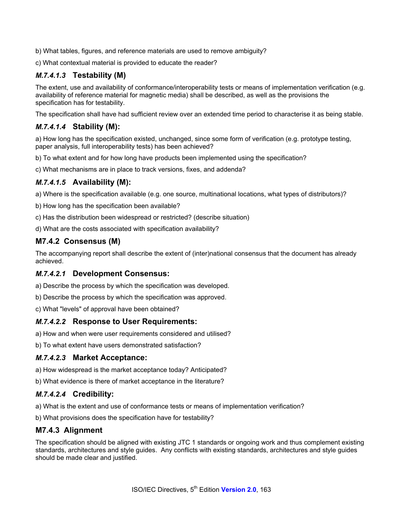b) What tables, figures, and reference materials are used to remove ambiguity?

c) What contextual material is provided to educate the reader?

# *M.7.4.1.3* **Testability (M)**

The extent, use and availability of conformance/interoperability tests or means of implementation verification (e.g. availability of reference material for magnetic media) shall be described, as well as the provisions the specification has for testability.

The specification shall have had sufficient review over an extended time period to characterise it as being stable.

## *M.7.4.1.4* **Stability (M):**

a) How long has the specification existed, unchanged, since some form of verification (e.g. prototype testing, paper analysis, full interoperability tests) has been achieved?

b) To what extent and for how long have products been implemented using the specification?

c) What mechanisms are in place to track versions, fixes, and addenda?

## *M.7.4.1.5* **Availability (M):**

a) Where is the specification available (e.g. one source, multinational locations, what types of distributors)?

b) How long has the specification been available?

c) Has the distribution been widespread or restricted? (describe situation)

d) What are the costs associated with specification availability?

## **M7.4.2 Consensus (M)**

The accompanying report shall describe the extent of (inter)national consensus that the document has already achieved.

### *M.7.4.2.1* **Development Consensus:**

a) Describe the process by which the specification was developed.

b) Describe the process by which the specification was approved.

c) What "levels" of approval have been obtained?

### *M.7.4.2.2* **Response to User Requirements:**

a) How and when were user requirements considered and utilised?

b) To what extent have users demonstrated satisfaction?

### *M.7.4.2.3* **Market Acceptance:**

a) How widespread is the market acceptance today? Anticipated?

b) What evidence is there of market acceptance in the literature?

### *M.7.4.2.4* **Credibility:**

a) What is the extent and use of conformance tests or means of implementation verification?

b) What provisions does the specification have for testability?

## **M7.4.3 Alignment**

The specification should be aligned with existing JTC 1 standards or ongoing work and thus complement existing standards, architectures and style guides. Any conflicts with existing standards, architectures and style guides should be made clear and justified.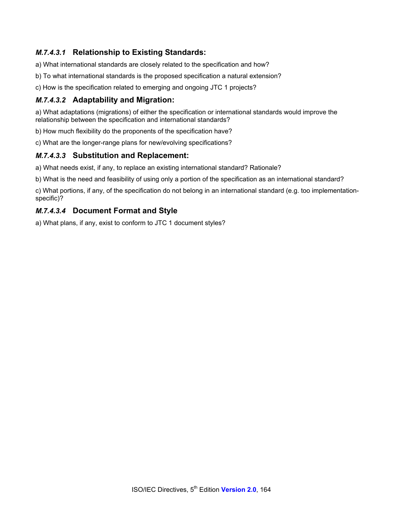# *M.7.4.3.1* **Relationship to Existing Standards:**

a) What international standards are closely related to the specification and how?

- b) To what international standards is the proposed specification a natural extension?
- c) How is the specification related to emerging and ongoing JTC 1 projects?

### *M.7.4.3.2* **Adaptability and Migration:**

a) What adaptations (migrations) of either the specification or international standards would improve the relationship between the specification and international standards?

b) How much flexibility do the proponents of the specification have?

c) What are the longer-range plans for new/evolving specifications?

### *M.7.4.3.3* **Substitution and Replacement:**

a) What needs exist, if any, to replace an existing international standard? Rationale?

b) What is the need and feasibility of using only a portion of the specification as an international standard?

c) What portions, if any, of the specification do not belong in an international standard (e.g. too implementationspecific)?

### *M.7.4.3.4* **Document Format and Style**

a) What plans, if any, exist to conform to JTC 1 document styles?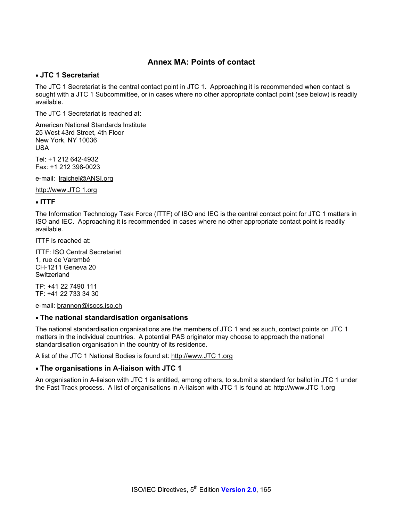## **Annex MA: Points of contact**

#### • **JTC 1 Secretariat**

The JTC 1 Secretariat is the central contact point in JTC 1. Approaching it is recommended when contact is sought with a JTC 1 Subcommittee, or in cases where no other appropriate contact point (see below) is readily available.

The JTC 1 Secretariat is reached at:

American National Standards Institute 25 West 43rd Street, 4th Floor New York, NY 10036 USA

Tel: +1 212 642-4932 Fax: +1 212 398-0023

e-mail: lrajchel@ANSI.org

http://www.JTC 1.org

#### • **ITTF**

The Information Technology Task Force (ITTF) of ISO and IEC is the central contact point for JTC 1 matters in ISO and IEC. Approaching it is recommended in cases where no other appropriate contact point is readily available.

ITTF is reached at:

ITTF: ISO Central Secretariat 1, rue de Varembé CH-1211 Geneva 20 **Switzerland** 

TP: +41 22 7490 111 TF: +41 22 733 34 30

e-mail: brannon@isocs.iso.ch

#### • **The national standardisation organisations**

The national standardisation organisations are the members of JTC 1 and as such, contact points on JTC 1 matters in the individual countries. A potential PAS originator may choose to approach the national standardisation organisation in the country of its residence.

A list of the JTC 1 National Bodies is found at: http://www.JTC 1.org

#### • **The organisations in A-liaison with JTC 1**

An organisation in A-liaison with JTC 1 is entitled, among others, to submit a standard for ballot in JTC 1 under the Fast Track process. A list of organisations in A-liaison with JTC 1 is found at: http://www.JTC 1.org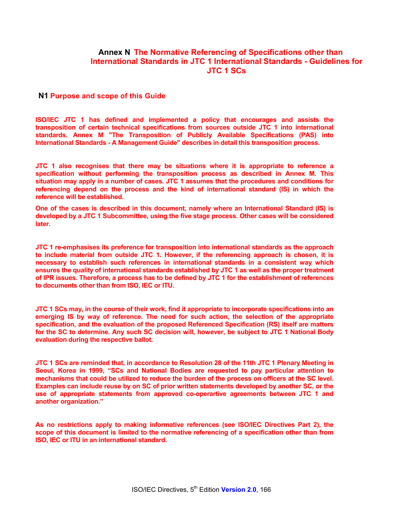### **Annex N The Normative Referencing of Specifications other than International Standards in JTC 1 International Standards - Guidelines for JTC 1 SCs**

#### **N1 Purpose and scope of this Guide**

**ISO/IEC JTC 1 has defined and implemented a policy that encourages and assists the transposition of certain technical specifications from sources outside JTC 1 into international standards. Annex M "The Transposition of Publicly Available Specifications (PAS) into International Standards - A Management Guide" describes in detail this transposition process.** 

**JTC 1 also recognises that there may be situations where it is appropriate to reference a specification without performing the transposition process as described in Annex M. This situation may apply in a number of cases. JTC 1 assumes that the procedures and conditions for referencing depend on the process and the kind of international standard (IS) in which the reference will be established.** 

**One of the cases is described in this document, namely where an International Standard (IS) is developed by a JTC 1 Subcommittee, using the five stage process. Other cases will be considered later.** 

**JTC 1 re-emphasises its preference for transposition into international standards as the approach to include material from outside JTC 1. However, if the referencing approach is chosen, it is necessary to establish such references in international standards in a consistent way which ensures the quality of international standards established by JTC 1 as well as the proper treatment of IPR issues. Therefore, a process has to be defined by JTC 1 for the establishment of references to documents other than from ISO, IEC or ITU.** 

**JTC 1 SCs may, in the course of their work, find it appropriate to incorporate specifications into an emerging IS by way of reference. The need for such action, the selection of the appropriate specification, and the evaluation of the proposed Referenced Specification (RS) itself are matters for the SC to determine. Any such SC decision will, however, be subject to JTC 1 National Body evaluation during the respective ballot.** 

**JTC 1 SCs are reminded that, in accordance to Resolution 28 of the 11th JTC 1 Plenary Meeting in Seoul, Korea in 1999, "SCs and National Bodies are requested to pay particular attention to mechanisms that could be utilized to reduce the burden of the process on officers at the SC level. Examples can include reuse by on SC of prior written statements developed by another SC, or the use of appropriate statements from approved co-operartive agreements between JTC 1 and another organization."** 

**As no restrictions apply to making informative references (see ISO/IEC Directives Part 2), the scope of this document is limited to the normative referencing of a specification other than from ISO, IEC or ITU in an international standard.**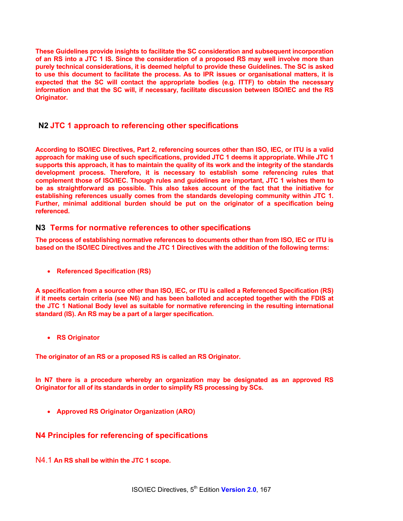**These Guidelines provide insights to facilitate the SC consideration and subsequent incorporation of an RS into a JTC 1 IS. Since the consideration of a proposed RS may well involve more than purely technical considerations, it is deemed helpful to provide these Guidelines. The SC is asked to use this document to facilitate the process. As to IPR issues or organisational matters, it is expected that the SC will contact the appropriate bodies (e.g. ITTF) to obtain the necessary information and that the SC will, if necessary, facilitate discussion between ISO/IEC and the RS Originator.** 

### **N2 JTC 1 approach to referencing other specifications**

**According to ISO/IEC Directives, Part 2, referencing sources other than ISO, IEC, or ITU is a valid approach for making use of such specifications, provided JTC 1 deems it appropriate. While JTC 1 supports this approach, it has to maintain the quality of its work and the integrity of the standards development process. Therefore, it is necessary to establish some referencing rules that complement those of ISO/IEC. Though rules and guidelines are important, JTC 1 wishes them to be as straightforward as possible. This also takes account of the fact that the initiative for establishing references usually comes from the standards developing community within JTC 1. Further, minimal additional burden should be put on the originator of a specification being referenced.** 

#### **N3 Terms for normative references to other specifications**

**The process of establishing normative references to documents other than from ISO, IEC or ITU is based on the ISO/IEC Directives and the JTC 1 Directives with the addition of the following terms:** 

• **Referenced Specification (RS)** 

**A specification from a source other than ISO, IEC, or ITU is called a Referenced Specification (RS) if it meets certain criteria (see N6) and has been balloted and accepted together with the FDIS at the JTC 1 National Body level as suitable for normative referencing in the resulting international standard (IS). An RS may be a part of a larger specification.** 

• **RS Originator** 

**The originator of an RS or a proposed RS is called an RS Originator.** 

**In N7 there is a procedure whereby an organization may be designated as an approved RS Originator for all of its standards in order to simplify RS processing by SCs.** 

• **Approved RS Originator Organization (ARO)** 

### **N4 Principles for referencing of specifications**

N4.1 **An RS shall be within the JTC 1 scope.**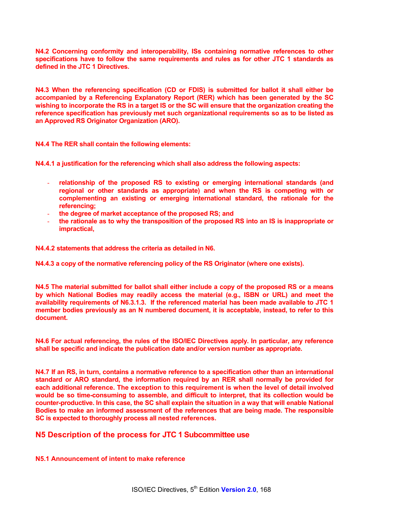**N4.2 Concerning conformity and interoperability, ISs containing normative references to other specifications have to follow the same requirements and rules as for other JTC 1 standards as defined in the JTC 1 Directives.** 

**N4.3 When the referencing specification (CD or FDIS) is submitted for ballot it shall either be accompanied by a Referencing Explanatory Report (RER) which has been generated by the SC wishing to incorporate the RS in a target IS or the SC will ensure that the organization creating the reference specification has previously met such organizational requirements so as to be listed as an Approved RS Originator Organization (ARO).** 

**N4.4 The RER shall contain the following elements:** 

**N4.4.1 a justification for the referencing which shall also address the following aspects:** 

- relationship of the proposed RS to existing or emerging international standards (and **regional or other standards as appropriate) and when the RS is competing with or complementing an existing or emerging international standard, the rationale for the referencing;**
- **the degree of market acceptance of the proposed RS; and**
- **the rationale as to why the transposition of the proposed RS into an IS is inappropriate or impractical,**

**N4.4.2 statements that address the criteria as detailed in N6.** 

**N4.4.3 a copy of the normative referencing policy of the RS Originator (where one exists).** 

**N4.5 The material submitted for ballot shall either include a copy of the proposed RS or a means by which National Bodies may readily access the material (e.g., ISBN or URL) and meet the availability requirements of N6.3.1.3. If the referenced material has been made available to JTC 1 member bodies previously as an N numbered document, it is acceptable, instead, to refer to this document.** 

**N4.6 For actual referencing, the rules of the ISO/IEC Directives apply. In particular, any reference shall be specific and indicate the publication date and/or version number as appropriate.** 

**N4.7 If an RS, in turn, contains a normative reference to a specification other than an international standard or ARO standard, the information required by an RER shall normally be provided for each additional reference. The exception to this requirement is when the level of detail involved would be so time-consuming to assemble, and difficult to interpret, that its collection would be counter-productive. In this case, the SC shall explain the situation in a way that will enable National Bodies to make an informed assessment of the references that are being made. The responsible SC is expected to thoroughly process all nested references.** 

#### **N5 Description of the process for JTC 1 Subcommittee use**

#### **N5.1 Announcement of intent to make reference**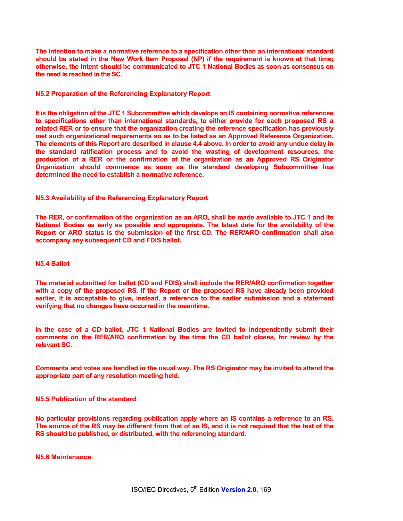**The intention to make a normative reference to a specification other than an international standard should be stated in the New Work Item Proposal (NP) if the requirement is known at that time; otherwise, the intent should be communicated to JTC 1 National Bodies as soon as consensus on the need is reached in the SC.** 

#### **N5.2 Preparation of the Referencing Explanatory Report**

**It is the obligation of the JTC 1 Subcommittee which develops an IS containing normative references to specifications other than international standards, to either provide for each proposed RS a related RER or to ensure that the organization creating the reference specification has previously met such organizational requirements so as to be listed as an Approved Reference Organization. The elements of this Report are described in clause 4.4 above. In order to avoid any undue delay in the standard ratification process and to avoid the wasting of development resources, the production of a RER or the confirmation of the organization as an Approved RS Originator Organization should commence as soon as the standard developing Subcommittee has determined the need to establish a normative reference.** 

#### **N5.3 Availability of the Referencing Explanatory Report**

**The RER, or confirmation of the organization as an ARO, shall be made available to JTC 1 and its National Bodies as early as possible and appropriate. The latest date for the availability of the Report or ARO status is the submission of the first CD. The RER/ARO confirmation shall also accompany any subsequent CD and FDIS ballot.** 

#### **N5.4 Ballot**

**The material submitted for ballot (CD and FDIS) shall include the RER/ARO confirmation together with a copy of the proposed RS. If the Report or the proposed RS have already been provided earlier, it is acceptable to give, instead, a reference to the earlier submission and a statement verifying that no changes have occurred in the meantime.** 

**In the case of a CD ballot, JTC 1 National Bodies are invited to independently submit their comments on the RER/ARO confirmation by the time the CD ballot closes, for review by the relevant SC.** 

**Comments and votes are handled in the usual way. The RS Originator may be invited to attend the appropriate part of any resolution meeting held.** 

#### **N5.5 Publication of the standard**

**No particular provisions regarding publication apply where an IS contains a reference to an RS. The source of the RS may be different from that of an IS, and it is not required that the text of the RS should be published, or distributed, with the referencing standard.** 

**N5.6 Maintenance**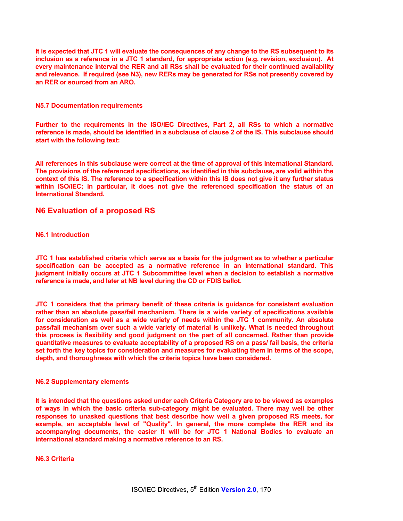**It is expected that JTC 1 will evaluate the consequences of any change to the RS subsequent to its inclusion as a reference in a JTC 1 standard, for appropriate action (e.g. revision, exclusion). At every maintenance interval the RER and all RSs shall be evaluated for their continued availability and relevance. If required (see N3), new RERs may be generated for RSs not presently covered by an RER or sourced from an ARO.** 

#### **N5.7 Documentation requirements**

**Further to the requirements in the ISO/IEC Directives, Part 2, all RSs to which a normative reference is made, should be identified in a subclause of clause 2 of the IS. This subclause should start with the following text:** 

**All references in this subclause were correct at the time of approval of this International Standard. The provisions of the referenced specifications, as identified in this subclause, are valid within the context of this IS. The reference to a specification within this IS does not give it any further status within ISO/IEC; in particular, it does not give the referenced specification the status of an International Standard.** 

#### **N6 Evaluation of a proposed RS**

#### **N6.1 Introduction**

**JTC 1 has established criteria which serve as a basis for the judgment as to whether a particular specification can be accepted as a normative reference in an international standard. This judgment initially occurs at JTC 1 Subcommittee level when a decision to establish a normative reference is made, and later at NB level during the CD or FDIS ballot.** 

**JTC 1 considers that the primary benefit of these criteria is guidance for consistent evaluation rather than an absolute pass/fail mechanism. There is a wide variety of specifications available for consideration as well as a wide variety of needs within the JTC 1 community. An absolute pass/fail mechanism over such a wide variety of material is unlikely. What is needed throughout this process is flexibility and good judgment on the part of all concerned. Rather than provide quantitative measures to evaluate acceptability of a proposed RS on a pass/ fail basis, the criteria set forth the key topics for consideration and measures for evaluating them in terms of the scope, depth, and thoroughness with which the criteria topics have been considered.** 

#### **N6.2 Supplementary elements**

**It is intended that the questions asked under each Criteria Category are to be viewed as examples of ways in which the basic criteria sub-category might be evaluated. There may well be other responses to unasked questions that best describe how well a given proposed RS meets, for example, an acceptable level of "Quality". In general, the more complete the RER and its accompanying documents, the easier it will be for JTC 1 National Bodies to evaluate an international standard making a normative reference to an RS.** 

#### **N6.3 Criteria**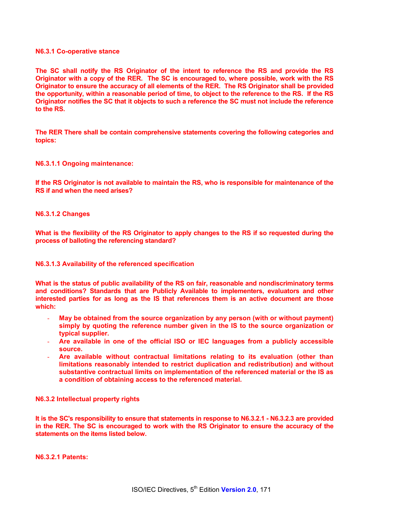#### **N6.3.1 Co-operative stance**

**The SC shall notify the RS Originator of the intent to reference the RS and provide the RS Originator with a copy of the RER. The SC is encouraged to, where possible, work with the RS Originator to ensure the accuracy of all elements of the RER. The RS Originator shall be provided the opportunity, within a reasonable period of time, to object to the reference to the RS. If the RS Originator notifies the SC that it objects to such a reference the SC must not include the reference to the RS.** 

**The RER There shall be contain comprehensive statements covering the following categories and topics:** 

#### **N6.3.1.1 Ongoing maintenance:**

**If the RS Originator is not available to maintain the RS, who is responsible for maintenance of the RS if and when the need arises?** 

#### **N6.3.1.2 Changes**

**What is the flexibility of the RS Originator to apply changes to the RS if so requested during the process of balloting the referencing standard?** 

#### **N6.3.1.3 Availability of the referenced specification**

**What is the status of public availability of the RS on fair, reasonable and nondiscriminatory terms and conditions? Standards that are Publicly Available to implementers, evaluators and other interested parties for as long as the IS that references them is an active document are those which:** 

- May be obtained from the source organization by any person (with or without payment) **simply by quoting the reference number given in the IS to the source organization or typical supplier.**
- **Are available in one of the official ISO or IEC languages from a publicly accessible source.**
- **Are available without contractual limitations relating to its evaluation (other than limitations reasonably intended to restrict duplication and redistribution) and without substantive contractual limits on implementation of the referenced material or the IS as a condition of obtaining access to the referenced material.**

#### **N6.3.2 Intellectual property rights**

**It is the SC's responsibility to ensure that statements in response to N6.3.2.1 - N6.3.2.3 are provided in the RER. The SC is encouraged to work with the RS Originator to ensure the accuracy of the statements on the items listed below.** 

**N6.3.2.1 Patents:**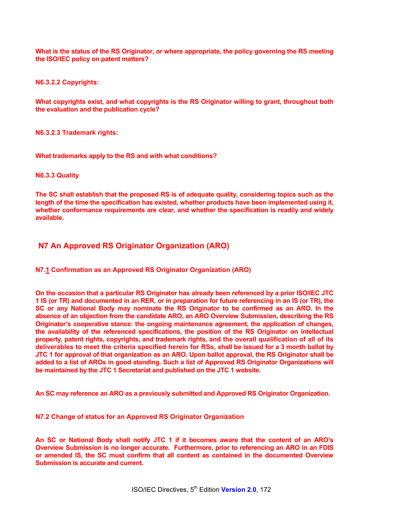**What is the status of the RS Originator, or where appropriate, the policy governing the RS meeting the ISO/IEC policy on patent matters?** 

**N6.3.2.2 Copyrights:** 

**What copyrights exist, and what copyrights is the RS Originator willing to grant, throughout both the evaluation and the publication cycle?** 

**N6.3.2.3 Trademark rights:** 

**What trademarks apply to the RS and with what conditions?** 

**N6.3.3 Quality** 

**The SC shall establish that the proposed RS is of adequate quality, considering topics such as the length of the time the specification has existed, whether products have been implemented using it, whether conformance requirements are clear, and whether the specification is readily and widely available.** 

### **N7 An Approved RS Originator Organization (ARO)**

**N7.1 Confirmation as an Approved RS Originator Organization (ARO)** 

**On the occasion that a particular RS Originator has already been referenced by a prior ISO/IEC JTC 1 IS (or TR) and documented in an RER, or in preparation for future referencing in an IS (or TR), the SC or any National Body may nominate the RS Originator to be confirmed as an ARO. In the absence of an objection from the candidate ARO, an ARO Overview Submission, describing the RS Originator's cooperative stance: the ongoing maintenance agreement, the application of changes, the availability of the referenced specifications, the position of the RS Originator on intellectual property, patent rights, copyrights, and trademark rights, and the overall qualification of all of its deliverables to meet the criteria specified herein for RSs, shall be issued for a 3 month ballot by JTC 1 for approval of that organization as an ARO. Upon ballot approval, the RS Originator shall be added to a list of AROs in good standing. Such a list of Approved RS Originator Organizations will be maintained by the JTC 1 Secretariat and published on the JTC 1 website.** 

**An SC may reference an ARO as a previously submitted and Approved RS Originator Organization.** 

**N7.2 Change of status for an Approved RS Originator Organization** 

**An SC or National Body shall notify JTC 1 if it becomes aware that the content of an ARO's Overview Submission is no longer accurate. Furthermore, prior to referencing an ARO in an FDIS or amended IS, the SC must confirm that all content as contained in the documented Overview Submission is accurate and current.**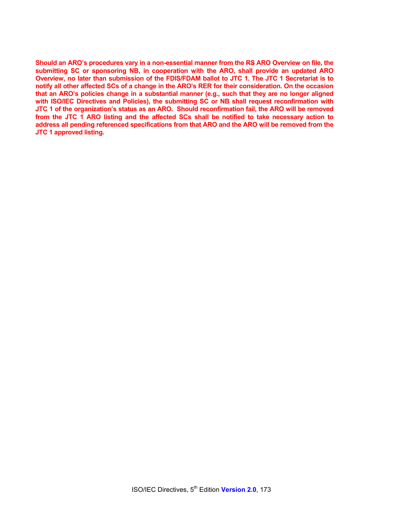**Should an ARO's procedures vary in a non-essential manner from the RS ARO Overview on file, the submitting SC or sponsoring NB, in cooperation with the ARO, shall provide an updated ARO Overview, no later than submission of the FDIS/FDAM ballot to JTC 1. The JTC 1 Secretariat is to notify all other affected SCs of a change in the ARO's RER for their consideration. On the occasion that an ARO's policies change in a substantial manner (e.g., such that they are no longer aligned with ISO/IEC Directives and Policies), the submitting SC or NB shall request reconfirmation with JTC 1 of the organization's status as an ARO. Should reconfirmation fail, the ARO will be removed from the JTC 1 ARO listing and the affected SCs shall be notified to take necessary action to address all pending referenced specifications from that ARO and the ARO will be removed from the JTC 1 approved listing.**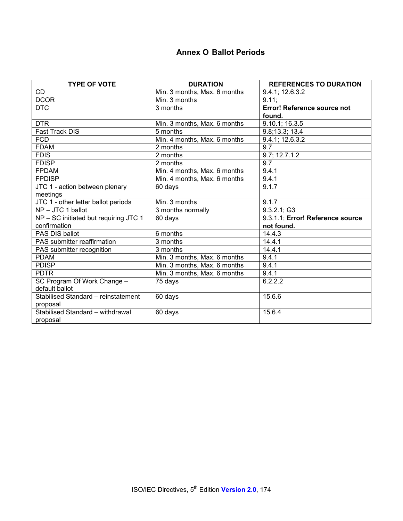# **Annex O Ballot Periods**

| <b>TYPE OF VOTE</b>                   | <b>DURATION</b>              | <b>REFERENCES TO DURATION</b>      |  |
|---------------------------------------|------------------------------|------------------------------------|--|
| CD                                    | Min. 3 months, Max. 6 months | 9.4.1; 12.6.3.2                    |  |
| <b>DCOR</b>                           | Min. 3 months                | $9.11$ ;                           |  |
| <b>DTC</b>                            | 3 months                     | <b>Error! Reference source not</b> |  |
|                                       |                              | found.                             |  |
| <b>DTR</b>                            | Min. 3 months, Max. 6 months | 9.10.1; 16.3.5                     |  |
| <b>Fast Track DIS</b>                 | 5 months                     | 9.8;13.3; 13.4                     |  |
| <b>FCD</b>                            | Min. 4 months, Max. 6 months | 9.4.1; 12.6.3.2                    |  |
| <b>FDAM</b>                           | 2 months                     | 9.7                                |  |
| <b>FDIS</b>                           | 2 months                     | 9.7; 12.7.1.2                      |  |
| <b>FDISP</b>                          | 2 months                     | 9.7                                |  |
| <b>FPDAM</b>                          | Min. 4 months, Max. 6 months | 9.4.1                              |  |
| <b>FPDISP</b>                         | Min. 4 months, Max. 6 months | 9.4.1                              |  |
| JTC 1 - action between plenary        | 60 days                      | 9.1.7                              |  |
| meetings                              |                              |                                    |  |
| JTC 1 - other letter ballot periods   | Min. 3 months                | 9.1.7                              |  |
| NP-JTC 1 ballot                       | 3 months normally            | 9.3.2.1; G3                        |  |
| NP - SC initiated but requiring JTC 1 | 60 days                      | 9.3.1.1; Error! Reference source   |  |
| confirmation                          |                              | not found.                         |  |
| PAS DIS ballot                        | 6 months                     | 14.4.3                             |  |
| PAS submitter reaffirmation           | 3 months                     | 14.4.1                             |  |
| PAS submitter recognition             | 3 months                     | 14.4.1                             |  |
| <b>PDAM</b>                           | Min. 3 months, Max. 6 months | 9.4.1                              |  |
| <b>PDISP</b>                          | Min. 3 months, Max. 6 months | 9.4.1                              |  |
| <b>PDTR</b>                           | Min. 3 months, Max. 6 months | 9.4.1                              |  |
| SC Program Of Work Change -           | 75 days                      | 6.2.2.2                            |  |
| default ballot                        |                              |                                    |  |
| Stabilised Standard - reinstatement   | 60 days                      | 15.6.6                             |  |
| proposal                              |                              |                                    |  |
| Stabilised Standard - withdrawal      | 60 days                      | 15.6.4                             |  |
| proposal                              |                              |                                    |  |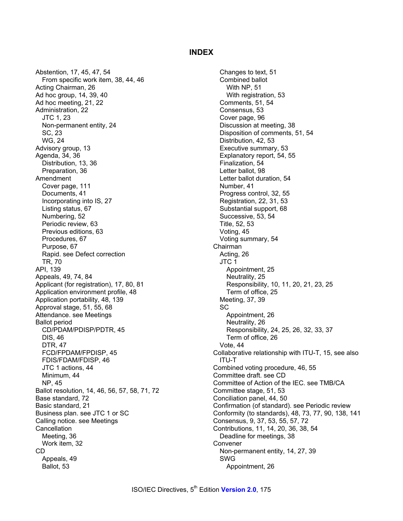#### **INDEX**

Abstention, 17, 45, 47, 54 From specific work item, 38, 44, 46 Acting Chairman, 26 Ad hoc group, 14, 39, 40 Ad hoc meeting, 21, 22 Administration, 22 JTC 1, 23 Non-permanent entity, 24 SC, 23 WG, 24 Advisory group, 13 Agenda, 34, 36 Distribution, 13, 36 Preparation, 36 Amendment Cover page, 111 Documents, 41 Incorporating into IS, 27 Listing status, 67 Numbering, 52 Periodic review, 63 Previous editions, 63 Procedures, 67 Purpose, 67 Rapid. see Defect correction TR, 70 API, 139 Appeals, 49, 74, 84 Applicant (for registration), 17, 80, 81 Application environment profile, 48 Application portability, 48, 139 Approval stage, 51, 55, 68 Attendance. see Meetings Ballot period CD/PDAM/PDISP/PDTR, 45 DIS, 46 DTR, 47 FCD/FPDAM/FPDISP, 45 FDIS/FDAM/FDISP, 46 JTC 1 actions, 44 Minimum, 44 NP, 45 Ballot resolution, 14, 46, 56, 57, 58, 71, 72 Base standard, 72 Basic standard, 21 Business plan. see JTC 1 or SC Calling notice. see Meetings **Cancellation** Meeting, 36 Work item, 32 CD Appeals, 49 Ballot, 53

Changes to text, 51 Combined ballot With NP, 51 With registration, 53 Comments, 51, 54 Consensus, 53 Cover page, 96 Discussion at meeting, 38 Disposition of comments, 51, 54 Distribution, 42, 53 Executive summary, 53 Explanatory report, 54, 55 Finalization, 54 Letter ballot, 98 Letter ballot duration, 54 Number, 41 Progress control, 32, 55 Registration, 22, 31, 53 Substantial support, 68 Successive, 53, 54 Title, 52, 53 Voting, 45 Voting summary, 54 Chairman Acting, 26 JTC 1 Appointment, 25 Neutrality, 25 Responsibility, 10, 11, 20, 21, 23, 25 Term of office, 25 Meeting, 37, 39 SC Appointment, 26 Neutrality, 26 Responsibility, 24, 25, 26, 32, 33, 37 Term of office, 26 Vote, 44 Collaborative relationship with ITU-T, 15, see also ITU-T Combined voting procedure, 46, 55 Committee draft. see CD Committee of Action of the IEC. see TMB/CA Committee stage, 51, 53 Conciliation panel, 44, 50 Confirmation (of standard). see Periodic review Conformity (to standards), 48, 73, 77, 90, 138, 141 Consensus, 9, 37, 53, 55, 57, 72 Contributions, 11, 14, 20, 36, 38, 54 Deadline for meetings, 38 Convener Non-permanent entity, 14, 27, 39 SWG Appointment, 26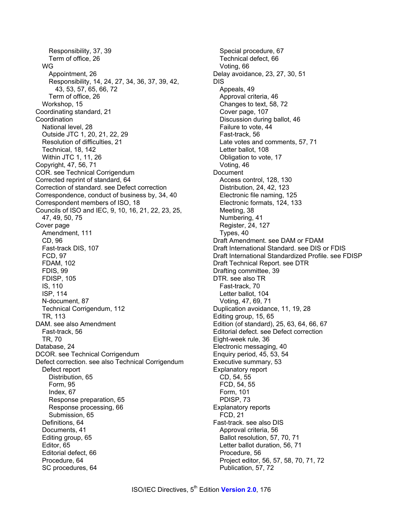Responsibility, 37, 39 Term of office, 26 WG Appointment, 26 Responsibility, 14, 24, 27, 34, 36, 37, 39, 42, 43, 53, 57, 65, 66, 72 Term of office, 26 Workshop, 15 Coordinating standard, 21 Coordination National level, 28 Outside JTC 1, 20, 21, 22, 29 Resolution of difficulties, 21 Technical, 18, 142 Within JTC 1, 11, 26 Copyright, 47, 56, 71 COR. see Technical Corrigendum Corrected reprint of standard, 64 Correction of standard. see Defect correction Correspondence, conduct of business by, 34, 40 Correspondent members of ISO, 18 Councils of ISO and IEC, 9, 10, 16, 21, 22, 23, 25, 47, 49, 50, 75 Cover page Amendment, 111 CD, 96 Fast-track DIS, 107 FCD, 97 FDAM, 102 FDIS, 99 FDISP, 105 IS, 110 ISP, 114 N-document, 87 Technical Corrigendum, 112 TR, 113 DAM. see also Amendment Fast-track, 56 TR, 70 Database, 24 DCOR. see Technical Corrigendum Defect correction. see also Technical Corrigendum Defect report Distribution, 65 Form, 95 Index, 67 Response preparation, 65 Response processing, 66 Submission, 65 Definitions, 64 Documents, 41 Editing group, 65 Editor, 65 Editorial defect, 66 Procedure, 64 SC procedures, 64

Special procedure, 67 Technical defect, 66 Voting, 66 Delay avoidance, 23, 27, 30, 51 DIS Appeals, 49 Approval criteria, 46 Changes to text, 58, 72 Cover page, 107 Discussion during ballot, 46 Failure to vote, 44 Fast-track, 56 Late votes and comments, 57, 71 Letter ballot, 108 Obligation to vote, 17 Voting, 46 Document Access control, 128, 130 Distribution, 24, 42, 123 Electronic file naming, 125 Electronic formats, 124, 133 Meeting, 38 Numbering, 41 Register, 24, 127 Types, 40 Draft Amendment. see DAM or FDAM Draft International Standard. see DIS or FDIS Draft International Standardized Profile. see FDISP Draft Technical Report. see DTR Drafting committee, 39 DTR. see also TR Fast-track, 70 Letter ballot, 104 Voting, 47, 69, 71 Duplication avoidance, 11, 19, 28 Editing group, 15, 65 Edition (of standard), 25, 63, 64, 66, 67 Editorial defect. see Defect correction Eight-week rule, 36 Electronic messaging, 40 Enquiry period, 45, 53, 54 Executive summary, 53 Explanatory report CD, 54, 55 FCD, 54, 55 Form, 101 PDISP, 73 Explanatory reports FCD, 21 Fast-track. see also DIS Approval criteria, 56 Ballot resolution, 57, 70, 71 Letter ballot duration, 56, 71 Procedure, 56 Project editor, 56, 57, 58, 70, 71, 72 Publication, 57, 72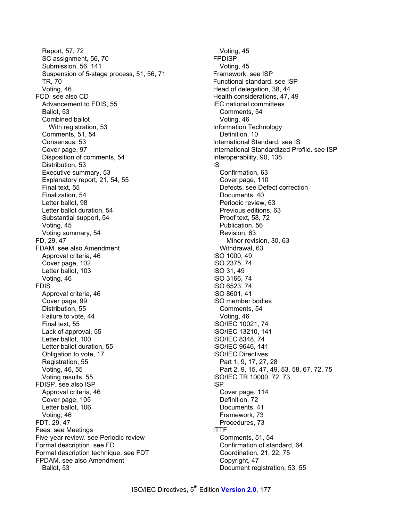Report, 57, 72 SC assignment, 56, 70 Submission, 56, 141 Suspension of 5-stage process, 51, 56, 71 TR, 70 Voting, 46 FCD. see also CD Advancement to FDIS, 55 Ballot, 53 Combined ballot With registration, 53 Comments, 51, 54 Consensus, 53 Cover page, 97 Disposition of comments, 54 Distribution, 53 Executive summary, 53 Explanatory report, 21, 54, 55 Final text, 55 Finalization, 54 Letter ballot, 98 Letter ballot duration, 54 Substantial support, 54 Voting, 45 Voting summary, 54 FD, 29, 47 FDAM. see also Amendment Approval criteria, 46 Cover page, 102 Letter ballot, 103 Voting, 46 FDIS Approval criteria, 46 Cover page, 99 Distribution, 55 Failure to vote, 44 Final text, 55 Lack of approval, 55 Letter ballot, 100 Letter ballot duration, 55 Obligation to vote, 17 Registration, 55 Voting, 46, 55 Voting results, 55 FDISP. see also ISP Approval criteria, 46 Cover page, 105 Letter ballot, 106 Voting, 46 FDT, 29, 47 Fees. see Meetings Five-year review. see Periodic review Formal description. see FD Formal description technique. see FDT FPDAM. see also Amendment Ballot, 53

Voting, 45 FPDISP Voting, 45 Framework. see ISP Functional standard. see ISP Head of delegation, 38, 44 Health considerations, 47, 49 IEC national committees Comments, 54 Voting, 46 Information Technology Definition, 10 International Standard. see IS International Standardized Profile. see ISP Interoperability, 90, 138 IS Confirmation, 63 Cover page, 110 Defects. see Defect correction Documents, 40 Periodic review, 63 Previous editions, 63 Proof text, 58, 72 Publication, 56 Revision, 63 Minor revision, 30, 63 Withdrawal, 63 ISO 1000, 49 ISO 2375, 74 ISO 31, 49 ISO 3166, 74 ISO 6523, 74 ISO 8601, 41 ISO member bodies Comments, 54 Voting, 46 ISO/IEC 10021, 74 ISO/IEC 13210, 141 ISO/IEC 8348, 74 ISO/IEC 9646, 141 ISO/IEC Directives Part 1, 9, 17, 27, 28 Part 2, 9, 15, 47, 49, 53, 58, 67, 72, 75 ISO/IEC TR 10000, 72, 73 ISP Cover page, 114 Definition, 72 Documents, 41 Framework, 73 Procedures, 73 ITTF Comments, 51, 54 Confirmation of standard, 64 Coordination, 21, 22, 75 Copyright, 47 Document registration, 53, 55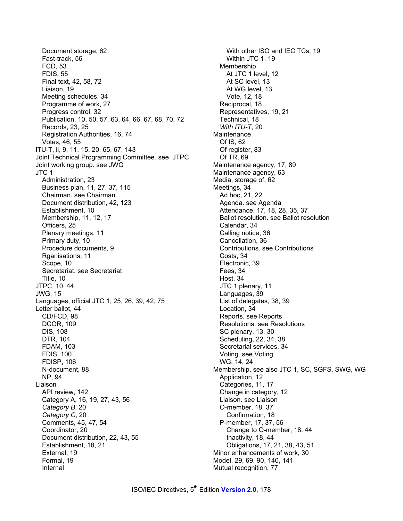Document storage, 62 Fast-track, 56 FCD, 53 FDIS, 55 Final text, 42, 58, 72 Liaison, 19 Meeting schedules, 34 Programme of work, 27 Progress control, 32 Publication, 10, 50, 57, 63, 64, 66, 67, 68, 70, 72 Records, 23, 25 Registration Authorities, 16, 74 Votes, 46, 55 ITU-T, ii, 9, 11, 15, 20, 65, 67, 143 Joint Technical Programming Committee. see JTPC Joint working group. see JWG JTC 1 Administration, 23 Business plan, 11, 27, 37, 115 Chairman. see Chairman Document distribution, 42, 123 Establishment, 10 Membership, 11, 12, 17 Officers, 25 Plenary meetings, 11 Primary duty, 10 Procedure documents, 9 Rganisations, 11 Scope, 10 Secretariat. see Secretariat Title, 10 JTPC, 10, 44 JWG, 15 Languages, official JTC 1, 25, 26, 39, 42, 75 Letter ballot, 44 CD/FCD, 98 DCOR, 109 DIS, 108 DTR, 104 FDAM, 103 FDIS, 100 FDISP, 106 N-document, 88 NP, 94 Liaison API review, 142 Category A, 16, 19, 27, 43, 56 *Category B*, 20 *Category C*, 20 Comments, 45, 47, 54 Coordinator, 20 Document distribution, 22, 43, 55 Establishment, 18, 21 External, 19 Formal, 19 Internal

With other ISO and IEC TCs, 19 Within JTC 1, 19 Membership At JTC 1 level, 12 At SC level, 13 At WG level, 13 Vote, 12, 18 Reciprocal, 18 Representatives, 19, 21 Technical, 18 *With ITU-T*, 20 **Maintenance** Of IS, 62 Of register, 83 Of TR, 69 Maintenance agency, 17, 89 Maintenance agency, 63 Media, storage of, 62 Meetings, 34 Ad hoc, 21, 22 Agenda. see Agenda Attendance, 17, 18, 28, 35, 37 Ballot resolution. see Ballot resolution Calendar, 34 Calling notice, 36 Cancellation, 36 Contributions. see Contributions Costs, 34 Electronic, 39 Fees, 34 Host, 34 JTC 1 plenary, 11 Languages, 39 List of delegates, 38, 39 Location, 34 Reports. see Reports Resolutions. see Resolutions SC plenary, 13, 30 Scheduling, 22, 34, 38 Secretarial services, 34 Voting. see Voting WG, 14, 24 Membership. see also JTC 1, SC, SGFS, SWG, WG Application, 12 Categories, 11, 17 Change in category, 12 Liaison. see Liaison O-member, 18, 37 Confirmation, 18 P-member, 17, 37, 56 Change to O-member, 18, 44 Inactivity, 18, 44 Obligations, 17, 21, 38, 43, 51 Minor enhancements of work, 30 Model, 29, 69, 90, 140, 141 Mutual recognition, 77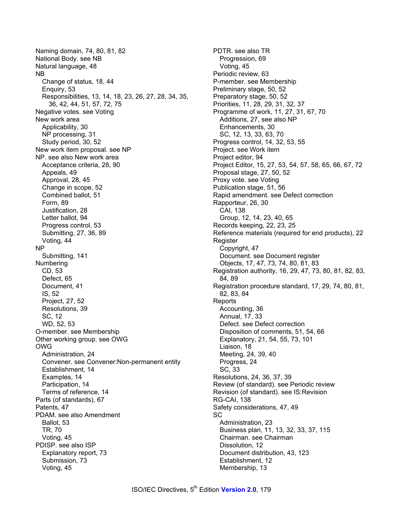Naming domain, 74, 80, 81, 82 National Body. see NB Natural language, 48 NB Change of status, 18, 44 Enquiry, 53 Responsibilities, 13, 14, 18, 23, 26, 27, 28, 34, 35, 36, 42, 44, 51, 57, 72, 75 Negative votes. see Voting New work area Applicability, 30 NP processing, 31 Study period, 30, 52 New work item proposal. see NP NP. see also New work area Acceptance criteria, 28, 90 Appeals, 49 Approval, 28, 45 Change in scope, 52 Combined ballot, 51 Form, 89 Justification, 28 Letter ballot, 94 Progress control, 53 Submitting, 27, 36, 89 Voting, 44 NP Submitting, 141 Numbering CD, 53 Defect, 65 Document, 41 IS, 52 Project, 27, 52 Resolutions, 39 SC, 12 WD, 52, 53 O-member. see Membership Other working group. see OWG OWG Administration, 24 Convener. see Convener:Non-permanent entity Establishment, 14 Examples, 14 Participation, 14 Terms of reference, 14 Parts (of standards), 67 Patents, 47 PDAM. see also Amendment Ballot, 53 TR, 70 Voting, 45 PDISP. see also ISP Explanatory report, 73 Submission, 73 Voting, 45

PDTR. see also TR Progression, 69 Voting, 45 Periodic review, 63 P-member. see Membership Preliminary stage, 50, 52 Preparatory stage, 50, 52 Priorities, 11, 28, 29, 31, 32, 37 Programme of work, 11, 27, 31, 67, 70 Additions, 27, see also NP Enhancements, 30 SC, 12, 13, 33, 63, 70 Progress control, 14, 32, 53, 55 Project. see Work item Project editor, 94 Project Editor, 15, 27, 53, 54, 57, 58, 65, 66, 67, 72 Proposal stage, 27, 50, 52 Proxy vote. see Voting Publication stage, 51, 56 Rapid amendment. see Defect correction Rapporteur, 26, 30 CAI, 138 Group, 12, 14, 23, 40, 65 Records keeping, 22, 23, 25 Reference materials (required for end products), 22 Register Copyright, 47 Document. see Document register Objects, 17, 47, 73, 74, 80, 81, 83 Registration authority, 16, 29, 47, 73, 80, 81, 82, 83, 84, 89 Registration procedure standard, 17, 29, 74, 80, 81, 82, 83, 84 **Reports** Accounting, 36 Annual, 17, 33 Defect. see Defect correction Disposition of comments, 51, 54, 66 Explanatory, 21, 54, 55, 73, 101 Liaison, 18 Meeting, 24, 39, 40 Progress, 24 SC, 33 Resolutions, 24, 36, 37, 39 Review (of standard). see Periodic review Revision (of standard). see IS:Revision RG-CAI, 138 Safety considerations, 47, 49 SC Administration, 23 Business plan, 11, 13, 32, 33, 37, 115 Chairman. see Chairman Dissolution, 12 Document distribution, 43, 123 Establishment, 12 Membership, 13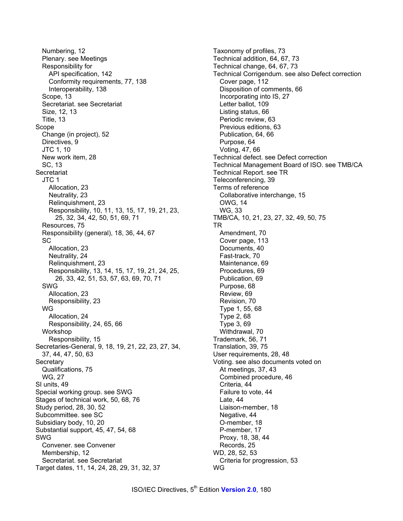Numbering, 12 Plenary. see Meetings Responsibility for API specification, 142 Conformity requirements, 77, 138 Interoperability, 138 Scope, 13 Secretariat. see Secretariat Size, 12, 13 Title, 13 Scope Change (in project), 52 Directives, 9 JTC 1, 10 New work item, 28 SC, 13 **Secretariat** JTC 1 Allocation, 23 Neutrality, 23 Relinquishment, 23 Responsibility, 10, 11, 13, 15, 17, 19, 21, 23, 25, 32, 34, 42, 50, 51, 69, 71 Resources, 75 Responsibility (general), 18, 36, 44, 67 **SC** Allocation, 23 Neutrality, 24 Relinquishment, 23 Responsibility, 13, 14, 15, 17, 19, 21, 24, 25, 26, 33, 42, 51, 53, 57, 63, 69, 70, 71 SWG Allocation, 23 Responsibility, 23 WG Allocation, 24 Responsibility, 24, 65, 66 Workshop Responsibility, 15 Secretaries-General, 9, 18, 19, 21, 22, 23, 27, 34, 37, 44, 47, 50, 63 **Secretary** Qualifications, 75 WG, 27 SI units, 49 Special working group. see SWG Stages of technical work, 50, 68, 76 Study period, 28, 30, 52 Subcommittee. see SC Subsidiary body, 10, 20 Substantial support, 45, 47, 54, 68 SWG Convener. see Convener Membership, 12 Secretariat. see Secretariat Target dates, 11, 14, 24, 28, 29, 31, 32, 37

Taxonomy of profiles, 73 Technical addition, 64, 67, 73 Technical change, 64, 67, 73 Technical Corrigendum. see also Defect correction Cover page, 112 Disposition of comments, 66 Incorporating into IS, 27 Letter ballot, 109 Listing status, 66 Periodic review, 63 Previous editions, 63 Publication, 64, 66 Purpose, 64 Voting, 47, 66 Technical defect. see Defect correction Technical Management Board of ISO. see TMB/CA Technical Report. see TR Teleconferencing, 39 Terms of reference Collaborative interchange, 15 OWG, 14 WG, 33 TMB/CA, 10, 21, 23, 27, 32, 49, 50, 75 TR Amendment, 70 Cover page, 113 Documents, 40 Fast-track, 70 Maintenance, 69 Procedures, 69 Publication, 69 Purpose, 68 Review, 69 Revision, 70 Type 1, 55, 68 Type 2, 68 Type 3, 69 Withdrawal, 70 Trademark, 56, 71 Translation, 39, 75 User requirements, 28, 48 Voting. see also documents voted on At meetings, 37, 43 Combined procedure, 46 Criteria, 44 Failure to vote, 44 Late, 44 Liaison-member, 18 Negative, 44 O-member, 18 P-member, 17 Proxy, 18, 38, 44 Records, 25 WD, 28, 52, 53 Criteria for progression, 53 WG